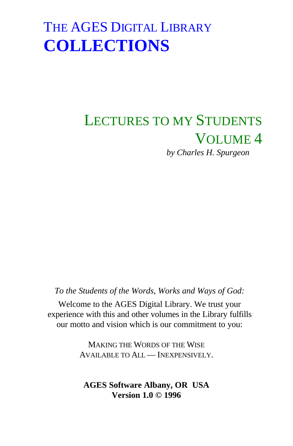## THE AGES DIGITAL LIBRARY **COLLECTIONS**

# LECTURES TO MY STUDENTS VOLUME 4

*by Charles H. Spurgeon*

*To the Students of the Words, Works and Ways of God:*

Welcome to the AGES Digital Library. We trust your experience with this and other volumes in the Library fulfills our motto and vision which is our commitment to you:

> MAKING THE WORDS OF THE WISE AVAILABLE TO ALL — INEXPENSIVELY.

**AGES Software Albany, OR USA Version 1.0 © 1996**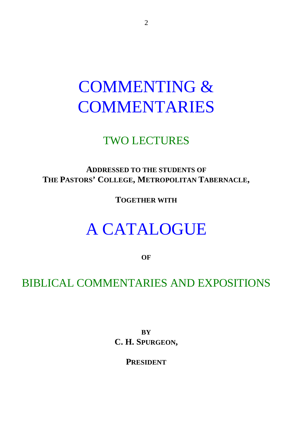# COMMENTING & **COMMENTARIES**

### TWO LECTURES

#### **ADDRESSED TO THE STUDENTS OF THE PASTORS' COLLEGE, METROPOLITAN TABERNACLE,**

**TOGETHER WITH**

# A CATALOGUE

**OF**

### BIBLICAL COMMENTARIES AND EXPOSITIONS

**BY C. H. SPURGEON,**

**PRESIDENT**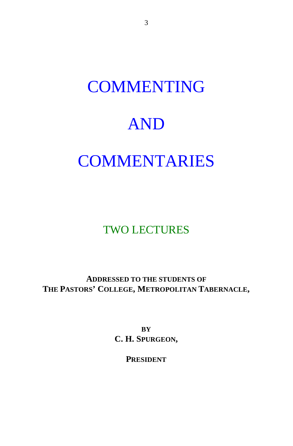## COMMENTING

# AND

# **COMMENTARIES**

TWO LECTURES

**ADDRESSED TO THE STUDENTS OF THE PASTORS' COLLEGE, METROPOLITAN TABERNACLE,**

> **BY C. H. SPURGEON,**

> > **PRESIDENT**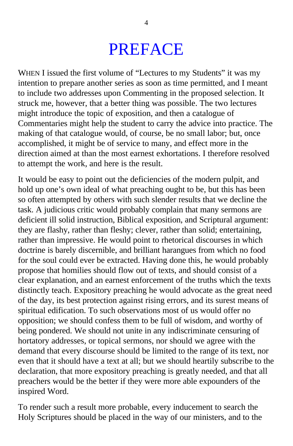## PREFACE

WHEN I issued the first volume of "Lectures to my Students" it was my intention to prepare another series as soon as time permitted, and I meant to include two addresses upon Commenting in the proposed selection. It struck me, however, that a better thing was possible. The two lectures might introduce the topic of exposition, and then a catalogue of Commentaries might help the student to carry the advice into practice. The making of that catalogue would, of course, be no small labor; but, once accomplished, it might be of service to many, and effect more in the direction aimed at than the most earnest exhortations. I therefore resolved to attempt the work, and here is the result.

It would be easy to point out the deficiencies of the modern pulpit, and hold up one's own ideal of what preaching ought to be, but this has been so often attempted by others with such slender results that we decline the task. A judicious critic would probably complain that many sermons are deficient ill solid instruction, Biblical exposition, and Scriptural argument: they are flashy, rather than fleshy; clever, rather than solid; entertaining, rather than impressive. He would point to rhetorical discourses in which doctrine is barely discernible, and brilliant harangues from which no food for the soul could ever be extracted. Having done this, he would probably propose that homilies should flow out of texts, and should consist of a clear explanation, and an earnest enforcement of the truths which the texts distinctly teach. Expository preaching he would advocate as the great need of the day, its best protection against rising errors, and its surest means of spiritual edification. To such observations most of us would offer no opposition; we should confess them to be full of wisdom, and worthy of being pondered. We should not unite in any indiscriminate censuring of hortatory addresses, or topical sermons, nor should we agree with the demand that every discourse should be limited to the range of its text, nor even that it should have a text at all; but we should heartily subscribe to the declaration, that more expository preaching is greatly needed, and that all preachers would be the better if they were more able expounders of the inspired Word.

To render such a result more probable, every inducement to search the Holy Scriptures should be placed in the way of our ministers, and to the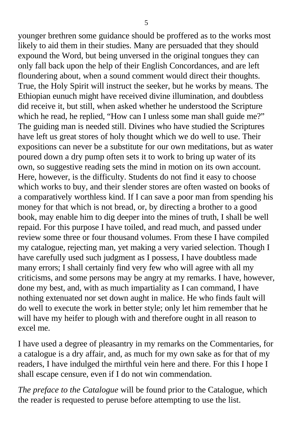younger brethren some guidance should be proffered as to the works most likely to aid them in their studies. Many are persuaded that they should expound the Word, but being unversed in the original tongues they can only fall back upon the help of their English Concordances, and are left floundering about, when a sound comment would direct their thoughts. True, the Holy Spirit will instruct the seeker, but he works by means. The Ethiopian eunuch might have received divine illumination, and doubtless did receive it, but still, when asked whether he understood the Scripture which he read, he replied, "How can I unless some man shall guide me?" The guiding man is needed still. Divines who have studied the Scriptures have left us great stores of holy thought which we do well to use. Their expositions can never be a substitute for our own meditations, but as water poured down a dry pump often sets it to work to bring up water of its own, so suggestive reading sets the mind in motion on its own account. Here, however, is the difficulty. Students do not find it easy to choose which works to buy, and their slender stores are often wasted on books of a comparatively worthless kind. If I can save a poor man from spending his money for that which is not bread, or, by directing a brother to a good book, may enable him to dig deeper into the mines of truth, I shall be well repaid. For this purpose I have toiled, and read much, and passed under review some three or four thousand volumes. From these I have compiled my catalogue, rejecting man, yet making a very varied selection. Though I have carefully used such judgment as I possess, I have doubtless made many errors; I shall certainly find very few who will agree with all my criticisms, and some persons may be angry at my remarks. I have, however, done my best, and, with as much impartiality as I can command, I have nothing extenuated nor set down aught in malice. He who finds fault will do well to execute the work in better style; only let him remember that he will have my heifer to plough with and therefore ought in all reason to excel me.

I have used a degree of pleasantry in my remarks on the Commentaries, for a catalogue is a dry affair, and, as much for my own sake as for that of my readers, I have indulged the mirthful vein here and there. For this I hope I shall escape censure, even if I do not win commendation.

*The preface to the Catalogue* will be found prior to the Catalogue, which the reader is requested to peruse before attempting to use the list.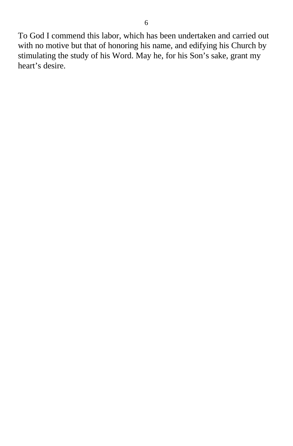To God I commend this labor, which has been undertaken and carried out with no motive but that of honoring his name, and edifying his Church by stimulating the study of his Word. May he, for his Son's sake, grant my heart's desire.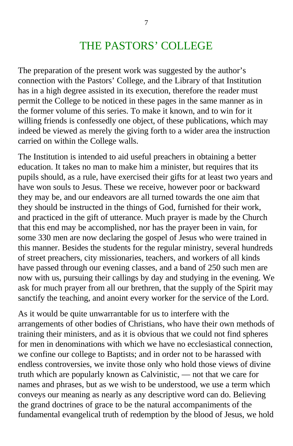### THE PASTORS' COLLEGE

The preparation of the present work was suggested by the author's connection with the Pastors' College, and the Library of that Institution has in a high degree assisted in its execution, therefore the reader must permit the College to be noticed in these pages in the same manner as in the former volume of this series. To make it known, and to win for it willing friends is confessedly one object, of these publications, which may indeed be viewed as merely the giving forth to a wider area the instruction carried on within the College walls.

The Institution is intended to aid useful preachers in obtaining a better education. It takes no man to make him a minister, but requires that its pupils should, as a rule, have exercised their gifts for at least two years and have won souls to Jesus. These we receive, however poor or backward they may be, and our endeavors are all turned towards the one aim that they should be instructed in the things of God, furnished for their work, and practiced in the gift of utterance. Much prayer is made by the Church that this end may be accomplished, nor has the prayer been in vain, for some 330 men are now declaring the gospel of Jesus who were trained in this manner. Besides the students for the regular ministry, several hundreds of street preachers, city missionaries, teachers, and workers of all kinds have passed through our evening classes, and a band of 250 such men are now with us, pursuing their callings by day and studying in the evening. We ask for much prayer from all our brethren, that the supply of the Spirit may sanctify the teaching, and anoint every worker for the service of the Lord.

As it would be quite unwarrantable for us to interfere with the arrangements of other bodies of Christians, who have their own methods of training their ministers, and as it is obvious that we could not find spheres for men in denominations with which we have no ecclesiastical connection, we confine our college to Baptists; and in order not to be harassed with endless controversies, we invite those only who hold those views of divine truth which are popularly known as Calvinistic, — not that we care for names and phrases, but as we wish to be understood, we use a term which conveys our meaning as nearly as any descriptive word can do. Believing the grand doctrines of grace to be the natural accompaniments of the fundamental evangelical truth of redemption by the blood of Jesus, we hold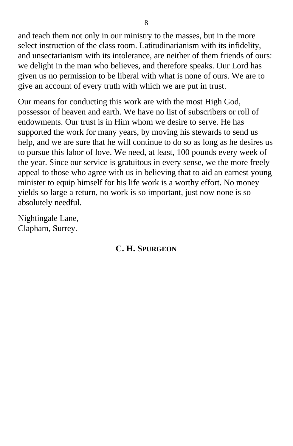and teach them not only in our ministry to the masses, but in the more select instruction of the class room. Latitudinarianism with its infidelity, and unsectarianism with its intolerance, are neither of them friends of ours: we delight in the man who believes, and therefore speaks. Our Lord has given us no permission to be liberal with what is none of ours. We are to give an account of every truth with which we are put in trust.

Our means for conducting this work are with the most High God, possessor of heaven and earth. We have no list of subscribers or roll of endowments. Our trust is in Him whom we desire to serve. He has supported the work for many years, by moving his stewards to send us help, and we are sure that he will continue to do so as long as he desires us to pursue this labor of love. We need, at least, 100 pounds every week of the year. Since our service is gratuitous in every sense, we the more freely appeal to those who agree with us in believing that to aid an earnest young minister to equip himself for his life work is a worthy effort. No money yields so large a return, no work is so important, just now none is so absolutely needful.

Nightingale Lane, Clapham, Surrey.

#### **C. H. SPURGEON**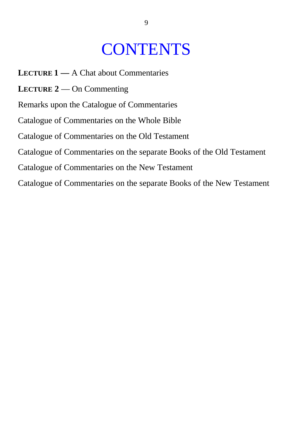# **CONTENTS**

**LECTURE 1 —** A Chat about Commentaries **LECTURE 2** — On Commenting Remarks upon the Catalogue of Commentaries Catalogue of Commentaries on the Whole Bible Catalogue of Commentaries on the Old Testament Catalogue of Commentaries on the separate Books of the Old Testament Catalogue of Commentaries on the New Testament Catalogue of Commentaries on the separate Books of the New Testament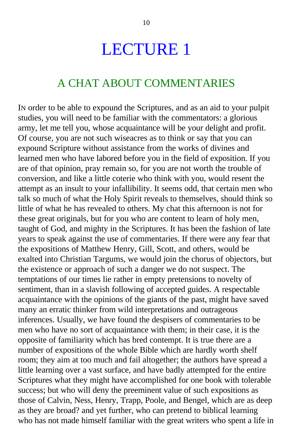## LECTURE 1

### A CHAT ABOUT COMMENTARIES

IN order to be able to expound the Scriptures, and as an aid to your pulpit studies, you will need to be familiar with the commentators: a glorious army, let me tell you, whose acquaintance will be your delight and profit. Of course, you are not such wiseacres as to think or say that you can expound Scripture without assistance from the works of divines and learned men who have labored before you in the field of exposition. If you are of that opinion, pray remain so, for you are not worth the trouble of conversion, and like a little coterie who think with you, would resent the attempt as an insult to your infallibility. It seems odd, that certain men who talk so much of what the Holy Spirit reveals to themselves, should think so little of what he has revealed to others. My chat this afternoon is not for these great originals, but for you who are content to learn of holy men, taught of God, and mighty in the Scriptures. It has been the fashion of late years to speak against the use of commentaries. If there were any fear that the expositions of Matthew Henry, Gill, Scott, and others, would be exalted into Christian Targums, we would join the chorus of objectors, but the existence or approach of such a danger we do not suspect. The temptations of our times lie rather in empty pretensions to novelty of sentiment, than in a slavish following of accepted guides. A respectable acquaintance with the opinions of the giants of the past, might have saved many an erratic thinker from wild interpretations and outrageous inferences. Usually, we have found the despisers of commentaries to be men who have no sort of acquaintance with them; in their case, it is the opposite of familiarity which has bred contempt. It is true there are a number of expositions of the whole Bible which are hardly worth shelf room; they aim at too much and fail altogether; the authors have spread a little learning over a vast surface, and have badly attempted for the entire Scriptures what they might have accomplished for one book with tolerable success; but who will deny the preeminent value of such expositions as those of Calvin, Ness, Henry, Trapp, Poole, and Bengel, which are as deep as they are broad? and yet further, who can pretend to biblical learning who has not made himself familiar with the great writers who spent a life in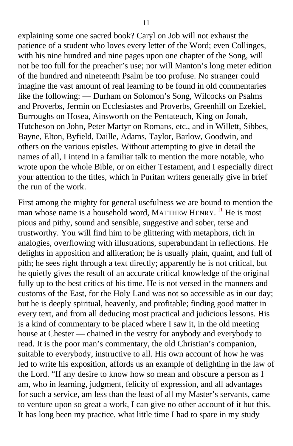explaining some one sacred book? Caryl on Job will not exhaust the patience of a student who loves every letter of the Word; even Collinges, with his nine hundred and nine pages upon one chapter of the Song, will not be too full for the preacher's use; nor will Manton's long meter edition of the hundred and nineteenth Psalm be too profuse. No stranger could imagine the vast amount of real learning to be found in old commentaries like the following: — Durham on Solomon's Song, Wilcocks on Psalms and Proverbs, Jermin on Ecclesiastes and Proverbs, Greenhill on Ezekiel, Burroughs on Hosea, Ainsworth on the Pentateuch, King on Jonah, Hutcheson on John, Peter Martyr on Romans, etc., and in Willett, Sibbes, Bayne, Elton, Byfield, Daille, Adams, Taylor, Barlow, Goodwin, and others on the various epistles. Without attempting to give in detail the names of all, I intend in a familiar talk to mention the more notable, who wrote upon the whole Bible, or on either Testament, and I especially direct your attention to the titles, which in Puritan writers generally give in brief the run of the work.

First among the mighty for general usefulness we are bound to mention the man whose name is a household word, MATTHEW HENRY. <sup>[f1](#page-369-0)</sup> He is most pious and pithy, sound and sensible, suggestive and sober, terse and trustworthy. You will find him to be glittering with metaphors, rich in analogies, overflowing with illustrations, superabundant in reflections. He delights in apposition and alliteration; he is usually plain, quaint, and full of pith; he sees right through a text directly; apparently he is not critical, but he quietly gives the result of an accurate critical knowledge of the original fully up to the best critics of his time. He is not versed in the manners and customs of the East, for the Holy Land was not so accessible as in our day; but he is deeply spiritual, heavenly, and profitable; finding good matter in every text, and from all deducing most practical and judicious lessons. His is a kind of commentary to be placed where I saw it, in the old meeting house at Chester — chained in the vestry for anybody and everybody to read. It is the poor man's commentary, the old Christian's companion, suitable to everybody, instructive to all. His own account of how he was led to write his exposition, affords us an example of delighting in the law of the Lord. "If any desire to know how so mean and obscure a person as I am, who in learning, judgment, felicity of expression, and all advantages for such a service, am less than the least of all my Master's servants, came to venture upon so great a work, I can give no other account of it but this. It has long been my practice, what little time I had to spare in my study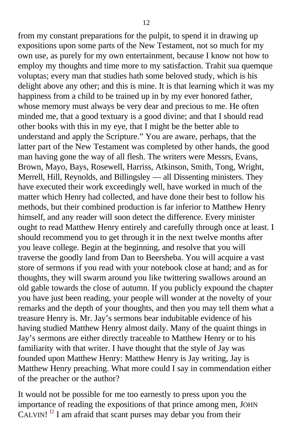from my constant preparations for the pulpit, to spend it in drawing up expositions upon some parts of the New Testament, not so much for my own use, as purely for my own entertainment, because I know not how to employ my thoughts and time more to my satisfaction. Trahit sua quemque voluptas; every man that studies hath some beloved study, which is his delight above any other; and this is mine. It is that learning which it was my happiness from a child to be trained up in by my ever honored father, whose memory must always be very dear and precious to me. He often minded me, that a good textuary is a good divine; and that I should read other books with this in my eye, that I might be the better able to understand and apply the Scripture." You are aware, perhaps, that the latter part of the New Testament was completed by other hands, the good man having gone the way of all flesh. The writers were Messrs, Evans, Brown, Mayo, Bays, Rosewell, Harriss, Atkinson, Smith, Tong, Wright, Merrell, Hill, Reynolds, and Billingsley — all Dissenting ministers. They have executed their work exceedingly well, have worked in much of the matter which Henry had collected, and have done their best to follow his methods, but their combined production is far inferior to Matthew Henry himself, and any reader will soon detect the difference. Every minister ought to read Matthew Henry entirely and carefully through once at least. I should recommend you to get through it in the next twelve months after you leave college. Begin at the beginning, and resolve that you will traverse the goodly land from Dan to Beersheba. You will acquire a vast store of sermons if you read with your notebook close at hand; and as for thoughts, they will swarm around you like twittering swallows around an old gable towards the close of autumn. If you publicly expound the chapter you have just been reading, your people will wonder at the novelty of your remarks and the depth of your thoughts, and then you may tell them what a treasure Henry is. Mr. Jay's sermons bear indubitable evidence of his having studied Matthew Henry almost daily. Many of the quaint things in Jay's sermons are either directly traceable to Matthew Henry or to his familiarity with that writer. I have thought that the style of Jay was founded upon Matthew Henry: Matthew Henry is Jay writing, Jay is Matthew Henry preaching. What more could I say in commendation either of the preacher or the author?

It would not be possible for me too earnestly to press upon you the importance of reading the expositions of that prince among men, JOHN CALVIN!  $^{f2}$  $^{f2}$  $^{f2}$  I am afraid that scant purses may debar you from their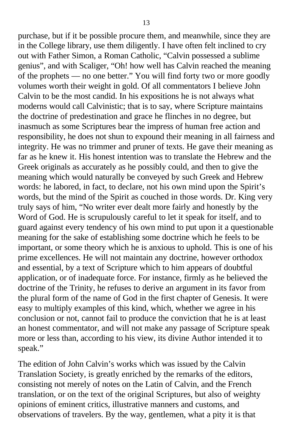purchase, but if it be possible procure them, and meanwhile, since they are in the College library, use them diligently. I have often felt inclined to cry out with Father Simon, a Roman Catholic, "Calvin possessed a sublime genius", and with Scaliger, "Oh! how well has Calvin reached the meaning of the prophets — no one better." You will find forty two or more goodly volumes worth their weight in gold. Of all commentators I believe John Calvin to be the most candid. In his expositions he is not always what moderns would call Calvinistic; that is to say, where Scripture maintains the doctrine of predestination and grace he flinches in no degree, but inasmuch as some Scriptures bear the impress of human free action and responsibility, he does not shun to expound their meaning in all fairness and integrity. He was no trimmer and pruner of texts. He gave their meaning as far as he knew it. His honest intention was to translate the Hebrew and the Greek originals as accurately as he possibly could, and then to give the meaning which would naturally be conveyed by such Greek and Hebrew words: he labored, in fact, to declare, not his own mind upon the Spirit's words, but the mind of the Spirit as couched in those words. Dr. King very truly says of him, "No writer ever dealt more fairly and honestly by the Word of God. He is scrupulously careful to let it speak for itself, and to guard against every tendency of his own mind to put upon it a questionable meaning for the sake of establishing some doctrine which he feels to be important, or some theory which he is anxious to uphold. This is one of his prime excellences. He will not maintain any doctrine, however orthodox and essential, by a text of Scripture which to him appears of doubtful application, or of inadequate force. For instance, firmly as he believed the doctrine of the Trinity, he refuses to derive an argument in its favor from the plural form of the name of God in the first chapter of Genesis. It were easy to multiply examples of this kind, which, whether we agree in his conclusion or not, cannot fail to produce the conviction that he is at least an honest commentator, and will not make any passage of Scripture speak more or less than, according to his view, its divine Author intended it to speak."

The edition of John Calvin's works which was issued by the Calvin Translation Society, is greatly enriched by the remarks of the editors, consisting not merely of notes on the Latin of Calvin, and the French translation, or on the text of the original Scriptures, but also of weighty opinions of eminent critics, illustrative manners and customs, and observations of travelers. By the way, gentlemen, what a pity it is that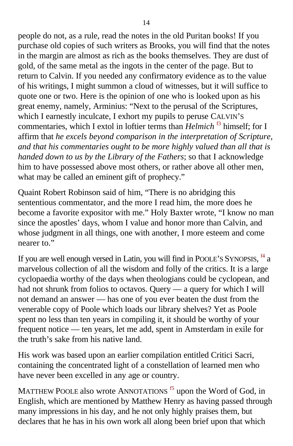people do not, as a rule, read the notes in the old Puritan books! If you purchase old copies of such writers as Brooks, you will find that the notes in the margin are almost as rich as the books themselves. They are dust of gold, of the same metal as the ingots in the center of the page. But to return to Calvin. If you needed any confirmatory evidence as to the value of his writings, I might summon a cloud of witnesses, but it will suffice to quote one or two. Here is the opinion of one who is looked upon as his great enemy, namely, Arminius: "Next to the perusal of the Scriptures, which I earnestly inculcate, I exhort my pupils to peruse CALVIN'S commentaries, which I extol in loftier terms than *Helmich*<sup>13</sup> himself; for I affirm that *he excels beyond comparison in the interpretation of Scripture, and that his commentaries ought to be more highly valued than all that is handed down to us by the Library of the Fathers*; so that I acknowledge him to have possessed above most others, or rather above all other men, what may be called an eminent gift of prophecy."

Quaint Robert Robinson said of him, "There is no abridging this sententious commentator, and the more I read him, the more does he become a favorite expositor with me." Holy Baxter wrote, "I know no man since the apostles' days, whom I value and honor more than Calvin, and whose judgment in all things, one with another, I more esteem and come nearer to"

If you are well enough versed in Latin, you will find in POOLE'S SYNOPSIS, <sup>[f4](#page-369-0)</sup> a marvelous collection of all the wisdom and folly of the critics. It is a large cyclopaedia worthy of the days when theologians could be cyclopean, and had not shrunk from folios to octavos. Query — a query for which I will not demand an answer — has one of you ever beaten the dust from the venerable copy of Poole which loads our library shelves? Yet as Poole spent no less than ten years in compiling it, it should be worthy of your frequent notice — ten years, let me add, spent in Amsterdam in exile for the truth's sake from his native land.

His work was based upon an earlier compilation entitled Critici Sacri, containing the concentrated light of a constellation of learned men who have never been excelled in any age or country.

MATTHEW POOLE also wrote ANNOTATIONS <sup>[f5](#page-369-0)</sup> upon the Word of God, in English, which are mentioned by Matthew Henry as having passed through many impressions in his day, and he not only highly praises them, but declares that he has in his own work all along been brief upon that which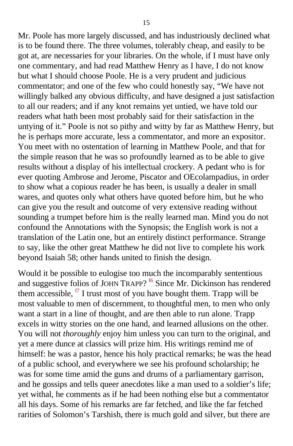Mr. Poole has more largely discussed, and has industriously declined what is to be found there. The three volumes, tolerably cheap, and easily to be got at, are necessaries for your libraries. On the whole, if I must have only one commentary, and had read Matthew Henry as I have, I do not know but what I should choose Poole. He is a very prudent and judicious commentator; and one of the few who could honestly say, "We have not willingly balked any obvious difficulty, and have designed a just satisfaction to all our readers; and if any knot remains yet untied, we have told our readers what hath been most probably said for their satisfaction in the untying of it." Poole is not so pithy and witty by far as Matthew Henry, but he is perhaps more accurate, less a commentator, and more an expositor. You meet with no ostentation of learning in Matthew Poole, and that for the simple reason that he was so profoundly learned as to be able to give results without a display of his intellectual crockery. A pedant who is for ever quoting Ambrose and Jerome, Piscator and OEcolampadius, in order to show what a copious reader he has been, is usually a dealer in small wares, and quotes only what others have quoted before him, but he who can give you the result and outcome of very extensive reading without sounding a trumpet before him is the really learned man. Mind you do not confound the Annotations with the Synopsis; the English work is not a translation of the Latin one, but an entirely distinct performance. Strange to say, like the other great Matthew he did not live to complete his work beyond Isaiah 58; other hands united to finish the design.

Would it be possible to eulogise too much the incomparably sententious and suggestive folios of JOHN TRAPP? [f6](#page-369-0) Since Mr. Dickinson has rendered them accessible,  $f<sup>7</sup>$  I trust most of you have bought them. Trapp will be most valuable to men of discernment, to thoughtful men, to men who only want a start in a line of thought, and are then able to run alone. Trapp excels in witty stories on the one hand, and learned allusions on the other. You will not *thoroughly* enjoy him unless you can turn to the original, and yet a mere dunce at classics will prize him. His writings remind me of himself: he was a pastor, hence his holy practical remarks; he was the head of a public school, and everywhere we see his profound scholarship; he was for some time amid the guns and drums of a parliamentary garrison, and he gossips and tells queer anecdotes like a man used to a soldier's life; yet withal, he comments as if he had been nothing else but a commentator all his days. Some of his remarks are far fetched, and like the far fetched rarities of Solomon's Tarshish, there is much gold and silver, but there are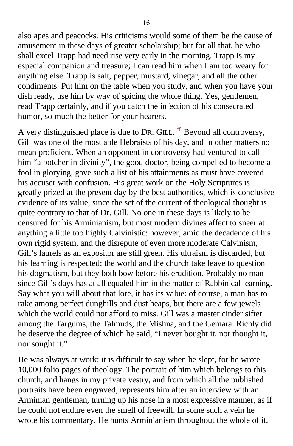also apes and peacocks. His criticisms would some of them be the cause of amusement in these days of greater scholarship; but for all that, he who shall excel Trapp had need rise very early in the morning. Trapp is my especial companion and treasure; I can read him when I am too weary for anything else. Trapp is salt, pepper, mustard, vinegar, and all the other condiments. Put him on the table when you study, and when you have your

dish ready, use him by way of spicing the whole thing. Yes, gentlemen, read Trapp certainly, and if you catch the infection of his consecrated humor, so much the better for your hearers.

A very distinguished place is due to DR. GILL. <sup>[f8](#page-370-0)</sup> Beyond all controversy, Gill was one of the most able Hebraists of his day, and in other matters no mean proficient. When an opponent in controversy had ventured to call him "a botcher in divinity", the good doctor, being compelled to become a fool in glorying, gave such a list of his attainments as must have covered his accuser with confusion. His great work on the Holy Scriptures is greatly prized at the present day by the best authorities, which is conclusive evidence of its value, since the set of the current of theological thought is quite contrary to that of Dr. Gill. No one in these days is likely to be censured for his Arminianism, but most modern divines affect to sneer at anything a little too highly Calvinistic: however, amid the decadence of his own rigid system, and the disrepute of even more moderate Calvinism, Gill's laurels as an expositor are still green. His ultraism is discarded, but his learning is respected: the world and the church take leave to question his dogmatism, but they both bow before his erudition. Probably no man since Gill's days has at all equaled him in the matter of Rabbinical learning. Say what you will about that lore, it has its value: of course, a man has to rake among perfect dunghills and dust heaps, but there are a few jewels which the world could not afford to miss. Gill was a master cinder sifter among the Targums, the Talmuds, the Mishna, and the Gemara. Richly did he deserve the degree of which he said, "I never bought it, nor thought it, nor sought it."

He was always at work; it is difficult to say when he slept, for he wrote 10,000 folio pages of theology. The portrait of him which belongs to this church, and hangs in my private vestry, and from which all the published portraits have been engraved, represents him after an interview with an Arminian gentleman, turning up his nose in a most expressive manner, as if he could not endure even the smell of freewill. In some such a vein he wrote his commentary. He hunts Arminianism throughout the whole of it.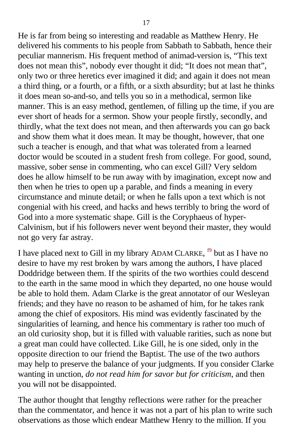He is far from being so interesting and readable as Matthew Henry. He delivered his comments to his people from Sabbath to Sabbath, hence their peculiar mannerism. His frequent method of animad-version is, "This text does not mean this", nobody ever thought it did; "It does not mean that", only two or three heretics ever imagined it did; and again it does not mean a third thing, or a fourth, or a fifth, or a sixth absurdity; but at last he thinks it does mean so-and-so, and tells you so in a methodical, sermon like manner. This is an easy method, gentlemen, of filling up the time, if you are ever short of heads for a sermon. Show your people firstly, secondly, and thirdly, what the text does not mean, and then afterwards you can go back and show them what it does mean. It may be thought, however, that one such a teacher is enough, and that what was tolerated from a learned doctor would be scouted in a student fresh from college. For good, sound, massive, sober sense in commenting, who can excel Gill? Very seldom does he allow himself to be run away with by imagination, except now and then when he tries to open up a parable, and finds a meaning in every circumstance and minute detail; or when he falls upon a text which is not congenial with his creed, and hacks and hews terribly to bring the word of God into a more systematic shape. Gill is the Coryphaeus of hyper-Calvinism, but if his followers never went beyond their master, they would not go very far astray.

I have placed next to Gill in my library ADAM CLARKE, <sup>[f9](#page-370-0)</sup> but as I have no desire to have my rest broken by wars among the authors, I have placed Doddridge between them. If the spirits of the two worthies could descend to the earth in the same mood in which they departed, no one house would be able to hold them. Adam Clarke is the great annotator of our Wesleyan friends; and they have no reason to be ashamed of him, for he takes rank among the chief of expositors. His mind was evidently fascinated by the singularities of learning, and hence his commentary is rather too much of an old curiosity shop, but it is filled with valuable rarities, such as none but a great man could have collected. Like Gill, he is one sided, only in the opposite direction to our friend the Baptist. The use of the two authors may help to preserve the balance of your judgments. If you consider Clarke wanting in unction, *do not read him for savor but for criticism*, and then you will not be disappointed.

The author thought that lengthy reflections were rather for the preacher than the commentator, and hence it was not a part of his plan to write such observations as those which endear Matthew Henry to the million. If you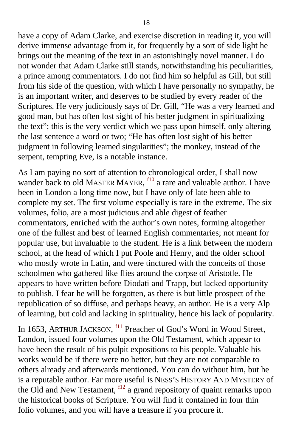have a copy of Adam Clarke, and exercise discretion in reading it, you will derive immense advantage from it, for frequently by a sort of side light he brings out the meaning of the text in an astonishingly novel manner. I do not wonder that Adam Clarke still stands, notwithstanding his peculiarities, a prince among commentators. I do not find him so helpful as Gill, but still from his side of the question, with which I have personally no sympathy, he is an important writer, and deserves to be studied by every reader of the Scriptures. He very judiciously says of Dr. Gill, "He was a very learned and good man, but has often lost sight of his better judgment in spiritualizing the text"; this is the very verdict which we pass upon himself, only altering the last sentence a word or two; "He has often lost sight of his better judgment in following learned singularities"; the monkey, instead of the serpent, tempting Eve, is a notable instance.

As I am paying no sort of attention to chronological order, I shall now wander back to old MASTER MAYER, <sup>[f10](#page-370-0)</sup> a rare and valuable author. I have been in London a long time now, but I have only of late been able to complete my set. The first volume especially is rare in the extreme. The six volumes, folio, are a most judicious and able digest of feather commentators, enriched with the author's own notes, forming altogether one of the fullest and best of learned English commentaries; not meant for popular use, but invaluable to the student. He is a link between the modern school, at the head of which I put Poole and Henry, and the older school who mostly wrote in Latin, and were tinctured with the conceits of those schoolmen who gathered like flies around the corpse of Aristotle. He appears to have written before Diodati and Trapp, but lacked opportunity to publish. I fear he will be forgotten, as there is but little prospect of the republication of so diffuse, and perhaps heavy, an author. He is a very Alp of learning, but cold and lacking in spirituality, hence his lack of popularity.

In 1653, ARTHUR JACKSON, <sup>[f11](#page-371-0)</sup> Preacher of God's Word in Wood Street, London, issued four volumes upon the Old Testament, which appear to have been the result of his pulpit expositions to his people. Valuable his works would be if there were no better, but they are not comparable to others already and afterwards mentioned. You can do without him, but he is a reputable author. Far more useful is NESS'S HISTORY AND MYSTERY of the Old and New Testament, [f12](#page-371-0) a grand repository of quaint remarks upon the historical books of Scripture. You will find it contained in four thin folio volumes, and you will have a treasure if you procure it.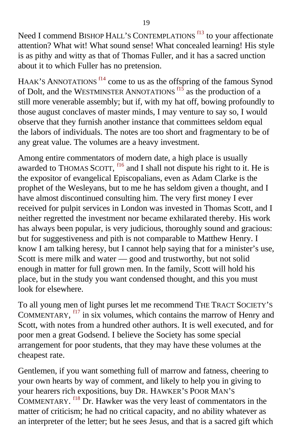Need I commend BISHOP HALL'S CONTEMPLATIONS<sup>113</sup> to your affectionate attention? What wit! What sound sense! What concealed learning! His style is as pithy and witty as that of Thomas Fuller, and it has a sacred unction about it to which Fuller has no pretension.

HAAK'S ANNOTATIONS<sup>[f14](#page-371-0)</sup> come to us as the offspring of the famous Synod of Dolt, and the WESTMINSTER ANNOTATIONS  $<sup>15</sup>$  as the production of a</sup> still more venerable assembly; but if, with my hat off, bowing profoundly to those august conclaves of master minds, I may venture to say so, I would observe that they furnish another instance that committees seldom equal the labors of individuals. The notes are too short and fragmentary to be of any great value. The volumes are a heavy investment.

Among entire commentators of modern date, a high place is usually awarded to THOMAS SCOTT, <sup>[f16](#page-372-0)</sup> and I shall not dispute his right to it. He is the expositor of evangelical Episcopalians, even as Adam Clarke is the prophet of the Wesleyans, but to me he has seldom given a thought, and I have almost discontinued consulting him. The very first money I ever received for pulpit services in London was invested in Thomas Scott, and I neither regretted the investment nor became exhilarated thereby. His work has always been popular, is very judicious, thoroughly sound and gracious: but for suggestiveness and pith is not comparable to Matthew Henry. I know I am talking heresy, but I cannot help saying that for a minister's use, Scott is mere milk and water — good and trustworthy, but not solid enough in matter for full grown men. In the family, Scott will hold his place, but in the study you want condensed thought, and this you must look for elsewhere.

To all young men of light purses let me recommend THE TRACT SOCIETY'S COMMENTARY,  $^{17}$  in six volumes, which contains the marrow of Henry and Scott, with notes from a hundred other authors. It is well executed, and for poor men a great Godsend. I believe the Society has some special arrangement for poor students, that they may have these volumes at the cheapest rate.

Gentlemen, if you want something full of marrow and fatness, cheering to your own hearts by way of comment, and likely to help you in giving to your hearers rich expositions, buy DR. HAWKER'S POOR MAN'S COMMENTARY. <sup>[f18](#page-372-0)</sup> Dr. Hawker was the very least of commentators in the matter of criticism; he had no critical capacity, and no ability whatever as an interpreter of the letter; but he sees Jesus, and that is a sacred gift which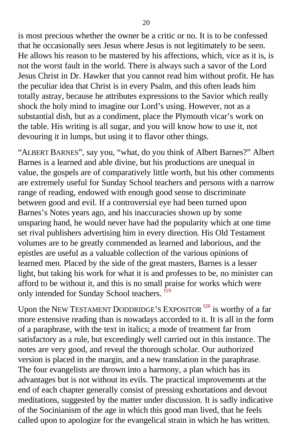is most precious whether the owner be a critic or no. It is to be confessed that he occasionally sees Jesus where Jesus is not legitimately to be seen. He allows his reason to be mastered by his affections, which, vice as it is, is not the worst fault in the world. There is always such a savor of the Lord Jesus Christ in Dr. Hawker that you cannot read him without profit. He has the peculiar idea that Christ is in every Psalm, and this often leads him totally astray, because he attributes expressions to the Savior which really shock the holy mind to imagine our Lord's using. However, not as a substantial dish, but as a condiment, place the Plymouth vicar's work on the table. His writing is all sugar, and you will know how to use it, not devouring it in lumps, but using it to flavor other things.

"ALBERT BARNES", say you, "what, do you think of Albert Barnes?" Albert Barnes is a learned and able divine, but his productions are unequal in value, the gospels are of comparatively little worth, but his other comments are extremely useful for Sunday School teachers and persons with a narrow range of reading, endowed with enough good sense to discriminate between good and evil. If a controversial eye had been turned upon Barnes's Notes years ago, and his inaccuracies shown up by some unsparing hand, he would never have had the popularity which at one time set rival publishers advertising him in every direction. His Old Testament volumes are to be greatly commended as learned and laborious, and the epistles are useful as a valuable collection of the various opinions of learned men. Placed by the side of the great masters, Barnes is a lesser light, but taking his work for what it is and professes to be, no minister can afford to be without it, and this is no small praise for works which were only intended for Sunday School teachers.  $f19$ 

Upon the NEW TESTAMENT DODDRIDGE'S EXPOSITOR  $^{f20}$  $^{f20}$  $^{f20}$  is worthy of a far more extensive reading than is nowadays accorded to it. It is all in the form of a paraphrase, with the text in italics; a mode of treatment far from satisfactory as a rule, but exceedingly well carried out in this instance. The notes are very good, and reveal the thorough scholar. Our authorized version is placed in the margin, and a new translation in the paraphrase. The four evangelists are thrown into a harmony, a plan which has its advantages but is not without its evils. The practical improvements at the end of each chapter generally consist of pressing exhortations and devout meditations, suggested by the matter under discussion. It is sadly indicative of the Socinianism of the age in which this good man lived, that he feels called upon to apologize for the evangelical strain in which he has written.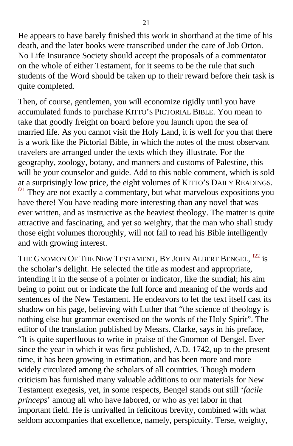He appears to have barely finished this work in shorthand at the time of his death, and the later books were transcribed under the care of Job Orton. No Life Insurance Society should accept the proposals of a commentator on the whole of either Testament, for it seems to be the rule that such students of the Word should be taken up to their reward before their task is quite completed.

Then, of course, gentlemen, you will economize rigidly until you have accumulated funds to purchase KITTO'S PICTORIAL BIBLE. You mean to take that goodly freight on board before you launch upon the sea of married life. As you cannot visit the Holy Land, it is well for you that there is a work like the Pictorial Bible, in which the notes of the most observant travelers are arranged under the texts which they illustrate. For the geography, zoology, botany, and manners and customs of Palestine, this will be your counselor and guide. Add to this noble comment, which is sold at a surprisingly low price, the eight volumes of KITTO'S DAILY READINGS. They are not exactly a commentary, but what marvelous expositions you have there! You have reading more interesting than any novel that was ever written, and as instructive as the heaviest theology. The matter is quite attractive and fascinating, and yet so weighty, that the man who shall study those eight volumes thoroughly, will not fail to read his Bible intelligently and with growing interest.

THE GNOMON OF THE NEW TESTAMENT, BY JOHN ALBERT BENGEL,  $^{f22}$  $^{f22}$  $^{f22}$  is the scholar's delight. He selected the title as modest and appropriate, intending it in the sense of a pointer or indicator, like the sundial; his aim being to point out or indicate the full force and meaning of the words and sentences of the New Testament. He endeavors to let the text itself cast its shadow on his page, believing with Luther that "the science of theology is nothing else but grammar exercised on the words of the Holy Spirit". The editor of the translation published by Messrs. Clarke, says in his preface, "It is quite superfluous to write in praise of the Gnomon of Bengel. Ever since the year in which it was first published, A.D. 1742, up to the present time, it has been growing in estimation, and has been more and more widely circulated among the scholars of all countries. Though modern criticism has furnished many valuable additions to our materials for New Testament exegesis, yet, in some respects, Bengel stands out still '*facile princeps*' among all who have labored, or who as yet labor in that important field. He is unrivalled in felicitous brevity, combined with what seldom accompanies that excellence, namely, perspicuity. Terse, weighty,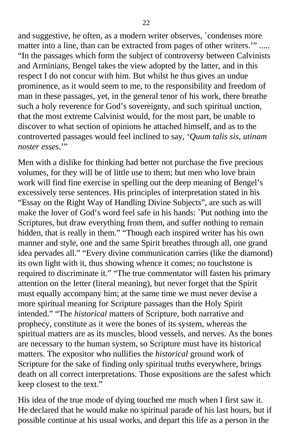and suggestive, he often, as a modern writer observes, `condenses more matter into a line, than can be extracted from pages of other writers."" ..... "In the passages which form the subject of controversy between Calvinists and Arminians, Bengel takes the view adopted by the latter, and in this respect I do not concur with him. But whilst he thus gives an undue prominence, as it would seem to me, to the responsibility and freedom of man in these passages, yet, in the general tenor of his work, there breathe such a holy reverence for God's sovereignty, and such spiritual unction, that the most extreme Calvinist would, for the most part, be unable to discover to what section of opinions he attached himself, and as to the controverted passages would feel inclined to say, '*Quum talis sis, utinam noster esses.*"

Men with a dislike for thinking had better not purchase the five precious volumes, for they will be of little use to them; but men who love brain work will find fine exercise in spelling out the deep meaning of Bengel's excessively terse sentences. His principles of interpretation stated in his "Essay on the Right Way of Handling Divine Subjects", are such as will make the lover of God's word feel safe in his hands: `Put nothing into the Scriptures, but draw everything from them, and suffer nothing to remain hidden, that is really in them." "Though each inspired writer has his own manner and style, one and the same Spirit breathes through all, one grand idea pervades all." "Every divine communication carries (like the diamond) its own light with it, thus showing whence it comes; no touchstone is required to discriminate it." "The true commentator will fasten his primary attention on the letter (literal meaning), but never forget that the Spirit must equally accompany him; at the same time we must never devise a more spiritual meaning for Scripture passages than the Holy Spirit intended." "The *historical* matters of Scripture, both narrative and prophecy, constitute as it were the bones of its system, whereas the spiritual matters are as its muscles, blood vessels, and nerves. As the bones are necessary to the human system, so Scripture must have its historical matters. The expositor who nullifies the *historical* ground work of Scripture for the sake of finding only spiritual truths everywhere, brings death on all correct interpretations. Those expositions are the safest which keep closest to the text."

His idea of the true mode of dying touched me much when I first saw it. He declared that he would make no spiritual parade of his last hours, but if possible continue at his usual works, and depart this life as a person in the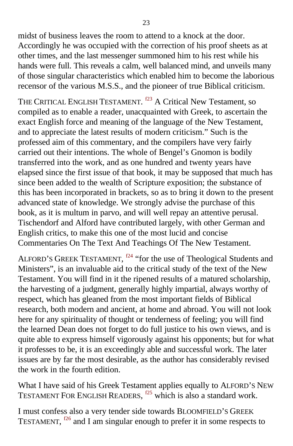midst of business leaves the room to attend to a knock at the door. Accordingly he was occupied with the correction of his proof sheets as at other times, and the last messenger summoned him to his rest while his hands were full. This reveals a calm, well balanced mind, and unveils many of those singular characteristics which enabled him to become the laborious recensor of the various M.S.S., and the pioneer of true Biblical criticism.

THE CRITICAL ENGLISH TESTAMENT. <sup>[f23](#page-373-0)</sup> A Critical New Testament, so compiled as to enable a reader, unacquainted with Greek, to ascertain the exact English force and meaning of the language of the New Testament, and to appreciate the latest results of modern criticism." Such is the professed aim of this commentary, and the compilers have very fairly carried out their intentions. The whole of Bengel's Gnomon is bodily transferred into the work, and as one hundred and twenty years have elapsed since the first issue of that book, it may be supposed that much has since been added to the wealth of Scripture exposition; the substance of this has been incorporated in brackets, so as to bring it down to the present advanced state of knowledge. We strongly advise the purchase of this book, as it is multum in parvo, and will well repay an attentive perusal. Tischendorf and Alford have contributed largely, with other German and English critics, to make this one of the most lucid and concise Commentaries On The Text And Teachings Of The New Testament.

ALFORD'S GREEK TESTAMENT, <sup>[f24](#page-373-0)</sup> "for the use of Theological Students and Ministers", is an invaluable aid to the critical study of the text of the New Testament. You will find in it the ripened results of a matured scholarship, the harvesting of a judgment, generally highly impartial, always worthy of respect, which has gleaned from the most important fields of Biblical research, both modern and ancient, at home and abroad. You will not look here for any spirituality of thought or tenderness of feeling; you will find the learned Dean does not forget to do full justice to his own views, and is quite able to express himself vigorously against his opponents; but for what it professes to be, it is an exceedingly able and successful work. The later issues are by far the most desirable, as the author has considerably revised the work in the fourth edition.

What I have said of his Greek Testament applies equally to ALFORD'S NEW TESTAMENT FOR ENGLISH READERS, <sup>[f25](#page-373-0)</sup> which is also a standard work.

I must confess also a very tender side towards BLOOMFIELD'S GREEK TESTAMENT,  $^{126}$  and I am singular enough to prefer it in some respects to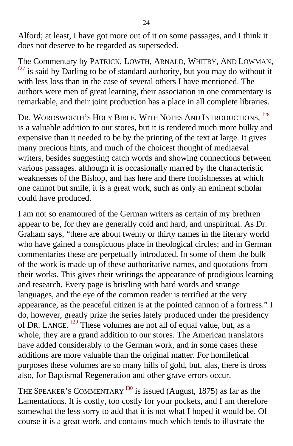Alford; at least, I have got more out of it on some passages, and I think it does not deserve to be regarded as superseded.

The Commentary by PATRICK, LOWTH, ARNALD, WHITBY, AND LOWMAN,  $f<sup>27</sup>$  is said by Darling to be of standard authority, but you may do without it with less loss than in the case of several others I have mentioned. The authors were men of great learning, their association in one commentary is remarkable, and their joint production has a place in all complete libraries.

Dr. Wordsworth's Holy Bible, With Notes And Introductions,  $^{128}$ is a valuable addition to our stores, but it is rendered much more bulky and expensive than it needed to be by the printing of the text at large. It gives many precious hints, and much of the choicest thought of mediaeval writers, besides suggesting catch words and showing connections between various passages. although it is occasionally marred by the characteristic weaknesses of the Bishop, and has here and there foolishnesses at which one cannot but smile, it is a great work, such as only an eminent scholar could have produced.

I am not so enamoured of the German writers as certain of my brethren appear to be, for they are generally cold and hard, and unspiritual. As Dr. Graham says, "there are about twenty or thirty names in the literary world who have gained a conspicuous place in theological circles; and in German commentaries these are perpetually introduced. In some of them the bulk of the work is made up of these authoritative names, and quotations from their works. This gives their writings the appearance of prodigious learning and research. Every page is bristling with hard words and strange languages, and the eye of the common reader is terrified at the very appearance, as the peaceful citizen is at the pointed cannon of a fortress." I do, however, greatly prize the series lately produced under the presidency of DR. LANGE. <sup>[f29](#page-373-0)</sup> These volumes are not all of equal value, but, as a whole, they are a grand addition to our stores. The American translators have added considerably to the German work, and in some cases these additions are more valuable than the original matter. For homiletical purposes these volumes are so many hills of gold, but, alas, there is dross also, for Baptismal Regeneration and other grave errors occur.

THE SPEAKER'S COMMENTARY  $^{50}$  is issued (August, 1875) as far as the Lamentations. It is costly, too costly for your pockets, and I am therefore somewhat the less sorry to add that it is not what I hoped it would be. Of course it is a great work, and contains much which tends to illustrate the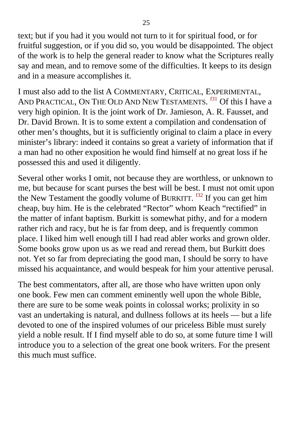text; but if you had it you would not turn to it for spiritual food, or for fruitful suggestion, or if you did so, you would be disappointed. The object of the work is to help the general reader to know what the Scriptures really say and mean, and to remove some of the difficulties. It keeps to its design and in a measure accomplishes it.

I must also add to the list A COMMENTARY, CRITICAL, EXPERIMENTAL, AND PRACTICAL, ON THE OLD AND NEW TESTAMENTS. <sup>531</sup> Of this I have a very high opinion. It is the joint work of Dr. Jamieson, A. R. Fausset, and Dr. David Brown. It is to some extent a compilation and condensation of other men's thoughts, but it is sufficiently original to claim a place in every minister's library: indeed it contains so great a variety of information that if a man had no other exposition he would find himself at no great loss if he possessed this and used it diligently.

Several other works I omit, not because they are worthless, or unknown to me, but because for scant purses the best will be best. I must not omit upon the New Testament the goodly volume of BURKITT. <sup>[f32](#page-374-0)</sup> If you can get him cheap, buy him. He is the celebrated "Rector" whom Keach "rectified" in the matter of infant baptism. Burkitt is somewhat pithy, and for a modern rather rich and racy, but he is far from deep, and is frequently common place. I liked him well enough till I had read abler works and grown older. Some books grow upon us as we read and reread them, but Burkitt does not. Yet so far from depreciating the good man, I should be sorry to have missed his acquaintance, and would bespeak for him your attentive perusal.

The best commentators, after all, are those who have written upon only one book. Few men can comment eminently well upon the whole Bible, there are sure to be some weak points in colossal works; prolixity in so vast an undertaking is natural, and dullness follows at its heels — but a life devoted to one of the inspired volumes of our priceless Bible must surely yield a noble result. If I find myself able to do so, at some future time I will introduce you to a selection of the great one book writers. For the present this much must suffice.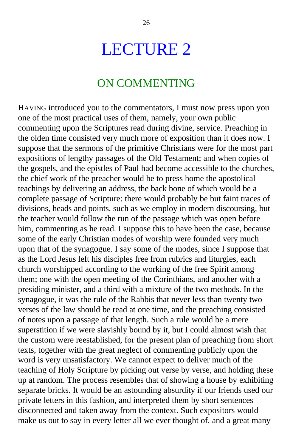# LECTURE 2

#### ON COMMENTING

HAVING introduced you to the commentators, I must now press upon you one of the most practical uses of them, namely, your own public commenting upon the Scriptures read during divine, service. Preaching in the olden time consisted very much more of exposition than it does now. I suppose that the sermons of the primitive Christians were for the most part expositions of lengthy passages of the Old Testament; and when copies of the gospels, and the epistles of Paul had become accessible to the churches, the chief work of the preacher would be to press home the apostolical teachings by delivering an address, the back bone of which would be a complete passage of Scripture: there would probably be but faint traces of divisions, heads and points, such as we employ in modern discoursing, but the teacher would follow the run of the passage which was open before him, commenting as he read. I suppose this to have been the case, because some of the early Christian modes of worship were founded very much upon that of the synagogue. I say some of the modes, since I suppose that as the Lord Jesus left his disciples free from rubrics and liturgies, each church worshipped according to the working of the free Spirit among them; one with the open meeting of the Corinthians, and another with a presiding minister, and a third with a mixture of the two methods. In the synagogue, it was the rule of the Rabbis that never less than twenty two verses of the law should be read at one time, and the preaching consisted of notes upon a passage of that length. Such a rule would be a mere superstition if we were slavishly bound by it, but I could almost wish that the custom were reestablished, for the present plan of preaching from short texts, together with the great neglect of commenting publicly upon the word is very unsatisfactory. We cannot expect to deliver much of the teaching of Holy Scripture by picking out verse by verse, and holding these up at random. The process resembles that of showing a house by exhibiting separate bricks. It would be an astounding absurdity if our friends used our private letters in this fashion, and interpreted them by short sentences disconnected and taken away from the context. Such expositors would make us out to say in every letter all we ever thought of, and a great many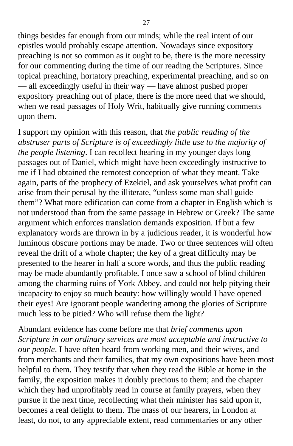things besides far enough from our minds; while the real intent of our epistles would probably escape attention. Nowadays since expository preaching is not so common as it ought to be, there is the more necessity for our commenting during the time of our reading the Scriptures. Since topical preaching, hortatory preaching, experimental preaching, and so on — all exceedingly useful in their way — have almost pushed proper expository preaching out of place, there is the more need that we should, when we read passages of Holy Writ, habitually give running comments upon them.

I support my opinion with this reason, that *the public reading of the abstruser parts of Scripture is of exceedingly little use to the majority of the people listening*. I can recollect hearing in my younger days long passages out of Daniel, which might have been exceedingly instructive to me if I had obtained the remotest conception of what they meant. Take again, parts of the prophecy of Ezekiel, and ask yourselves what profit can arise from their perusal by the illiterate, "unless some man shall guide them"? What more edification can come from a chapter in English which is not understood than from the same passage in Hebrew or Greek? The same argument which enforces translation demands exposition. If but a few explanatory words are thrown in by a judicious reader, it is wonderful how luminous obscure portions may be made. Two or three sentences will often reveal the drift of a whole chapter; the key of a great difficulty may be presented to the hearer in half a score words, and thus the public reading may be made abundantly profitable. I once saw a school of blind children among the charming ruins of York Abbey, and could not help pitying their incapacity to enjoy so much beauty: how willingly would I have opened their eyes! Are ignorant people wandering among the glories of Scripture much less to be pitied? Who will refuse them the light?

Abundant evidence has come before me that *brief comments upon Scripture in our ordinary services are most acceptable and instructive to our people*. I have often heard from working men, and their wives, and from merchants and their families, that my own expositions have been most helpful to them. They testify that when they read the Bible at home in the family, the exposition makes it doubly precious to them; and the chapter which they had unprofitably read in course at family prayers, when they pursue it the next time, recollecting what their minister has said upon it, becomes a real delight to them. The mass of our hearers, in London at least, do not, to any appreciable extent, read commentaries or any other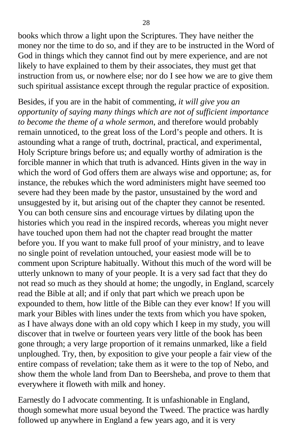books which throw a light upon the Scriptures. They have neither the money nor the time to do so, and if they are to be instructed in the Word of God in things which they cannot find out by mere experience, and are not likely to have explained to them by their associates, they must get that instruction from us, or nowhere else; nor do I see how we are to give them such spiritual assistance except through the regular practice of exposition.

Besides, if you are in the habit of commenting, *it will give you an opportunity of saying many things which are not of sufficient importance to become the theme of a whole sermon*, and therefore would probably remain unnoticed, to the great loss of the Lord's people and others. It is astounding what a range of truth, doctrinal, practical, and experimental, Holy Scripture brings before us; and equally worthy of admiration is the forcible manner in which that truth is advanced. Hints given in the way in which the word of God offers them are always wise and opportune; as, for instance, the rebukes which the word administers might have seemed too severe had they been made by the pastor, unsustained by the word and unsuggested by it, but arising out of the chapter they cannot be resented. You can both censure sins and encourage virtues by dilating upon the histories which you read in the inspired records, whereas you might never have touched upon them had not the chapter read brought the matter before you. If you want to make full proof of your ministry, and to leave no single point of revelation untouched, your easiest mode will be to comment upon Scripture habitually. Without this much of the word will be utterly unknown to many of your people. It is a very sad fact that they do not read so much as they should at home; the ungodly, in England, scarcely read the Bible at all; and if only that part which we preach upon be expounded to them, how little of the Bible can they ever know! If you will mark your Bibles with lines under the texts from which you have spoken, as I have always done with an old copy which I keep in my study, you will discover that in twelve or fourteen years very little of the book has been gone through; a very large proportion of it remains unmarked, like a field unploughed. Try, then, by exposition to give your people a fair view of the entire compass of revelation; take them as it were to the top of Nebo, and show them the whole land from Dan to Beersheba, and prove to them that everywhere it floweth with milk and honey.

Earnestly do I advocate commenting. It is unfashionable in England, though somewhat more usual beyond the Tweed. The practice was hardly followed up anywhere in England a few years ago, and it is very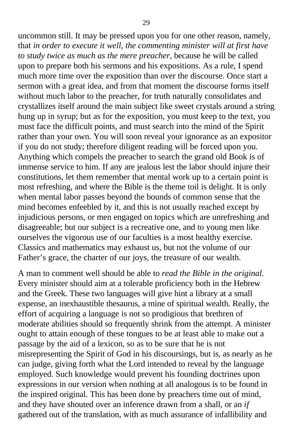uncommon still. It may be pressed upon you for one other reason, namely, that *in order to execute it well, the commenting minister will at first have to study twice as much as the mere preacher*, because he will be called upon to prepare both his sermons and his expositions. As a rule, I spend much more time over the exposition than over the discourse. Once start a sermon with a great idea, and from that moment the discourse forms itself without much labor to the preacher, for truth naturally consolidates and crystallizes itself around the main subject like sweet crystals around a string hung up in syrup; but as for the exposition, you must keep to the text, you must face the difficult points, and must search into the mind of the Spirit rather than your own. You will soon reveal your ignorance as an expositor if you do not study; therefore diligent reading will be forced upon you. Anything which compels the preacher to search the grand old Book is of immense service to him. If any are jealous lest the labor should injure their constitutions, let them remember that mental work up to a certain point is most refreshing, and where the Bible is the theme toil is delight. It is only when mental labor passes beyond the bounds of common sense that the mind becomes enfeebled by it, and this is not usually reached except by injudicious persons, or men engaged on topics which are unrefreshing and disagreeable; but our subject is a recreative one, and to young men like ourselves the vigorous use of our faculties is a most healthy exercise. Classics and mathematics may exhaust us, but not the volume of our Father's grace, the charter of our joys, the treasure of our wealth.

A man to comment well should be able to *read the Bible in the original*. Every minister should aim at a tolerable proficiency both in the Hebrew and the Greek. These two languages will give hint a library at a small expense, an inexhaustible thesaurus, a mine of spiritual wealth. Really, the effort of acquiring a language is not so prodigious that brethren of moderate abilities should so frequently shrink from the attempt. A minister ought to attain enough of these tongues to be at least able to make out a passage by the aid of a lexicon, so as to be sure that he is not misrepresenting the Spirit of God in his discoursings, but is, as nearly as he can judge, giving forth what the Lord intended to reveal by the language employed. Such knowledge would prevent his founding doctrines upon expressions in our version when nothing at all analogous is to be found in the inspired original. This has been done by preachers time out of mind, and they have shouted over an inference drawn from a shall, or an *if* gathered out of the translation, with as much assurance of infallibility and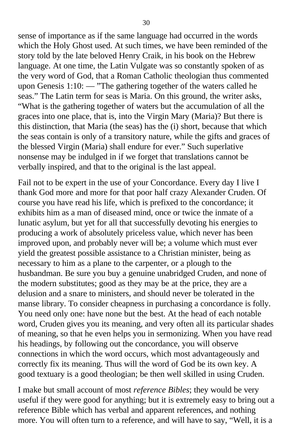sense of importance as if the same language had occurred in the words which the Holy Ghost used. At such times, we have been reminded of the story told by the late beloved Henry Craik, in his book on the Hebrew language. At one time, the Latin Vulgate was so constantly spoken of as the very word of God, that a Roman Catholic theologian thus commented upon Genesis 1:10: — "The gathering together of the waters called he seas." The Latin term for seas is Maria. On this ground, the writer asks, "What is the gathering together of waters but the accumulation of all the graces into one place, that is, into the Virgin Mary (Maria)? But there is this distinction, that Maria (the seas) has the (i) short, because that which the seas contain is only of a transitory nature, while the gifts and graces of the blessed Virgin (Maria) shall endure for ever." Such superlative nonsense may be indulged in if we forget that translations cannot be verbally inspired, and that to the original is the last appeal.

Fail not to be expert in the use of your Concordance. Every day I live I thank God more and more for that poor half crazy Alexander Cruden. Of course you have read his life, which is prefixed to the concordance; it exhibits him as a man of diseased mind, once or twice the inmate of a lunatic asylum, but yet for all that successfully devoting his energies to producing a work of absolutely priceless value, which never has been improved upon, and probably never will be; a volume which must ever yield the greatest possible assistance to a Christian minister, being as necessary to him as a plane to the carpenter, or a plough to the husbandman. Be sure you buy a genuine unabridged Cruden, and none of the modern substitutes; good as they may be at the price, they are a delusion and a snare to ministers, and should never be tolerated in the manse library. To consider cheapness in purchasing a concordance is folly. You need only one: have none but the best. At the head of each notable word, Cruden gives you its meaning, and very often all its particular shades of meaning, so that he even helps you in sermonizing. When you have read his headings, by following out the concordance, you will observe connections in which the word occurs, which most advantageously and correctly fix its meaning. Thus will the word of God be its own key. A good textuary is a good theologian; be then well skilled in using Cruden.

I make but small account of most *reference Bibles*; they would be very useful if they were good for anything; but it is extremely easy to bring out a reference Bible which has verbal and apparent references, and nothing more. You will often turn to a reference, and will have to say, "Well, it is a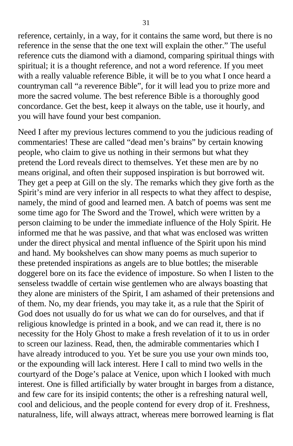reference, certainly, in a way, for it contains the same word, but there is no reference in the sense that the one text will explain the other." The useful reference cuts the diamond with a diamond, comparing spiritual things with spiritual; it is a thought reference, and not a word reference. If you meet with a really valuable reference Bible, it will be to you what I once heard a countryman call "a reverence Bible", for it will lead you to prize more and more the sacred volume. The best reference Bible is a thoroughly good concordance. Get the best, keep it always on the table, use it hourly, and you will have found your best companion.

Need I after my previous lectures commend to you the judicious reading of commentaries! These are called "dead men's brains" by certain knowing people, who claim to give us nothing in their sermons but what they pretend the Lord reveals direct to themselves. Yet these men are by no means original, and often their supposed inspiration is but borrowed wit. They get a peep at Gill on the sly. The remarks which they give forth as the Spirit's mind are very inferior in all respects to what they affect to despise, namely, the mind of good and learned men. A batch of poems was sent me some time ago for The Sword and the Trowel, which were written by a person claiming to be under the immediate influence of the Holy Spirit. He informed me that he was passive, and that what was enclosed was written under the direct physical and mental influence of the Spirit upon his mind and hand. My bookshelves can show many poems as much superior to these pretended inspirations as angels are to blue bottles; the miserable doggerel bore on its face the evidence of imposture. So when I listen to the senseless twaddle of certain wise gentlemen who are always boasting that they alone are ministers of the Spirit, I am ashamed of their pretensions and of them. No, my dear friends, you may take it, as a rule that the Spirit of God does not usually do for us what we can do for ourselves, and that if religious knowledge is printed in a book, and we can read it, there is no necessity for the Holy Ghost to make a fresh revelation of it to us in order to screen our laziness. Read, then, the admirable commentaries which I have already introduced to you. Yet be sure you use your own minds too, or the expounding will lack interest. Here I call to mind two wells in the courtyard of the Doge's palace at Venice, upon which I looked with much interest. One is filled artificially by water brought in barges from a distance, and few care for its insipid contents; the other is a refreshing natural well, cool and delicious, and the people contend for every drop of it. Freshness, naturalness, life, will always attract, whereas mere borrowed learning is flat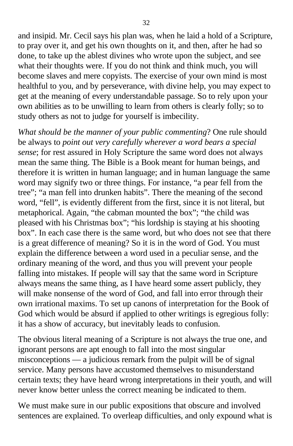and insipid. Mr. Cecil says his plan was, when he laid a hold of a Scripture, to pray over it, and get his own thoughts on it, and then, after he had so done, to take up the ablest divines who wrote upon the subject, and see what their thoughts were. If you do not think and think much, you will become slaves and mere copyists. The exercise of your own mind is most healthful to you, and by perseverance, with divine help, you may expect to get at the meaning of every understandable passage. So to rely upon your own abilities as to be unwilling to learn from others is clearly folly; so to study others as not to judge for yourself is imbecility.

*What should be the manner of your public commenting*? One rule should be always to *point out very carefully wherever a word bears a special sense*; for rest assured in Holy Scripture the same word does not always mean the same thing. The Bible is a Book meant for human beings, and therefore it is written in human language; and in human language the same word may signify two or three things. For instance, "a pear fell from the tree"; "a man fell into drunken habits". There the meaning of the second word, "fell", is evidently different from the first, since it is not literal, but metaphorical. Again, "the cabman mounted the box"; "the child was pleased with his Christmas box"; "his lordship is staying at his shooting box". In each case there is the same word, but who does not see that there is a great difference of meaning? So it is in the word of God. You must explain the difference between a word used in a peculiar sense, and the ordinary meaning of the word, and thus you will prevent your people falling into mistakes. If people will say that the same word in Scripture always means the same thing, as I have heard some assert publicly, they will make nonsense of the word of God, and fall into error through their own irrational maxims. To set up canons of interpretation for the Book of God which would be absurd if applied to other writings is egregious folly: it has a show of accuracy, but inevitably leads to confusion.

The obvious literal meaning of a Scripture is not always the true one, and ignorant persons are apt enough to fall into the most singular misconceptions — a judicious remark from the pulpit will be of signal service. Many persons have accustomed themselves to misunderstand certain texts; they have heard wrong interpretations in their youth, and will never know better unless the correct meaning be indicated to them.

We must make sure in our public expositions that obscure and involved sentences are explained. To overleap difficulties, and only expound what is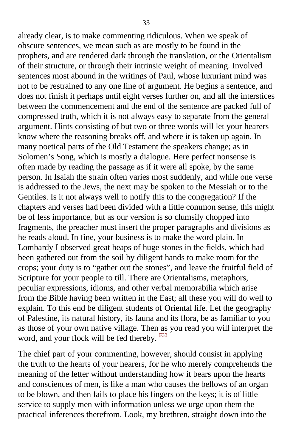already clear, is to make commenting ridiculous. When we speak of obscure sentences, we mean such as are mostly to be found in the prophets, and are rendered dark through the translation, or the Orientalism of their structure, or through their intrinsic weight of meaning. Involved sentences most abound in the writings of Paul, whose luxuriant mind was not to be restrained to any one line of argument. He begins a sentence, and does not finish it perhaps until eight verses further on, and all the interstices between the commencement and the end of the sentence are packed full of compressed truth, which it is not always easy to separate from the general argument. Hints consisting of but two or three words will let your hearers know where the reasoning breaks off, and where it is taken up again. In many poetical parts of the Old Testament the speakers change; as in Solomen's Song, which is mostly a dialogue. Here perfect nonsense is often made by reading the passage as if it were all spoke, by the same person. In Isaiah the strain often varies most suddenly, and while one verse is addressed to the Jews, the next may be spoken to the Messiah or to the Gentiles. Is it not always well to notify this to the congregation? If the chapters and verses had been divided with a little common sense, this might be of less importance, but as our version is so clumsily chopped into fragments, the preacher must insert the proper paragraphs and divisions as he reads aloud. In fine, your business is to make the word plain. In Lombardy I observed great heaps of huge stones in the fields, which had been gathered out from the soil by diligent hands to make room for the crops; your duty is to "gather out the stones", and leave the fruitful field of Scripture for your people to till. There are Orientalisms, metaphors, peculiar expressions, idioms, and other verbal memorabilia which arise from the Bible having been written in the East; all these you will do well to explain. To this end be diligent students of Oriental life. Let the geography of Palestine, its natural history, its fauna and its flora, be as familiar to you as those of your own native village. Then as you read you will interpret the word, and your flock will be fed thereby.  $F^{33}$ 

The chief part of your commenting, however, should consist in applying the truth to the hearts of your hearers, for he who merely comprehends the meaning of the letter without understanding how it bears upon the hearts and consciences of men, is like a man who causes the bellows of an organ to be blown, and then fails to place his fingers on the keys; it is of little service to supply men with information unless we urge upon them the practical inferences therefrom. Look, my brethren, straight down into the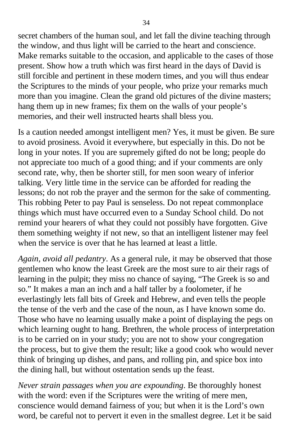secret chambers of the human soul, and let fall the divine teaching through the window, and thus light will be carried to the heart and conscience. Make remarks suitable to the occasion, and applicable to the cases of those present. Show how a truth which was first heard in the days of David is still forcible and pertinent in these modern times, and you will thus endear the Scriptures to the minds of your people, who prize your remarks much more than you imagine. Clean the grand old pictures of the divine masters; hang them up in new frames; fix them on the walls of your people's memories, and their well instructed hearts shall bless you.

Is a caution needed amongst intelligent men? Yes, it must be given. Be sure to avoid prosiness. Avoid it everywhere, but especially in this. Do not be long in your notes. If you are supremely gifted do not be long; people do not appreciate too much of a good thing; and if your comments are only second rate, why, then be shorter still, for men soon weary of inferior talking. Very little time in the service can be afforded for reading the lessons; do not rob the prayer and the sermon for the sake of commenting. This robbing Peter to pay Paul is senseless. Do not repeat commonplace things which must have occurred even to a Sunday School child. Do not remind your hearers of what they could not possibly have forgotten. Give them something weighty if not new, so that an intelligent listener may feel when the service is over that he has learned at least a little.

*Again, avoid all pedantry*. As a general rule, it may be observed that those gentlemen who know the least Greek are the most sure to air their rags of learning in the pulpit; they miss no chance of saying, "The Greek is so and so." It makes a man an inch and a half taller by a foolometer, if he everlastingly lets fall bits of Greek and Hebrew, and even tells the people the tense of the verb and the case of the noun, as I have known some do. Those who have no learning usually make a point of displaying the pegs on which learning ought to hang. Brethren, the whole process of interpretation is to be carried on in your study; you are not to show your congregation the process, but to give them the result; like a good cook who would never think of bringing up dishes, and pans, and rolling pin, and spice box into the dining hall, but without ostentation sends up the feast.

*Never strain passages when you are expounding*. Be thoroughly honest with the word: even if the Scriptures were the writing of mere men, conscience would demand fairness of you; but when it is the Lord's own word, be careful not to pervert it even in the smallest degree. Let it be said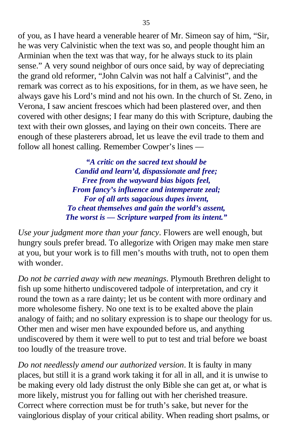of you, as I have heard a venerable hearer of Mr. Simeon say of him, "Sir, he was very Calvinistic when the text was so, and people thought him an Arminian when the text was that way, for he always stuck to its plain sense." A very sound neighbor of ours once said, by way of depreciating the grand old reformer, "John Calvin was not half a Calvinist", and the remark was correct as to his expositions, for in them, as we have seen, he always gave his Lord's mind and not his own. In the church of St. Zeno, in Verona, I saw ancient frescoes which had been plastered over, and then covered with other designs; I fear many do this with Scripture, daubing the text with their own glosses, and laying on their own conceits. There are enough of these plasterers abroad, let us leave the evil trade to them and follow all honest calling. Remember Cowper's lines —

> *"A critic on the sacred text should be Candid and learn'd, dispassionate and free; Free from the wayward bias bigots feel, From fancy's influence and intemperate zeal; For of all arts sagacious dupes invent, To cheat themselves and gain the world's assent, The worst is — Scripture warped from its intent."*

*Use your judgment more than your fancy*. Flowers are well enough, but hungry souls prefer bread. To allegorize with Origen may make men stare at you, but your work is to fill men's mouths with truth, not to open them with wonder.

*Do not be carried away with new meanings*. Plymouth Brethren delight to fish up some hitherto undiscovered tadpole of interpretation, and cry it round the town as a rare dainty; let us be content with more ordinary and more wholesome fishery. No one text is to be exalted above the plain analogy of faith; and no solitary expression is to shape our theology for us. Other men and wiser men have expounded before us, and anything undiscovered by them it were well to put to test and trial before we boast too loudly of the treasure trove.

*Do not needlessly amend our authorized version*. It is faulty in many places, but still it is a grand work taking it for all in all, and it is unwise to be making every old lady distrust the only Bible she can get at, or what is more likely, mistrust you for falling out with her cherished treasure. Correct where correction must be for truth's sake, but never for the vainglorious display of your critical ability. When reading short psalms, or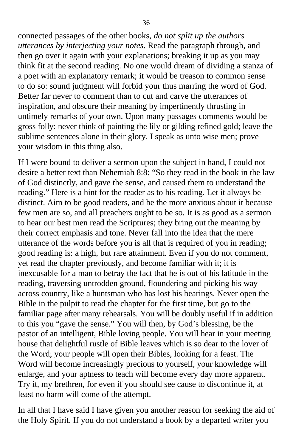connected passages of the other books, *do not split up the authors utterances by interjecting your notes*. Read the paragraph through, and then go over it again with your explanations; breaking it up as you may think fit at the second reading. No one would dream of dividing a stanza of a poet with an explanatory remark; it would be treason to common sense to do so: sound judgment will forbid your thus marring the word of God. Better far never to comment than to cut and carve the utterances of inspiration, and obscure their meaning by impertinently thrusting in untimely remarks of your own. Upon many passages comments would be gross folly: never think of painting the lily or gilding refined gold; leave the sublime sentences alone in their glory. I speak as unto wise men; prove your wisdom in this thing also.

If I were bound to deliver a sermon upon the subject in hand, I could not desire a better text than Nehemiah 8:8: "So they read in the book in the law of God distinctly, and gave the sense, and caused them to understand the reading." Here is a hint for the reader as to his reading. Let it always be distinct. Aim to be good readers, and be the more anxious about it because few men are so, and all preachers ought to be so. It is as good as a sermon to hear our best men read the Scriptures; they bring out the meaning by their correct emphasis and tone. Never fall into the idea that the mere utterance of the words before you is all that is required of you in reading; good reading is: a high, but rare attainment. Even if you do not comment, yet read the chapter previously, and become familiar with it; it is inexcusable for a man to betray the fact that he is out of his latitude in the reading, traversing untrodden ground, floundering and picking his way across country, like a huntsman who has lost his bearings. Never open the Bible in the pulpit to read the chapter for the first time, but go to the familiar page after many rehearsals. You will be doubly useful if in addition to this you "gave the sense." You will then, by God's blessing, be the pastor of an intelligent, Bible loving people. You will hear in your meeting house that delightful rustle of Bible leaves which is so dear to the lover of the Word; your people will open their Bibles, looking for a feast. The Word will become increasingly precious to yourself, your knowledge will enlarge, and your aptness to teach will become every day more apparent. Try it, my brethren, for even if you should see cause to discontinue it, at least no harm will come of the attempt.

In all that I have said I have given you another reason for seeking the aid of the Holy Spirit. If you do not understand a book by a departed writer you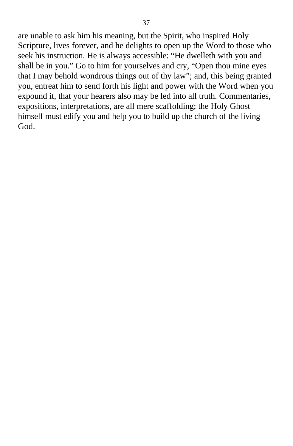are unable to ask him his meaning, but the Spirit, who inspired Holy Scripture, lives forever, and he delights to open up the Word to those who seek his instruction. He is always accessible: "He dwelleth with you and shall be in you." Go to him for yourselves and cry, "Open thou mine eyes that I may behold wondrous things out of thy law"; and, this being granted you, entreat him to send forth his light and power with the Word when you expound it, that your hearers also may be led into all truth. Commentaries, expositions, interpretations, are all mere scaffolding; the Holy Ghost himself must edify you and help you to build up the church of the living God.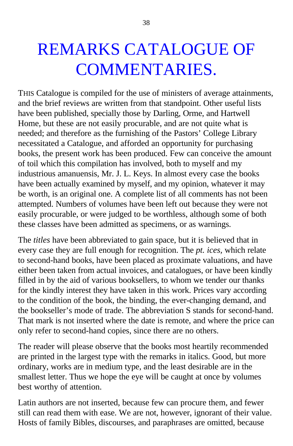# REMARKS CATALOGUE OF COMMENTARIES.

THIS Catalogue is compiled for the use of ministers of average attainments, and the brief reviews are written from that standpoint. Other useful lists have been published, specially those by Darling, Orme, and Hartwell Home, but these are not easily procurable, and are not quite what is needed; and therefore as the furnishing of the Pastors' College Library necessitated a Catalogue, and afforded an opportunity for purchasing books, the present work has been produced. Few can conceive the amount of toil which this compilation has involved, both to myself and my industrious amanuensis, Mr. J. L. Keys. In almost every case the books have been actually examined by myself, and my opinion, whatever it may be worth, is an original one. A complete list of all comments has not been attempted. Numbers of volumes have been left out because they were not easily procurable, or were judged to be worthless, although some of both these classes have been admitted as specimens, or as warnings.

The *titles* have been abbreviated to gain space, but it is believed that in every case they are full enough for recognition. The *pt. ices,* which relate to second-hand books, have been placed as proximate valuations, and have either been taken from actual invoices, and catalogues, or have been kindly filled in by the aid of various booksellers, to whom we tender our thanks for the kindly interest they have taken in this work. Prices vary according to the condition of the book, the binding, the ever-changing demand, and the bookseller's mode of trade. The abbreviation S stands for second-hand. That mark is not inserted where the date is remote, and where the price can only refer to second-hand copies, since there are no others.

The reader will please observe that the books most heartily recommended are printed in the largest type with the remarks in italics. Good, but more ordinary, works are in medium type, and the least desirable are in the smallest letter. Thus we hope the eye will be caught at once by volumes best worthy of attention.

Latin authors are not inserted, because few can procure them, and fewer still can read them with ease. We are not, however, ignorant of their value. Hosts of family Bibles, discourses, and paraphrases are omitted, because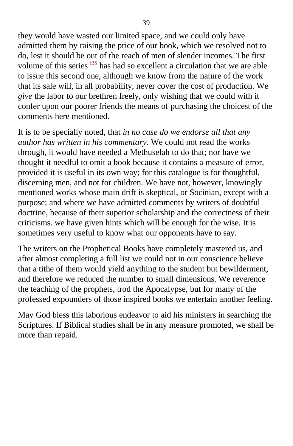they would have wasted our limited space, and we could only have admitted them by raising the price of our book, which we resolved not to do, lest it should be out of the reach of men of slender incomes. The first volume of this series  $<sup>55</sup>$  has had so excellent a circulation that we are able</sup> to issue this second one, although we know from the nature of the work that its sale will, in all probability, never cover the cost of production. We *give* the labor to our brethren freely, only wishing that we could with it confer upon our poorer friends the means of purchasing the choicest of the comments here mentioned.

It is to be specially noted, that *in no case do we endorse all that any author has written in his commentary.* We could not read the works through, it would have needed a Methuselah to do that; nor have we thought it needful to omit a book because it contains a measure of error, provided it is useful in its own way; for this catalogue is for thoughtful, discerning men, and not for children. We have not, however, knowingly mentioned works whose main drift is skeptical, or Socinian, except with a purpose; and where we have admitted comments by writers of doubtful doctrine, because of their superior scholarship and the correctness of their criticisms. we have given hints which will be enough for the wise. It is sometimes very useful to know what our opponents have to say.

The writers on the Prophetical Books have completely mastered us, and after almost completing a full list we could not in our conscience believe that a tithe of them would yield anything to the student but bewilderment, and therefore we reduced the number to small dimensions. We reverence the teaching of the prophets, trod the Apocalypse, but for many of the professed expounders of those inspired books we entertain another feeling.

May God bless this laborious endeavor to aid his ministers in searching the Scriptures. If Biblical studies shall be in any measure promoted, we shall be more than repaid.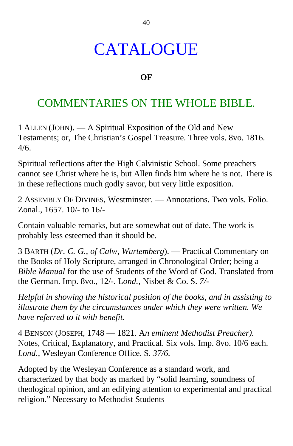## **CATALOGUE**

#### **OF**

## COMMENTARIES ON THE WHOLE BIBLE.

1 ALLEN (JOHN). — A Spiritual Exposition of the Old and New Testaments; or, The Christian's Gospel Treasure. Three vols. 8vo. 1816. 4/6.

Spiritual reflections after the High Calvinistic School. Some preachers cannot see Christ where he is, but Allen finds him where he is not. There is in these reflections much godly savor, but very little exposition.

2 ASSEMBLY OF DIVINES, Westminster. — Annotations. Two vols. Folio. Zonal., 1657. 10/- to 16/-

Contain valuable remarks, but are somewhat out of date. The work is probably less esteemed than it should be.

3 BARTH (*Dr. C. G., of Calw, Wurtemberg*). — Practical Commentary on the Books of Holy Scripture, arranged in Chronological Order; being a *Bible Manual* for the use of Students of the Word of God. Translated from the German. Imp. 8vo., 12/-. L*ond.,* Nisbet & Co. S. *7/-*

*Helpful in showing the historical position of the books, and in assisting to illustrate them by the circumstances under which they were written. We have referred to it with benefit.*

4 BENSON (JOSEPH, 1748 — 1821. A*n eminent Methodist Preacher).* Notes, Critical, Explanatory, and Practical. Six vols. Imp. 8vo. 10/6 each. *Lond.,* Wesleyan Conference Office. S. *37/6.*

Adopted by the Wesleyan Conference as a standard work, and characterized by that body as marked by "solid learning, soundness of theological opinion, and an edifying attention to experimental and practical religion." Necessary to Methodist Students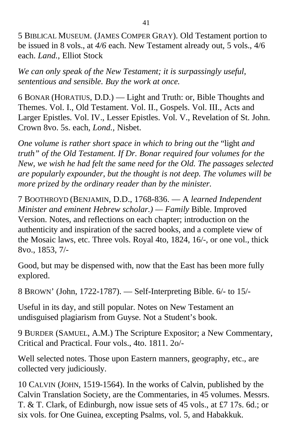5 BIBLICAL MUSEUM. (JAMES COMPER GRAY). Old Testament portion to be issued in 8 vols., at *4/6* each. New Testament already out, 5 vols., 4/6 each. *Land.,* Elliot Stock

*We can only speak of the New Testament; it is surpassingly useful, sententious and sensible. Buy the work at once.*

6 BONAR (HORATIUS, D.D.) — Light and Truth: or, Bible Thoughts and Themes. Vol. I., Old Testament. Vol. II., Gospels. Vol. III., Acts and Larger Epistles. Vol. IV., Lesser Epistles. Vol. V., Revelation of St. John. Crown 8vo. 5s. each, *Lond.,* Nisbet.

*One volume is rather short space in which to bring out the* "light *and truth" of the Old Testament. If Dr. Bonar required four volumes for the New, we wish he had felt the same need for the Old. The passages selected are popularly expounder, but the thought is not deep. The volumes will be more prized by the ordinary reader than by the minister.*

7 BOOTHROYD (BENJAMIN, D.D., 1768-836. — A *learned Independent Minister and eminent Hebrew scholar.) — Family* Bible. Improved Version. Notes, and reflections on each chapter; introduction on the authenticity and inspiration of the sacred books, and a complete view of the Mosaic laws, etc. Three vols. Royal 4to, 1824, 16/-, or one vol., thick 8vo., 1853, 7/-

Good, but may be dispensed with, now that the East has been more fully explored.

8 BROWN' (John, 1722-1787). — Self-Interpreting Bible. 6/- to 15/-

Useful in its day, and still popular. Notes on New Testament an undisguised plagiarism from Guyse. Not a Student's book.

9 BURDER (SAMUEL, A.M.) The Scripture Expositor; a New Commentary, Critical and Practical. Four vols., 4to. 1811. 2o/-

Well selected notes. Those upon Eastern manners, geography, etc., are collected very judiciously.

10 CALVIN (JOHN, 1519-1564). In the works of Calvin, published by the Calvin Translation Society, are the Commentaries, in 45 volumes. Messrs. T. & T. Clark, of Edinburgh, now issue sets of 45 vols., at £7 17s. 6d.; or six vols. for One Guinea, excepting Psalms, vol. 5, and Habakkuk.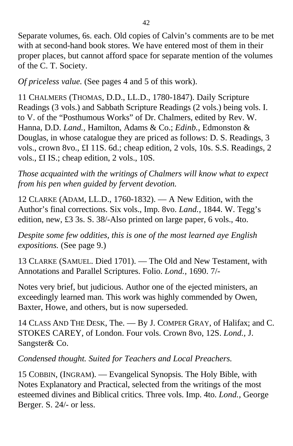Separate volumes, 6s. each. Old copies of Calvin's comments are to be met with at second-hand book stores. We have entered most of them in their proper places, but cannot afford space for separate mention of the volumes of the C. T. Society.

*Of priceless value.* (See pages 4 and 5 of this work).

11 CHALMERS (THOMAS, D.D., LL.D., 1780-1847). Daily Scripture Readings (3 vols.) and Sabbath Scripture Readings (2 vols.) being vols. I. to V. of the "Posthumous Works" of Dr. Chalmers, edited by Rev. W. Hanna, D.D. *Land.,* Hamilton, Adams & Co.; *Edinb.,* Edmonston & Douglas, in whose catalogue they are priced as follows: D. S. Readings, 3 vols., crown 8vo., £I 11S. 6d.; cheap edition, 2 vols, 10s. S.S. Readings, 2 vols., £I IS.; cheap edition, 2 vols., 10S.

*Those acquainted with the writings of Chalmers will know what to expect from his pen when guided by fervent devotion.*

12 CLARKE (ADAM, LL.D., 1760-1832). — A New Edition, with the Author's final corrections. Six vols., Imp. 8vo. *Land.,* 1844. W. Tegg's edition, new, £3 3s. S. 38/-Also printed on large paper, 6 vols., 4to.

*Despite some few oddities, this is one of the most learned aye English expositions.* (See page 9.)

13 CLARKE (SAMUEL. Died 1701). — The Old and New Testament, with Annotations and Parallel Scriptures. Folio. *Lond.,* 1690. 7/-

Notes very brief, but judicious. Author one of the ejected ministers, an exceedingly learned man. This work was highly commended by Owen, Baxter, Howe, and others, but is now superseded.

14 CLASS AND THE DESK, The. — By J. COMPER GRAY, of Halifax; and C. STOKES CAREY, of London. Four vols. Crown 8vo, 12S. *Lond.,* J. Sangster& Co.

## *Condensed thought. Suited for Teachers and Local Preachers.*

15 COBBIN, (INGRAM). — Evangelical Synopsis. The Holy Bible, with Notes Explanatory and Practical, selected from the writings of the most esteemed divines and Biblical critics. Three vols. Imp. 4to. *Lond.,* George Berger. S. 24/- or less.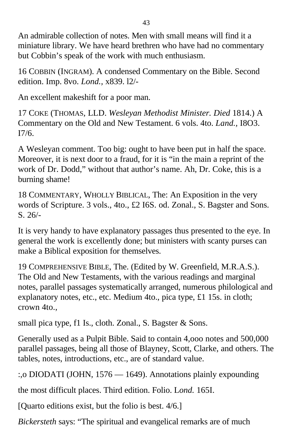An admirable collection of notes. Men with small means will find it a miniature library. We have heard brethren who have had no commentary but Cobbin's speak of the work with much enthusiasm.

16 COBBIN (INGRAM). A condensed Commentary on the Bible. Second edition. Imp. 8vo. *Lond.,* x839. l2/-

An excellent makeshift for a poor man.

17 COKE (THOMAS, LLD. *Wesleyan Methodist Minister. Died* 1814.) A Commentary on the Old and New Testament. 6 vols. 4to. *Land.,* I8O3. I7/6.

A Wesleyan comment. Too big: ought to have been put in half the space. Moreover, it is next door to a fraud, for it is "in the main a reprint of the work of Dr. Dodd," without that author's name. Ah, Dr. Coke, this is a burning shame!

18 COMMENTARY, WHOLLY BIBLICAL, The: An Exposition in the very words of Scripture. 3 vols., 4to., £2 I6S. od. Zonal., S. Bagster and Sons. S. 26/-

It is very handy to have explanatory passages thus presented to the eye. In general the work is excellently done; but ministers with scanty purses can make a Biblical exposition for themselves.

19 COMPREHENSIVE BIBLE, The. (Edited by W. Greenfield, M.R.A.S.). The Old and New Testaments, with the various readings and marginal notes, parallel passages systematically arranged, numerous philological and explanatory notes, etc., etc. Medium 4to., pica type, £1 15s. in cloth; crown 4to.,

small pica type, f1 Is., cloth. Zonal., S. Bagster & Sons.

Generally used as a Pulpit Bible. Said to contain 4,ooo notes and 500,000 parallel passages, being all those of Blayney, Scott, Clarke, and others. The tables, notes, introductions, etc., are of standard value.

:,o DIODATI (JOHN, 1576 — 1649). Annotations plainly expounding

the most difficult places. Third edition. Folio. L*ond.* 165I.

[Quarto editions exist, but the folio is best. 4/6.]

*Bickersteth* says: "The spiritual and evangelical remarks are of much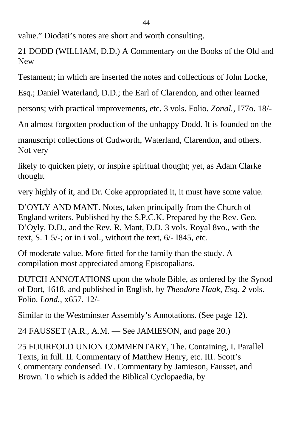value." Diodati's notes are short and worth consulting.

21 DODD (WILLIAM, D.D.) A Commentary on the Books of the Old and New

Testament; in which are inserted the notes and collections of John Locke,

Esq.; Daniel Waterland, D.D.; the Earl of Clarendon, and other learned

persons; with practical improvements, etc. 3 vols. Folio. *Zonal.,* I77o. 18/-

An almost forgotten production of the unhappy Dodd. It is founded on the

manuscript collections of Cudworth, Waterland, Clarendon, and others. Not very

likely to quicken piety, or inspire spiritual thought; yet, as Adam Clarke thought

very highly of it, and Dr. Coke appropriated it, it must have some value.

D'OYLY AND MANT. Notes, taken principally from the Church of England writers. Published by the S.P.C.K. Prepared by the Rev. Geo. D'Oyly, D.D., and the Rev. R. Mant, D.D. 3 vols. Royal 8vo., with the text, S. 1 5/-; or in i vol., without the text, 6/- I845, etc.

Of moderate value. More fitted for the family than the study. A compilation most appreciated among Episcopalians.

DUTCH ANNOTATIONS upon the whole Bible, as ordered by the Synod of Dort, 1618, and published in English, by *Theodore Haak, Esq. 2* vols. Folio. *Lond.,* x657. 12/-

Similar to the Westminster Assembly's Annotations. (See page 12).

24 FAUSSET (A.R., A.M. — See JAMIESON, and page 20.)

25 FOURFOLD UNION COMMENTARY, The. Containing, I. Parallel Texts, in full. II. Commentary of Matthew Henry, etc. III. Scott's Commentary condensed. IV. Commentary by Jamieson, Fausset, and Brown. To which is added the Biblical Cyclopaedia, by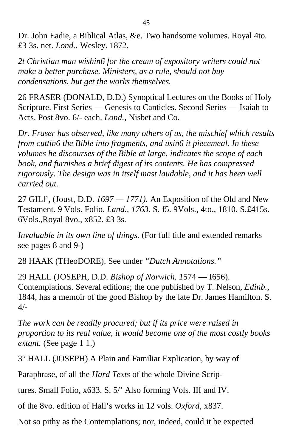Dr. John Eadie, a Biblical Atlas, &e. Two handsome volumes. Royal 4to. £3 3s. net. *Lond.,* Wesley. 1872.

*2t Christian man wishin6 for the cream of expository writers could not make a better purchase. Ministers, as a rule, should not buy condensations, but get the works themselves.*

26 FRASER (DONALD, D.D.) Synoptical Lectures on the Books of Holy Scripture. First Series — Genesis to Canticles. Second Series — Isaiah to Acts. Post 8vo. 6/- each. *Lond.,* Nisbet and Co.

*Dr. Fraser has observed, like many others of us, the mischief which results from cuttin6 the Bible into fragments, and usin6 it piecemeal. In these volumes he discourses of the Bible at large, indicates the scope of each book, and furnishes a brief digest of its contents. He has compressed rigorously. The design was in itself mast laudable, and it has been well carried out.*

27 GILl', (Joust, D.D. *1697 — 1771).* An Exposition of the Old and New Testament. 9 Vols. Folio. *Land., 1763.* S. f5. 9Vols., 4to., 1810. S.£415s. 6Vols.,Royal 8vo., x852. £3 3s.

*Invaluable in its own line of things.* (For full title and extended remarks see pages 8 and 9-)

28 HAAK (THeoDORE). See under *"Dutch Annotations."*

29 HALL (JOSEPH, D.D. *Bishop of Norwich. 1*574 — I656). Contemplations. Several editions; the one published by T. Nelson, *Edinb.,* 1844, has a memoir of the good Bishop by the late Dr. James Hamilton. S.  $4/-$ 

*The work can be readily procured; but if its price were raised in proportion to its real value, it would become one of the most costly books extant.* (See page 1 1.)

3° HALL (JOSEPH) A Plain and Familiar Explication, by way of

Paraphrase, of all the *Hard Texts* of the whole Divine Scrip-

tures. Small Folio, x633. S. 5/' Also forming Vols. III and IV.

of the 8vo. edition of Hall's works in 12 vols. *Oxford,* x837.

Not so pithy as the Contemplations; nor, indeed, could it be expected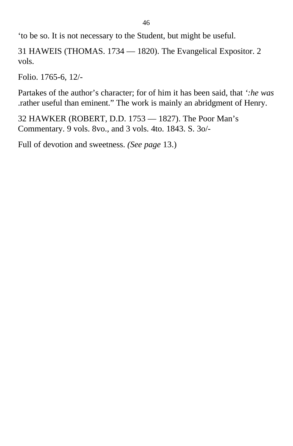'to be so. It is not necessary to the Student, but might be useful.

31 HAWEIS (THOMAS. 1734 — 1820). The Evangelical Expositor. 2 vols.

Folio. 1765-6, 12/-

Partakes of the author's character; for of him it has been said, that *':he was* .rather useful than eminent." The work is mainly an abridgment of Henry.

32 HAWKER (ROBERT, D.D. 1753 — 1827). The Poor Man's Commentary. 9 vols. 8vo., and 3 vols. 4to. 1843. S. 3o/-

Full of devotion and sweetness. *(See page* 13.)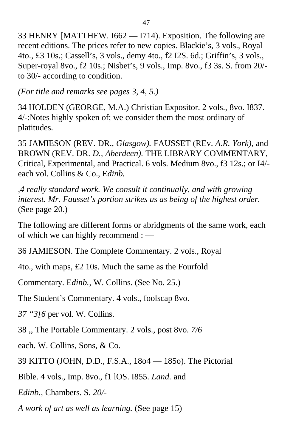33 HENRY [MATTHEW. I662 — I714). Exposition. The following are recent editions. The prices refer to new copies. Blackie's, 3 vols., Royal 4to., £3 10s.; Cassell's, 3 vols., demy 4to., f2 I2S. 6d.; Griffin's, 3 vols., Super-royal 8vo., f2 10s.; Nisbet's, 9 vols., Imp. 8vo., f3 3s. S. from 20/ to 30/- according to condition.

*(For title and remarks see pages 3, 4, 5.)*

34 HOLDEN (GEORGE, M.A.) Christian Expositor. 2 vols., 8vo. I837. 4/-:Notes highly spoken of; we consider them the most ordinary of platitudes.

35 JAMIESON (REV. DR., *Glasgow).* FAUSSET (REv. *A.R. York),* and BROWN (REV. DR. *D., Aberdeen).* THE LIBRARY COMMENTARY, Critical, Experimental, and Practical. 6 vols. Medium 8vo., f3 12s.; or I4/ each vol. Collins & Co., E*dinb.*

*,4 really standard work. We consult it continually, and with growing interest. Mr. Fausset's portion strikes us as being of the highest order.* (See page 20.)

The following are different forms or abridgments of the same work, each of which we can highly recommend : —

36 JAMIESON. The Complete Commentary. 2 vols., Royal

4to., with maps, £2 10s. Much the same as the Fourfold

Commentary. E*dinb.,* W. Collins. (See No. 25.)

The Student's Commentary. 4 vols., foolscap 8vo.

*37 "3[6* per vol. W. Collins.

38 ,, The Portable Commentary. 2 vols., post 8vo. *7/6*

each. W. Collins, Sons, & Co.

39 KITTO (JOHN, D.D., F.S.A., 18o4 — 185o). The Pictorial

Bible. 4 vols., Imp. 8vo., f1 lOS. I855. *Land.* and

*Edinb.,* Chambers. S. *20/-*

*A work of art as well as learning.* (See page 15)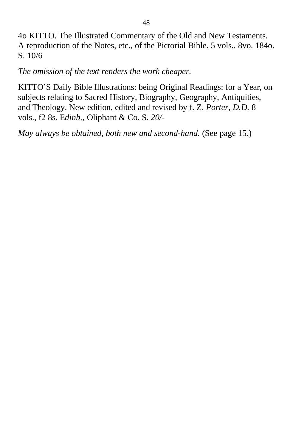4o KITTO. The Illustrated Commentary of the Old and New Testaments. A reproduction of the Notes, etc., of the Pictorial Bible. 5 vols., 8vo. 184o. S. 10/6

*The omission of the text renders the work cheaper.*

KITTO'S Daily Bible Illustrations: being Original Readings: for a Year, on subjects relating to Sacred History, Biography, Geography, Antiquities, and Theology. New edition, edited and revised by f. Z. *Porter, D.D.* 8 vols., f2 8s. E*dinb.,* Oliphant & Co. S. *20/-*

*May always be obtained, both new and second-hand.* (See page 15.)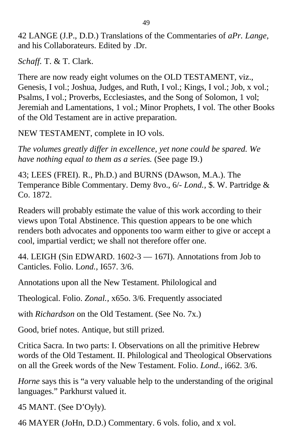42 LANGE (J.P., D.D.) Translations of the Commentaries of *aPr. Lange,* and his Collaborateurs. Edited by .Dr.

*Schaff.* T. & T. Clark.

There are now ready eight volumes on the OLD TESTAMENT, viz., Genesis, I vol.; Joshua, Judges, and Ruth, I vol.; Kings, I vol.; Job, x vol.; Psalms, I vol.; Proverbs, Ecclesiastes, and the Song of Solomon, 1 vol; Jeremiah and Lamentations, 1 vol.; Minor Prophets, I vol. The other Books of the Old Testament are in active preparation.

NEW TESTAMENT, complete in IO vols.

*The volumes greatly differ in excellence, yet none could be spared. We have nothing equal to them as a series.* (See page I9.)

43; LEES (FREI). R., Ph.D.) and BURNS (DAwson, M.A.). The Temperance Bible Commentary. Demy 8vo., 6/- *Lond.,* \$. W. Partridge & Co. 1872.

Readers will probably estimate the value of this work according to their views upon Total Abstinence. This question appears to be one which renders both advocates and opponents too warm either to give or accept a cool, impartial verdict; we shall not therefore offer one.

44. LEIGH (Sin EDWARD. 1602-3 — 167I). Annotations from Job to Canticles. Folio. L*ond.,* I657. 3/6.

Annotations upon all the New Testament. Philological and

Theological. Folio. *Zonal.,* x65o. 3/6. Frequently associated

with *Richardson* on the Old Testament. (See No. 7x.)

Good, brief notes. Antique, but still prized.

Critica Sacra. In two parts: I. Observations on all the primitive Hebrew words of the Old Testament. II. Philological and Theological Observations on all the Greek words of the New Testament. Folio. *Lond.,* i662. 3/6.

*Horne* says this is "a very valuable help to the understanding of the original languages." Parkhurst valued it.

45 MANT. (See D'Oyly).

46 MAYER (JoHn, D.D.) Commentary. 6 vols. folio, and x vol.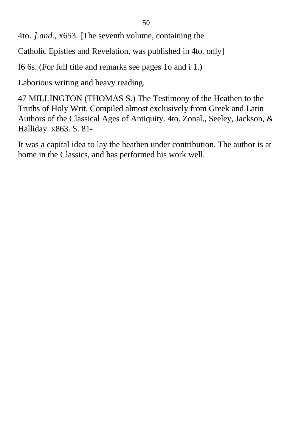4to. *].and.,* x653. [The seventh volume, containing the

Catholic Epistles and Revelation, was published in 4to. only]

f6 6s. (For full title and remarks see pages 1o and i 1.)

Laborious writing and heavy reading.

47 MILLINGTON (THOMAS S.) The Testimony of the Heathen to the Truths of Holy Writ. Compiled almost exclusively from Greek and Latin Authors of the Classical Ages of Antiquity. 4to. Zonal., Seeley, Jackson, & Halliday. x863. S. 81-

It was a capital idea to lay the heathen under contribution. The author is at home in the Classics, and has performed his work well.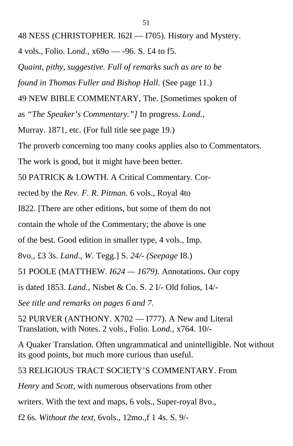48 NESS (CHRISTOPHER. I62I — I705). History and Mystery.

- 4 vols., Folio. L*ond.,* x69o -96. S. £4 to f5.
- *Quaint, pithy, suggestive. Full of remarks such as are to be*
- *found in Thomas Fuller and Bishop Hall.* (See page 11.)
- 49 NEW BIBLE COMMENTARY, The. [Sometimes spoken of
- as *"The Speaker's Commentary."]* In progress. *Lond.,*
- Murray. 1871, etc. (For full title see page 19.)
- The proverb concerning too many cooks applies also to Commentators.
- The work is good, but it might have been better.
- 50 PATRICK & LOWTH. A Critical Commentary. Cor-
- rected by the *Rev. F. R. Pitman.* 6 vols., Royal 4to
- I822. [There are other editions, but some of them do not
- contain the whole of the Commentary; the above is one
- of the best. Good edition in smaller type, 4 vols., Imp.
- 8vo., £3 3s. *Land., W.* Tegg.] S. *24/- (Seepage* I8.)
- 51 POOLE (MATTHEW. *I624 1679).* Annotations. Our copy
- is dated 1853. *Land.,* Nisbet & Co. S. 2 I/- Old folios, 14/-
- *See title and remarks on pages 6 and 7.*
- 52 PURVER (ANTHONY. X702 I777). A New and Literal Translation, with Notes. 2 vols., Folio. L*ond.,* x764. 10/-
- A Quaker Translation. Often ungrammatical and unintelligible. Not without its good points, but much more curious than useful.
- 53 RELIGIOUS TRACT SOCIETY'S COMMENTARY. From
- *Henry* and *Scott,* with numerous observations from other
- writers. With the text and maps, 6 vols., Super-royal 8vo.,
- f2 6s. *Without the text,* 6vols., 12mo.,f 1 4s. S. 9/-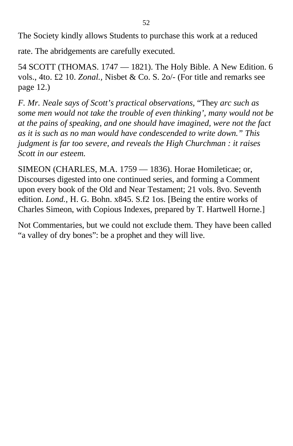The Society kindly allows Students to purchase this work at a reduced

rate. The abridgements are carefully executed.

54 SCOTT (THOMAS. 1747 — 1821). The Holy Bible. A New Edition. 6 vols., 4to. £2 10. *Zonal.,* Nisbet & Co. S. 2o/- (For title and remarks see page 12.)

*F. Mr. Neale says of Scott's practical observations,* "They *arc such as some men would not take the trouble of even thinking', many would not be at the pains of speaking, and one should have imagined, were not the fact as it is such as no man would have condescended to write down." This judgment is far too severe, and reveals the High Churchman : it raises Scott in our esteem.*

SIMEON (CHARLES, M.A. 1759 — 1836). Horae Homileticae; or, Discourses digested into one continued series, and forming a Comment upon every book of the Old and Near Testament; 21 vols. 8vo. Seventh edition. *Lond.,* H. G. Bohn. x845. S.f2 1os. [Being the entire works of Charles Simeon, with Copious Indexes, prepared by T. Hartwell Horne.]

Not Commentaries, but we could not exclude them. They have been called "a valley of dry bones": be a prophet and they will live.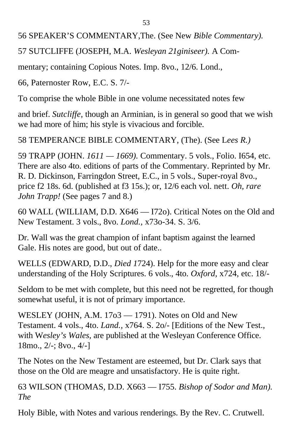56 SPEAKER'S COMMENTARY,The. (See New *Bible Commentary).*

57 SUTCLIFFE (JOSEPH, M.A. *Wesleyan 21giniseer).* A Com-

mentary; containing Copious Notes. Imp. 8vo., 12/6. Lond.,

66, Paternoster Row, E.C. S. 7/-

To comprise the whole Bible in one volume necessitated notes few

and brief. *Sutcliffe,* though an Arminian, is in general so good that we wish we had more of him; his style is vivacious and forcible.

58 TEMPERANCE BIBLE COMMENTARY, (The). (See L*ees R.)*

59 TRAPP (JOHN. *1611 — 1669).* Commentary. 5 vols., Folio. I654, etc. There are also 4to. editions of parts of the Commentary. Reprinted by Mr. R. D. Dickinson, Farringdon Street, E.C., in 5 vols., Super-royal 8vo., price f2 18s. 6d. (published at f3 15s.); or, 12/6 each vol. nett. *Oh, rare John Trapp!* (See pages 7 and 8.)

60 WALL (WILLIAM, D.D. X646 — I72o). Critical Notes on the Old and New Testament. 3 vols., 8vo. *Lond.,* x73o-34. S. 3/6.

Dr. Wall was the great champion of infant baptism against the learned Gale. His notes are good, but out of date..

WELLS (EDWARD, D.D., *Died 1*724). Help for the more easy and clear understanding of the Holy Scriptures. 6 vols., 4to. *Oxford,* x724, etc. 18/-

Seldom to be met with complete, but this need not be regretted, for though somewhat useful, it is not of primary importance.

WESLEY (JOHN, A.M. 17o3 — 1791). Notes on Old and New Testament. 4 vols., 4to. *Land.,* x764. S. 2o/- [Editions of the New Test., with W*esley's Wales,* are published at the Wesleyan Conference Office. 18mo., 2/-; 8vo., 4/-]

The Notes on the New Testament are esteemed, but Dr. Clark says that those on the Old are meagre and unsatisfactory. He is quite right.

63 WILSON (THOMAS, D.D. X663 — I755. *Bishop of Sodor and Man). The*

Holy Bible, with Notes and various renderings. By the Rev. C. Crutwell.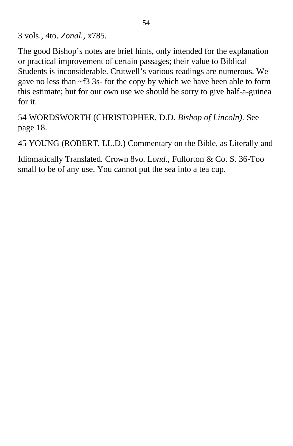3 vols., 4to. *Zonal.,* x785.

The good Bishop's notes are brief hints, only intended for the explanation or practical improvement of certain passages; their value to Biblical Students is inconsiderable. Crutwell's various readings are numerous. We gave no less than ~f3 3s- for the copy by which we have been able to form this estimate; but for our own use we should be sorry to give half-a-guinea for it.

54 WORDSWORTH (CHRISTOPHER, D.D. *Bishop of Lincoln).* See page 18.

45 YOUNG (ROBERT, LL.D.) Commentary on the Bible, as Literally and

Idiomatically Translated. Crown 8vo. L*ond.,* Fullorton & Co. S. 36-Too small to be of any use. You cannot put the sea into a tea cup.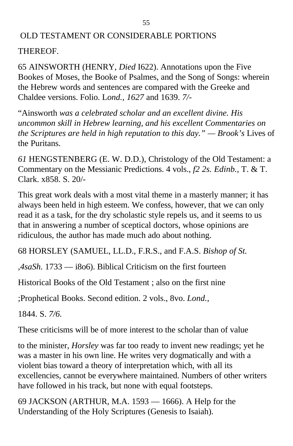### OLD TESTAMENT OR CONSIDERABLE PORTIONS

THEREOF.

65 AINSWORTH (HENRY, *Died* I622). Annotations upon the Five Bookes of Moses, the Booke of Psalmes, and the Song of Songs: wherein the Hebrew words and sentences are compared with the Greeke and Chaldee versions. Folio. L*ond., 1627* and 1639. *7/-*

"Ainsworth *was a celebrated scholar and an excellent divine. His uncommon skill in Hebrew learning, and his excellent Commentaries on the Scriptures are held in high reputation to this day." — Brook's* Lives of the Puritans.

*61* HENGSTENBERG (E. W. D.D.), Christology of the Old Testament: a Commentary on the Messianic Predictions. 4 vols., *f2 2s. Edinb.,* T. & T. Clark. x858. S. 20/-

This great work deals with a most vital theme in a masterly manner; it has always been held in high esteem. We confess, however, that we can only read it as a task, for the dry scholastic style repels us, and it seems to us that in answering a number of sceptical doctors, whose opinions are ridiculous, the author has made much ado about nothing.

68 HORSLEY (SAMUEL, LL.D., F.R.S., and F.A.S. *Bishop of St.*

*,4saSh.* 1733 — i8o6). Biblical Criticism on the first fourteen

Historical Books of the Old Testament ; also on the first nine

;Prophetical Books. Second edition. 2 vols., 8vo. *Lond.,*

1844. S. *7/6.*

These criticisms will be of more interest to the scholar than of value

to the minister, *Horsley* was far too ready to invent new readings; yet he was a master in his own line. He writes very dogmatically and with a violent bias toward a theory of interpretation which, with all its excellencies, cannot be everywhere maintained. Numbers of other writers have followed in his track, but none with equal footsteps.

69 JACKSON (ARTHUR, M.A. 1593 — 1666). A Help for the Understanding of the Holy Scriptures (Genesis to Isaiah).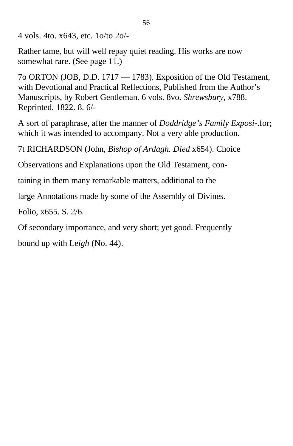4 vols. 4to. x643, etc. 1o/to 2o/-

Rather tame, but will well repay quiet reading. His works are now somewhat rare. (See page 11.)

7o ORTON (JOB, D.D. 1717 — 1783). Exposition of the Old Testament, with Devotional and Practical Reflections, Published from the Author's Manuscripts, by Robert Gentleman. 6 vols. 8vo. *Shrewsbury,* x788. Reprinted, 1822. 8. 6/-

A sort of paraphrase, after the manner of *Doddridge's Family Exposi-*.for; which it was intended to accompany. Not a very able production.

7t RICHARDSON (John, *Bishop of Ardagh. Died* x654). Choice

Observations and Explanations upon the Old Testament, con-

taining in them many remarkable matters, additional to the

large Annotations made by some of the Assembly of Divines.

Folio, x655. S. 2/6.

Of secondary importance, and very short; yet good. Frequently

bound up with Le*igh* (No. 44).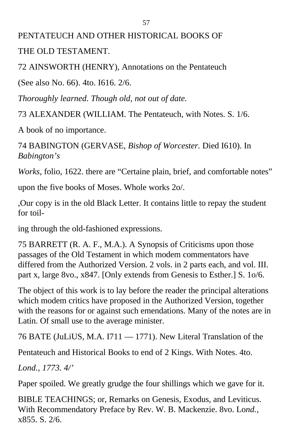PENTATEUCH AND OTHER HISTORICAL BOOKS OF THE OLD TESTAMENT.

72 AINSWORTH (HENRY), Annotations on the Pentateuch

(See also No. 66). 4to. I616. 2/6.

*Thoroughly learned. Though old, not out of date.*

73 ALEXANDER (WILLIAM. The Pentateuch, with Notes. S. 1/6.

A book of no importance.

74 BABINGTON (GERVASE, *Bishop of Worcester.* Died I610). In *Babington's*

*Works, folio, 1622. there are "Certaine plain, brief, and comfortable notes"* 

upon the five books of Moses. Whole works 2o/.

,Our copy is in the old Black Letter. It contains little to repay the student for toil-

ing through the old-fashioned expressions.

75 BARRETT (R. A. F., M.A.). A Synopsis of Criticisms upon those passages of the Old Testament in which modem commentators have differed from the Authorized Version. 2 vols. in 2 parts each, and vol. III. part x, large 8vo., x847. [Only extends from Genesis to Esther.] S. 1o/6.

The object of this work is to lay before the reader the principal alterations which modem critics have proposed in the Authorized Version, together with the reasons for or against such emendations. Many of the notes are in Latin. Of small use to the average minister.

76 BATE (JuLiUS, M.A. I711 — 1771). New Literal Translation of the

Pentateuch and Historical Books to end of 2 Kings. With Notes. 4to.

*Lond., 1773. 4/'*

Paper spoiled. We greatly grudge the four shillings which we gave for it.

BIBLE TEACHINGS; or, Remarks on Genesis, Exodus, and Leviticus. With Recommendatory Preface by Rev. W. B. Mackenzie. 8vo. Lo*nd.,* x855. S. 2/6.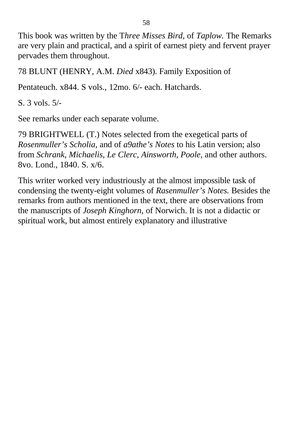This book was written by the T*hree Misses Bird,* of *Taplow.* The Remarks are very plain and practical, and a spirit of earnest piety and fervent prayer pervades them throughout.

78 BLUNT (HENRY, A.M. *Died* x843). Family Exposition of

Pentateuch. x844. S vols., 12mo. 6/- each. Hatchards.

S. 3 vols. 5/-

See remarks under each separate volume.

79 BRIGHTWELL (T.) Notes selected from the exegetical parts of *Rosenmuller's Scholia,* and of *a9athe's Notes* to his Latin version; also from *Schrank, Michaelis, Le Clerc, Ainsworth, Poole,* and other authors. 8vo. Lond., 1840. S. x/6.

This writer worked very industriously at the almost impossible task of condensing the twenty-eight volumes of *Rasenmuller's Notes.* Besides the remarks from authors mentioned in the text, there are observations from the manuscripts of *Joseph Kinghorn,* of Norwich. It is not a didactic or spiritual work, but almost entirely explanatory and illustrative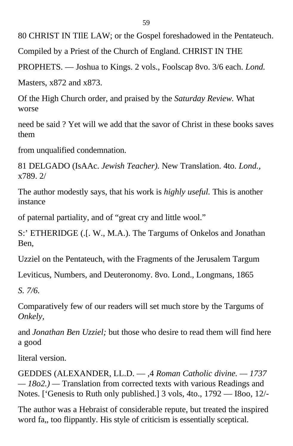80 CHRIST IN TIlE LAW; or the Gospel foreshadowed in the Pentateuch.

Compiled by a Priest of the Church of England. CHRIST IN THE

PROPHETS. — Joshua to Kings. 2 vols., Foolscap 8vo. 3/6 each. *Lond.*

Masters, x872 and x873.

Of the High Church order, and praised by the *Saturday Review.* What worse

need be said ? Yet will we add that the savor of Christ in these books saves them

from unqualified condemnation.

81 DELGADO (IsAAc. *Jewish Teacher).* New Translation. 4to. *Lond.,* x789. 2/

The author modestly says, that his work is *highly useful.* This is another instance

of paternal partiality, and of "great cry and little wool."

S:' ETHERIDGE (.[. W., M.A.). The Targums of Onkelos and Jonathan Ben,

Uzziel on the Pentateuch, with the Fragments of the Jerusalem Targum

Leviticus, Numbers, and Deuteronomy. 8vo. Lond., Longmans, 1865

*S. 7/6.*

Comparatively few of our readers will set much store by the Targums of *Onkely,*

and *Jonathan Ben Uzziel;* but those who desire to read them will find here a good

literal version.

GEDDES (ALEXANDER, LL.D. — ,4 *Roman Catholic divine. — 1737 — 18o2.) —* Translation from corrected texts with various Readings and Notes. ['Genesis to Ruth only published.] 3 vols, 4to., 1792 — I8oo, 12/-

The author was a Hebraist of considerable repute, but treated the inspired word fa,, too flippantly. His style of criticism is essentially sceptical.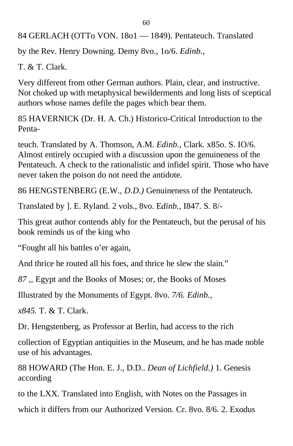84 GERLACH (OTTo VON. 18o1 — 1849). Pentateuch. Translated

by the Rev. Henry Downing. Demy 8vo., 1o/6. *Edinb.,*

T. & T. Clark.

Very different from other German authors. Plain, clear, and instructive. Not choked up with metaphysical bewilderments and long lists of sceptical authors whose names defile the pages which bear them.

85 HAVERNICK (Dr. H. A. Ch.) Historico-Critical Introduction to the Penta-

teuch. Translated by A. Thomson, A.M. *Edinb.,* Clark. x85o. S. IO/6. Almost entirely occupied with a discussion upon the genuineness of the Pentateuch. A check to the rationalistic and infidel spirit. Those who have never taken the poison do not need the antidote.

86 HENGSTENBERG (E.W., *D.D.)* Genuineness of the Pentateuch.

Translated by ]. E. Ryland. 2 vols., 8vo. E*dinb.,* I847. S. 8/-

This great author contends ably for the Pentateuch, but the perusal of his book reminds us of the king who

"Fought all his battles o'er again,

And thrice he routed all his foes, and thrice he slew the slain."

*87 ,,* Egypt and the Books of Moses; or, the Books of Moses

Illustrated by the Monuments of Egypt. 8vo. *7/6. Edinb.,*

*x845.* T. & T. Clark.

Dr. Hengstenberg, as Professor at Berlin, had access to the rich

collection of Egyptian antiquities in the Museum, and he has made noble use of his advantages.

88 HOWARD (The Hon. E. J., D.D.. *Dean of Lichfield.)* 1. Genesis according

to the LXX. Translated into English, with Notes on the Passages in

which it differs from our Authorized Version. Cr. 8vo. 8/6. 2. Exodus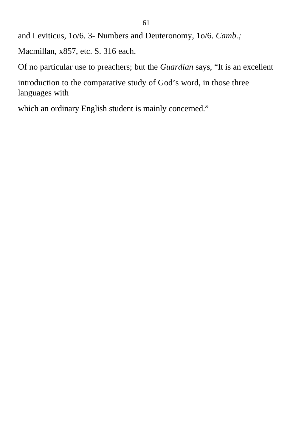and Leviticus, 1o/6. 3- Numbers and Deuteronomy, 1o/6. *Camb.;*

Macmillan, x857, etc. S. 316 each.

Of no particular use to preachers; but the *Guardian* says, "It is an excellent

introduction to the comparative study of God's word, in those three languages with

which an ordinary English student is mainly concerned."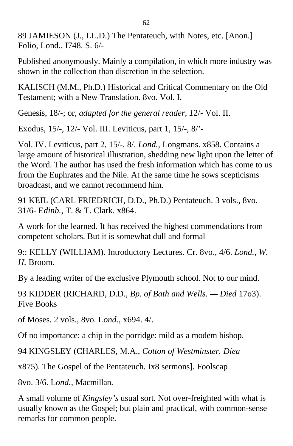89 JAMIESON (J., LL.D.) The Pentateuch, with Notes, etc. [Anon.] Folio, Lond., I748. S. 6/-

Published anonymously. Mainly a compilation, in which more industry was shown in the collection than discretion in the selection.

KALISCH (M.M., Ph.D.) Historical and Critical Commentary on the Old Testament; with a New Translation. 8vo. Vol. I.

Genesis, 18/-; or, *adapted for the general reader, 1*2/- Vol. II.

Exodus, 15/-, 12/- Vol. III. Leviticus, part 1, 15/-, 8/'-

Vol. IV. Leviticus, part 2, 15/-, 8/. *Lond.,* Longmans. x858. Contains a large amount of historical illustration, shedding new light upon the letter of the Word. The author has used the fresh information which has come to us from the Euphrates and the Nile. At the same time he sows scepticisms broadcast, and we cannot recommend him.

91 KEIL (CARL FRIEDRICH, D.D., Ph.D.) Pentateuch. 3 vols., 8vo. 31/6- E*dinb.,* T. & T. Clark. x864.

A work for the learned. It has received the highest commendations from competent scholars. But it is somewhat dull and formal

9:: KELLY (WILLIAM). Introductory Lectures. Cr. 8vo., 4/6. *Lond., W. H.* Broom.

By a leading writer of the exclusive Plymouth school. Not to our mind.

93 KIDDER (RICHARD, D.D., *Bp. of Bath and Wells. — Died* 17o3). Five Books

of Moses. 2 vols., 8vo. L*ond.,* x694. 4/.

Of no importance: a chip in the porridge: mild as a modem bishop.

94 KINGSLEY (CHARLES, M.A., *Cotton of Westminster. Diea*

x875). The Gospel of the Pentateuch. Ix8 sermons]. Foolscap

8vo. 3/6. L*ond.,* Macmillan.

A small volume of *Kingsley's* usual sort. Not over-freighted with what is usually known as the Gospel; but plain and practical, with common-sense remarks for common people.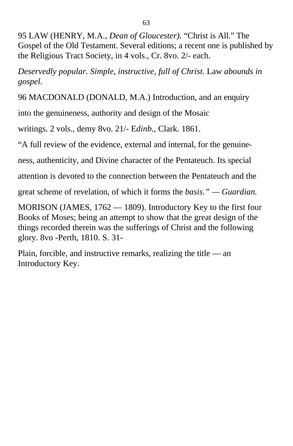95 LAW (HENRY, M.A., *Dean of Gloucester).* "Christ is All." The Gospel of the Old Testament. Several editions; a recent one is published by the Religious Tract Society, in 4 vols., Cr. 8vo. 2/- each.

*Deservedly popular. Simple, instructive, full of Christ.* Law *abounds in gospel.*

96 MACDONALD (DONALD, M.A.) Introduction, and an enquiry

into the genuineness, authority and design of the Mosaic

writings. 2 vols., demy 8vo. 21/- E*dinb.,* Clark. 1861.

"A full review of the evidence, external and internal, for the genuine-

ness, authenticity, and Divine character of the Pentateuch. Its special

attention is devoted to the connection between the Pentateuch and the

great scheme of revelation, of which it forms the *basis." — Guardian.*

MORISON (JAMES, 1762 — 1809). Introductory Key to the first four Books of Moses; being an attempt to show that the great design of the things recorded therein was the sufferings of Christ and the following glory. 8vo -Perth, 1810. S. 31-

Plain, forcible, and instructive remarks, realizing the title — an Introductory Key.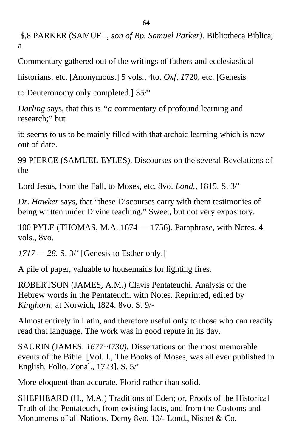\$,8 PARKER (SAMUEL, *son of Bp. Samuel Parker).* Bibliotheca Biblica; a

Commentary gathered out of the writings of fathers and ecclesiastical

historians, etc. [Anonymous.] 5 vols., 4to. *Oxf, 1*720, etc. [Genesis

to Deuteronomy only completed.] 35/"

*Darling* says, that this is *"a* commentary of profound learning and research;" but

it: seems to us to be mainly filled with that archaic learning which is now out of date.

99 PIERCE (SAMUEL EYLES). Discourses on the several Revelations of the

Lord Jesus, from the Fall, to Moses, etc. 8vo. *Lond.,* 1815. S. 3/'

*Dr. Hawker* says, that "these Discourses carry with them testimonies of being written under Divine teaching." Sweet, but not very expository.

100 PYLE (THOMAS, M.A. 1674 — 1756). Paraphrase, with Notes. 4 vols., 8vo.

*1717 — 28.* S. 3/' [Genesis to Esther only.]

A pile of paper, valuable to housemaids for lighting fires.

ROBERTSON (JAMES, A.M.) Clavis Pentateuchi. Analysis of the Hebrew words in the Pentateuch, with Notes. Reprinted, edited by *Kinghorn,* at Norwich, I824. 8vo. S. 9/-

Almost entirely in Latin, and therefore useful only to those who can readily read that language. The work was in good repute in its day.

SAURIN (JAMES. *1677~I730).* Dissertations on the most memorable events of the Bible. [Vol. I., The Books of Moses, was all ever published in English. Folio. Zonal., 1723]. S. 5/'

More eloquent than accurate. Florid rather than solid.

SHEPHEARD (H., M.A.) Traditions of Eden; or, Proofs of the Historical Truth of the Pentateuch, from existing facts, and from the Customs and Monuments of all Nations. Demy 8vo. 10/- Lond., Nisbet & Co.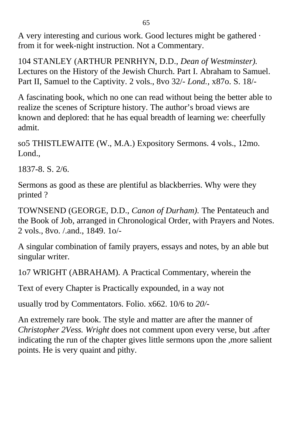A very interesting and curious work. Good lectures might be gathered · from it for week-night instruction. Not a Commentary.

104 STANLEY (ARTHUR PENRHYN, D.D., *Dean of Westminster).* Lectures on the History of the Jewish Church. Part I. Abraham to Samuel. Part II, Samuel to the Captivity. 2 vols., 8vo 32/- *Lond.,* x87o. S. 18/-

A fascinating book, which no one can read without being the better able to realize the scenes of Scripture history. The author's broad views are known and deplored: that he has equal breadth of learning we: cheerfully admit.

so5 THISTLEWAITE (W., M.A.) Expository Sermons. 4 vols., 12mo. Lond.,

1837-8. S. 2/6.

Sermons as good as these are plentiful as blackberries. Why were they printed ?

TOWNSEND (GEORGE, D.D., *Canon of Durham).* The Pentateuch and the Book of Job, arranged in Chronological Order, with Prayers and Notes. 2 vols., 8vo. /.and., 1849. 1o/-

A singular combination of family prayers, essays and notes, by an able but singular writer.

1o7 WRIGHT (ABRAHAM). A Practical Commentary, wherein the

Text of every Chapter is Practically expounded, in a way not

usually trod by Commentators. Folio. x662. 10/6 to *20/-*

An extremely rare book. The style and matter are after the manner of *Christopher 2Vess. Wright* does not comment upon every verse, but .after indicating the run of the chapter gives little sermons upon the ,more salient points. He is very quaint and pithy.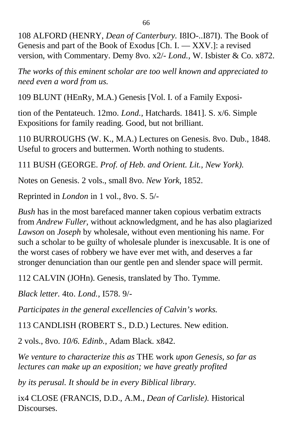108 ALFORD (HENRY, *Dean of Canterbury.* I8IO-..I87I). The Book of Genesis and part of the Book of Exodus [Ch. I. — XXV.]: a revised version, with Commentary. Demy 8vo. x2/- *Lond.,* W. Isbister & Co. x872.

*The works of this eminent scholar are too well known and appreciated to need even a word from us.*

109 BLUNT (HEnRy, M.A.) Genesis [Vol. I. of a Family Exposi-

tion of the Pentateuch. 12mo. *Lond.,* Hatchards. 1841]. S. x/6. Simple Expositions for family reading. Good, but not brilliant.

110 BURROUGHS (W. K., M.A.) Lectures on Genesis. 8vo. Dub., 1848. Useful to grocers and buttermen. Worth nothing to students.

111 BUSH (GEORGE. *Prof. of Heb. and Orient. Lit., New York).*

Notes on Genesis. 2 vols., small 8vo. *New York,* 1852.

Reprinted in *London* in 1 vol., 8vo. S. 5/-

*Bush* has in the most barefaced manner taken copious verbatim extracts from *Andrew Fuller,* without acknowledgment, and he has also plagiarized *Lawson* on *Joseph* by wholesale, without even mentioning his name. For such a scholar to be guilty of wholesale plunder is inexcusable. It is one of the worst cases of robbery we have ever met with, and deserves a far stronger denunciation than our gentle pen and slender space will permit.

112 CALVIN (JOHn). Genesis, translated by Tho. Tymme.

*Black letter.* 4to. *Lond.,* I578. 9/-

*Participates in the general excellencies of Calvin's works.*

113 CANDLISH (ROBERT S., D.D.) Lectures. New edition.

2 vols., 8vo. *10/6. Edinb.,* Adam Black. x842.

*We venture to characterize this as* THE work *upon Genesis, so far as lectures can make up an exposition; we have greatly profited*

*by its perusal. It should be in every Biblical library.*

ix4 CLOSE (FRANCIS, D.D., A.M., *Dean of Carlisle).* Historical Discourses.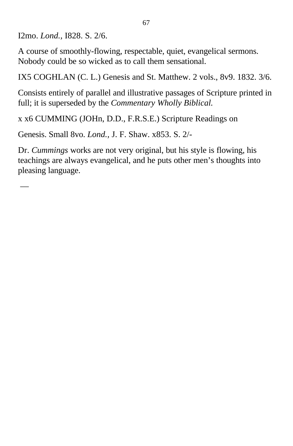I2mo. *Lond.,* I828. S. 2/6.

—

A course of smoothly-flowing, respectable, quiet, evangelical sermons. Nobody could be so wicked as to call them sensational.

IX5 COGHLAN (C. L.) Genesis and St. Matthew. 2 vols., 8v9. 1832. 3/6.

Consists entirely of parallel and illustrative passages of Scripture printed in full; it is superseded by the *Commentary Wholly Biblical.*

x x6 CUMMING (JOHn, D.D., F.R.S.E.) Scripture Readings on

Genesis. Small 8vo. *Lond.,* J. F. Shaw. x853. S. 2/-

Dr. *Cummings* works are not very original, but his style is flowing, his teachings are always evangelical, and he puts other men's thoughts into pleasing language.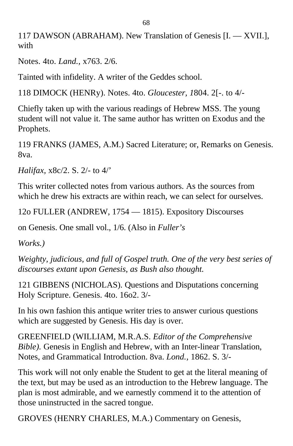117 DAWSON (ABRAHAM). New Translation of Genesis [I. — XVII.], with

Notes. 4to. *Land.,* x763. 2/6.

Tainted with infidelity. A writer of the Geddes school.

118 DIMOCK (HENRy). Notes. 4to. *Gloucester, 1*804. 2[-. to 4/-

Chiefly taken up with the various readings of Hebrew MSS. The young student will not value it. The same author has written on Exodus and the Prophets.

119 FRANKS (JAMES, A.M.) Sacred Literature; or, Remarks on Genesis. 8va.

*Halifax,* x8c/2. S. 2/- to 4/'

This writer collected notes from various authors. As the sources from which he drew his extracts are within reach, we can select for ourselves.

12o FULLER (ANDREW, 1754 — 1815). Expository Discourses

on Genesis. One small vol., 1/6. (Also in *Fuller's*

*Works.)*

*Weighty, judicious, and full of Gospel truth. One of the very best series of discourses extant upon Genesis, as Bush also thought.*

121 GIBBENS (NICHOLAS). Questions and Disputations concerning Holy Scripture. Genesis. 4to. 16o2. 3/-

In his own fashion this antique writer tries to answer curious questions which are suggested by Genesis. His day is over.

GREENFIELD (WILLIAM, M.R.A.S. *Editor of the Comprehensive Bible).* Genesis in English and Hebrew, with an Inter-linear Translation, Notes, and Grammatical Introduction. 8va. *Lond.,* 1862. S. 3/-

This work will not only enable the Student to get at the literal meaning of the text, but may be used as an introduction to the Hebrew language. The plan is most admirable, and we earnestly commend it to the attention of those uninstructed in the sacred tongue.

GROVES (HENRY CHARLES, M.A.) Commentary on Genesis,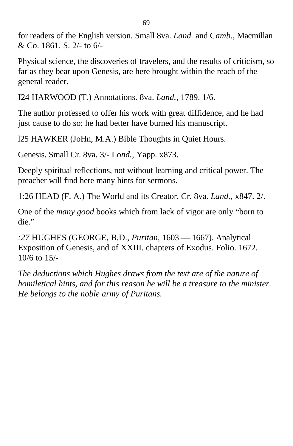for readers of the English version. Small 8va. *Land.* and C*amb.,* Macmillan & Co. 1861. S. 2/- to 6/-

Physical science, the discoveries of travelers, and the results of criticism, so far as they bear upon Genesis, are here brought within the reach of the general reader.

I24 HARWOOD (T.) Annotations. 8va. *Land.,* 1789. 1/6.

The author professed to offer his work with great diffidence, and he had just cause to do so: he had better have burned his manuscript.

l25 HAWKER (JoHn, M.A.) Bible Thoughts in Quiet Hours.

Genesis. Small Cr. 8va. 3/- Lo*nd.,* Yapp. x873.

Deeply spiritual reflections, not without learning and critical power. The preacher will find here many hints for sermons.

1:26 HEAD (F. A.) The World and its Creator. Cr. 8va. *Land.,* x847. 2/.

One of the *many good* books which from lack of vigor are only "born to die."

*:27* HUGHES (GEORGE, B.D., *Puritan,* 1603 — 1667). Analytical Exposition of Genesis, and of XXIII. chapters of Exodus. Folio. 1672. 10/6 to 15/-

*The deductions which Hughes draws from the text are of the nature of homiletical hints, and for this reason he will be a treasure to the minister. He belongs to the noble army of Puritans.*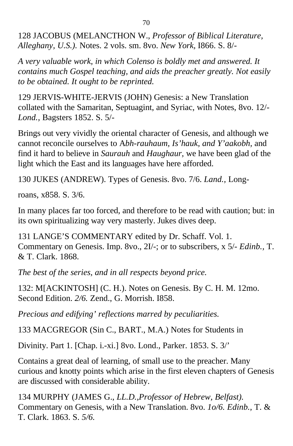128 JACOBUS (MELANCTHON W., *Professor of Biblical Literature, Alleghany, U.S.).* Notes. 2 vols. sm. 8vo. *New York,* I866. S. 8/-

*A very valuable work, in which Colenso is boldly met and answered. It contains much Gospel teaching, and aids the preacher greatly. Not easily to be obtained. It ought to be reprinted.*

129 JERVIS-WHITE-JERVIS (JOHN) Genesis: a New Translation collated with the Samaritan, Septuagint, and Syriac, with Notes, 8vo. 12/- *Lond.,* Bagsters 1852. S. 5/-

Brings out very vividly the oriental character of Genesis, and although we cannot reconcile ourselves to A*bh-rauhaum, Is'hauk, and Y'aakobh,* and find it hard to believe in *Saurauh* and *Haughaur,* we have been glad of the light which the East and its languages have here afforded.

130 JUKES (ANDREW). Types of Genesis. 8vo. 7/6. *Land.,* Long-

roans, x858. S. 3/6.

In many places far too forced, and therefore to be read with caution; but: in its own spiritualizing way very masterly. Jukes dives deep.

131 LANGE'S COMMENTARY edited by Dr. Schaff. Vol. 1. Commentary on Genesis. Imp. 8vo., 2I/-; or to subscribers, x 5/- *Edinb.,* T. & T. Clark. 1868.

*The best of the series, and in all respects beyond price.*

132: M[ACKINTOSH] (C. H.). Notes on Genesis. By C. H. M. 12mo. Second Edition. *2/6.* Zend., G. Morrish. I858.

*Precious and edifying' reflections marred by peculiarities.*

133 MACGREGOR (Sin C., BART., M.A.) Notes for Students in

Divinity. Part 1. [Chap. i.-xi.] 8vo. Lond., Parker. 1853. S. 3/'

Contains a great deal of learning, of small use to the preacher. Many curious and knotty points which arise in the first eleven chapters of Genesis are discussed with considerable ability.

134 MURPHY (JAMES G., *LL.D.,Professor of Hebrew, Belfast).* Commentary on Genesis, with a New Translation. 8vo. *1o/6. Edinb.,* T. & T. Clark. 1863. S. *5/6.*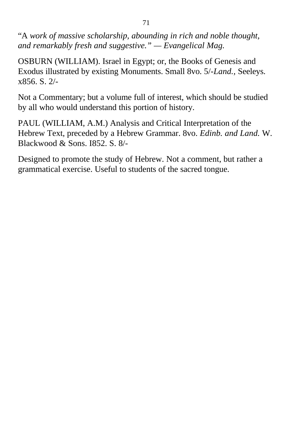"A *work of massive scholarship, abounding in rich and noble thought, and remarkably fresh and suggestive." — Evangelical Mag.*

OSBURN (WILLIAM). Israel in Egypt; or, the Books of Genesis and Exodus illustrated by existing Monuments. Small 8vo. 5/-*Land.,* Seeleys. x856. S. 2/-

Not a Commentary; but a volume full of interest, which should be studied by all who would understand this portion of history.

PAUL (WILLIAM, A.M.) Analysis and Critical Interpretation of the Hebrew Text, preceded by a Hebrew Grammar. 8vo. *Edinb. and Land.* W. Blackwood & Sons. I852. S. 8/-

Designed to promote the study of Hebrew. Not a comment, but rather a grammatical exercise. Useful to students of the sacred tongue.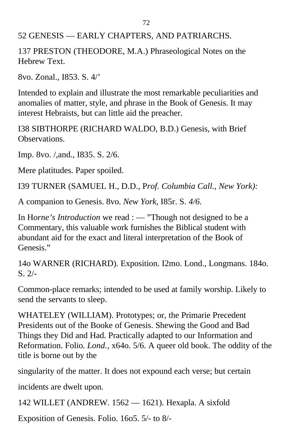52 GENESIS — EARLY CHAPTERS, AND PATRIARCHS.

137 PRESTON (THEODORE, M.A.) Phraseological Notes on the Hebrew Text.

8vo. Zonal., I853. S. 4/'

Intended to explain and illustrate the most remarkable peculiarities and anomalies of matter, style, and phrase in the Book of Genesis. It may interest Hebraists, but can little aid the preacher.

I38 SIBTHORPE (RICHARD WALDO, B.D.) Genesis, with Brief Observations.

Imp. 8vo. /,and., I835. S. 2/6.

Mere platitudes. Paper spoiled.

I39 TURNER (SAMUEL H., D.D., P*rof. Columbia Call., New York):*

A companion to Genesis. 8vo. *New York,* I85r. S. *4/6.*

In H*orne's Introduction* we read : — "Though not designed to be a Commentary, this valuable work furnishes the Biblical student with abundant aid for the exact and literal interpretation of the Book of Genesis."

14o WARNER (RICHARD). Exposition. I2mo. Lond., Longmans. 184o. S. 2/-

Common-place remarks; intended to be used at family worship. Likely to send the servants to sleep.

WHATELEY (WILLIAM). Prototypes; or, the Primarie Precedent Presidents out of the Booke of Genesis. Shewing the Good and Bad Things they Did and Had. Practically adapted to our Information and Reformation. Folio. *Lond.,* x64o. 5/6. A queer old book. The oddity of the title is borne out by the

singularity of the matter. It does not expound each verse; but certain

incidents are dwelt upon.

142 WILLET (ANDREW. 1562 — 1621). Hexapla. A sixfold

Exposition of Genesis. Folio. 16o5. 5/- to 8/-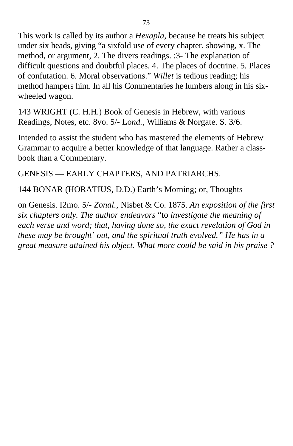This work is called by its author a *Hexapla,* because he treats his subject under six heads, giving "a sixfold use of every chapter, showing, x. The method, or argument, 2. The divers readings. :3- The explanation of difficult questions and doubtful places. 4. The places of doctrine. 5. Places of confutation. 6. Moral observations." *Willet* is tedious reading; his method hampers him. In all his Commentaries he lumbers along in his sixwheeled wagon.

143 WRIGHT (C. H.H.) Book of Genesis in Hebrew, with various Readings, Notes, etc. 8vo. 5/- Lo*nd.,* Williams & Norgate. S. 3/6.

Intended to assist the student who has mastered the elements of Hebrew Grammar to acquire a better knowledge of that language. Rather a classbook than a Commentary.

GENESIS — EARLY CHAPTERS, AND PATRIARCHS.

144 BONAR (HORATIUS, D.D.) Earth's Morning; or, Thoughts

on Genesis. I2mo. 5/- *Zonal.,* Nisbet & Co. 1875. *An exposition of the first six chapters only. The author endeavors* "to *investigate the meaning of each verse and word; that, having done so, the exact revelation of God in these may be brought' out, and the spiritual truth evolved." He has in a great measure attained his object. What more could be said in his praise ?*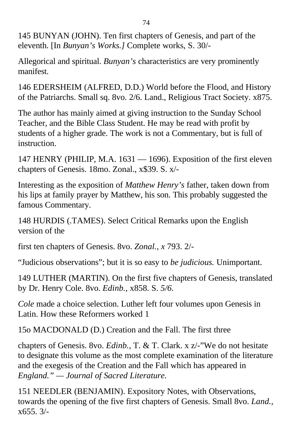145 BUNYAN (JOHN). Ten first chapters of Genesis, and part of the eleventh. [In *Bunyan's Works.]* Complete works, S. 30/-

Allegorical and spiritual. *Bunyan's* characteristics are very prominently manifest.

146 EDERSHEIM (ALFRED, D.D.) World before the Flood, and History of the Patriarchs. Small sq. 8vo. 2/6. Land., Religious Tract Society. x875.

The author has mainly aimed at giving instruction to the Sunday School Teacher, and the Bible Class Student. He may be read with profit by students of a higher grade. The work is not a Commentary, but is full of instruction.

147 HENRY (PHILIP, M.A. 1631 — 1696). Exposition of the first eleven chapters of Genesis. 18mo. Zonal., x\$39. S. x/-

Interesting as the exposition of *Matthew Henry's* father, taken down from his lips at family prayer by Matthew, his son. This probably suggested the famous Commentary.

148 HURDIS (.TAMES). Select Critical Remarks upon the English version of the

first ten chapters of Genesis. 8vo. *Zonal., x* 793. 2/-

"Judicious observations"; but it is so easy to *be judicious.* Unimportant.

149 LUTHER (MARTIN). On the first five chapters of Genesis, translated by Dr. Henry Cole. 8vo. *Edinb.,* x858. S. *5/6.*

*Cole* made a choice selection. Luther left four volumes upon Genesis in Latin. How these Reformers worked 1

15o MACDONALD (D.) Creation and the Fall. The first three

chapters of Genesis. 8vo. *Edinb.,* T. & T. Clark. x z/-"We do not hesitate to designate this volume as the most complete examination of the literature and the exegesis of the Creation and the Fall which has appeared in *England." — Journal of Sacred Literature.*

151 NEEDLER (BENJAMIN). Expository Notes, with Observations, towards the opening of the five first chapters of Genesis. Small 8vo. *Land.,* x655. 3/-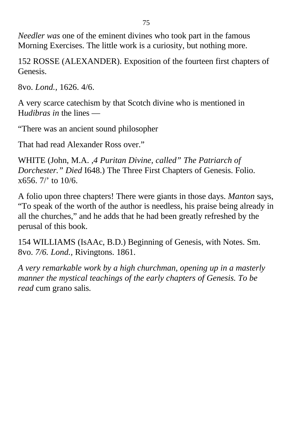*Needler was* one of the eminent divines who took part in the famous Morning Exercises. The little work is a curiosity, but nothing more.

152 ROSSE (ALEXANDER). Exposition of the fourteen first chapters of Genesis.

8vo. *Lond.,* 1626. 4/6.

A very scarce catechism by that Scotch divine who is mentioned in H*udibras in* the lines —

"There was an ancient sound philosopher

That had read Alexander Ross over."

WHITE (John, M.A. *,4 Puritan Divine, called" The Patriarch of Dorchester." Died* I648.) The Three First Chapters of Genesis. Folio.  $x656. 7<sup>'</sup>$  to 10/6.

A folio upon three chapters! There were giants in those days. *Manton* says, "To speak of the worth of the author is needless, his praise being already in all the churches," and he adds that he had been greatly refreshed by the perusal of this book.

154 WILLIAMS (IsAAc, B.D.) Beginning of Genesis, with Notes. Sm. 8vo. *7/6. Lond.,* Rivingtons. 1861.

*A very remarkable work by a high churchman, opening up in a masterly manner the mystical teachings of the early chapters of Genesis. To be read* cum grano salis.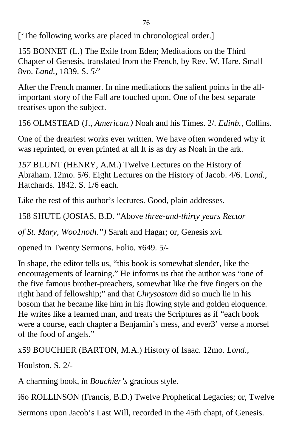['The following works are placed in chronological order.]

155 BONNET (L.) The Exile from Eden; Meditations on the Third Chapter of Genesis, translated from the French, by Rev. W. Hare. Small 8vo. *Land.,* 1839. S. *5/'*

After the French manner. In nine meditations the salient points in the allimportant story of the Fall are touched upon. One of the best separate treatises upon the subject.

156 OLMSTEAD (J., *American.)* Noah and his Times. 2/. *Edinb.,* Collins.

One of the dreariest works ever written. We have often wondered why it was reprinted, or even printed at all It is as dry as Noah in the ark.

*157* BLUNT (HENRY, A.M.) Twelve Lectures on the History of Abraham. 12mo. 5/6. Eight Lectures on the History of Jacob. 4/6. L*ond.,* Hatchards. 1842. S. 1/6 each.

Like the rest of this author's lectures. Good, plain addresses.

158 SHUTE (JOSIAS, B.D. "Above *three-and-thirty years Rector*

*of St. Mary, Woo1noth.")* Sarah and Hagar; or, Genesis xvi.

opened in Twenty Sermons. Folio. x649. 5/-

In shape, the editor tells us, "this book is somewhat slender, like the encouragements of learning." He informs us that the author was "one of the five famous brother-preachers, somewhat like the five fingers on the right hand of fellowship;" and that *Chrysostom* did so much lie in his bosom that he became like him in his flowing style and golden eloquence. He writes like a learned man, and treats the Scriptures as if "each book were a course, each chapter a Benjamin's mess, and ever3' verse a morsel of the food of angels."

x59 BOUCHIER (BARTON, M.A.) History of Isaac. 12mo. *Lond.,*

Houlston. S. 2/-

A charming book, in *Bouchier's* gracious style.

i6o ROLLINSON (Francis, B.D.) Twelve Prophetical Legacies; or, Twelve

Sermons upon Jacob's Last Will, recorded in the 45th chapt, of Genesis.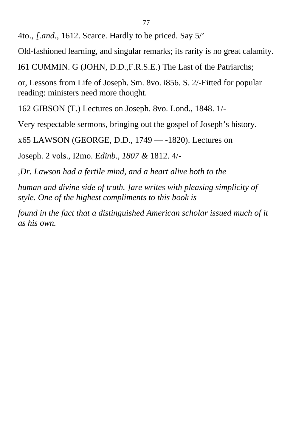4to., *[.and.,* 1612. Scarce. Hardly to be priced. Say 5/'

Old-fashioned learning, and singular remarks; its rarity is no great calamity.

I61 CUMMIN. G (JOHN, D.D.,F.R.S.E.) The Last of the Patriarchs;

or, Lessons from Life of Joseph. Sm. 8vo. i856. S. 2/-Fitted for popular reading: ministers need more thought.

162 GIBSON (T.) Lectures on Joseph. 8vo. Lond., 1848. 1/-

Very respectable sermons, bringing out the gospel of Joseph's history.

x65 LAWSON (GEORGE, D.D., 1749 — -1820). Lectures on

Joseph. 2 vols., I2mo. E*dinb., 1807 &* 1812. 4/-

*,Dr. Lawson had a fertile mind, and a heart alive both to the*

*human and divine side of truth. ]are writes with pleasing simplicity of style. One of the highest compliments to this book is*

*found in the fact that a distinguished American scholar issued much of it as his own.*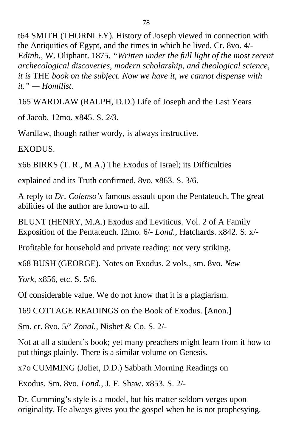t64 SMITH (THORNLEY). History of Joseph viewed in connection with the Antiquities of Egypt, and the times in which he lived. Cr. 8vo. 4/- *Edinb.,* W. Oliphant. 1875. *"Written under the full light of the most recent archecological discoveries, modern scholarship, and theological science, it is* THE *book on the subject. Now we have it, we cannot dispense with it." — Homilist.*

165 WARDLAW (RALPH, D.D.) Life of Joseph and the Last Years

of Jacob. 12mo. x845. S. *2/3.*

Wardlaw, though rather wordy, is always instructive.

EXODUS.

x66 BIRKS (T. R., M.A.) The Exodus of Israel; its Difficulties

explained and its Truth confirmed. 8vo. x863. S. 3/6.

A reply to *Dr. Colenso's* famous assault upon the Pentateuch. The great abilities of the author are known to all.

BLUNT (HENRY, M.A.) Exodus and Leviticus. Vol. 2 of A Family Exposition of the Pentateuch. I2mo. 6/- *Lond.,* Hatchards. x842. S. x/-

Profitable for household and private reading: not very striking.

x68 BUSH (GEORGE). Notes on Exodus. 2 vols., sm. 8vo. *New*

*York,* x856, etc. S. 5/6.

Of considerable value. We do not know that it is a plagiarism.

169 COTTAGE READINGS on the Book of Exodus. [Anon.]

Sm. cr. 8vo. 5/' *Zonal.,* Nisbet & Co. S. 2/-

Not at all a student's book; yet many preachers might learn from it how to put things plainly. There is a similar volume on Genesis.

x7o CUMMING (Joliet, D.D.) Sabbath Morning Readings on

Exodus. Sm. 8vo. *Lond.,* J. F. Shaw. x853. S. 2/-

Dr. Cumming's style is a model, but his matter seldom verges upon originality. He always gives you the gospel when he is not prophesying.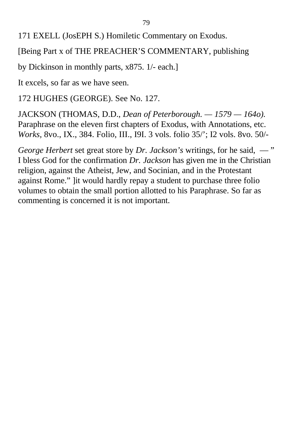171 EXELL (JosEPH S.) Homiletic Commentary on Exodus.

[Being Part x of THE PREACHER'S COMMENTARY, publishing

by Dickinson in monthly parts, x875. 1/- each.]

It excels, so far as we have seen.

172 HUGHES (GEORGE). See No. 127.

JACKSON (THOMAS, D.D., *Dean of Peterborough. — 1579 — 164o).* Paraphrase on the eleven first chapters of Exodus, with Annotations, etc. *Works,* 8vo., IX., 384. Folio, III., I9I. 3 vols. folio 35/'; I2 vols. 8vo. 50/-

*George Herbert* set great store by *Dr. Jackson's* writings, for he said, — " I bless God for the confirmation *Dr. Jackson* has given me in the Christian religion, against the Atheist, Jew, and Socinian, and in the Protestant against Rome." ]it would hardly repay a student to purchase three folio volumes to obtain the small portion allotted to his Paraphrase. So far as commenting is concerned it is not important.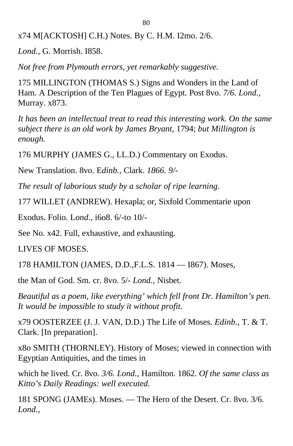x74 M[ACKTOSH] C.H.) Notes. By C. H.M. I2mo. 2/6.

*Lond.,* G. Morrish. I858.

*Not free from Plymouth errors, yet remarkably suggestive.*

175 MILLINGTON (THOMAS S.) Signs and Wonders in the Land of Ham. A Description of the Ten Plagues of Egypt. Post 8vo. *7/6. Lond.,* Murray. x873.

*It has been an intellectual treat to read this interesting work. On the same subject there is an old work by James Bryant,* 1794; *but Millington is enough.*

176 MURPHY (JAMES G., LL.D.) Commentary on Exodus.

New Translation. 8vo. E*dinb.,* Clark. *1866. 9/-*

*The result of laborious study by a scholar of ripe learning.*

177 WILLET (ANDREW). Hexapla; or, Sixfold Commentarie upon

Exodus. Folio. L*ond.,* i6o8. 6/-to 10/-

See No. x42. Full, exhaustive, and exhausting.

LIVES OF MOSES.

178 HAMILTON (JAMES, D.D.,F.L.S. 1814 — I867). Moses,

the Man of God. Sm. cr. 8vo. 5/- *Lond.,* Nisbet.

*Beautiful as a poem, like everything' which fell front Dr. Hamilton's pen. It would be impossible to study it without profit.*

x79 OOSTERZEE (J. J. VAN, D.D.) The Life of Moses. *Edinb.,* T. & T. Clark. [In preparation].

x8o SMITH (THORNLEY). History of Moses; viewed in connection with Egyptian Antiquities, and the times in

which he lived. Cr. 8vo. *3/6. Lond.,* Hamilton. 1862. *Of the same class as Kitto's Daily Readings: well executed.*

181 SPONG (JAMEs). Moses. — The Hero of the Desert. Cr. 8vo. 3/6. *Lond.,*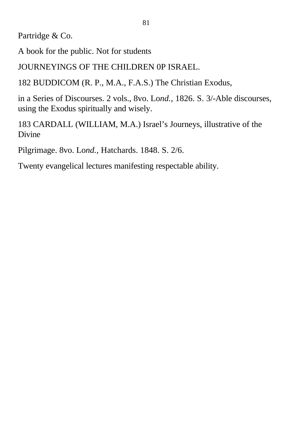Partridge & Co.

A book for the public. Not for students

JOURNEYINGS OF THE CHILDREN 0P ISRAEL.

182 BUDDICOM (R. P., M.A., F.A.S.) The Christian Exodus,

in a Series of Discourses. 2 vols., 8vo. Lo*nd.,* 1826. S. 3/-Able discourses, using the Exodus spiritually and wisely.

183 CARDALL (WILLIAM, M.A.) Israel's Journeys, illustrative of the Divine

Pilgrimage. 8vo. Lo*nd.,* Hatchards. 1848. S. 2/6.

Twenty evangelical lectures manifesting respectable ability.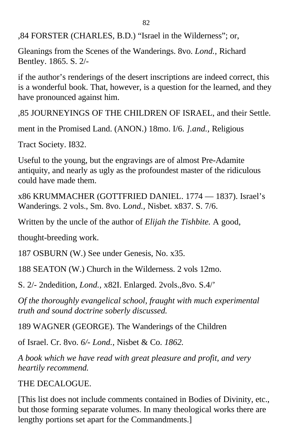,84 FORSTER (CHARLES, B.D.) "Israel in the Wilderness"; or,

Gleanings from the Scenes of the Wanderings. 8vo. *Lond.,* Richard Bentley. 1865. S. 2/-

if the author's renderings of the desert inscriptions are indeed correct, this is a wonderful book. That, however, is a question for the learned, and they have pronounced against him.

,85 JOURNEYINGS OF THE CHILDREN OF ISRAEL, and their Settle.

ment in the Promised Land. (ANON.) 18mo. I/6. *].and.,* Religious

Tract Society. I832.

Useful to the young, but the engravings are of almost Pre-Adamite antiquity, and nearly as ugly as the profoundest master of the ridiculous could have made them.

x86 KRUMMACHER (GOTTFRIED DANIEL. 1774 — 1837). Israel's Wanderings. 2 vols., Sm. 8vo. L*ond.,* Nisbet. x837. S. 7/6.

Written by the uncle of the author of *Elijah the Tishbite.* A good,

thought-breeding work.

187 OSBURN (W.) See under Genesis, No. x35.

188 SEATON (W.) Church in the Wilderness. 2 vols 12mo.

S. 2/- 2ndedition, *Lond.,* x82I. Enlarged. 2vols.,8vo. S.4/'

*Of the thoroughly evangelical school, fraught with much experimental truth and sound doctrine soberly discussed.*

189 WAGNER (GEORGE). The Wanderings of the Children

of Israel. Cr. 8vo. *6/- Lond.,* Nisbet & Co. *1862.*

*A book which we have read with great pleasure and profit, and very heartily recommend.*

THE DECALOGUE.

[This list does not include comments contained in Bodies of Divinity, etc., but those forming separate volumes. In many theological works there are lengthy portions set apart for the Commandments.]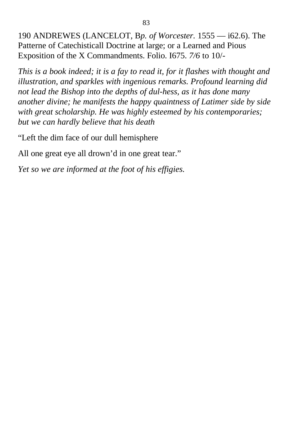190 ANDREWES (LANCELOT, B*p. of Worcester.* 1555 — i62.6). The Patterne of Catechisticall Doctrine at large; or a Learned and Pious Exposition of the X Commandments. Folio. I675. *7/6* to 10/-

*This is a book indeed; it is a fay to read it, for it flashes with thought and illustration, and sparkles with ingenious remarks. Profound learning did not lead the Bishop into the depths of dul-hess, as it has done many another divine; he manifests the happy quaintness of Latimer side by side with great scholarship. He was highly esteemed by his contemporaries; but we can hardly believe that his death*

"Left the dim face of our dull hemisphere

All one great eye all drown'd in one great tear."

*Yet so we are informed at the foot of his effigies.*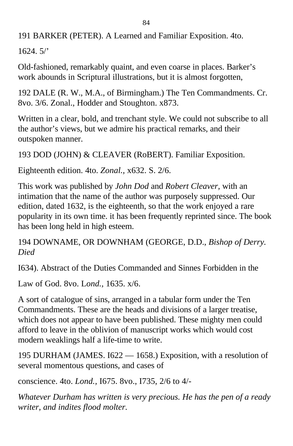191 BARKER (PETER). A Learned and Familiar Exposition. 4to.

 $1624.5$ 

Old-fashioned, remarkably quaint, and even coarse in places. Barker's work abounds in Scriptural illustrations, but it is almost forgotten,

192 DALE (R. W., M.A., of Birmingham.) The Ten Commandments. Cr. 8vo. 3/6. Zonal., Hodder and Stoughton. x873.

Written in a clear, bold, and trenchant style. We could not subscribe to all the author's views, but we admire his practical remarks, and their outspoken manner.

193 DOD (JOHN) & CLEAVER (RoBERT). Familiar Exposition.

Eighteenth edition. 4to. *Zonal.,* x632. S. 2/6.

This work was published by *John Dod* and *Robert Cleaver,* with an intimation that the name of the author was purposely suppressed. Our edition, dated 1632, is the eighteenth, so that the work enjoyed a rare popularity in its own time. it has been frequently reprinted since. The book has been long held in high esteem.

194 DOWNAME, OR DOWNHAM (GEORGE, D.D., *Bishop of Derry. Died*

I634). Abstract of the Duties Commanded and Sinnes Forbidden in the

Law of God. 8vo. L*ond.,* 1635. x/6.

A sort of catalogue of sins, arranged in a tabular form under the Ten Commandments. These are the heads and divisions of a larger treatise, which does not appear to have been published. These mighty men could afford to leave in the oblivion of manuscript works which would cost modern weaklings half a life-time to write.

195 DURHAM (JAMES. I622 — 1658.) Exposition, with a resolution of several momentous questions, and cases of

conscience. 4to. *Lond.,* I675. 8vo., I735, 2/6 to 4/-

*Whatever Durham has written is very precious. He has the pen of a ready writer, and indites flood molter.*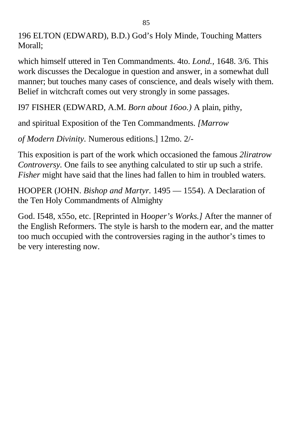196 ELTON (EDWARD), B.D.) God's Holy Minde, Touching Matters Morall;

which himself uttered in Ten Commandments. 4to. *Lond.,* 1648. 3/6. This work discusses the Decalogue in question and answer, in a somewhat dull manner; but touches many cases of conscience, and deals wisely with them. Belief in witchcraft comes out very strongly in some passages.

I97 FISHER (EDWARD, A.M. *Born about 16oo.)* A plain, pithy,

and spiritual Exposition of the Ten Commandments. *[Marrow*

*of Modern Divinity.* Numerous editions.] 12mo. 2/-

This exposition is part of the work which occasioned the famous *2liratrow Controversy.* One fails to see anything calculated to stir up such a strife. *Fisher* might have said that the lines had fallen to him in troubled waters.

HOOPER (JOHN. *Bishop and Martyr.* 1495 — 1554). A Declaration of the Ten Holy Commandments of Almighty

God. I548, x55o, etc. [Reprinted in H*ooper's Works.]* After the manner of the English Reformers. The style is harsh to the modern ear, and the matter too much occupied with the controversies raging in the author's times to be very interesting now.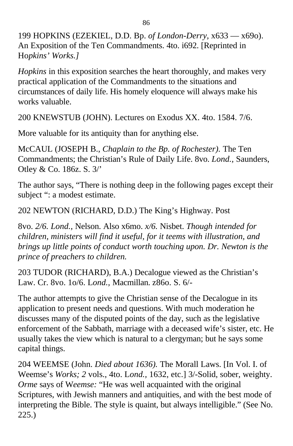199 HOPKINS (EZEKIEL, D.D. Bp. *of London-Derry,* x633 — x69o). An Exposition of the Ten Commandments. 4to. i692. [Reprinted in Ho*pkins' Works.]*

*Hopkins* in this exposition searches the heart thoroughly, and makes very practical application of the Commandments to the situations and circumstances of daily life. His homely eloquence will always make his works valuable.

200 KNEWSTUB (JOHN). Lectures on Exodus XX. 4to. 1584. 7/6.

More valuable for its antiquity than for anything else.

McCAUL (JOSEPH B., *Chaplain to the Bp. of Rochester).* The Ten Commandments; the Christian's Rule of Daily Life. 8vo. *Lond.,* Saunders, Otley & Co. 186z. S. 3/'

The author says, "There is nothing deep in the following pages except their subject ": a modest estimate.

202 NEWTON (RICHARD, D.D.) The King's Highway. Post

8vo. *2/6. Lond.,* Nelson. Also x6mo. *x/6.* Nisbet. *Though intended for children, ministers will find it useful, for it teems with illustration, and brings up little points of conduct worth touching upon. Dr. Newton is the prince of preachers to children.*

203 TUDOR (RICHARD), B.A.) Decalogue viewed as the Christian's Law. Cr. 8vo. 1o/6. L*ond.,* Macmillan. z86o. S. 6/-

The author attempts to give the Christian sense of the Decalogue in its application to present needs and questions. With much moderation he discusses many of the disputed points of the day, such as the legislative enforcement of the Sabbath, marriage with a deceased wife's sister, etc. He usually takes the view which is natural to a clergyman; but he says some capital things.

204 WEEMSE (John. *Died about 1636).* The Morall Laws. [In Vol. I. of Weemse's *Works; 2* vols., 4to. L*ond.,* 1632, etc.] 3/-Solid, sober, weighty. *Orme* says of W*eemse:* "He was well acquainted with the original Scriptures, with Jewish manners and antiquities, and with the best mode of interpreting the Bible. The style is quaint, but always intelligible." (See No. 225.)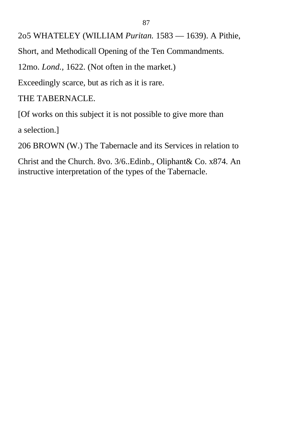2o5 WHATELEY (WILLIAM *Puritan.* 1583 — 1639). A Pithie,

Short, and Methodicall Opening of the Ten Commandments.

12mo. *Lond.,* 1622. (Not often in the market.)

Exceedingly scarce, but as rich as it is rare.

THE TABERNACLE.

[Of works on this subject it is not possible to give more than

a selection.]

206 BROWN (W.) The Tabernacle and its Services in relation to

Christ and the Church. 8vo. 3/6..Edinb., Oliphant& Co. x874. An instructive interpretation of the types of the Tabernacle.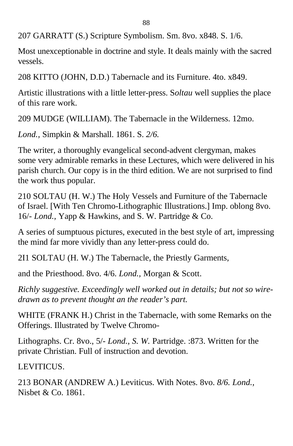207 GARRATT (S.) Scripture Symbolism. Sm. 8vo. x848. S. 1/6.

Most unexceptionable in doctrine and style. It deals mainly with the sacred vessels.

208 KITTO (JOHN, D.D.) Tabernacle and its Furniture. 4to. x849.

Artistic illustrations with a little letter-press. S*oltau* well supplies the place of this rare work.

209 MUDGE (WILLIAM). The Tabernacle in the Wilderness. 12mo.

*Lond.,* Simpkin & Marshall. 1861. S. *2/6.*

The writer, a thoroughly evangelical second-advent clergyman, makes some very admirable remarks in these Lectures, which were delivered in his parish church. Our copy is in the third edition. We are not surprised to find the work thus popular.

210 SOLTAU (H. W.) The Holy Vessels and Furniture of the Tabernacle of Israel. [With Ten Chromo-Lithographic Illustrations.] Imp. oblong 8vo. 16/- *Lond.,* Yapp & Hawkins, and S. W. Partridge & Co.

A series of sumptuous pictures, executed in the best style of art, impressing the mind far more vividly than any letter-press could do.

2I1 SOLTAU (H. W.) The Tabernacle, the Priestly Garments,

and the Priesthood. 8vo. 4/6. *Lond.,* Morgan & Scott.

*Richly suggestive. Exceedingly well worked out in details; but not so wiredrawn as to prevent thought an the reader's part.*

WHITE (FRANK H.) Christ in the Tabernacle, with some Remarks on the Offerings. Illustrated by Twelve Chromo-

Lithographs. Cr. 8vo., 5/- *Lond., S. W.* Partridge. :873. Written for the private Christian. Full of instruction and devotion.

LEVITICUS.

213 BONAR (ANDREW A.) Leviticus. With Notes. 8vo. *8/6. Lond.,* Nisbet & Co. 1861.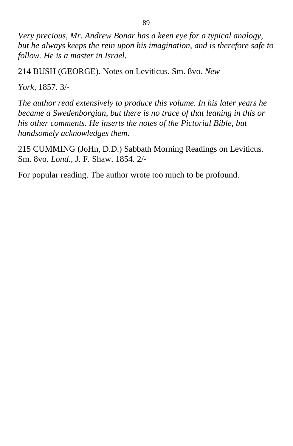*Very precious, Mr. Andrew Bonar has a keen eye for a typical analogy, but he always keeps the rein upon his imagination, and is therefore safe to follow. He is a master in Israel.*

214 BUSH (GEORGE). Notes on Leviticus. Sm. 8vo. *New*

*York,* 1857. 3/-

*The author read extensively to produce this volume. In his later years he became a Swedenborgian, but there is no trace of that leaning in this or his other comments. He inserts the notes of the Pictorial Bible, but handsomely acknowledges them.*

215 CUMMING (JoHn, D.D.) Sabbath Morning Readings on Leviticus. Sm. 8vo. *Lond.,* J. F. Shaw. 1854. 2/-

For popular reading. The author wrote too much to be profound.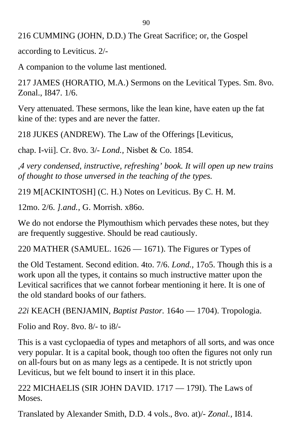216 CUMMING (JOHN, D.D.) The Great Sacrifice; or, the Gospel

according to Leviticus. 2/-

A companion to the volume last mentioned.

217 JAMES (HORATIO, M.A.) Sermons on the Levitical Types. Sm. 8vo. Zonal., I847. 1/6.

Very attenuated. These sermons, like the lean kine, have eaten up the fat kine of the: types and are never the fatter.

218 JUKES (ANDREW). The Law of the Offerings [Leviticus,

chap. I-vii]. Cr. 8vo. 3/- *Lond.,* Nisbet & Co. 1854.

*,4 very condensed, instructive, refreshing' book. It will open up new trains of thought to those unversed in the teaching of the types.*

219 M[ACKINTOSH] (C. H.) Notes on Leviticus. By C. H. M.

12mo. 2/6. *].and.,* G. Morrish. x86o.

We do not endorse the Plymouthism which pervades these notes, but they are frequently suggestive. Should be read cautiously.

220 MATHER (SAMUEL. 1626 — 1671). The Figures or Types of

the Old Testament. Second edition. 4to. 7/6. *Lond.,* 17o5. Though this is a work upon all the types, it contains so much instructive matter upon the Levitical sacrifices that we cannot forbear mentioning it here. It is one of the old standard books of our fathers.

*22i* KEACH (BENJAMIN, *Baptist Pastor.* 164o — 1704). Tropologia.

Folio and Roy. 8vo. 8/- to i8/-

This is a vast cyclopaedia of types and metaphors of all sorts, and was once very popular. It is a capital book, though too often the figures not only run on all-fours but on as many legs as a centipede. It is not strictly upon Leviticus, but we felt bound to insert it in this place.

222 MICHAELIS (SIR JOHN DAVID. 1717 — 179I). The Laws of Moses.

Translated by Alexander Smith, D.D. 4 vols., 8vo. at)/- *Zonal.,* I814.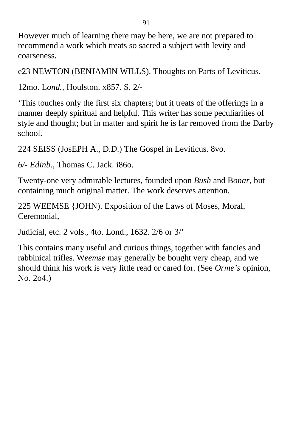However much of learning there may be here, we are not prepared to recommend a work which treats so sacred a subject with levity and coarseness.

e23 NEWTON (BENJAMIN WILLS). Thoughts on Parts of Leviticus.

12mo. L*ond.,* Houlston. x857. S. 2/-

'This touches only the first six chapters; but it treats of the offerings in a manner deeply spiritual and helpful. This writer has some peculiarities of style and thought; but in matter and spirit he is far removed from the Darby school.

224 SEISS (JosEPH A., D.D.) The Gospel in Leviticus. 8vo.

*6/- Edinb.,* Thomas C. Jack. i86o.

Twenty-one very admirable lectures, founded upon *Bush* and B*onar,* but containing much original matter. The work deserves attention.

225 WEEMSE {JOHN). Exposition of the Laws of Moses, Moral, Ceremonial,

Judicial, etc. 2 vols., 4to. Lond., 1632. 2/6 or 3/'

This contains many useful and curious things, together with fancies and rabbinical trifles. W*eemse* may generally be bought very cheap, and we should think his work is very little read or cared for. (See *Orme's* opinion, No. 2o4.)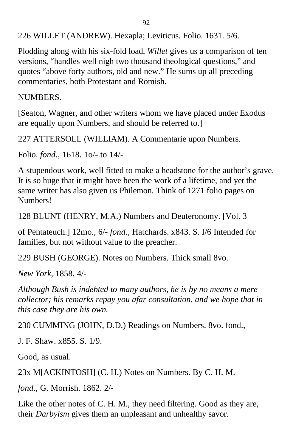226 WILLET (ANDREW). Hexapla; Leviticus. Folio. 1631. 5/6.

Plodding along with his six-fold load, *Willet* gives us a comparison of ten versions, "handles well nigh two thousand theological questions," and quotes "above forty authors, old and new." He sums up all preceding commentaries, both Protestant and Romish.

NUMBERS.

[Seaton, Wagner, and other writers whom we have placed under Exodus are equally upon Numbers, and should be referred to.]

227 ATTERSOLL (WILLIAM). A Commentarie upon Numbers.

Folio. *fond.,* 1618. 1o/- to 14/-

A stupendous work, well fitted to make a headstone for the author's grave. It is so huge that it might have been the work of a lifetime, and yet the same writer has also given us Philemon. Think of 1271 folio pages on Numbers!

128 BLUNT (HENRY, M.A.) Numbers and Deuteronomy. [Vol. 3

of Pentateuch.] 12mo., 6/- *fond.,* Hatchards. x843. S. I/6 Intended for families, but not without value to the preacher.

229 BUSH (GEORGE). Notes on Numbers. Thick small 8vo.

*New York,* 1858. 4/-

*Although Bush is indebted to many authors, he is by no means a mere collector; his remarks repay you afar consultation, and we hope that in this case they are his own.*

230 CUMMING (JOHN, D.D.) Readings on Numbers. 8vo. fond.,

J. F. Shaw. x855. S. 1/9.

Good, as usual.

23x M[ACKINTOSH] (C. H.) Notes on Numbers. By C. H. M.

*fond.,* G. Morrish. 1862. 2/-

Like the other notes of C. H. M., they need filtering. Good as they are, their *Darbyism* gives them an unpleasant and unhealthy savor.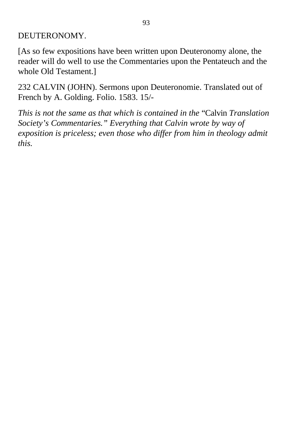DEUTERONOMY.

[As so few expositions have been written upon Deuteronomy alone, the reader will do well to use the Commentaries upon the Pentateuch and the whole Old Testament.]

232 CALVIN (JOHN). Sermons upon Deuteronomie. Translated out of French by A. Golding. Folio. 1583. 15/-

*This is not the same as that which is contained in the* "Calvin *Translation Society's Commentaries." Everything that Calvin wrote by way of exposition is priceless; even those who differ from him in theology admit this.*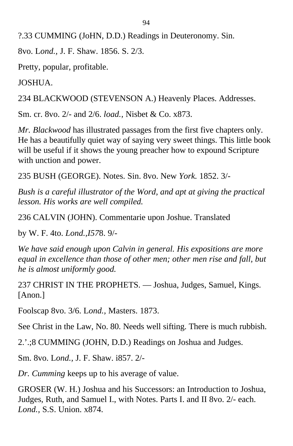?.33 CUMMING (JoHN, D.D.) Readings in Deuteronomy. Sin.

8vo. L*ond.,* J. F. Shaw. 1856. S. 2/3.

Pretty, popular, profitable.

JOSHUA.

234 BLACKWOOD (STEVENSON A.) Heavenly Places. Addresses.

Sm. cr. 8vo. 2/- and 2/6. *load.,* Nisbet & Co. x873.

*Mr. Blackwood* has illustrated passages from the first five chapters only. He has a beautifully quiet way of saying very sweet things. This little book will be useful if it shows the young preacher how to expound Scripture with unction and power.

235 BUSH (GEORGE). Notes. Sin. 8vo. New *York.* 1852. 3/-

*Bush is a careful illustrator of the Word, and apt at giving the practical lesson. His works are well compiled.*

236 CALVIN (JOHN). Commentarie upon Joshue. Translated

by W. F. 4to. *Lond.,I57*8. 9/-

*We have said enough upon Calvin in general. His expositions are more equal in excellence than those of other men; other men rise and fall, but he is almost uniformly good.*

237 CHRIST IN THE PROPHETS. — Joshua, Judges, Samuel, Kings. [Anon.]

Foolscap 8vo. 3/6. L*ond.,* Masters. 1873.

See Christ in the Law, No. 80. Needs well sifting. There is much rubbish.

2.'.;8 CUMMING (JOHN, D.D.) Readings on Joshua and Judges.

Sm. 8vo. L*ond.,* J. F. Shaw. i857. 2/-

*Dr. Cumming* keeps up to his average of value.

GROSER (W. H.) Joshua and his Successors: an Introduction to Joshua, Judges, Ruth, and Samuel I., with Notes. Parts I. and II 8vo. 2/- each. *Lond.,* S.S. Union. x874.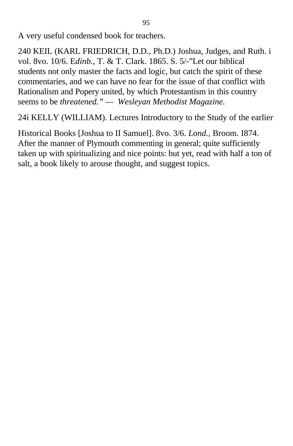A very useful condensed book for teachers.

240 KEIL (KARL FRIEDRICH, D.D., Ph.D.) Joshua, Judges, and Ruth. i vol. 8vo. 10/6. E*dinb.,* T. & T. Clark. 1865. S. 5/-"Let our biblical students not only master the facts and logic, but catch the spirit of these commentaries, and we can have no fear for the issue of that conflict with Rationalism and Popery united, by which Protestantism in this country seems to be *threatened." — Wesleyan Methodist Magazine.*

24i KELLY (WILLIAM). Lectures Introductory to the Study of the earlier

Historical Books [Joshua to II Samuel]. 8vo. 3/6. *Lond.,* Broom. I874. After the manner of Plymouth commenting in general; quite sufficiently taken up with spiritualizing and nice points: but yet, read with half a ton of salt, a book likely to arouse thought, and suggest topics.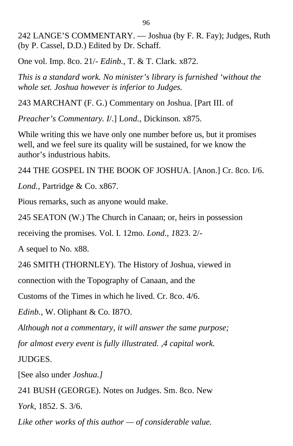242 LANGE'S COMMENTARY. — Joshua (by F. R. Fay); Judges, Ruth (by P. Cassel, D.D.) Edited by Dr. Schaff.

One vol. Imp. 8co. 21/- *Edinb.,* T. & T. Clark. x872.

*This is a standard work. No minister's library is furnished 'without the whole set. Joshua however is inferior to Judges.*

243 MARCHANT (F. G.) Commentary on Joshua. [Part III. of

*Preacher's Commentary. I*/.] L*ond.,* Dickinson. x875.

While writing this we have only one number before us, but it promises well, and we feel sure its quality will be sustained, for we know the author's industrious habits.

244 THE GOSPEL IN THE BOOK OF JOSHUA. [Anon.] Cr. 8co. I/6.

*Lond.,* Partridge & Co. x867.

Pious remarks, such as anyone would make.

245 SEATON (W.) The Church in Canaan; or, heirs in possession

receiving the promises. Vol. I. 12mo. *Lond., 1*823. 2/-

A sequel to No. x88.

246 SMITH (THORNLEY). The History of Joshua, viewed in

connection with the Topography of Canaan, and the

Customs of the Times in which he lived. Cr. 8co. 4/6.

*Edinb.,* W. Oliphant & Co. I87O.

*Although not a commentary, it will answer the same purpose;*

*for almost every event is fully illustrated. ,4 capital work.*

JUDGES.

[See also under *Joshua.]*

241 BUSH (GEORGE). Notes on Judges. Sm. 8co. New

*York,* 1852. S. 3/6.

*Like other works of this author — of considerable value.*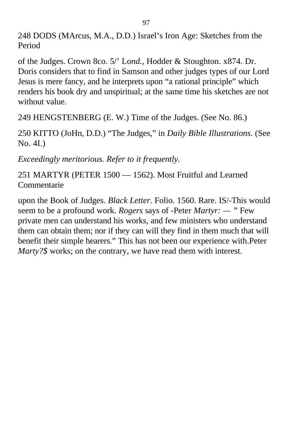248 DODS (MArcus, M.A., D.D.) Israel's Iron Age: Sketches from the Period

of the Judges. Crown 8co. 5/' Lo*nd.,* Hodder & Stoughton. x874. Dr. Doris considers that to find in Samson and other judges types of our Lord Jesus is mere fancy, and he interprets upon "a rational principle" which renders his book dry and unspiritual; at the same time his sketches are not without value.

249 HENGSTENBERG (E. W.) Time of the Judges. (See No. 86.)

250 KITTO (JoHn, D.D.) "The Judges," in *Daily Bible Illustrations.* (See No. 4I.)

*Exceedingly meritorious. Refer to it frequently.*

251 MARTYR (PETER 1500 — 1562). Most Fruitful and Learned Commentarie

upon the Book of Judges. *Black Letter.* Folio. 1560. Rare. IS/-This would seem to be a profound work. *Rogers* says of -Peter *Martyr: — "* Few private men can understand his works, and few ministers who understand them can obtain them; nor if they can will they find in them much that will benefit their simple hearers." This has not been our experience with.Peter *Marty?\$* works; on the contrary, we have read them with interest.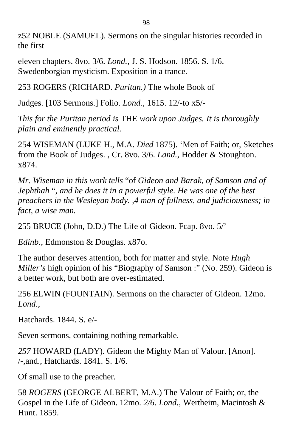z52 NOBLE (SAMUEL). Sermons on the singular histories recorded in the first

eleven chapters. 8vo. 3/6. *Lond.,* J. S. Hodson. 1856. S. 1/6. Swedenborgian mysticism. Exposition in a trance.

253 ROGERS (RICHARD. *Puritan.)* The whole Book of

Judges. [103 Sermons.] Folio. *Lond.,* 1615. 12/-to x5/-

*This for the Puritan period is* THE *work upon Judges. It is thoroughly plain and eminently practical.*

254 WISEMAN (LUKE H., M.A. *Died* 1875). 'Men of Faith; or, Sketches from the Book of Judges. , Cr. 8vo. 3/6. *Land.,* Hodder & Stoughton. x874.

*Mr. Wiseman in this work tells* "of *Gideon and Barak, of Samson and of Jephthah* ", *and he does it in a powerful style. He was one of the best preachers in the Wesleyan body. ,4 man of fullness, and judiciousness; in fact, a wise man.*

255 BRUCE (John, D.D.) The Life of Gideon. Fcap. 8vo. 5/'

*Edinb.,* Edmonston & Douglas. x87o.

The author deserves attention, both for matter and style. Note *Hugh Miller's* high opinion of his "Biography of Samson :" (No. 259). Gideon is a better work, but both are over-estimated.

256 ELWIN (FOUNTAIN). Sermons on the character of Gideon. 12mo. *Lond.,*

Hatchards. 1844. S. e/-

Seven sermons, containing nothing remarkable.

*257* HOWARD (LADY). Gideon the Mighty Man of Valour. [Anon]. /-,and., Hatchards. 1841. S. 1/6.

Of small use to the preacher.

58 *ROGERS* (GEORGE ALBERT, M.A.) The Valour of Faith; or, the Gospel in the Life of Gideon. 12mo. *2/6. Lond.,* Wertheim, Macintosh & Hunt. 1859.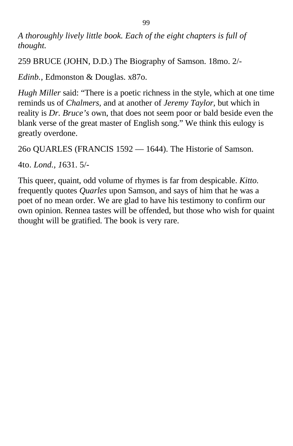*A thoroughly lively little book. Each of the eight chapters is full of thought.*

259 BRUCE (JOHN, D.D.) The Biography of Samson. 18mo. 2/-

*Edinb.,* Edmonston & Douglas. x87o.

*Hugh Miller* said: "There is a poetic richness in the style, which at one time reminds us of *Chalmers,* and at another of *Jeremy Taylor,* but which in reality is *Dr. Bruce's* own, that does not seem poor or bald beside even the blank verse of the great master of English song." We think this eulogy is greatly overdone.

26o QUARLES (FRANCIS 1592 — 1644). The Historie of Samson.

4to. *Lond., 1*631. 5/-

This queer, quaint, odd volume of rhymes is far from despicable. *Kitto.* frequently quotes *Quarles* upon Samson, and says of him that he was a poet of no mean order. We are glad to have his testimony to confirm our own opinion. Rennea tastes will be offended, but those who wish for quaint thought will be gratified. The book is very rare.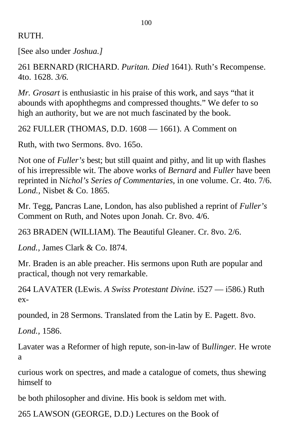RUTH.

[See also under *Joshua.]*

261 BERNARD (RICHARD. *Puritan. Died* 1641). Ruth's Recompense. 4to. 1628. *3/6.*

*Mr. Grosart* is enthusiastic in his praise of this work, and says "that it abounds with apophthegms and compressed thoughts." We defer to so high an authority, but we are not much fascinated by the book.

262 FULLER (THOMAS, D.D. 1608 — 1661). A Comment on

Ruth, with two Sermons. 8vo. 165o.

Not one of *Fuller's* best; but still quaint and pithy, and lit up with flashes of his irrepressible wit. The above works of *Bernard* and *Fuller* have been reprinted in N*ichol's Series of Commentaries,* in one volume. Cr. 4to. 7/6. L*ond.,* Nisbet & Co. 1865.

Mr. Tegg, Pancras Lane, London, has also published a reprint of *Fuller's* Comment on Ruth, and Notes upon Jonah. Cr. 8vo. 4/6.

263 BRADEN (WILLIAM). The Beautiful Gleaner. Cr. 8vo. 2/6.

*Lond.,* James Clark & Co. I874.

Mr. Braden is an able preacher. His sermons upon Ruth are popular and practical, though not very remarkable.

264 LAVATER (LEwis. *A Swiss Protestant Divine.* i527 — i586.) Ruth ex-

pounded, in 28 Sermons. Translated from the Latin by E. Pagett. 8vo.

*Lond.,* 1586.

Lavater was a Reformer of high repute, son-in-law of B*ullinger.* He wrote a

curious work on spectres, and made a catalogue of comets, thus shewing himself to

be both philosopher and divine. His book is seldom met with.

265 LAWSON (GEORGE, D.D.) Lectures on the Book of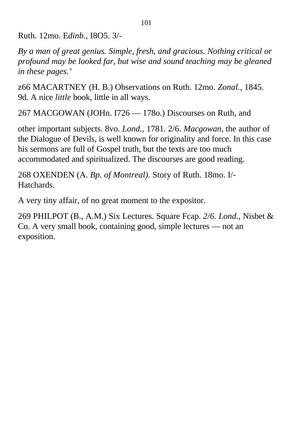Ruth. 12mo. E*dinb.,* I8O5. 3/-

*By a man of great genius. Simple, fresh, and gracious. Nothing critical or profound may be looked far, but wise and sound teaching may be gleaned in these pages.'*

z66 MACARTNEY (H. B.) Observations on Ruth. 12mo. *Zonal.,* 1845. 9d. A nice *little* book, little in all ways.

267 MACGOWAN (JOHn. I726 — 178o.) Discourses on Ruth, and

other important subjects. 8vo. *Lond.,* 1781. 2/6. *Macgowan,* the author of the Dialogue of Devils, is well known for originality and force. In this case his sermons are full of Gospel truth, but the texts are too much accommodated and spiritualized. The discourses are good reading.

268 OXENDEN (A. *Bp. of Montreal).* Story of Ruth. 18mo. I/- Hatchards.

A very tiny affair, of no great moment to the expositor.

269 PHILPOT (B., A.M.) Six Lectures. Square Fcap. *2/6. Lond.,* Nisbet & Co. A very small book, containing good, simple lectures — not an exposition.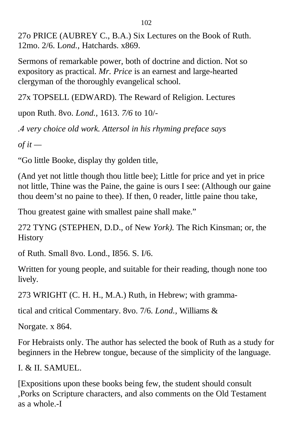27o PRICE (AUBREY C., B.A.) Six Lectures on the Book of Ruth. 12mo. 2/6. L*ond.,* Hatchards. x869.

Sermons of remarkable power, both of doctrine and diction. Not so expository as practical. *Mr. Price* is an earnest and large-hearted clergyman of the thoroughly evangelical school.

27x TOPSELL (EDWARD). The Reward of Religion. Lectures

upon Ruth. 8vo. *Lond.,* 1613. *7/6* to 10/-

*.4 very choice old work. Attersol in his rhyming preface says*

*of it —*

"Go little Booke, display thy golden title,

(And yet not little though thou little bee); Little for price and yet in price not little, Thine was the Paine, the gaine is ours I see: (Although our gaine thou deem'st no paine to thee). If then, 0 reader, little paine thou take,

Thou greatest gaine with smallest paine shall make."

272 TYNG (STEPHEN, D.D., of New *York).* The Rich Kinsman; or, the **History** 

of Ruth. Small 8vo. Lond., I856. S. I/6.

Written for young people, and suitable for their reading, though none too lively.

273 WRIGHT (C. H. H., M.A.) Ruth, in Hebrew; with gramma-

tical and critical Commentary. 8vo. 7/6. *Lond.,* Williams &

Norgate. x 864.

For Hebraists only. The author has selected the book of Ruth as a study for beginners in the Hebrew tongue, because of the simplicity of the language.

I. & II. SAMUEL.

[Expositions upon these books being few, the student should consult ,Porks on Scripture characters, and also comments on the Old Testament as a whole.-I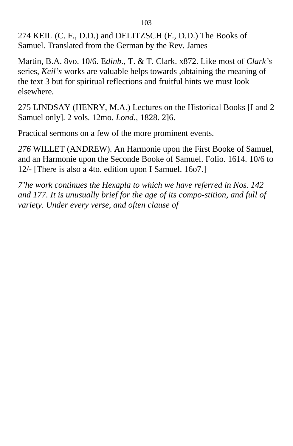274 KEIL (C. F., D.D.) and DELITZSCH (F., D.D.) The Books of Samuel. Translated from the German by the Rev. James

Martin, B.A. 8vo. 10/6. E*dinb.,* T. & T. Clark. x872. Like most of *Clark's* series, *Keil's* works are valuable helps towards ,obtaining the meaning of the text 3 but for spiritual reflections and fruitful hints we must look elsewhere.

275 LINDSAY (HENRY, M.A.) Lectures on the Historical Books [I and 2 Samuel only]. 2 vols. 12mo. *Lond.,* 1828. 2]6.

Practical sermons on a few of the more prominent events.

*276* WILLET (ANDREW). An Harmonie upon the First Booke of Samuel, and an Harmonie upon the Seconde Booke of Samuel. Folio. 1614. 10/6 to 12/- [There is also a 4to. edition upon I Samuel. 16o7.]

*7'he work continues the Hexapla to which we have referred in Nos. 142 and 177. It is unusually brief for the age of its compo-stition, and full of variety. Under every verse, and often clause of*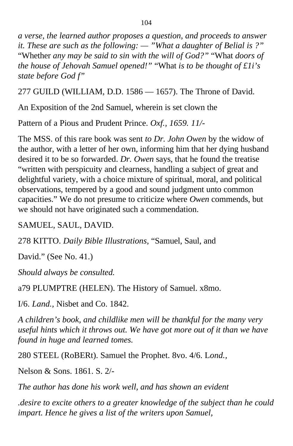*a verse, the learned author proposes a question, and proceeds to answer it. These are such as the following: — "What a daughter of Belial is ?"* "Whether *any may be said to sin with the will of God?"* "What *doors of the house of Jehovah Samuel opened!"* "What *is to be thought of £1i's state before God f"*

277 GUILD (WILLIAM, D.D. 1586 — 1657). The Throne of David.

An Exposition of the 2nd Samuel, wherein is set clown the

Pattern of a Pious and Prudent Prince. *Oxf., 1659. 11/-*

The MSS. of this rare book was sent *to Dr. John Owen* by the widow of the author, with a letter of her own, informing him that her dying husband desired it to be so forwarded. *Dr. Owen* says, that he found the treatise "written with perspicuity and clearness, handling a subject of great and delightful variety, with a choice mixture of spiritual, moral, and political observations, tempered by a good and sound judgment unto common capacities." We do not presume to criticize where *Owen* commends, but we should not have originated such a commendation.

SAMUEL, SAUL, DAVID.

278 KITTO. *Daily Bible Illustrations,* "Samuel, Saul, and

David." (See No. 41.)

*Should always be consulted.*

a79 PLUMPTRE (HELEN). The History of Samuel. x8mo.

I/6. *Land.,* Nisbet and Co. 1842.

*A children's book, and childlike men will be thankful for the many very useful hints which it throws out. We have got more out of it than we have found in huge and learned tomes.*

280 STEEL (RoBERt). Samuel the Prophet. 8vo. 4/6. L*ond.,*

Nelson & Sons. 1861. S. 2/-

*The author has done his work well, and has shown an evident*

*.desire to excite others to a greater knowledge of the subject than he could impart. Hence he gives a list of the writers upon Samuel,*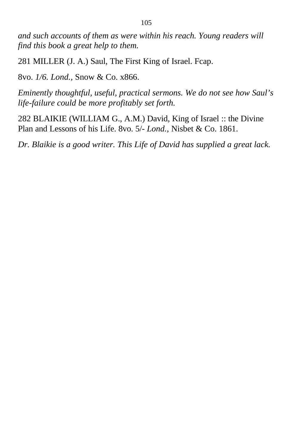*and such accounts of them as were within his reach. Young readers will find this book a great help to them.*

281 MILLER (J. A.) Saul, The First King of Israel. Fcap.

8vo. *1/6. Lond.,* Snow & Co. x866.

*Eminently thoughtful, useful, practical sermons. We do not see how Saul's life-failure could be more profitably set forth.*

282 BLAIKIE (WILLIAM G., A.M.) David, King of Israel :: the Divine Plan and Lessons of his Life. 8vo. 5/- *Lond.,* Nisbet & Co. 1861.

*Dr. Blaikie is a good writer. This Life of David has supplied a great lack.*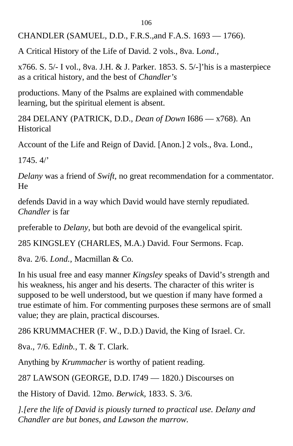106

CHANDLER (SAMUEL, D.D., F.R.S.,and F.A.S. 1693 — 1766).

A Critical History of the Life of David. 2 vols., 8va. L*ond.,*

x766. S. 5/- I vol., 8va. J.H. & J. Parker. 1853. S. 5/-]'his is a masterpiece as a critical history, and the best of *Chandler's*

productions. Many of the Psalms are explained with commendable learning, but the spiritual element is absent.

284 DELANY (PATRICK, D.D., *Dean of Down* I686 — x768). An **Historical** 

Account of the Life and Reign of David. [Anon.] 2 vols., 8va. Lond.,

1745. 4/'

*Delany* was a friend of *Swift,* no great recommendation for a commentator. He

defends David in a way which David would have sternly repudiated. *Chandler* is far

preferable to *Delany,* but both are devoid of the evangelical spirit.

285 KINGSLEY (CHARLES, M.A.) David. Four Sermons. Fcap.

8va. 2/6. *Lond.,* Macmillan & Co.

In his usual free and easy manner *Kingsley* speaks of David's strength and his weakness, his anger and his deserts. The character of this writer is supposed to be well understood, but we question if many have formed a true estimate of him. For commenting purposes these sermons are of small value; they are plain, practical discourses.

286 KRUMMACHER (F. W., D.D.) David, the King of Israel. Cr.

8va., 7/6. E*dinb.,* T. & T. Clark.

Anything by *Krummacher* is worthy of patient reading.

287 LAWSON (GEORGE, D.D. I749 — 1820.) Discourses on

the History of David. 12mo. *Berwick,* 1833. S. 3/6.

*].[ere the life of David is piously turned to practical use. Delany and Chandler are but bones, and Lawson the marrow.*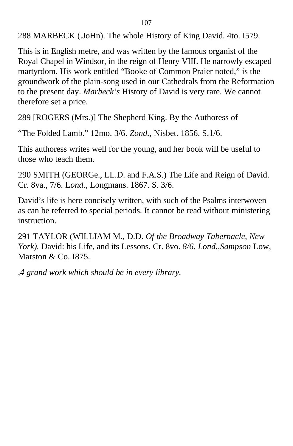288 MARBECK (.JoHn). The whole History of King David. 4to. I579.

This is in English metre, and was written by the famous organist of the Royal Chapel in Windsor, in the reign of Henry VIII. He narrowly escaped martyrdom. His work entitled "Booke of Common Praier noted," is the groundwork of the plain-song used in our Cathedrals from the Reformation to the present day. *Marbeck's* History of David is very rare. We cannot therefore set a price.

289 [ROGERS (Mrs.)] The Shepherd King. By the Authoress of

"The Folded Lamb." 12mo. 3/6. *Zond.,* Nisbet. 1856. S.1/6.

This authoress writes well for the young, and her book will be useful to those who teach them.

290 SMITH (GEORGe., LL.D. and F.A.S.) The Life and Reign of David. Cr. 8va., 7/6. L*ond.,* Longmans. 1867. S. 3/6.

David's life is here concisely written, with such of the Psalms interwoven as can be referred to special periods. It cannot be read without ministering instruction.

291 TAYLOR (WILLIAM M., D.D. *Of the Broadway Tabernacle, New York).* David: his Life, and its Lessons. Cr. 8vo. *8/6. Lond.,Sampson* Low, Marston & Co. I875.

*,4 grand work which should be in every library.*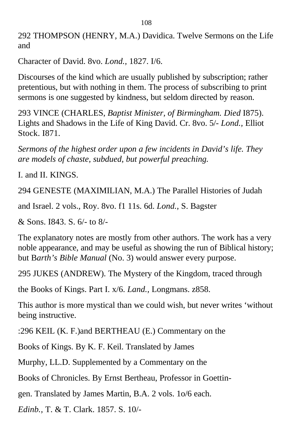292 THOMPSON (HENRY, M.A.) Davidica. Twelve Sermons on the Life and

Character of David. 8vo. *Lond.,* 1827. I/6.

Discourses of the kind which are usually published by subscription; rather pretentious, but with nothing in them. The process of subscribing to print sermons is one suggested by kindness, but seldom directed by reason.

293 VINCE (CHARLES, *Baptist Minister, of Birmingham. Died* I875). Lights and Shadows in the Life of King David. Cr. 8vo. 5/- *Lond.,* Elliot Stock. I871.

*Sermons of the highest order upon a few incidents in David's life. They are models of chaste, subdued, but powerful preaching.*

I. and II. KINGS.

294 GENESTE (MAXIMILIAN, M.A.) The Parallel Histories of Judah

and Israel. 2 vols., Roy. 8vo. f1 11s. 6d. *Lond.,* S. Bagster

& Sons. I843. S. 6/- to 8/-

The explanatory notes are mostly from other authors. The work has a very noble appearance, and may be useful as showing the run of Biblical history; but B*arth's Bible Manual* (No. 3) would answer every purpose.

295 JUKES (ANDREW). The Mystery of the Kingdom, traced through

the Books of Kings. Part I. x/6. *Land.,* Longmans. z858.

This author is more mystical than we could wish, but never writes 'without being instructive.

:296 KEIL (K. F.)and BERTHEAU (E.) Commentary on the

Books of Kings. By K. F. Keil. Translated by James

Murphy, LL.D. Supplemented by a Commentary on the

Books of Chronicles. By Ernst Bertheau, Professor in Goettin-

gen. Translated by James Martin, B.A. 2 vols. 1o/6 each.

*Edinb.,* T. & T. Clark. 1857. S. 10/-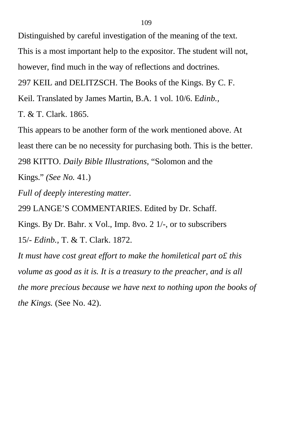Distinguished by careful investigation of the meaning of the text. This is a most important help to the expositor. The student will not, however, find much in the way of reflections and doctrines. 297 KEIL and DELITZSCH. The Books of the Kings. By C. F. Keil. Translated by James Martin, B.A. 1 vol. 10/6. E*dinb.,* T. & T. Clark. 1865.

This appears to be another form of the work mentioned above. At least there can be no necessity for purchasing both. This is the better. 298 KITTO. *Daily Bible Illustrations,* "Solomon and the Kings." *(See No.* 41.) *Full of deeply interesting matter.* 299 LANGE'S COMMENTARIES. Edited by Dr. Schaff. Kings. By Dr. Bahr. x Vol., Imp. 8vo. 2 1/-, or to subscribers 15/- *Edinb.,* T. & T. Clark. 1872.

*It must have cost great effort to make the homiletical part o£ this volume as good as it is. It is a treasury to the preacher, and is all the more precious because we have next to nothing upon the books of the Kings.* (See No. 42).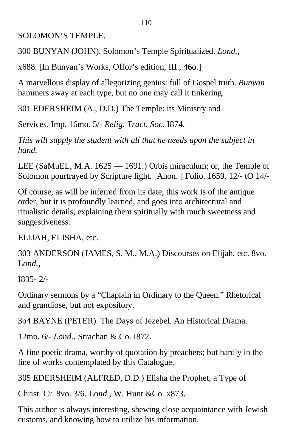SOLOMON'S TEMPLE.

300 BUNYAN (JOHN). Solomon's Temple Spiritualized. *Lond.,*

x688. [In Bunyan's Works, Offor's edition, III., 46o.]

A marvellous display of allegorizing genius: full of Gospel truth. *Bunyan* hammers away at each type, but no one may call it tinkering.

301 EDERSHEIM (A., D.D.) The Temple: its Ministry and

Services. Imp. 16mo. 5/- *Relig. Tract. Soc.* I874.

*This will supply the student with all that he needs upon the subject in hand.*

LEE (SaMuEL, M.A. 1625 — 1691.) Orbis miraculum; or, the Temple of Solomon pourtrayed by Scripture light. [Anon. ] Folio. 1659. 12/- tO 14/-

Of course, as will be inferred from its date, this work is of the antique order, but it is profoundly learned, and goes into architectural and ritualistic details, explaining them spiritually with much sweetness and suggestiveness.

ELIJAH, ELISHA, etc.

303 ANDERSON (JAMES, S. M., M.A.) Discourses on Elijah, etc. 8vo. L*ond.,*

I835- 2/-

Ordinary sermons by a "Chaplain in Ordinary to the Queen." Rhetorical and grandiose, but not expository.

3o4 BAYNE (PETER). The Days of Jezebel. An Historical Drama.

12mo. 6/- *Lond.,* Strachan & Co. I872.

A fine poetic drama, worthy of quotation by preachers; but hardly in the line of works contemplated by this Catalogue.

305 EDERSHEIM (ALFRED, D.D.) Elisha the Prophet, a Type of

Christ. Cr. 8vo. 3/6. Lo*nd.,* W. Hunt &Co. x873.

This author is always interesting, shewing close acquaintance with Jewish customs, and knowing how to utilize his information.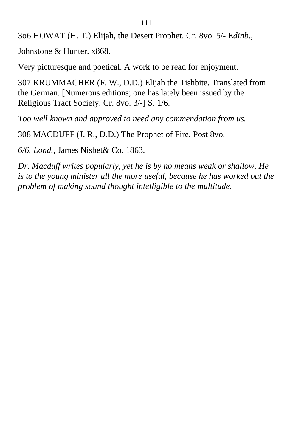3o6 HOWAT (H. T.) Elijah, the Desert Prophet. Cr. 8vo. 5/- E*dinb.,*

Johnstone & Hunter. x868.

Very picturesque and poetical. A work to be read for enjoyment.

307 KRUMMACHER (F. W., D.D.) Elijah the Tishbite. Translated from the German. [Numerous editions; one has lately been issued by the Religious Tract Society. Cr. 8vo. 3/-] S. 1/6.

*Too well known and approved to need any commendation from us.*

308 MACDUFF (J. R., D.D.) The Prophet of Fire. Post 8vo.

*6/6. Lond.,* James Nisbet& Co. 1863.

*Dr. Macduff writes popularly, yet he is by no means weak or shallow, He is to the young minister all the more useful, because he has worked out the problem of making sound thought intelligible to the multitude.*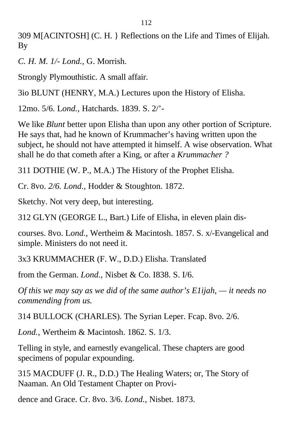309 M[ACINTOSH] (C. H. } Reflections on the Life and Times of Elijah. By

*C. H. M. 1/- Lond.,* G. Morrish.

Strongly Plymouthistic. A small affair.

3io BLUNT (HENRY, M.A.) Lectures upon the History of Elisha.

12mo. 5/6. L*ond.,* Hatchards. 1839. S. 2/'-

We like *Blunt* better upon Elisha than upon any other portion of Scripture. He says that, had he known of Krummacher's having written upon the subject, he should not have attempted it himself. A wise observation. What shall he do that cometh after a King, or after a *Krummacher ?*

311 DOTHIE (W. P., M.A.) The History of the Prophet Elisha.

Cr. 8vo. *2/6. Lond.,* Hodder & Stoughton. 1872.

Sketchy. Not very deep, but interesting.

312 GLYN (GEORGE L., Bart.) Life of Elisha, in eleven plain dis-

courses. 8vo. L*ond.,* Wertheim & Macintosh. 1857. S. x/-Evangelical and simple. Ministers do not need it.

3x3 KRUMMACHER (F. W., D.D.) Elisha. Translated

from the German. *Lond.,* Nisbet & Co. I838. S. I/6.

*Of this we may say as we did of the same author's E1ijah, — it needs no commending from us.*

314 BULLOCK (CHARLES). The Syrian Leper. Fcap. 8vo. 2/6.

*Lond.,* Wertheim & Macintosh. 1862. S. 1/3.

Telling in style, and earnestly evangelical. These chapters are good specimens of popular expounding.

315 MACDUFF (J. R., D.D.) The Healing Waters; or, The Story of Naaman. An Old Testament Chapter on Provi-

dence and Grace. Cr. 8vo. 3/6. *Lond.,* Nisbet. 1873.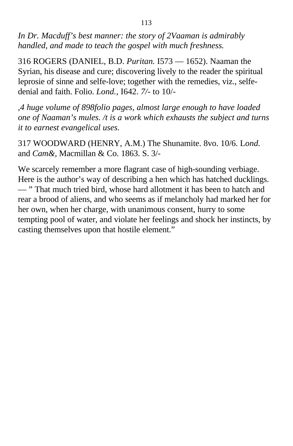*In Dr. Macduff's best manner: the story of 2Vaaman is admirably handled, and made to teach the gospel with much freshness.*

316 ROGERS (DANIEL, B.D. *Puritan.* I573 — 1652). Naaman the Syrian, his disease and cure; discovering lively to the reader the spiritual leprosie of sinne and selfe-love; together with the remedies, viz., selfedenial and faith. Folio. *Lond.,* I642. *7/-* to 10/-

*,4 huge volume of 898folio pages, almost large enough to have loaded one of Naaman's mules. /t is a work which exhausts the subject and turns it to earnest evangelical uses.*

317 WOODWARD (HENRY, A.M.) The Shunamite. 8vo. 10/6. L*ond.* and *Cam&,* Macmillan & Co. 1863. S. 3/-

We scarcely remember a more flagrant case of high-sounding verbiage. Here is the author's way of describing a hen which has hatched ducklings. — " That much tried bird, whose hard allotment it has been to hatch and rear a brood of aliens, and who seems as if melancholy had marked her for her own, when her charge, with unanimous consent, hurry to some tempting pool of water, and violate her feelings and shock her instincts, by casting themselves upon that hostile element."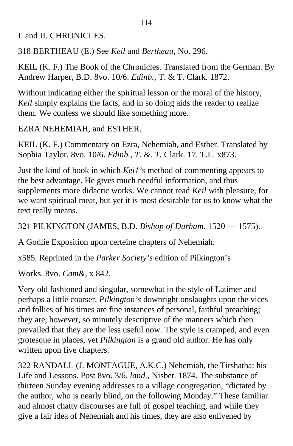I. and II. CHRONICLES.

318 BERTHEAU (E.) See *Keil* and *Bertheau,* No. 296.

KEIL (K. F.) The Book of the Chronicles. Translated from the German. By Andrew Harper, B.D. 8vo. 10/6. *Edinb.,* T. & T. Clark. 1872.

Without indicating either the spiritual lesson or the moral of the history, *Keil* simply explains the facts, and in so doing aids the reader to realize them. We confess we should like something more.

EZRA NEHEMIAH, and ESTHER.

KEIL (K. F.) Commentary on Ezra, Nehemiah, and Esther. Translated by Sophia Taylor. 8vo. 10/6. *Edinb., T. &. T.* Clark. 17. T.L. x873.

Just the kind of book in which *Kei1's* method of commenting appears to the best advantage. He gives much needful information, and thus supplements more didactic works. We cannot read *Keil* with pleasure, for we want spiritual meat, but yet it is most desirable for us to know what the text really means.

321 PILKINGTON (JAMES, B.D. *Bishop of Durham.* 1520 — 1575).

A Godlie Exposition upon certeine chapters of Nehemiah.

x585. Reprinted in the *Parker Society's* edition of Pilkington's

Works. 8vo. *Cam&,* x 842.

Very old fashioned and singular, somewhat in the style of Latimer and perhaps a little coarser. *Pilkington's* downright onslaughts upon the vices and follies of his times are fine instances of personal, faithful preaching; they are, however, so minutely descriptive of the manners which then prevailed that they are the less useful now. The style is cramped, and even grotesque in places, yet *Pilkington* is a grand old author. He has only written upon five chapters.

322 RANDALL (J. MONTAGUE, A.K.C.) Nehemiah, the Tirshatha: his Life and Lessons. Post 8vo. 3/6. *land.,* Nisbet. 1874. The substance of thirteen Sunday evening addresses to a village congregation, "dictated by the author, who is nearly blind, on the following Monday." These familiar and almost chatty discourses are full of gospel teaching, and while they give a fair idea of Nehemiah and his times, they are also enlivened by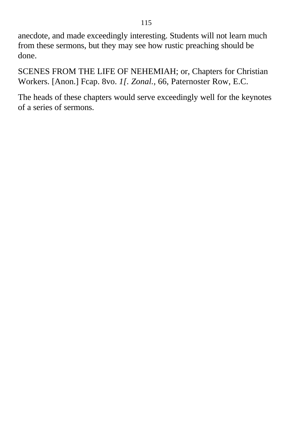anecdote, and made exceedingly interesting. Students will not learn much from these sermons, but they may see how rustic preaching should be done.

SCENES FROM THE LIFE OF NEHEMIAH; or, Chapters for Christian Workers. [Anon.] Fcap. 8vo. *1[. Zonal.,* 66, Paternoster Row, E.C.

The heads of these chapters would serve exceedingly well for the keynotes of a series of sermons.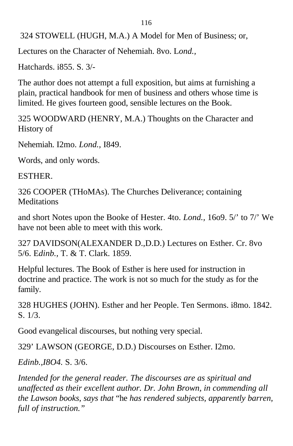324 STOWELL (HUGH, M.A.) A Model for Men of Business; or,

Lectures on the Character of Nehemiah. 8vo. L*ond.,*

Hatchards. i855. S. 3/-

The author does not attempt a full exposition, but aims at furnishing a plain, practical handbook for men of business and others whose time is limited. He gives fourteen good, sensible lectures on the Book.

325 WOODWARD (HENRY, M.A.) Thoughts on the Character and History of

Nehemiah. I2mo. *Lond.,* I849.

Words, and only words.

ESTHER.

326 COOPER (THoMAs). The Churches Deliverance; containing **Meditations** 

and short Notes upon the Booke of Hester. 4to. *Lond.,* 16o9. 5/' to 7/' We have not been able to meet with this work.

327 DAVIDSON(ALEXANDER D.,D.D.) Lectures on Esther. Cr. 8vo 5/6. E*dinb.,* T. & T. Clark. 1859.

Helpful lectures. The Book of Esther is here used for instruction in doctrine and practice. The work is not so much for the study as for the family.

328 HUGHES (JOHN). Esther and her People. Ten Sermons. i8mo. 1842. S. 1/3.

Good evangelical discourses, but nothing very special.

329' LAWSON (GEORGE, D.D.) Discourses on Esther. I2mo.

*Edinb.,I8O4.* S. 3/6.

*Intended for the general reader. The discourses are as spiritual and unaffected as their excellent author. Dr. John Brown, in commending all the Lawson books, says that* "he *has rendered subjects, apparently barren, full of instruction."*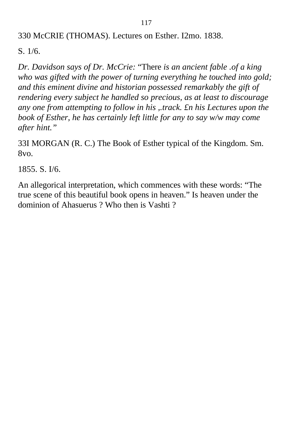117

330 McCRIE (THOMAS). Lectures on Esther. I2mo. 1838.

S. 1/6.

*Dr. Davidson says of Dr. McCrie:* "There *is an ancient fable .of a king who was gifted with the power of turning everything he touched into gold; and this eminent divine and historian possessed remarkably the gift of rendering every subject he handled so precious, as at least to discourage any one from attempting to follow in his ,.track. £n his Lectures upon the book of Esther, he has certainly left little for any to say w/w may come after hint."*

33I MORGAN (R. C.) The Book of Esther typical of the Kingdom. Sm. 8vo.

1855. S. I/6.

An allegorical interpretation, which commences with these words: "The true scene of this beautiful book opens in heaven." Is heaven under the dominion of Ahasuerus ? Who then is Vashti ?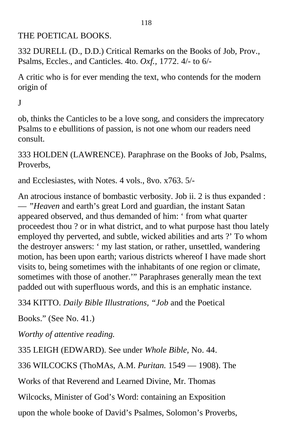THE POETICAL BOOKS.

332 DURELL (D., D.D.) Critical Remarks on the Books of Job, Prov., Psalms, Eccles., and Canticles. 4to. *Oxf.,* 1772. 4/- to 6/-

A critic who is for ever mending the text, who contends for the modern origin of

## J

ob, thinks the Canticles to be a love song, and considers the imprecatory Psalms to e ebullitions of passion, is not one whom our readers need consult.

333 HOLDEN (LAWRENCE). Paraphrase on the Books of Job, Psalms, Proverbs,

and Ecclesiastes, with Notes. 4 vols., 8vo. x763. 5/-

An atrocious instance of bombastic verbosity. Job ii. 2 is thus expanded : — *"Heaven* and earth's great Lord and guardian, the instant Satan appeared observed, and thus demanded of him: ' from what quarter proceedest thou ? or in what district, and to what purpose hast thou lately employed thy perverted, and subtle, wicked abilities and arts ?' To whom the destroyer answers: ' my last station, or rather, unsettled, wandering motion, has been upon earth; various districts whereof I have made short visits to, being sometimes with the inhabitants of one region or climate, sometimes with those of another.'" Paraphrases generally mean the text padded out with superfluous words, and this is an emphatic instance.

334 KITTO. *Daily Bible Illustrations, "Job* and the Poetical

Books." (See No. 41.)

*Worthy of attentive reading.*

335 LEIGH (EDWARD). See under *Whole Bible,* No. 44.

336 WILCOCKS (ThoMAs, A.M. *Puritan.* 1549 — 1908). The

Works of that Reverend and Learned Divine, Mr. Thomas

Wilcocks, Minister of God's Word: containing an Exposition

upon the whole booke of David's Psalmes, Solomon's Proverbs,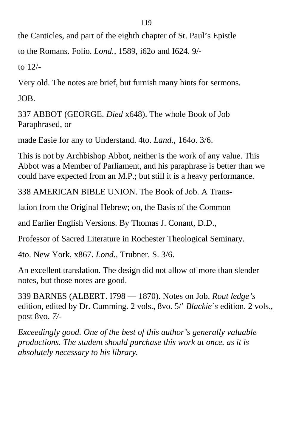the Canticles, and part of the eighth chapter of St. Paul's Epistle

to the Romans. Folio. *Lond.,* 1589, i62o and I624. 9/-

to 12/-

Very old. The notes are brief, but furnish many hints for sermons.

JOB.

337 ABBOT (GEORGE. *Died* x648). The whole Book of Job Paraphrased, or

made Easie for any to Understand. 4to. *Land.,* 164o. 3/6.

This is not by Archbishop Abbot, neither is the work of any value. This Abbot was a Member of Parliament, and his paraphrase is better than we could have expected from an M.P.; but still it is a heavy performance.

338 AMERICAN BIBLE UNION. The Book of Job. A Trans-

lation from the Original Hebrew; on, the Basis of the Common

and Earlier English Versions. By Thomas J. Conant, D.D.,

Professor of Sacred Literature in Rochester Theological Seminary.

4to. New York, x867. *Lond.,* Trubner. S. 3/6.

An excellent translation. The design did not allow of more than slender notes, but those notes are good.

339 BARNES (ALBERT. I798 — 1870). Notes on Job. *Rout ledge's* edition, edited by Dr. Cumming. 2 vols., 8vo. 5/' *Blackie's* edition. 2 vols., post 8vo. *7/-*

*Exceedingly good. One of the best of this author's generally valuable productions. The student should purchase this work at once. as it is absolutely necessary to his library.*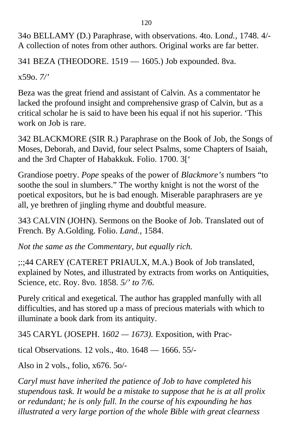34o BELLAMY (D.) Paraphrase, with observations. 4to. Lon*d.,* 1748. 4/- A collection of notes from other authors. Original works are far better.

341 BEZA (THEODORE. 1519 — 1605.) Job expounded. 8va.

x59o. *7/'*

Beza was the great friend and assistant of Calvin. As a commentator he lacked the profound insight and comprehensive grasp of Calvin, but as a critical scholar he is said to have been his equal if not his superior. 'This work on Job is rare.

342 BLACKMORE (SIR R.) Paraphrase on the Book of Job, the Songs of Moses, Deborah, and David, four select Psalms, some Chapters of Isaiah, and the 3rd Chapter of Habakkuk. Folio. 1700. 3['

Grandiose poetry. *Pope* speaks of the power of *Blackmore's* numbers "to soothe the soul in slumbers." The worthy knight is not the worst of the poetical expositors, but he is bad enough. Miserable paraphrasers are ye all, ye brethren of jingling rhyme and doubtful measure.

343 CALVIN (JOHN). Sermons on the Booke of Job. Translated out of French. By A.Golding. Folio. *Land.,* 1584.

*Not the same as the Commentary, but equally rich.*

;:;44 CAREY (CATERET PRIAULX, M.A.) Book of Job translated, explained by Notes, and illustrated by extracts from works on Antiquities, Science, etc. Roy. 8vo. 1858. *5/' to 7/6.*

Purely critical and exegetical. The author has grappled manfully with all difficulties, and has stored up a mass of precious materials with which to illuminate a book dark from its antiquity.

345 CARYL (JOSEPH. 1*602 — 1673).* Exposition, with Prac-

tical Observations. 12 vols., 4to. 1648 — 1666. 55/-

Also in 2 vols., folio, x676. 5o/-

*Caryl must have inherited the patience of Job to have completed his stupendous task. It would be a mistake to suppose that he is at all prolix or redundant; he is only full. In the course of his expounding he has illustrated a very large portion of the whole Bible with great clearness*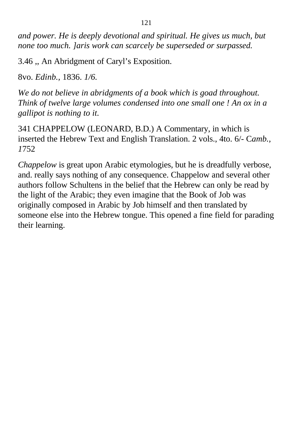*and power. He is deeply devotional and spiritual. He gives us much, but none too much. ]aris work can scarcely be superseded or surpassed.*

3.46 ,, An Abridgment of Caryl's Exposition.

8vo. *Edinb.,* 1836. *1/6.*

*We do not believe in abridgments of a book which is goad throughout. Think of twelve large volumes condensed into one small one ! An ox in a gallipot is nothing to it.*

341 CHAPPELOW (LEONARD, B.D.) A Commentary, in which is inserted the Hebrew Text and English Translation. 2 vols., 4to. 6/- C*amb., 1*752

*Chappelow* is great upon Arabic etymologies, but he is dreadfully verbose, and. really says nothing of any consequence. Chappelow and several other authors follow Schultens in the belief that the Hebrew can only be read by the light of the Arabic; they even imagine that the Book of Job was originally composed in Arabic by Job himself and then translated by someone else into the Hebrew tongue. This opened a fine field for parading their learning.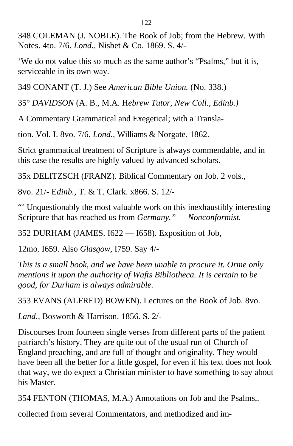348 COLEMAN (J. NOBLE). The Book of Job; from the Hebrew. With Notes. 4to. 7/6. *Lond.,* Nisbet & Co. 1869. S. 4/-

'We do not value this so much as the same author's "Psalms," but it is, serviceable in its own way.

349 CONANT (T. J.) See *American Bible Union.* (No. 338.)

35° *DAVIDSON* (A. B., M.A. H*ebrew Tutor, New Coll., Edinb.)*

A Commentary Grammatical and Exegetical; with a Transla-

tion. Vol. I. 8vo. 7/6. *Lond.,* Williams & Norgate. 1862.

Strict grammatical treatment of Scripture is always commendable, and in this case the results are highly valued by advanced scholars.

35x DELITZSCH (FRANZ). Biblical Commentary on Job. 2 vols.,

8vo. 21/- E*dinb.,* T. & T. Clark. x866. S. 12/-

"' Unquestionably the most valuable work on this inexhaustibly interesting Scripture that has reached us from *Germany." — Nonconformist.*

352 DURHAM (JAMES. I622 — I658). Exposition of Job,

12mo. I659. Also *Glasgow,* I759. Say 4/-

*This is a small book, and we have been unable to procure it. Orme only mentions it upon the authority of Wafts Bibliotheca. It is certain to be good, for Durham is always admirable.*

353 EVANS (ALFRED) BOWEN). Lectures on the Book of Job. 8vo.

*Land.,* Bosworth & Harrison. 1856. S. 2/-

Discourses from fourteen single verses from different parts of the patient patriarch's history. They are quite out of the usual run of Church of England preaching, and are full of thought and originality. They would have been all the better for a little gospel, for even if his text does not look that way, we do expect a Christian minister to have something to say about his Master.

354 FENTON (THOMAS, M.A.) Annotations on Job and the Psalms,.

collected from several Commentators, and methodized and im-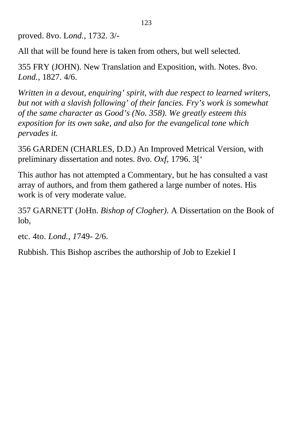proved. 8vo. L*ond.,* 1732. 3/-

All that will be found here is taken from others, but well selected.

355 FRY (JOHN). New Translation and Exposition, with. Notes. 8vo. *Lond.,* 1827. 4/6.

*Written in a devout, enquiring' spirit, with due respect to learned writers, but not with a slavish following' of their fancies. Fry's work is somewhat of the same character as Good's (No. 358). We greatly esteem this exposition for its own sake, and also for the evangelical tone which pervades it.*

356 GARDEN (CHARLES, D.D.) An Improved Metrical Version, with preliminary dissertation and notes. 8vo. *Oxf,* 1796. 3['

This author has not attempted a Commentary, but he has consulted a vast array of authors, and from them gathered a large number of notes. His work is of very moderate value.

357 GARNETT (JoHn. *Bishop of Clogher).* A Dissertation on the Book of lob,

etc. 4to. *Lond., 1*749- 2/6.

Rubbish. This Bishop ascribes the authorship of Job to Ezekiel I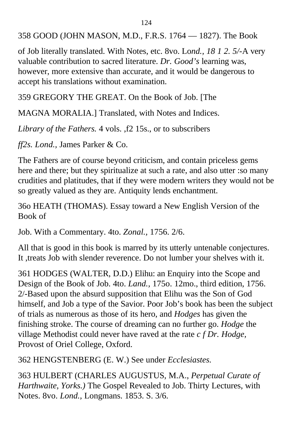358 GOOD (JOHN MASON, M.D., F.R.S. 1764 — 1827). The Book

of Job literally translated. With Notes, etc. 8vo. Lo*nd., 18 1 2. 5/-*A very valuable contribution to sacred literature. *Dr. Good's* learning was, however, more extensive than accurate, and it would be dangerous to accept his translations without examination.

359 GREGORY THE GREAT. On the Book of Job. [The

MAGNA MORALIA.] Translated, with Notes and Indices.

*Library of the Fathers.* 4 vols. ,f2 15s., or to subscribers

*ff2s. Lond.,* James Parker & Co.

The Fathers are of course beyond criticism, and contain priceless gems here and there; but they spiritualize at such a rate, and also utter : so many crudities and platitudes, that if they were modern writers they would not be so greatly valued as they are. Antiquity lends enchantment.

36o HEATH (THOMAS). Essay toward a New English Version of the Book of

Job. With a Commentary. 4to. *Zonal.,* 1756. 2/6.

All that is good in this book is marred by its utterly untenable conjectures. It ,treats Job with slender reverence. Do not lumber your shelves with it.

361 HODGES (WALTER, D.D.) Elihu: an Enquiry into the Scope and Design of the Book of Job. 4to. *Land.,* 175o. 12mo., third edition, 1756. 2/-Based upon the absurd supposition that Elihu was the Son of God himself, and Job a type of the Savior. Poor Job's book has been the subject of trials as numerous as those of its hero, and *Hodges* has given the finishing stroke. The course of dreaming can no further go. *Hodge* the village Methodist could never have raved at the rate *c f Dr. Hodge,* Provost of Oriel College, Oxford.

362 HENGSTENBERG (E. W.) See under *Ecclesiastes.*

363 HULBERT (CHARLES AUGUSTUS, M.A., *Perpetual Curate of Harthwaite, Yorks.)* The Gospel Revealed to Job. Thirty Lectures, with Notes. 8vo. *Lond.,* Longmans. 1853. S. 3/6.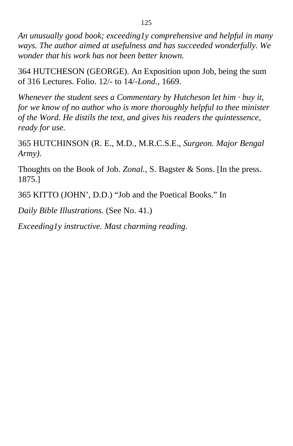*An unusually good book; exceeding1y comprehensive and helpful in many ways. The author aimed at usefulness and has succeeded wonderfully. We wonder that his work has not been better known.*

364 HUTCHESON (GEORGE). An Exposition upon Job, being the sum of 316 Lectures. Folio. 12/- to 14/-*Lond.,* 1669.

*Whenever the student sees a Commentary by Hutcheson let him · buy it, for we know of no author who is more thoroughly helpful to thee minister of the Word. He distils the text, and gives his readers the quintessence, ready for use.*

365 HUTCHINSON (R. E., M.D., M.R.C.S.E., *Surgeon. Major Bengal Army).*

Thoughts on the Book of Job. *Zonal.,* S. Bagster & Sons. [In the press. 1875.]

365 KITTO (JOHN', D.D.) "Job and the Poetical Books." In

*Daily Bible Illustrations.* (See No. 41.)

*Exceeding1y instructive. Mast charming reading.*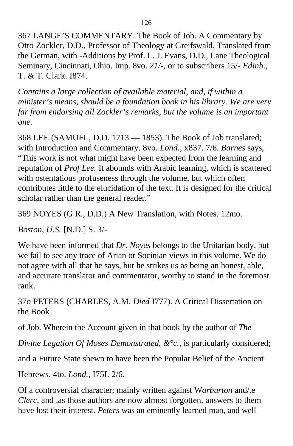367 LANGE'S COMMENTARY. The Book of Job. A Commentary by Otto Zockler, D.D., Professor of Theology at Greifswald. Translated from the German, with -Additions by Prof. L. J. Evans, D.D., Lane Theological Seminary, Cincinnati, Ohio. Imp. 8vo. *21/-,* or to subscribers 15/- *Edinb.,* T. & T. Clark. I874.

*Contains a large collection of available material, and, if within a minister's means, should be a foundation book in his library. We are very far from endorsing all Zockler's remarks, but the volume is an important one.*

368 LEE (SAMUFL, D.D. 1713 — 1853). The Book of Job translated; with Introduction and Commentary. 8vo. *Lond.,* x837. 7/6. *Barnes* says, "This work is not what might have been expected from the learning and reputation of *Prof Lee.* It abounds with Arabic learning, which is scattered with ostentatious profuseness through the volume, but which often contributes little to the elucidation of the text. It is designed for the critical scholar rather than the general reader."

369 NOYES (G R., D.D.) A New Translation, with Notes. 12mo.

*Boston, U.S.* [N.D.] S. 3/-

We have been informed that *Dr. Noyes* belongs to the Unitarian body, but we fail to see any trace of Arian or Socinian views in this volume. We do not agree with all that he says, but he strikes us as being an honest, able, and accurate translator and commentator, worthy to stand in the foremost rank.

37o PETERS (CHARLES, A.M. *Died* I777). A Critical Dissertation on the Book

of Job. Wherein the Account given in that book by the author of *The*

*Divine Legation Of Moses Demonstrated, & °c., is particularly considered;* 

and a Future State shewn to have been the Popular Belief of the Ancient

Hebrews. 4to. *Lond.,* I75I. 2/6.

Of a controversial character; mainly written against W*arburton* and/.e *Clerc,* and .as those authors are now almost forgotten, answers to them have lost their interest. *Peters* was an eminently learned man, and well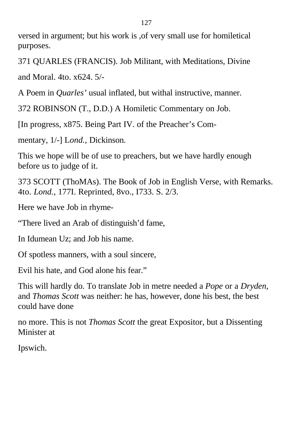versed in argument; but his work is ,of very small use for homiletical purposes.

371 QUARLES (FRANCIS). Job Militant, with Meditations, Divine

and Moral. 4to. x624. 5/-

A Poem in *Quarles'* usual inflated, but withal instructive, manner.

372 ROBINSON (T., D.D.) A Homiletic Commentary on Job.

[In progress, x875. Being Part IV. of the Preacher's Com-

mentary, 1/-] L*ond.,* Dickinson.

This we hope will be of use to preachers, but we have hardly enough before us to judge of it.

373 SCOTT (ThoMAs). The Book of Job in English Verse, with Remarks. 4to. *Lond.,* 177I. Reprinted, 8vo., I733. S. 2/3.

Here we have Job in rhyme-

"There lived an Arab of distinguish'd fame,

In Idumean Uz; and Job his name.

Of spotless manners, with a soul sincere,

Evil his hate, and God alone his fear."

This will hardly do. To translate Job in metre needed a *Pope* or a *Dryden,* and *Thomas Scott* was neither: he has, however, done his best, the best could have done

no more. This is not *Thomas Scott* the great Expositor, but a Dissenting Minister at

Ipswich.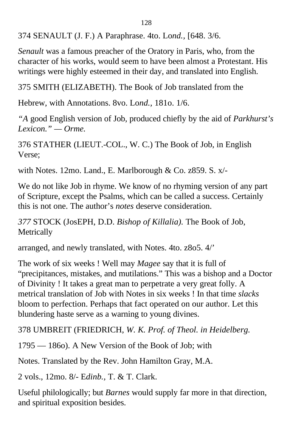374 SENAULT (J. F.) A Paraphrase. 4to. Lo*nd.,* [648. 3/6.

*Senault* was a famous preacher of the Oratory in Paris, who, from the character of his works, would seem to have been almost a Protestant. His writings were highly esteemed in their day, and translated into English.

375 SMITH (ELIZABETH). The Book of Job translated from the

Hebrew, with Annotations. 8vo. Lo*nd.,* 181o. 1/6.

*"A* good English version of Job, produced chiefly by the aid of *Parkhurst's Lexicon." — Orme.*

376 STATHER (LIEUT.-COL., W. C.) The Book of Job, in English Verse;

with Notes. 12mo. Land., E. Marlborough & Co. z859. S. x/-

We do not like Job in rhyme. We know of no rhyming version of any part of Scripture, except the Psalms, which can be called a success. Certainly this is not one. The author's *notes* deserve consideration.

*377* STOCK (JosEPH, D.D. *Bishop of Killalia).* The Book of Job, **Metrically** 

arranged, and newly translated, with Notes. 4to. z8o5. 4/'

The work of six weeks ! Well may *Magee* say that it is full of "precipitances, mistakes, and mutilations." This was a bishop and a Doctor of Divinity ! It takes a great man to perpetrate a very great folly. A metrical translation of Job with Notes in six weeks ! In that time *slacks* bloom to perfection. Perhaps that fact operated on our author. Let this blundering haste serve as a warning to young divines.

378 UMBREIT (FRIEDRICH, *W. K. Prof. of Theol. in Heidelberg.*

1795 — 186o). A New Version of the Book of Job; with

Notes. Translated by the Rev. John Hamilton Gray, M.A.

2 vols., 12mo. 8/- E*dinb.,* T. & T. Clark.

Useful philologically; but *Barnes* would supply far more in that direction, and spiritual exposition besides.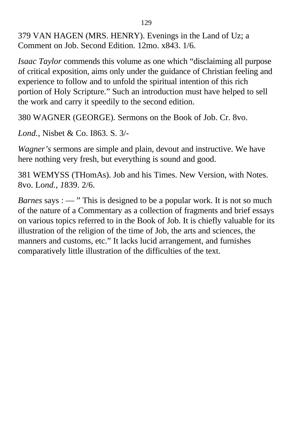379 VAN HAGEN (MRS. HENRY). Evenings in the Land of Uz; a Comment on Job. Second Edition. 12mo. x843. 1/6.

*Isaac Taylor* commends this volume as one which "disclaiming all purpose of critical exposition, aims only under the guidance of Christian feeling and experience to follow and to unfold the spiritual intention of this rich portion of Holy Scripture." Such an introduction must have helped to sell the work and carry it speedily to the second edition.

380 WAGNER (GEORGE). Sermons on the Book of Job. Cr. 8vo.

*Lond.,* Nisbet & Co. I863. S. 3/-

*Wagner's* sermons are simple and plain, devout and instructive. We have here nothing very fresh, but everything is sound and good.

381 WEMYSS (THomAs). Job and his Times. New Version, with Notes. 8vo. Lo*nd., 1*839. 2/6.

*Barnes* says : — " This is designed to be a popular work. It is not so much of the nature of a Commentary as a collection of fragments and brief essays on various topics referred to in the Book of Job. It is chiefly valuable for its illustration of the religion of the time of Job, the arts and sciences, the manners and customs, etc." It lacks lucid arrangement, and furnishes comparatively little illustration of the difficulties of the text.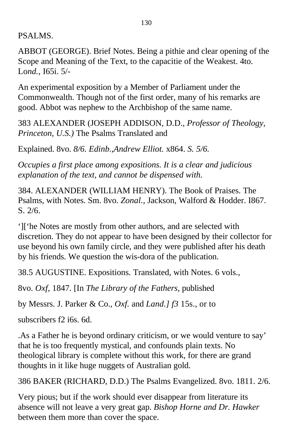## PSALMS.

ABBOT (GEORGE). Brief Notes. Being a pithie and clear opening of the Scope and Meaning of the Text, to the capacitie of the Weakest. 4to. Lo*nd.,* I65i. 5/-

An experimental exposition by a Member of Parliament under the Commonwealth. Though not of the first order, many of his remarks are good. Abbot was nephew to the Archbishop of the same name.

383 ALEXANDER (JOSEPH ADDISON, D.D., *Professor of Theology, Princeton, U.S.)* The Psalms Translated and

Explained. 8vo. *8/6. Edinb.,Andrew Elliot.* x864. *S. 5/6.*

*Occupies a first place among expositions. It is a clear and judicious explanation of the text, and cannot be dispensed with.*

384. ALEXANDER (WILLIAM HENRY). The Book of Praises. The Psalms, with Notes. Sm. 8vo. *Zonal.,* Jackson, Walford & Hodder. I867. S. 2/6.

']['he Notes are mostly from other authors, and are selected with discretion. They do not appear to have been designed by their collector for use beyond his own family circle, and they were published after his death by his friends. We question the wis-dora of the publication.

38.5 AUGUSTINE. Expositions. Translated, with Notes. 6 vols.,

8vo. *Oxf,* 1847. [In *The Library of the Fathers,* published

by Messrs. J. Parker & Co., *Oxf.* and *Land.] f3* 15s., or to

subscribers f2 i6s. 6d.

.As a Father he is beyond ordinary criticism, or we would venture to say' that he is too frequently mystical, and confounds plain texts. No theological library is complete without this work, for there are grand thoughts in it like huge nuggets of Australian gold.

386 BAKER (RICHARD, D.D.) The Psalms Evangelized. 8vo. 1811. 2/6.

Very pious; but if the work should ever disappear from literature its absence will not leave a very great gap. *Bishop Horne and Dr. Hawker* between them more than cover the space.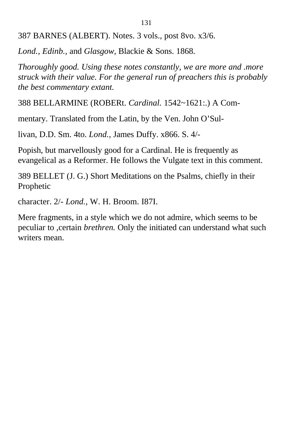387 BARNES (ALBERT). Notes. 3 vols., post 8vo. x3/6.

*Lond., Edinb.,* and *Glasgow,* Blackie & Sons. 1868.

*Thoroughly good. Using these notes constantly, we are more and .more struck with their value. For the general run of preachers this is probably the best commentary extant.*

388 BELLARMINE (ROBERt. *Cardinal.* 1542~1621:.) A Com-

mentary. Translated from the Latin, by the Ven. John O'Sul-

livan, D.D. Sm. 4to. *Lond.,* James Duffy. x866. S. 4/-

Popish, but marvellously good for a Cardinal. He is frequently as evangelical as a Reformer. He follows the Vulgate text in this comment.

389 BELLET (J. G.) Short Meditations on the Psalms, chiefly in their Prophetic

character. 2/- *Lond.,* W. H. Broom. I87I.

Mere fragments, in a style which we do not admire, which seems to be peculiar to ,certain *brethren.* Only the initiated can understand what such writers mean.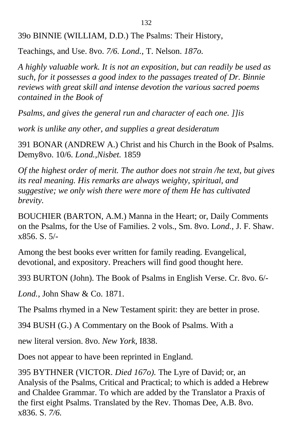39o BINNIE (WILLIAM, D.D.) The Psalms: Their History,

Teachings, and Use. 8vo. *7/6. Lond.,* T. Nelson. *187o.*

*A highly valuable work. It is not an exposition, but can readily be used as such, for it possesses a good index to the passages treated of Dr. Binnie reviews with great skill and intense devotion the various sacred poems contained in the Book of*

*Psalms, and gives the general run and character of each one. ]]is*

*work is unlike any other, and supplies a great desideratum*

391 BONAR (ANDREW A.) Christ and his Church in the Book of Psalms. Demy8vo. 10/6. *Lond.,Nisbet.* 1859

*Of the highest order of merit. The author does not strain /he text, but gives its real meaning. His remarks are always weighty, spiritual, and suggestive; we only wish there were more of them He has cultivated brevity.*

BOUCHIER (BARTON, A.M.) Manna in the Heart; or, Daily Comments on the Psalms, for the Use of Families. 2 vols., Sm. 8vo. L*ond.,* J. F. Shaw. x856. S. 5/-

Among the best books ever written for family reading. Evangelical, devotional, and expository. Preachers will find good thought here.

393 BURTON (John). The Book of Psalms in English Verse. Cr. 8vo. 6/-

*Lond.,* John Shaw & Co. 1871.

The Psalms rhymed in a New Testament spirit: they are better in prose.

394 BUSH (G.) A Commentary on the Book of Psalms. With a

new literal version. 8vo. *New York,* I838.

Does not appear to have been reprinted in England.

395 BYTHNER (VICTOR. *Died 167o).* The Lyre of David; or, an Analysis of the Psalms, Critical and Practical; to which is added a Hebrew and Chaldee Grammar. To which are added by the Translator a Praxis of the first eight Psalms. Translated by the Rev. Thomas Dee, A.B. 8vo. x836. S. *7/6.*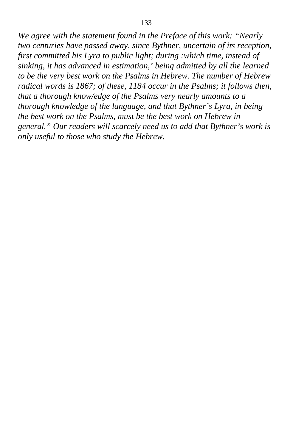*We agree with the statement found in the Preface of this work: "Nearly two centuries have passed away, since Bythner, uncertain of its reception, first committed his Lyra to public light; during :which time, instead of sinking, it has advanced in estimation,' being admitted by all the learned to be the very best work on the Psalms in Hebrew. The number of Hebrew radical words is 1867; of these, 1184 occur in the Psalms; it follows then, that a thorough know/edge of the Psalms very nearly amounts to a thorough knowledge of the language, and that Bythner's Lyra, in being the best work on the Psalms, must be the best work on Hebrew in general." Our readers will scarcely need us to add that Bythner's work is only useful to those who study the Hebrew.*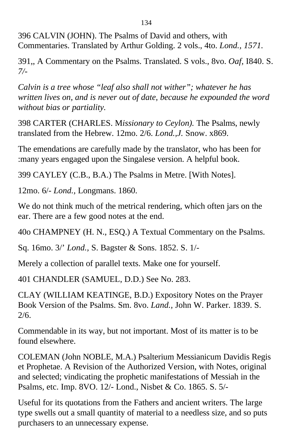396 CALVIN (JOHN). The Psalms of David and others, with Commentaries. Translated by Arthur Golding. 2 vols., 4to. *Lond., 1571.*

391,, A Commentary on the Psalms. Translated. S vols., 8vo. *Oaf,* I840. S. *7/-*

*Calvin is a tree whose "leaf also shall not wither"; whatever he has written lives on, and is never out of date, because he expounded the word without bias or partiality.*

398 CARTER (CHARLES. M*issionary to Ceylon).* The Psalms, newly translated from the Hebrew. 12mo. 2/6. *Lond.,J.* Snow. x869.

The emendations are carefully made by the translator, who has been for :many years engaged upon the Singalese version. A helpful book.

399 CAYLEY (C.B., B.A.) The Psalms in Metre. [With Notes].

12mo. 6/- *Lond.,* Longmans. 1860.

We do not think much of the metrical rendering, which often jars on the ear. There are a few good notes at the end.

40o CHAMPNEY (H. N., ESQ.) A Textual Commentary on the Psalms.

Sq. 16mo. 3/' *Lond.,* S. Bagster & Sons. 1852. S. 1/-

Merely a collection of parallel texts. Make one for yourself.

401 CHANDLER (SAMUEL, D.D.) See No. 283.

CLAY (WILLIAM KEATINGE, B.D.) Expository Notes on the Prayer Book Version of the Psalms. Sm. 8vo. *Land.,* John W. Parker. 1839. S. 2/6.

Commendable in its way, but not important. Most of its matter is to be found elsewhere.

COLEMAN (John NOBLE, M.A.) Psalterium Messianicum Davidis Regis et Prophetae. A Revision of the Authorized Version, with Notes, original and selected; vindicating the prophetic manifestations of Messiah in the Psalms, etc. Imp. 8VO. 12/- Lond., Nisbet & Co. 1865. S. 5/-

Useful for its quotations from the Fathers and ancient writers. The large type swells out a small quantity of material to a needless size, and so puts purchasers to an unnecessary expense.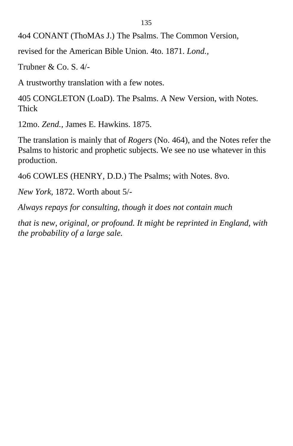4o4 CONANT (ThoMAs J.) The Psalms. The Common Version,

revised for the American Bible Union. 4to. 1871. *Lond.,*

Trubner & Co. S. 4/-

A trustworthy translation with a few notes.

405 CONGLETON (LoaD). The Psalms. A New Version, with Notes. Thick

12mo. *Zend.,* James E. Hawkins. 1875.

The translation is mainly that of *Rogers* (No. 464), and the Notes refer the Psalms to historic and prophetic subjects. We see no use whatever in this production.

4o6 COWLES (HENRY, D.D.) The Psalms; with Notes. 8vo.

*New York,* 1872. Worth about 5/-

*Always repays for consulting, though it does not contain much*

*that is new, original, or profound. It might be reprinted in England, with the probability of a large sale.*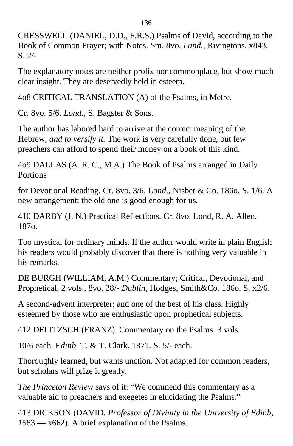CRESSWELL (DANIEL, D.D., F.R.S.) Psalms of David, according to the Book of Common Prayer; with Notes. Sm. 8vo. *Land.,* Rivingtons. x843. S. 2/-

The explanatory notes are neither prolix nor commonplace, but show much clear insight. They are deservedly held in esteem.

4o8 CRITICAL TRANSLATION (A) of the Psalms, in Metre.

Cr. 8vo. 5/6. *Lond.,* S. Bagster & Sons.

The author has labored hard to arrive at the correct meaning of the Hebrew, *and to versify it.* The work is very carefully done, but few preachers can afford to spend their money on a book of this kind.

4o9 DALLAS (A. R. C., M.A.) The Book of Psalms arranged in Daily **Portions** 

for Devotional Reading. Cr. 8vo. 3/6. L*ond.,* Nisbet & Co. 186o. S. 1/6. A new arrangement: the old one is good enough for us.

410 DARBY (J. N.) Practical Reflections. Cr. 8vo. Lond, R. A. Allen. 187o.

Too mystical for ordinary minds. If the author would write in plain English his readers would probably discover that there is nothing very valuable in his remarks.

DE BURGH (WILLIAM, A.M.) Commentary; Critical, Devotional, and Prophetical. 2 vols., 8vo. 28/- *Dublin,* Hodges, Smith&Co. 186o. S. x2/6.

A second-advent interpreter; and one of the best of his class. Highly esteemed by those who are enthusiastic upon prophetical subjects.

412 DELITZSCH (FRANZ). Commentary on the Psalms. 3 vols.

10/6 each. E*dinb,* T. & T. Clark. 1871. S. 5/- each.

Thoroughly learned, but wants unction. Not adapted for common readers, but scholars will prize it greatly.

*The Princeton Review* says of it: "We commend this commentary as a valuable aid to preachers and exegetes in elucidating the Psalms."

413 DICKSON (DAVID. *Professor of Divinity in the University of Edinb, 1*583 — x662). A brief explanation of the Psalms.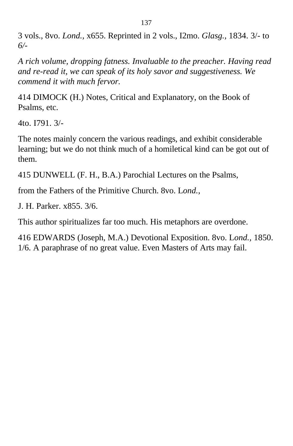3 vols., 8vo. *Lond.,* x655. Reprinted in 2 vols., I2mo. *Glasg.,* 1834. 3/- to *6/-*

*A rich volume, dropping fatness. Invaluable to the preacher. Having read and re-read it, we can speak of its holy savor and suggestiveness. We commend it with much fervor.*

414 DIMOCK (H.) Notes, Critical and Explanatory, on the Book of Psalms, etc.

4to. I791. 3/-

The notes mainly concern the various readings, and exhibit considerable learning; but we do not think much of a homiletical kind can be got out of them.

415 DUNWELL (F. H., B.A.) Parochial Lectures on the Psalms,

from the Fathers of the Primitive Church. 8vo. L*ond.,*

J. H. Parker. x855. 3/6.

This author spiritualizes far too much. His metaphors are overdone.

416 EDWARDS (Joseph, M.A.) Devotional Exposition. 8vo. L*ond.,* 1850. 1/6. A paraphrase of no great value. Even Masters of Arts may fail.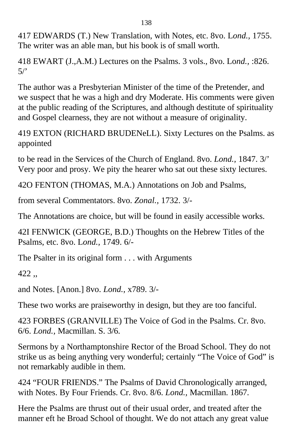417 EDWARDS (T.) New Translation, with Notes, etc. 8vo. L*ond.,* 1755. The writer was an able man, but his book is of small worth.

418 EWART (J.,A.M.) Lectures on the Psalms. 3 vols., 8vo. Lo*nd.,* :826.  $5/$ 

The author was a Presbyterian Minister of the time of the Pretender, and we suspect that he was a high and dry Moderate. His comments were given at the public reading of the Scriptures, and although destitute of spirituality and Gospel clearness, they are not without a measure of originality.

419 EXTON (RICHARD BRUDENeLL). Sixty Lectures on the Psalms. as appointed

to be read in the Services of the Church of England. 8vo. *Lond.,* 1847. 3/' Very poor and prosy. We pity the hearer who sat out these sixty lectures.

42O FENTON (THOMAS, M.A.) Annotations on Job and Psalms,

from several Commentators. 8vo. *Zonal.,* 1732. 3/-

The Annotations are choice, but will be found in easily accessible works.

42I FENWICK (GEORGE, B.D.) Thoughts on the Hebrew Titles of the Psalms, etc. 8vo. L*ond.,* 1749. 6/-

The Psalter in its original form . . . with Arguments

422 ,,

and Notes. [Anon.] 8vo. *Lond.,* x789. 3/-

These two works are praiseworthy in design, but they are too fanciful.

423 FORBES (GRANVILLE) The Voice of God in the Psalms. Cr. 8vo. 6/6. *Lond.,* Macmillan. S. 3/6.

Sermons by a Northamptonshire Rector of the Broad School. They do not strike us as being anything very wonderful; certainly "The Voice of God" is not remarkably audible in them.

424 "FOUR FRIENDS." The Psalms of David Chronologically arranged, with Notes. By Four Friends. Cr. 8vo. 8/6. *Lond.,* Macmillan. 1867.

Here the Psalms are thrust out of their usual order, and treated after the manner eft he Broad School of thought. We do not attach any great value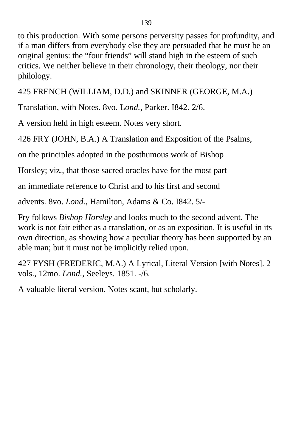to this production. With some persons perversity passes for profundity, and if a man differs from everybody else they are persuaded that he must be an original genius: the "four friends" will stand high in the esteem of such critics. We neither believe in their chronology, their theology, nor their philology.

425 FRENCH (WILLIAM, D.D.) and SKINNER (GEORGE, M.A.)

Translation, with Notes. 8vo. L*ond.,* Parker. I842. 2/6.

A version held in high esteem. Notes very short.

426 FRY (JOHN, B.A.) A Translation and Exposition of the Psalms,

on the principles adopted in the posthumous work of Bishop

Horsley; viz., that those sacred oracles have for the most part

an immediate reference to Christ and to his first and second

advents. 8vo. *Lond.,* Hamilton, Adams & Co. I842. 5/-

Fry follows *Bishop Horsley* and looks much to the second advent. The work is not fair either as a translation, or as an exposition. It is useful in its own direction, as showing how a peculiar theory has been supported by an able man; but it must not be implicitly relied upon.

427 FYSH (FREDERIC, M.A.) A Lyrical, Literal Version [with Notes]. 2 vols., 12mo. *Lond.,* Seeleys. 1851. -/6.

A valuable literal version. Notes scant, but scholarly.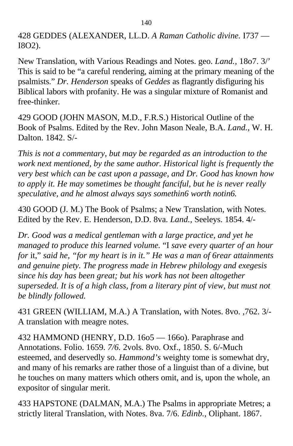428 GEDDES (ALEXANDER, LL.D. *A Raman Catholic divine.* I737 — I8O2).

New Translation, with Various Readings and Notes. geo. *Land.,* 18o7. 3/' This is said to be "a careful rendering, aiming at the primary meaning of the psalmists." *Dr. Henderson* speaks of *Geddes* as flagrantly disfiguring his Biblical labors with profanity. He was a singular mixture of Romanist and free-thinker.

429 GOOD (JOHN MASON, M.D., F.R.S.) Historical Outline of the Book of Psalms. Edited by the Rev. John Mason Neale, B.A. *Land.,* W. H. Dalton. 1842. S/-

*This is not a commentary, but may be regarded as an introduction to the work next mentioned, by the same author. Historical light is frequently the very best which can be cast upon a passage, and Dr. Good has known how to apply it. He may sometimes be thought fanciful, but he is never really speculative, and he almost always says somethin6 worth notin6.*

430 GOOD (J. M.) The Book of Psalms; a New Translation, with Notes. Edited by the Rev. E. Henderson, D.D. 8va. *Land.,* Seeleys. 1854. 4/-

*Dr. Good was a medical gentleman with a large practice, and yet he managed to produce this learned volume.* "I *save every quarter of an hour for* it," *said he, "for my heart is in it." He was a man of 6rear attainments and genuine piety. The progress made in Hebrew philology and exegesis since his day has been great; but his work has not been altogether superseded. It is of a high class, from a literary pint of view, but must not be blindly followed.*

431 GREEN (WILLIAM, M.A.) A Translation, with Notes. 8vo. ,762. 3/- A translation with meagre notes.

432 HAMMOND (HENRY, D.D. 16o5 — 166o). Paraphrase and Annotations. Folio. 1659. *7/6.* 2vols. 8vo. Oxf., 1850. S. 6/-Much esteemed, and deservedly so. *Hammond's* weighty tome is somewhat dry, and many of his remarks are rather those of a linguist than of a divine, but he touches on many matters which others omit, and is, upon the whole, an expositor of singular merit.

433 HAPSTONE (DALMAN, M.A.) The Psalms in appropriate Metres; a strictly literal Translation, with Notes. 8va. 7/6. *Edinb.,* Oliphant. 1867.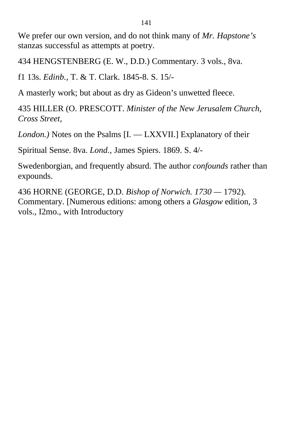We prefer our own version, and do not think many of *Mr. Hapstone's* stanzas successful as attempts at poetry.

434 HENGSTENBERG (E. W., D.D.) Commentary. 3 vols., 8va.

f1 13s. *Edinb.,* T. & T. Clark. 1845-8. S. 15/-

A masterly work; but about as dry as Gideon's unwetted fleece.

435 HILLER (O. PRESCOTT. *Minister of the New Jerusalem Church, Cross Street,*

*London.)* Notes on the Psalms [I. — LXXVII.] Explanatory of their

Spiritual Sense. 8va. *Lond.,* James Spiers. 1869. S. 4/-

Swedenborgian, and frequently absurd. The author *confounds* rather than expounds.

436 HORNE (GEORGE, D.D. *Bishop of Norwich. 1730 —* 1792). Commentary. [Numerous editions: among others a *Glasgow* edition, 3 vols., I2mo., with Introductory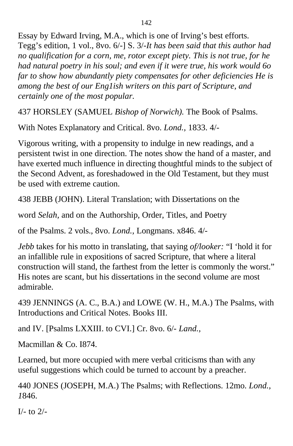Essay by Edward Irving, M.A., which is one of Irving's best efforts. Tegg's edition, 1 vol., 8vo. 6/-] S. 3/-*It has been said that this author had no qualification for a corn, me, rotor except piety. This is not true, for he had natural poetry in his soul; and even if it were true, his work would 6o far to show how abundantly piety compensates for other deficiencies He is among the best of our Eng1ish writers on this part of Scripture, and certainly one of the most popular.*

437 HORSLEY (SAMUEL *Bishop of Norwich).* The Book of Psalms.

With Notes Explanatory and Critical. 8vo. *Lond.,* 1833. 4/-

Vigorous writing, with a propensity to indulge in new readings, and a persistent twist in one direction. The notes show the hand of a master, and have exerted much influence in directing thoughtful minds to the subject of the Second Advent, as foreshadowed in the Old Testament, but they must be used with extreme caution.

438 JEBB (JOHN). Literal Translation; with Dissertations on the

word *Selah,* and on the Authorship, Order, Titles, and Poetry

of the Psalms. 2 vols., 8vo. *Lond.,* Longmans. x846. 4/-

*Jebb* takes for his motto in translating, that saying *of/looker:* "I 'hold it for an infallible rule in expositions of sacred Scripture, that where a literal construction will stand, the farthest from the letter is commonly the worst." His notes are scant, but his dissertations in the second volume are most admirable.

439 JENNINGS (A. C., B.A.) and LOWE (W. H., M.A.) The Psalms, with Introductions and Critical Notes. Books III.

and IV. [Psalms LXXIII. to CVI.] Cr. 8vo. 6/- *Land.,*

Macmillan & Co. I874.

Learned, but more occupied with mere verbal criticisms than with any useful suggestions which could be turned to account by a preacher.

440 JONES (JOSEPH, M.A.) The Psalms; with Reflections. 12mo. *Lond., 1*846.

I/- to  $2/-$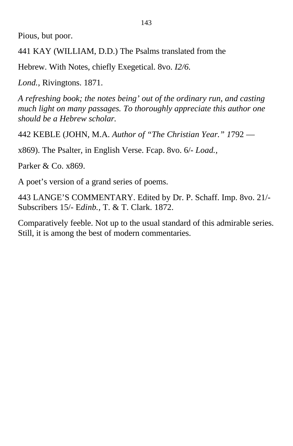Pious, but poor.

441 KAY (WILLIAM, D.D.) The Psalms translated from the

Hebrew. With Notes, chiefly Exegetical. 8vo. *I2/6.*

*Lond.,* Rivingtons. 1871.

*A refreshing book; the notes being' out of the ordinary run, and casting much light on many passages. To thoroughly appreciate this author one should be a Hebrew scholar.*

442 KEBLE (JOHN, M.A. *Author of "The Christian Year." 1*792 —

x869). The Psalter, in English Verse. Fcap. 8vo. 6/- *Load.,*

Parker & Co. x869.

A poet's version of a grand series of poems.

443 LANGE'S COMMENTARY. Edited by Dr. P. Schaff. Imp. 8vo. 21/- Subscribers 15/- E*dinb.,* T. & T. Clark. 1872.

Comparatively feeble. Not up to the usual standard of this admirable series. Still, it is among the best of modern commentaries.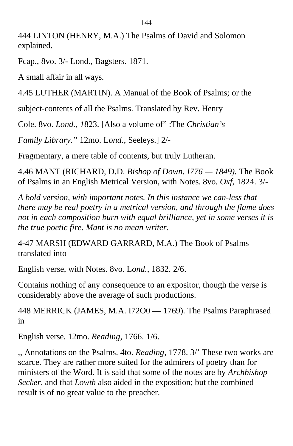444 LINTON (HENRY, M.A.) The Psalms of David and Solomon explained.

Fcap., 8vo. 3/- Lond., Bagsters. 1871.

A small affair in all ways.

4.45 LUTHER (MARTIN). A Manual of the Book of Psalms; or the

subject-contents of all the Psalms. Translated by Rev. Henry

Cole. 8vo. *Lond., 1*823. [Also a volume of" :The *Christian's*

*Family Library."* 12mo. L*ond.,* Seeleys.] 2/-

Fragmentary, a mere table of contents, but truly Lutheran.

4.46 MANT (RICHARD, D.D. *Bishop of Down. I776 — 1849).* The Book of Psalms in an English Metrical Version, with Notes. 8vo. *Oxf,* 1824. 3/-

*A bold version, with important notes. In this instance we can-less that there may be real poetry in a metrical version, and through the flame does not in each composition burn with equal brilliance, yet in some verses it is the true poetic fire. Mant is no mean writer.*

4-47 MARSH (EDWARD GARRARD, M.A.) The Book of Psalms translated into

English verse, with Notes. 8vo. L*ond.,* 1832. 2/6.

Contains nothing of any consequence to an expositor, though the verse is considerably above the average of such productions.

448 MERRICK (JAMES, M.A. I72O0 — 1769). The Psalms Paraphrased in

English verse. 12mo. *Reading,* 1766. 1/6.

,, Annotations on the Psalms. 4to. *Reading,* 1778. 3/' These two works are scarce. They are rather more suited for the admirers of poetry than for ministers of the Word. It is said that some of the notes are by *Archbishop Secker,* and that *Lowth* also aided in the exposition; but the combined result is of no great value to the preacher.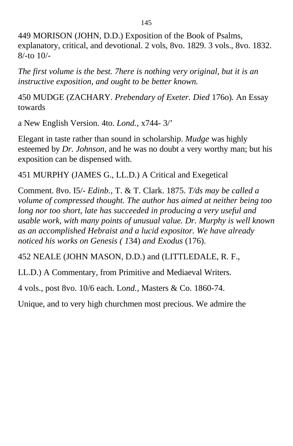449 MORISON (JOHN, D.D.) Exposition of the Book of Psalms, explanatory, critical, and devotional. 2 vols, 8vo. 1829. 3 vols., 8vo. 1832. 8/-to 10/-

*The first volume is the best. 7here is nothing very original, but it is an instructive exposition, and ought to be better known.*

450 MUDGE (ZACHARY. *Prebendary of Exeter. Died* 176o). An Essay towards

a New English Version. 4to. *Lond.,* x744- 3/'

Elegant in taste rather than sound in scholarship. *Mudge* was highly esteemed by *Dr. Johnson,* and he was no doubt a very worthy man; but his exposition can be dispensed with.

451 MURPHY (JAMES G., LL.D.) A Critical and Exegetical

Comment. 8vo. I5/- *Edinb.,* T. & T. Clark. 1875. *T/ds may be called a volume of compressed thought. The author has aimed at neither being too long nor too short, late has succeeded in producing a very useful and usable work, with many points of unusual value. Dr. Murphy is well known as an accomplished Hebraist and a lucid expositor. We have already noticed his works on Genesis ( 1*34) *and Exodus* (176).

452 NEALE (JOHN MASON, D.D.) and (LITTLEDALE, R. F.,

LL.D.) A Commentary, from Primitive and Mediaeval Writers.

4 vols., post 8vo. 10/6 each. Lo*nd.,* Masters & Co. 1860-74.

Unique, and to very high churchmen most precious. We admire the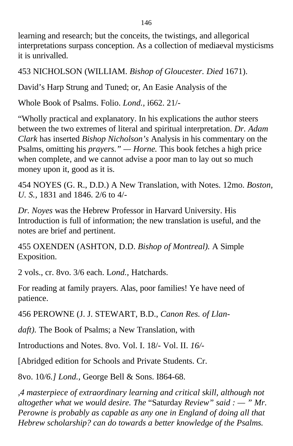learning and research; but the conceits, the twistings, and allegorical interpretations surpass conception. As a collection of mediaeval mysticisms it is unrivalled.

453 NICHOLSON (WILLIAM. *Bishop of Gloucester. Died* 1671).

David's Harp Strung and Tuned; or, An Easie Analysis of the

Whole Book of Psalms. Folio. *Lond.,* i662. 21/-

"Wholly practical and explanatory. In his explications the author steers between the two extremes of literal and spiritual interpretation. *Dr. Adam Clark* has inserted *Bishop Nicholson's* Analysis in his commentary on the Psalms, omitting his *prayers." — Horne.* This book fetches a high price when complete, and we cannot advise a poor man to lay out so much money upon it, good as it is.

454 NOYES (G. R., D.D.) A New Translation, with Notes. 12mo. *Boston, U. S.,* 1831 and 1846. 2/6 to 4/-

*Dr. Noyes* was the Hebrew Professor in Harvard University. His Introduction is full of information; the new translation is useful, and the notes are brief and pertinent.

455 OXENDEN (ASHTON, D.D. *Bishop of Montreal).* A Simple Exposition.

2 vols., cr. 8vo. 3/6 each. L*ond.,* Hatchards.

For reading at family prayers. Alas, poor families! Ye have need of patience.

456 PEROWNE (J. J. STEWART, B.D., *Canon Res. of Llan-*

*daft).* The Book of Psalms; a New Translation, with

Introductions and Notes. 8vo. Vol. I. 18/- Vol. II. *16/-*

[Abridged edition for Schools and Private Students. Cr.

8vo. 10*/6.] Lond.,* George Bell & Sons. I864-68.

*,4 masterpiece of extraordinary learning and critical skill, although not altogether what we would desire. The* "Saturday *Review" said : — " Mr. Perowne is probably as capable as any one in England of doing all that Hebrew scholarship? can do towards a better knowledge of the Psalms.*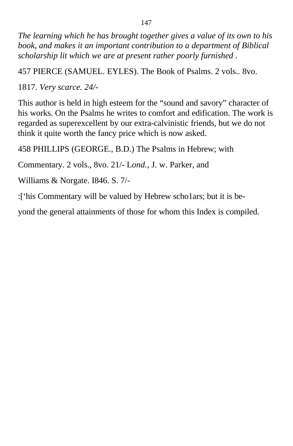*The learning which he has brought together gives a value of its own to his book, and makes it an important contribution to a department of Biblical scholarship lit which we are at present rather poorly furnished .*

457 PIERCE (SAMUEL. EYLES). The Book of Psalms. 2 vols.. 8vo.

1817. *Very scarce. 24/-*

This author is held in high esteem for the "sound and savory" character of his works. On the Psalms he writes to comfort and edification. The work is regarded as superexcellent by our extra-calvinistic friends, but we do not think it quite worth the fancy price which is now asked.

458 PHILLIPS (GEORGE., B.D.) The Psalms in Hebrew; with

Commentary. 2 vols., 8vo. 21/- L*ond.,* J. w. Parker, and

Williams & Norgate. I846. S. 7/-

:['his Commentary will be valued by Hebrew scho1ars; but it is be-

yond the general attainments of those for whom this Index is compiled.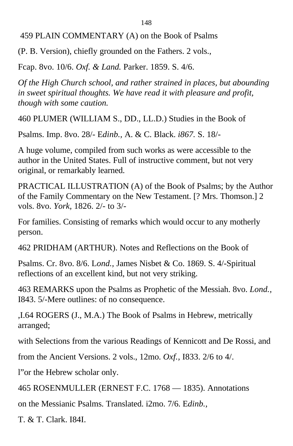459 PLAIN COMMENTARY (A) on the Book of Psalms

(P. B. Version), chiefly grounded on the Fathers. 2 vols.,

Fcap. 8vo. 10/6. *Oxf. & Land.* Parker. 1859. S. 4/6.

*Of the High Church school, and rather strained in places, but abounding in sweet spiritual thoughts. We have read it with pleasure and profit, though with some caution.*

460 PLUMER (WILLIAM S., DD., LL.D.) Studies in the Book of

Psalms. Imp. 8vo. 28/- E*dinb.,* A. & C. Black. *i867.* S. 18/-

A huge volume, compiled from such works as were accessible to the author in the United States. Full of instructive comment, but not very original, or remarkably learned.

PRACTICAL ILLUSTRATION (A) of the Book of Psalms; by the Author of the Family Commentary on the New Testament. [? Mrs. Thomson.] 2 vols. 8vo. *York,* 1826. 2/- to 3/-

For families. Consisting of remarks which would occur to any motherly person.

462 PRIDHAM (ARTHUR). Notes and Reflections on the Book of

Psalms. Cr. 8vo. 8/6. L*ond.,* James Nisbet & Co. 1869. S. 4/-Spiritual reflections of an excellent kind, but not very striking.

463 REMARKS upon the Psalms as Prophetic of the Messiah. 8vo. *Lond.,* I843. 5/-Mere outlines: of no consequence.

,I.64 ROGERS (J., M.A.) The Book of Psalms in Hebrew, metrically arranged;

with Selections from the various Readings of Kennicott and De Rossi, and

from the Ancient Versions. 2 vols., 12mo. *Oxf.,* I833. 2/6 to 4/.

l"or the Hebrew scholar only.

465 ROSENMULLER (ERNEST F.C. 1768 — 1835). Annotations

on the Messianic Psalms. Translated. i2mo. 7/6. E*dinb.,*

T. & T. Clark. I84I.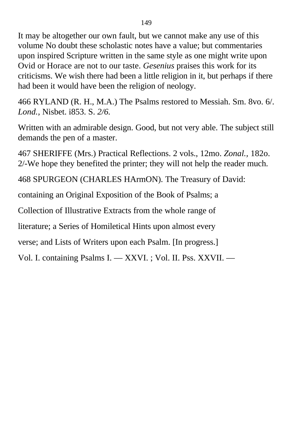It may be altogether our own fault, but we cannot make any use of this volume No doubt these scholastic notes have a value; but commentaries upon inspired Scripture written in the same style as one might write upon Ovid or Horace are not to our taste. *Gesenius* praises this work for its criticisms. We wish there had been a little religion in it, but perhaps if there had been it would have been the religion of neology.

466 RYLAND (R. H., M.A.) The Psalms restored to Messiah. Sm. 8vo. 6/. *Lond.,* Nisbet. i853. S. *2/6.*

Written with an admirable design. Good, but not very able. The subject still demands the pen of a master.

467 SHERIFFE (Mrs.) Practical Reflections. 2 vols., 12mo. *Zonal.,* 182o. 2/-We hope they benefited the printer; they will not help the reader much.

468 SPURGEON (CHARLES HArmON). The Treasury of David:

containing an Original Exposition of the Book of Psalms; a

Collection of Illustrative Extracts from the whole range of

literature; a Series of Homiletical Hints upon almost every

verse; and Lists of Writers upon each Psalm. [In progress.]

Vol. I. containing Psalms I. — XXVI. ; Vol. II. Pss. XXVII. —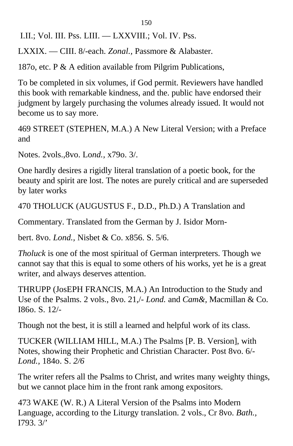I.II.; Vol. III. Pss. LIII. — LXXVIII.; Vol. IV. Pss.

LXXIX. — CIII. 8/-each. *Zonal.,* Passmore & Alabaster.

187o, etc. P & A edition available from Pilgrim Publications,

To be completed in six volumes, if God permit. Reviewers have handled this book with remarkable kindness, and the. public have endorsed their judgment by largely purchasing the volumes already issued. It would not become us to say more.

469 STREET (STEPHEN, M.A.) A New Literal Version; with a Preface and

Notes. 2vols.,8vo. Lo*nd.,* x79o. 3/.

One hardly desires a rigidly literal translation of a poetic book, for the beauty and spirit are lost. The notes are purely critical and are superseded by later works

470 THOLUCK (AUGUSTUS F., D.D., Ph.D.) A Translation and

Commentary. Translated from the German by J. Isidor Morn-

bert. 8vo. *Lond.,* Nisbet & Co. x856. S. 5/6.

*Tholuck* is one of the most spiritual of German interpreters. Though we cannot say that this is equal to some others of his works, yet he is a great writer, and always deserves attention.

THRUPP (JosEPH FRANCIS, M.A.) An Introduction to the Study and Use of the Psalms. 2 vols., 8vo. 21,/- *Lond.* and *Cam&,* Macmillan & Co. I86o. S. 12/-

Though not the best, it is still a learned and helpful work of its class.

TUCKER (WILLIAM HILL, M.A.) The Psalms [P. B. Version], with Notes, showing their Prophetic and Christian Character. Post 8vo. 6/- *Lond.,* 184o. S. *2/6*

The writer refers all the Psalms to Christ, and writes many weighty things, but we cannot place him in the front rank among expositors.

473 WAKE (W. R.) A Literal Version of the Psalms into Modern Language, according to the Liturgy translation. 2 vols., Cr 8vo. *Bath.,* I793. 3/'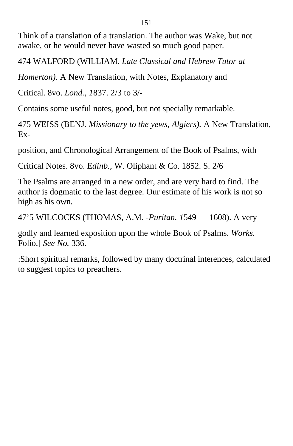Think of a translation of a translation. The author was Wake, but not awake, or he would never have wasted so much good paper.

474 WALFORD (WILLIAM. *Late Classical and Hebrew Tutor at*

*Homerton).* A New Translation, with Notes, Explanatory and

Critical. 8vo. *Lond., 1*837. 2/3 to 3/-

Contains some useful notes, good, but not specially remarkable.

475 WEISS (BENJ. *Missionary to the yews, Algiers).* A New Translation, Ex-

position, and Chronological Arrangement of the Book of Psalms, with

Critical Notes. 8vo. E*dinb.,* W. Oliphant & Co. 1852. S. 2/6

The Psalms are arranged in a new order, and are very hard to find. The author is dogmatic to the last degree. Our estimate of his work is not so high as his own.

47'5 WILCOCKS (THOMAS, A.M. *-Puritan. 1*549 — 1608). A very

godly and learned exposition upon the whole Book of Psalms. *Works.* Folio.] *See No.* 336.

:Short spiritual remarks, followed by many doctrinal interences, calculated to suggest topics to preachers.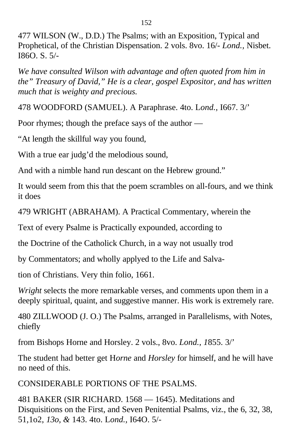477 WILSON (W., D.D.) The Psalms; with an Exposition, Typical and Prophetical, of the Christian Dispensation. 2 vols. 8vo. 16/- *Lond.,* Nisbet. I86O. S. 5/-

*We have consulted Wilson with advantage and often quoted from him in the" Treasury of David," He is a clear, gospel Expositor, and has written much that is weighty and precious.*

478 WOODFORD (SAMUEL). A Paraphrase. 4to. L*ond.,* I667. 3/'

Poor rhymes; though the preface says of the author —

"At length the skillful way you found,

With a true ear judg'd the melodious sound,

And with a nimble hand run descant on the Hebrew ground."

It would seem from this that the poem scrambles on all-fours, and we think it does

479 WRIGHT (ABRAHAM). A Practical Commentary, wherein the

Text of every Psalme is Practically expounded, according to

the Doctrine of the Catholick Church, in a way not usually trod

by Commentators; and wholly applyed to the Life and Salva-

tion of Christians. Very thin folio, 1661.

*Wright* selects the more remarkable verses, and comments upon them in a deeply spiritual, quaint, and suggestive manner. His work is extremely rare.

480 ZILLWOOD (J. O.) The Psalms, arranged in Parallelisms, with Notes, chiefly

from Bishops Horne and Horsley. 2 vols., 8vo. *Lond., 1*855. 3/'

The student had better get H*orne* and *Horsley* for himself, and he will have no need of this.

## CONSIDERABLE PORTIONS OF THE PSALMS.

481 BAKER (SIR RICHARD. 1568 — 1645). Meditations and Disquisitions on the First, and Seven Penitential Psalms, viz., the 6, 32, 38, 51,1o2, *13o, &* 143. 4to. L*ond.,* I64O. 5/-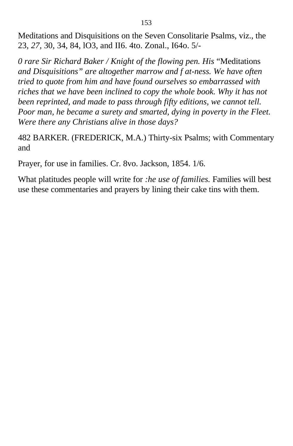Meditations and Disquisitions on the Seven Consolitarie Psalms, viz., the 23, *27,* 30, 34, 84, lO3, and II6. 4to. Zonal., I64o. 5/-

*0 rare Sir Richard Baker / Knight of the flowing pen. His* "Meditations *and Disquisitions" are altogether marrow and f at-ness. We have often tried to quote from him and have found ourselves so embarrassed with riches that we have been inclined to copy the whole book. Why it has not been reprinted, and made to pass through fifty editions, we cannot tell. Poor man, he became a surety and smarted, dying in poverty in the Fleet. Were there any Christians alive in those days?*

482 BARKER. (FREDERICK, M.A.) Thirty-six Psalms; with Commentary and

Prayer, for use in families. Cr. 8vo. Jackson, 1854. 1/6.

What platitudes people will write for *:he use of families*. Families will best use these commentaries and prayers by lining their cake tins with them.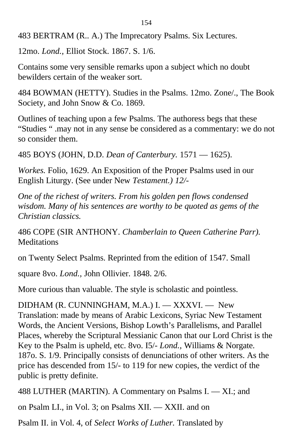483 BERTRAM (R.. A.) The Imprecatory Psalms. Six Lectures.

12mo. *Lond.,* Elliot Stock. 1867. S. 1/6.

Contains some very sensible remarks upon a subject which no doubt bewilders certain of the weaker sort.

484 BOWMAN (HETTY). Studies in the Psalms. 12mo. Zone/., The Book Society, and John Snow & Co. 1869.

Outlines of teaching upon a few Psalms. The authoress begs that these "Studies " .may not in any sense be considered as a commentary: we do not so consider them.

485 BOYS (JOHN, D.D. *Dean of Canterbury.* 1571 — 1625).

*Workes.* Folio, 1629. An Exposition of the Proper Psalms used in our English Liturgy. (See under New *Testament.) 12/-*

*One of the richest of writers. From his golden pen flows condensed wisdom. Many of his sentences are worthy to be quoted as gems of the Christian classics.*

486 COPE (SIR ANTHONY. *Chamberlain to Queen Catherine Parr).* **Meditations** 

on Twenty Select Psalms. Reprinted from the edition of 1547. Small

square 8vo. *Lond.,* John Ollivier. 1848. 2/6.

More curious than valuable. The style is scholastic and pointless.

DIDHAM (R. CUNNINGHAM, M.A.) I. — XXXVI. — New Translation: made by means of Arabic Lexicons, Syriac New Testament Words, the Ancient Versions, Bishop Lowth's Parallelisms, and Parallel Places, whereby the Scriptural Messianic Canon that our Lord Christ is the Key to the Psalm is upheld, etc. 8vo. I5/- *Lond.,* Williams & Norgate. 187o. S. 1/9. Principally consists of denunciations of other writers. As the price has descended from 15/- to 119 for new copies, the verdict of the public is pretty definite.

488 LUTHER (MARTIN). A Commentary on Psalms I. — XI.; and

on Psalm LI., in Vol. 3; on Psalms XII. — XXII. and on

Psalm II. in Vol. 4, of *Select Works of Luther.* Translated by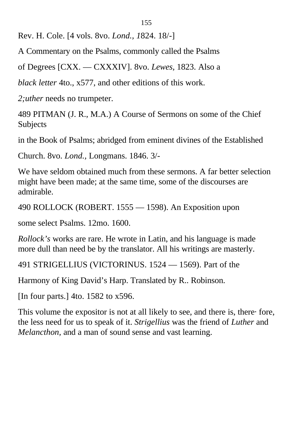Rev. H. Cole. [4 vols. 8vo. *Lond., 1*824. 18/-]

A Commentary on the Psalms, commonly called the Psalms

of Degrees [CXX. — CXXXIV]. 8vo. *Lewes,* 1823. Also a

*black letter* 4to., x577, and other editions of this work.

*2;uther* needs no trumpeter.

489 PITMAN (J. R., M.A.) A Course of Sermons on some of the Chief Subjects

in the Book of Psalms; abridged from eminent divines of the Established

Church. 8vo. *Lond.,* Longmans. 1846. 3/-

We have seldom obtained much from these sermons. A far better selection might have been made; at the same time, some of the discourses are admirable.

490 ROLLOCK (ROBERT. 1555 — 1598). An Exposition upon

some select Psalms. 12mo. 1600.

*Rollock's* works are rare. He wrote in Latin, and his language is made more dull than need be by the translator. All his writings are masterly.

491 STRIGELLIUS (VICTORINUS. 1524 — 1569). Part of the

Harmony of King David's Harp. Translated by R.. Robinson.

[In four parts.] 4to. 1582 to x596.

This volume the expositor is not at all likely to see, and there is, there· fore, the less need for us to speak of it. *Strigellius* was the friend of *Luther* and *Melancthon,* and a man of sound sense and vast learning.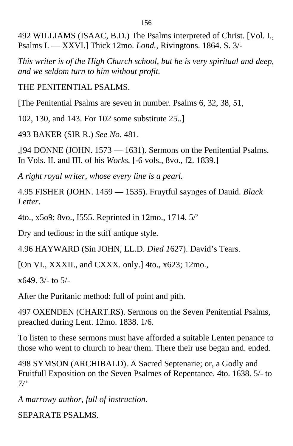492 WILLIAMS (ISAAC, B.D.) The Psalms interpreted of Christ. [Vol. I., Psalms I. — XXVI.] Thick 12mo. *Lond.,* Rivingtons. 1864. S. 3/-

*This writer is of the High Church school, but he is very spiritual and deep, and we seldom turn to him without profit.*

THE PENITENTIAL PSALMS.

[The Penitential Psalms are seven in number. Psalms 6, 32, 38, 51,

102, 130, and 143. For 102 some substitute 25..]

493 BAKER (SIR R.) *See No.* 481.

,[94 DONNE (JOHN. 1573 — 1631). Sermons on the Penitential Psalms. In Vols. II. and III. of his *Works.* [-6 vols., 8vo., f2. 1839.]

*A right royal writer, whose every line is a pearl.*

4.95 FISHER (JOHN. 1459 — 1535). Fruytful saynges of Dauid. *Black Letter.*

4to., x5o9; 8vo., I555. Reprinted in 12mo., 1714. 5/'

Dry and tedious: in the stiff antique style.

4.96 HAYWARD (Sin JOHN, LL.D. *Died 1*627). David's Tears.

[On VI., XXXII., and CXXX. only.] 4to., x623; 12mo.,

x649. 3/- to 5/-

After the Puritanic method: full of point and pith.

497 OXENDEN (CHART.RS). Sermons on the Seven Penitential Psalms, preached during Lent. 12mo. 1838. 1/6.

To listen to these sermons must have afforded a suitable Lenten penance to those who went to church to hear them. There their use began and. ended.

498 SYMSON (ARCHIBALD). A Sacred Septenarie; or, a Godly and Fruitfull Exposition on the Seven Psalmes of Repentance. 4to. 1638. 5/- to *7/'*

*A marrowy author, full of instruction.*

SEPARATE PSALMS.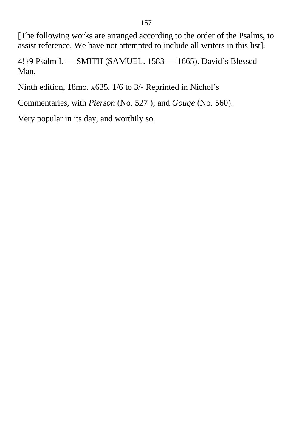[The following works are arranged according to the order of the Psalms, to assist reference. We have not attempted to include all writers in this list].

4!}9 Psalm I. — SMITH (SAMUEL. 1583 — 1665). David's Blessed Man.

Ninth edition, 18mo. x635. 1/6 to 3/- Reprinted in Nichol's

Commentaries, with *Pierson* (No. 527 ); and *Gouge* (No. 560).

Very popular in its day, and worthily so.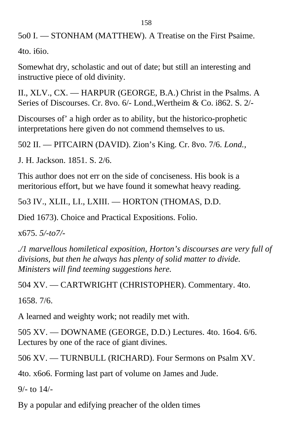5o0 I. — STONHAM (MATTHEW). A Treatise on the First Psaime.

4to. i6io.

Somewhat dry, scholastic and out of date; but still an interesting and instructive piece of old divinity.

II., XLV., CX. — HARPUR (GEORGE, B.A.) Christ in the Psalms. A Series of Discourses. Cr. 8vo. 6/- Lond.,Wertheim & Co. i862. S. 2/-

Discourses of' a high order as to ability, but the historico-prophetic interpretations here given do not commend themselves to us.

502 II. — PITCAIRN (DAVID). Zion's King. Cr. 8vo. 7/6. *Lond.,*

J. H. Jackson. 1851. S. 2/6.

This author does not err on the side of conciseness. His book is a meritorious effort, but we have found it somewhat heavy reading.

5o3 IV., XLII., LI., LXIII. — HORTON (THOMAS, D.D.

Died 1673). Choice and Practical Expositions. Folio.

x675. *5/-to7/-*

*./1 marvellous homiletical exposition, Horton's discourses are very full of divisions, but then he always has plenty of solid matter to divide. Ministers will find teeming suggestions here.*

504 XV. — CARTWRIGHT (CHRISTOPHER). Commentary. 4to.

1658. 7/6.

A learned and weighty work; not readily met with.

505 XV. — DOWNAME (GEORGE, D.D.) Lectures. 4to. 16o4. 6/6. Lectures by one of the race of giant divines.

506 XV. — TURNBULL (RICHARD). Four Sermons on Psalm XV.

4to. x6o6. Forming last part of volume on James and Jude.

9/- to 14/-

By a popular and edifying preacher of the olden times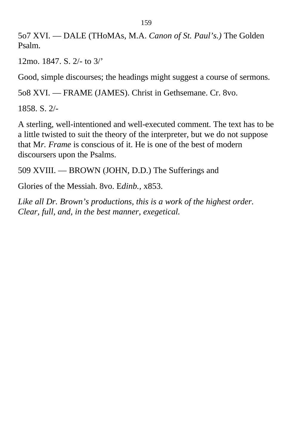5o7 XVI. — DALE (THoMAs, M.A. *Canon of St. Paul's.)* The Golden Psalm.

12mo. 1847. S. 2/- to 3/'

Good, simple discourses; the headings might suggest a course of sermons.

5o8 XVI. — FRAME (JAMES). Christ in Gethsemane. Cr. 8vo.

1858. S. 2/-

A sterling, well-intentioned and well-executed comment. The text has to be a little twisted to suit the theory of the interpreter, but we do not suppose that M*r. Frame* is conscious of it. He is one of the best of modern discoursers upon the Psalms.

509 XVIII. — BROWN (JOHN, D.D.) The Sufferings and

Glories of the Messiah. 8vo. E*dinb.,* x853.

*Like all Dr. Brown's productions, this is a work of the highest order. Clear, full, and, in the best manner, exegetical.*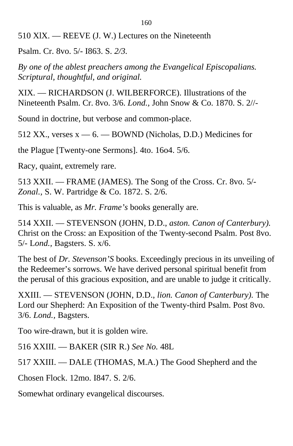510 XlX. — REEVE (J. W.) Lectures on the Nineteenth

Psalm. Cr. 8vo. 5/- I863. S. *2/3.*

*By one of the ablest preachers among the Evangelical Episcopalians. Scriptural, thoughtful, and original.*

XIX. — RICHARDSON (J. WILBERFORCE). Illustrations of the Nineteenth Psalm. Cr. 8vo. 3/6. *Lond.,* John Snow & Co. 1870. S. 2//-

Sound in doctrine, but verbose and common-place.

512 XX., verses  $x - 6$ .  $-$  BOWND (Nicholas, D.D.) Medicines for

the Plague [Twenty-one Sermons]. 4to. 16o4. 5/6.

Racy, quaint, extremely rare.

513 XXII. — FRAME (JAMES). The Song of the Cross. Cr. 8vo. 5/- *Zonal.,* S. W. Partridge & Co. 1872. S. 2/6.

This is valuable, as *Mr. Frame's* books generally are.

514 XXII. — STEVENSON (JOHN, D.D., *aston. Canon of Canterbury).* Christ on the Cross: an Exposition of the Twenty-second Psalm. Post 8vo. 5/- L*ond.,* Bagsters. S. x/6.

The best of *Dr. Stevenson'S* books. Exceedingly precious in its unveiling of the Redeemer's sorrows. We have derived personal spiritual benefit from the perusal of this gracious exposition, and are unable to judge it critically.

XXIII. — STEVENSON (JOHN, D.D., *lion. Canon of Canterbury).* The Lord our Shepherd: An Exposition of the Twenty-third Psalm. Post 8vo. 3/6. *Lond.,* Bagsters.

Too wire-drawn, but it is golden wire.

516 XXIII. — BAKER (SIR R.) *See No.* 48L

517 XXIII. — DALE (THOMAS, M.A.) The Good Shepherd and the

Chosen Flock. 12mo. I847. S. 2/6.

Somewhat ordinary evangelical discourses.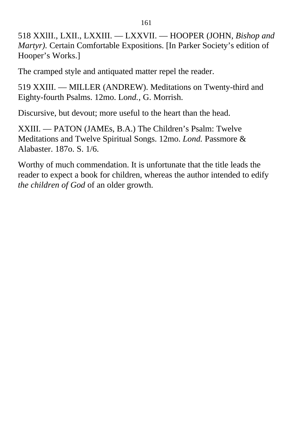518 XXlII., LXII., LXXIII. — LXXVII. — HOOPER (JOHN, *Bishop and Martyr).* Certain Comfortable Expositions. [In Parker Society's edition of Hooper's Works.]

The cramped style and antiquated matter repel the reader.

519 XXIII. — MILLER (ANDREW). Meditations on Twenty-third and Eighty-fourth Psalms. 12mo. Lo*nd.,* G. Morrish.

Discursive, but devout; more useful to the heart than the head.

XXIII. — PATON (JAMEs, B.A.) The Children's Psalm: Twelve Meditations and Twelve Spiritual Songs. 12mo. *Lond.* Passmore & Alabaster. 187o. S. 1/6.

Worthy of much commendation. It is unfortunate that the title leads the reader to expect a book for children, whereas the author intended to edify *the children of God* of an older growth.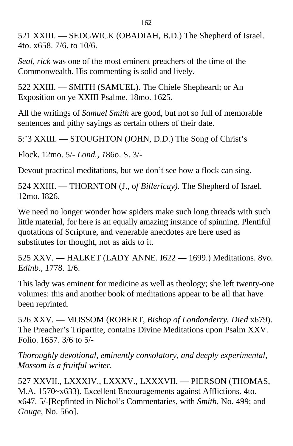521 XXIII. — SEDGWICK (OBADIAH, B.D.) The Shepherd of Israel. 4to. x658. 7/6. to 10/6.

*Seal, rick* was one of the most eminent preachers of the time of the Commonwealth. His commenting is solid and lively.

522 XXIII. — SMITH (SAMUEL). The Chiefe Shepheard; or An Exposition on ye XXIII Psalme. 18mo. 1625.

All the writings of *Samuel Smith* are good, but not so full of memorable sentences and pithy sayings as certain others of their date.

5:'3 XXIII. — STOUGHTON (JOHN, D.D.) The Song of Christ's

Flock. 12mo. 5/- *Lond., 1*86o. S. 3/-

Devout practical meditations, but we don't see how a flock can sing.

524 XXIII. — THORNTON (J., o*f Billericay).* The Shepherd of Israel. 12mo. I826.

We need no longer wonder how spiders make such long threads with such little material, for here is an equally amazing instance of spinning. Plentiful quotations of Scripture, and venerable anecdotes are here used as substitutes for thought, not as aids to it.

525 XXV. — HALKET (LADY ANNE. I622 — 1699.) Meditations. 8vo. E*dinb., 1*778. 1/6.

This lady was eminent for medicine as well as theology; she left twenty-one volumes: this and another book of meditations appear to be all that have been reprinted.

526 XXV. — MOSSOM (ROBERT, *Bishop of Londonderry. Died* x679). The Preacher's Tripartite, contains Divine Meditations upon Psalm XXV. Folio. 1657. 3/6 to 5/-

*Thoroughly devotional, eminently consolatory, and deeply experimental, Mossom is a fruitful writer.*

527 XXVII., LXXXIV., LXXXV., LXXXVII. — PIERSON (THOMAS, M.A. 1570~x633). Excellent Encouragements against Afflictions. 4to. x647. 5/-[Repfinted in Nichol's Commentaries, with *Smith,* No. 499; and *Gouge,* No. 56o].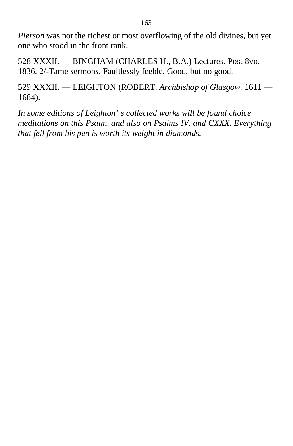*Pierson* was not the richest or most overflowing of the old divines, but yet one who stood in the front rank.

528 XXXII. — BINGHAM (CHARLES H., B.A.) Lectures. Post 8vo. 1836. 2/-Tame sermons. Faultlessly feeble. Good, but no good.

529 XXXII. — LEIGHTON (ROBERT, *Archbishop of Glasgow.* 1611 — 1684).

*In some editions of Leighton' s collected works will be found choice meditations on this Psalm, and also on Psalms IV. and CXXX. Everything that fell from his pen is worth its weight in diamonds.*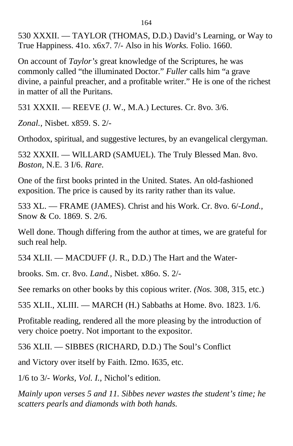530 XXXII. — TAYLOR (THOMAS, D.D.) David's Learning, or Way to True Happiness. 41o. x6x7. 7/- Also in his *Works.* Folio. 1660.

On account of *Taylor's* great knowledge of the Scriptures, he was commonly called "the illuminated Doctor." *Fuller* calls him "a grave divine, a painful preacher, and a profitable writer." He is one of the richest in matter of all the Puritans.

531 XXXII. — REEVE (J. W., M.A.) Lectures. Cr. 8vo. 3/6.

*Zonal.,* Nisbet. x859. S. 2/-

Orthodox, spiritual, and suggestive lectures, by an evangelical clergyman.

532 XXXII. — WlLLARD (SAMUEL). The Truly Blessed Man. 8vo. *Boston,* N.E. 3 I/6. *Rare.*

One of the first books printed in the United. States. An old-fashioned exposition. The price is caused by its rarity rather than its value.

533 XL. — FRAME (JAMES). Christ and his Work. Cr. 8vo. 6/-*Lond.,* Snow & Co. 1869. S. 2/6.

Well done. Though differing from the author at times, we are grateful for such real help.

534 XLII. — MACDUFF (J. R., D.D.) The Hart and the Water-

brooks. Sm. cr. 8vo. *Land.,* Nisbet. x86o. S. 2/-

See remarks on other books by this copious writer. *(Nos.* 308, 315, etc.)

535 XLII., XLIII. — MARCH (H.) Sabbaths at Home. 8vo. 1823. 1/6.

Profitable reading, rendered all the more pleasing by the introduction of very choice poetry. Not important to the expositor.

536 XLII. — SIBBES (RICHARD, D.D.) The Soul's Conflict

and Victory over itself by Faith. I2mo. I635, etc.

1/6 to 3/- *Works, Vol. I.,* Nichol's edition.

*Mainly upon verses 5 and 11. Sibbes never wastes the student's time; he scatters pearls and diamonds with both hands.*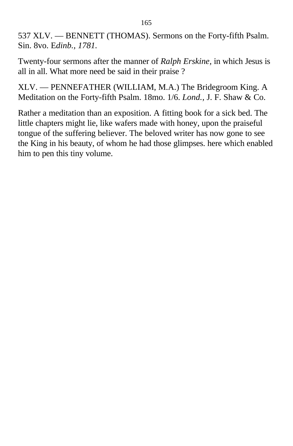537 XLV. — BENNETT (THOMAS). Sermons on the Forty-fifth Psalm. Sin. 8vo. E*dinb., 1781.*

Twenty-four sermons after the manner of *Ralph Erskine,* in which Jesus is all in all. What more need be said in their praise ?

XLV. — PENNEFATHER (WILLIAM, M.A.) The Bridegroom King. A Meditation on the Forty-fifth Psalm. 18mo. 1/6. *Lond.,* J. F. Shaw & Co.

Rather a meditation than an exposition. A fitting book for a sick bed. The little chapters might lie, like wafers made with honey, upon the praiseful tongue of the suffering believer. The beloved writer has now gone to see the King in his beauty, of whom he had those glimpses. here which enabled him to pen this tiny volume.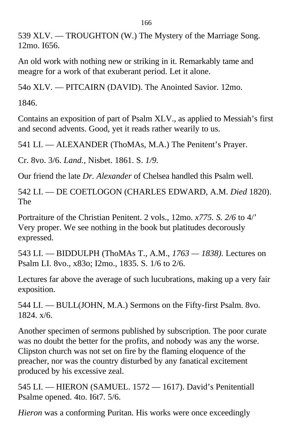539 XLV. — TROUGHTON (W.) The Mystery of the Marriage Song. 12mo. I656.

An old work with nothing new or striking in it. Remarkably tame and meagre for a work of that exuberant period. Let it alone.

54o XLV. — PITCAIRN (DAVID). The Anointed Savior. 12mo.

1846.

Contains an exposition of part of Psalm XLV., as applied to Messiah's first and second advents. Good, yet it reads rather wearily to us.

541 LI. — ALEXANDER (ThoMAs, M.A.) The Penitent's Prayer.

Cr. 8vo. 3/6. *Land.,* Nisbet. 1861. S. *1/9.*

Our friend the late *Dr. Alexander* of Chelsea handled this Psalm well.

542 LI. — DE COETLOGON (CHARLES EDWARD, A.M. *Died* 1820). The

Portraiture of the Christian Penitent. 2 vols., 12mo. *x775. S. 2/6* to 4/' Very proper. We see nothing in the book but platitudes decorously expressed.

543 LI. — BIDDULPH (ThoMAs T., A.M., *1763 — 1838).* Lectures on Psalm LI. 8vo., x83o; I2mo., 1835. S. 1/6 to 2/6.

Lectures far above the average of such lucubrations, making up a very fair exposition.

544 LI. — BULL(JOHN, M.A.) Sermons on the Fifty-first Psalm. 8vo. 1824. x/6.

Another specimen of sermons published by subscription. The poor curate was no doubt the better for the profits, and nobody was any the worse. Clipston church was not set on fire by the flaming eloquence of the preacher, nor was the country disturbed by any fanatical excitement produced by his excessive zeal.

545 LI. — HIERON (SAMUEL. 1572 — 1617). David's Penitentiall Psalme opened. 4to. I6t7. 5/6.

*Hieron* was a conforming Puritan. His works were once exceedingly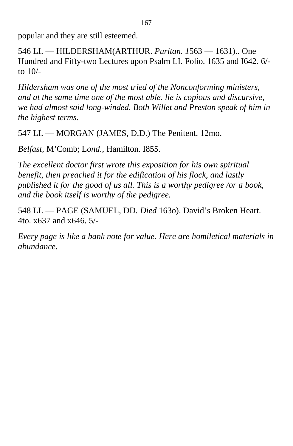popular and they are still esteemed.

546 LI. — HILDERSHAM(ARTHUR. *Puritan. 1*563 — 1631).. One Hundred and Fifty-two Lectures upon Psalm LI. Folio. 1635 and I642. 6/ to 10/-

*Hildersham was one of the most tried of the Nonconforming ministers, and at the same time one of the most able. lie is copious and discursive, we had almost said long-winded. Both Willet and Preston speak of him in the highest terms.*

547 LI. — MORGAN (JAMES, D.D.) The Penitent. 12mo.

*Belfast,* M'Comb; L*ond.,* Hamilton. I855.

*The excellent doctor first wrote this exposition for his own spiritual benefit, then preached it for the edification of his flock, and lastly published it for the good of us all. This is a worthy pedigree /or a book, and the book itself is worthy of the pedigree.*

548 LI. — PAGE (SAMUEL, DD. *Died* 163o). David's Broken Heart. 4to. x637 and x646. 5/-

*Every page is like a bank note for value. Here are homiletical materials in abundance.*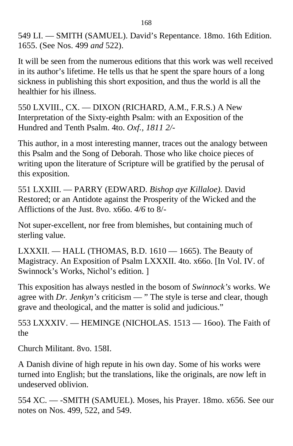549 LI. — SMITH (SAMUEL). David's Repentance. 18mo. 16th Edition. 1655. (See Nos. 499 *and* 522).

It will be seen from the numerous editions that this work was well received in its author's lifetime. He tells us that he spent the spare hours of a long sickness in publishing this short exposition, and thus the world is all the healthier for his illness.

550 LXVIII., CX. — DIXON (RICHARD, A.M., F.R.S.) A New Interpretation of the Sixty-eighth Psalm: with an Exposition of the Hundred and Tenth Psalm. 4to. *Oxf., 1811 2/-*

This author, in a most interesting manner, traces out the analogy between this Psalm and the Song of Deborah. Those who like choice pieces of writing upon the literature of Scripture will be gratified by the perusal of this exposition.

551 LXXIII. — PARRY (EDWARD. *Bishop aye Killaloe).* David Restored; or an Antidote against the Prosperity of the Wicked and the Afflictions of the Just. 8vo. x66o. *4/6* to 8/-

Not super-excellent, nor free from blemishes, but containing much of sterling value.

LXXXII. — HALL (THOMAS, B.D.  $1610 - 1665$ ). The Beauty of Magistracy. An Exposition of Psalm LXXXII. 4to. x66o. [In Vol. IV. of Swinnock's Works, Nichol's edition. ]

This exposition has always nestled in the bosom of *Swinnock's* works. We agree with *Dr. Jenkyn's* criticism — " The style is terse and clear, though grave and theological, and the matter is solid and judicious."

553 LXXXIV. — HEMINGE (NICHOLAS. 1513 — 16oo). The Faith of the

Church Militant. 8vo. 158I.

A Danish divine of high repute in his own day. Some of his works were turned into English; but the translations, like the originals, are now left in undeserved oblivion.

554 XC. — -SMITH (SAMUEL). Moses, his Prayer. 18mo. x656. See our notes on Nos. 499, 522, and 549.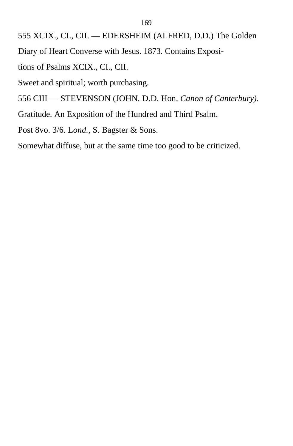- 555 XCIX., CI., CII. EDERSHEIM (ALFRED, D.D.) The Golden Diary of Heart Converse with Jesus. 1873. Contains Exposi-
- tions of Psalms XCIX., CI., CII.
- Sweet and spiritual; worth purchasing.
- 556 CIII STEVENSON (JOHN, D.D. Hon. *Canon of Canterbury).*
- Gratitude. An Exposition of the Hundred and Third Psalm.
- Post 8vo. 3/6. L*ond.,* S. Bagster & Sons.
- Somewhat diffuse, but at the same time too good to be criticized.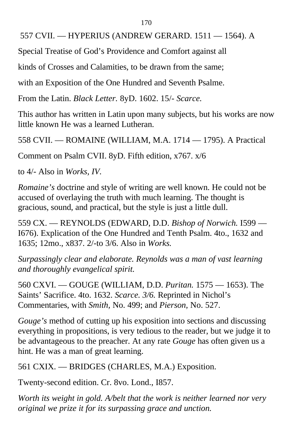Special Treatise of God's Providence and Comfort against all

kinds of Crosses and Calamities, to be drawn from the same;

with an Exposition of the One Hundred and Seventh Psalme.

From the Latin. *Black Letter.* 8yD. 1602. 15/- *Scarce.*

This author has written in Latin upon many subjects, but his works are now little known He was a learned Lutheran.

558 CVII. — ROMAINE (WILLIAM, M.A. 1714 — 1795). A Practical

Comment on Psalm CVII. 8yD. Fifth edition, x767. x/6

to 4/- Also in *Works, IV.*

*Romaine's* doctrine and style of writing are well known. He could not be accused of overlaying the truth with much learning. The thought is gracious, sound, and practical, but the style is just a little dull.

559 CX. — REYNOLDS (EDWARD, D.D. *Bishop of Norwich.* I599 — I676). Explication of the One Hundred and Tenth Psalm. 4to., 1632 and 1635; 12mo., x837. 2/-to 3/6. Also in *Works.*

*Surpassingly clear and elaborate. Reynolds was a man of vast learning and thoroughly evangelical spirit.*

560 CXVI. — GOUGE (WILLIAM, D.D. *Puritan.* 1575 — 1653). The Saints' Sacrifice. 4to. 1632. *Scarce. 3/6.* Reprinted in Nichol's Commentaries, with *Smith,* No. 499; and *Pierson,* No. 527.

*Gouge's* method of cutting up his exposition into sections and discussing everything in propositions, is very tedious to the reader, but we judge it to be advantageous to the preacher. At any rate *Gouge* has often given us a hint. He was a man of great learning.

561 CXIX. — BRIDGES (CHARLES, M.A.) Exposition.

Twenty-second edition. Cr. 8vo. Lond., I857.

*Worth its weight in gold. A/belt that the work is neither learned nor very original we prize it for its surpassing grace and unction.*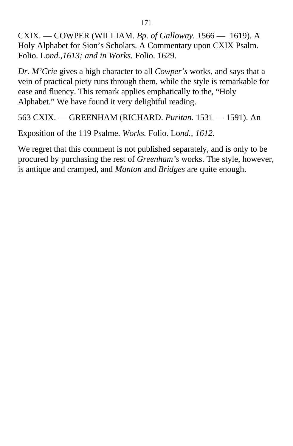CXIX. — COWPER (WILLIAM. *Bp. of Galloway. 1*566 — 1619). A Holy Alphabet for Sion's Scholars. A Commentary upon CXIX Psalm. Folio. Lo*nd.,1613; and in Works.* Folio. 1629.

*Dr. M'Crie* gives a high character to all *Cowper's* works, and says that a vein of practical piety runs through them, while the style is remarkable for ease and fluency. This remark applies emphatically to the, "Holy Alphabet." We have found it very delightful reading.

563 CXIX. — GREENHAM (RICHARD. *Puritan.* 1531 — 1591). An

Exposition of the 119 Psalme. *Works.* Folio. Lo*nd., 1612.*

We regret that this comment is not published separately, and is only to be procured by purchasing the rest of *Greenham's* works. The style, however, is antique and cramped, and *Manton* and *Bridges* are quite enough.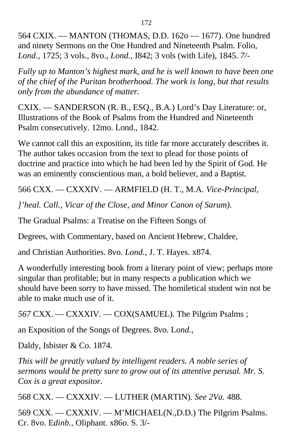564 CXIX. — MANTON (THOMAS, D.D. 162o — 1677). One hundred and ninety Sermons on the One Hundred and Nineteenth Psalm. Folio, *Lond.,* 1725; 3 vols., 8vo., *Lond.,* I842; 3 vols (with Life), 1845. *7/-*

*Fully up to Manton's highest mark, and he is well known to have been one of the chief of the Puritan brotherhood. The work is long, but that results only from the abundance of matter.*

CXIX. — SANDERSON (R. B., ESQ., B.A.) Lord's Day Literature: or, Illustrations of the Book of Psalms from the Hundred and Nineteenth Psalm consecutively. 12mo. Lond., 1842.

We cannot call this an exposition, its title far more accurately describes it. The author takes occasion from the text to plead for those points of doctrine and practice into which he had been led by the Spirit of God. He was an eminently conscientious man, a bold believer, and a Baptist.

566 CXX. — CXXXIV. — ARMFIELD (H. T., M.A. *Vice-Principal,*

*]'heal. Call., Vicar of the Close, and Minor Canon of Sarum).*

The Gradual Psalms: a Treatise on the Fifteen Songs of

Degrees, with Commentary, based on Ancient Hebrew, Chaldee,

and Christian Authorities. 8vo. *Lond.,* J. T. Hayes. x874.

A wonderfully interesting book from a literary point of view; perhaps more singular than profitable; but in many respects a publication which we should have been sorry to have missed. The homiletical student win not be able to make much use of it.

*567* CXX. — CXXXIV. — COX(SAMUEL). The Pilgrim Psalms ;

an Exposition of the Songs of Degrees. 8vo. L*ond.,*

Daldy, Isbister & Co. 1874.

*This will be greatly valued by intelligent readers. A noble series of sermons would be pretty sure to grow out of its attentive perusal. Mr. S. Cox is a great expositor.*

568 CXX. — CXXXIV. — LUTHER (MARTIN). *See 2Va.* 488.

569 CXX. — CXXXIV. — M'MICHAEL(N.,D.D.) The Pilgrim Psalms. Cr. 8vo. E*dinb.,* Oliphant. x86o. S. 3/-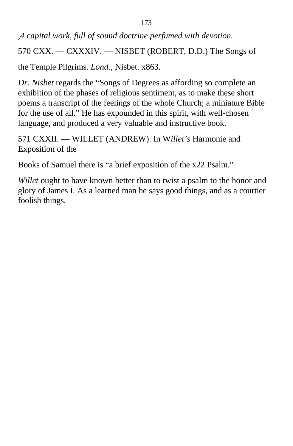*,4 capital work, full of sound doctrine perfumed with devotion.*

570 CXX. — CXXXIV. — NISBET (ROBERT, D.D.) The Songs of

the Temple Pilgrims. *Lond.,* Nisbet. x863.

*Dr. Nisbet* regards the "Songs of Degrees as affording so complete an exhibition of the phases of religious sentiment, as to make these short poems a transcript of the feelings of the whole Church; a miniature Bible for the use of all." He has expounded in this spirit, with well-chosen language, and produced a very valuable and instructive book.

571 CXXII. — WILLET (ANDREW). In W*illet's* Harmonie and Exposition of the

Books of Samuel there is "a brief exposition of the x22 Psalm."

*Willet* ought to have known better than to twist a psalm to the honor and glory of James I. As a learned man he says good things, and as a courtier foolish things.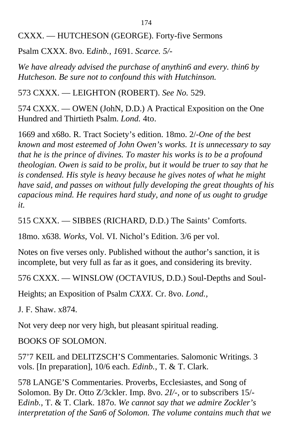CXXX. — HUTCHESON (GEORGE). Forty-five Sermons

Psalm CXXX. 8vo. E*dinb., 1*691. *Scarce. 5/-*

*We have already advised the purchase of anythin6 and every. thin6 by Hutcheson. Be sure not to confound this with Hutchinson.*

573 CXXX. — LEIGHTON (ROBERT). *See No.* 529.

574 CXXX. — OWEN (JohN, D.D.) A Practical Exposition on the One Hundred and Thirtieth Psalm. *Lond.* 4to.

1669 and x68o. R. Tract Society's edition. 18mo. 2/-*One of the best known and most esteemed of John Owen's works. 1t is unnecessary to say that he is the prince of divines. To master his works is to be a profound theologian. Owen is said to be prolix, but it would be truer to say that he is condensed. His style is heavy because he gives notes of what he might have said, and passes on without fully developing the great thoughts of his capacious mind. He requires hard study, and none of us ought to grudge it.*

515 CXXX. — SIBBES (RICHARD, D.D.) The Saints' Comforts.

18mo. x638. *Works,* Vol. VI. Nichol's Edition. 3/6 per vol.

Notes on five verses only. Published without the author's sanction, it is incomplete, but very full as far as it goes, and considering its brevity.

576 CXXX. — WINSLOW (OCTAVIUS, D.D.) Soul-Depths and Soul-

Heights; an Exposition of Psalm *CXXX.* Cr. 8vo. *Lond.,*

J. F. Shaw. x874.

Not very deep nor very high, but pleasant spiritual reading.

BOOKS OF SOLOMON.

57'7 KEIL and DELITZSCH'S Commentaries. Salomonic Writings. 3 vols. [In preparation], 10/6 each. *Edinb.,* T. & T. Clark.

578 LANGE'S Commentaries. Proverbs, Ecclesiastes, and Song of Solomon. By Dr. Otto Z/3ckler. Imp. 8vo. *2I/-,* or to subscribers 15/- E*dinb.,* T. & T. Clark. 187o. *We cannot say that we admire Zockler's interpretation of the San6 of Solomon. The volume contains much that we*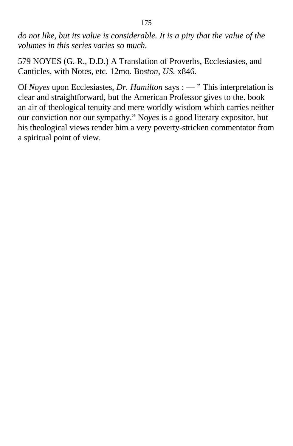*do not like, but its value is considerable. It is a pity that the value of the volumes in this series varies so much.*

579 NOYES (G. R., D.D.) A Translation of Proverbs, Ecclesiastes, and Canticles, with Notes, etc. 12mo. Bo*ston, US.* x846.

Of *Noyes* upon Ecclesiastes, *Dr. Hamilton* says : — " This interpretation is clear and straightforward, but the American Professor gives to the. book an air of theological tenuity and mere worldly wisdom which carries neither our conviction nor our sympathy." No*yes* is a good literary expositor, but his theological views render him a very poverty-stricken commentator from a spiritual point of view.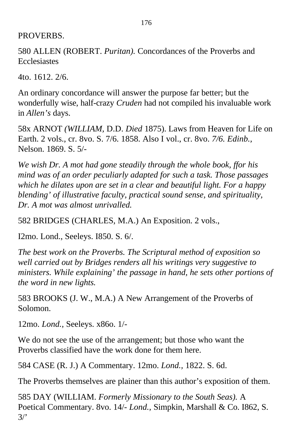PROVERBS.

580 ALLEN (ROBERT. *Puritan).* Concordances of the Proverbs and **Ecclesiastes** 

4to. 1612. 2/6.

An ordinary concordance will answer the purpose far better; but the wonderfully wise, half-crazy *Cruden* had not compiled his invaluable work in *Allen's* days.

58x ARNOT *(WILLIAM,* D.D. *Died* 1875). Laws from Heaven for Life on Earth. 2 vols., cr. 8vo. S. 7/6. 1858. Also I vol., cr. 8vo. *7/6. Edinb.,* Nelson. 1869. S. 5/-

*We wish Dr. A mot had gone steadily through the whole book, ffor his mind was of an order peculiarly adapted for such a task. Those passages which he dilates upon are set in a clear and beautiful light. For a happy blending' of illustrative faculty, practical sound sense, and spirituality, Dr. A mot was almost unrivalled.*

582 BRIDGES (CHARLES, M.A.) An Exposition. 2 vols.,

I2mo. Lond., Seeleys. I850. S. 6/.

*The best work on the Proverbs. The Scriptural method of exposition so well carried out by Bridges renders all his writings very suggestive to ministers. While explaining' the passage in hand, he sets other portions of the word in new lights.*

583 BROOKS (J. W., M.A.) A New Arrangement of the Proverbs of Solomon.

12mo. *Lond.,* Seeleys. x86o. 1/-

We do not see the use of the arrangement; but those who want the Proverbs classified have the work done for them here.

584 CASE (R. J.) A Commentary. 12mo. *Lond.,* 1822. S. 6d.

The Proverbs themselves are plainer than this author's exposition of them.

585 DAY (WILLIAM. *Formerly Missionary to the South Seas).* A Poetical Commentary. 8vo. 14/- *Lond.,* Simpkin, Marshall & Co. I862, S.  $3$ /'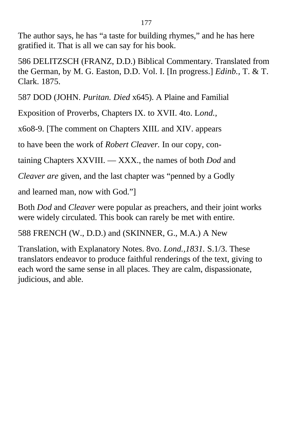The author says, he has "a taste for building rhymes," and he has here gratified it. That is all we can say for his book.

586 DELITZSCH (FRANZ, D.D.) Biblical Commentary. Translated from the German, by M. G. Easton, D.D. Vol. I. [In progress.] *Edinb.,* T. & T. Clark. 1875.

587 DOD (JOHN. *Puritan. Died* x645). A Plaine and Familial

Exposition of Proverbs, Chapters IX. to XVII. 4to. L*ond.,*

x6o8-9. [The comment on Chapters XIIL and XIV. appears

to have been the work of *Robert Cleaver.* In our copy, con-

taining Chapters XXVIII. — XXX., the names of both *Dod* and

*Cleaver are* given, and the last chapter was "penned by a Godly

and learned man, now with God."]

Both *Dod* and *Cleaver* were popular as preachers, and their joint works were widely circulated. This book can rarely be met with entire.

588 FRENCH (W., D.D.) and (SKINNER, G., M.A.) A New

Translation, with Explanatory Notes. 8vo. *Lond.,1831.* S.1/3. These translators endeavor to produce faithful renderings of the text, giving to each word the same sense in all places. They are calm, dispassionate, judicious, and able.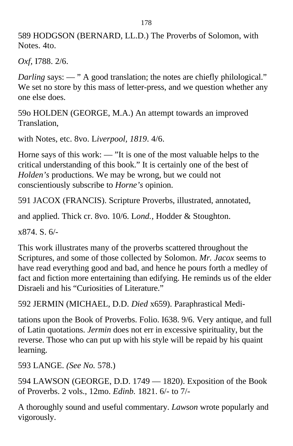589 HODGSON (BERNARD, LL.D.) The Proverbs of Solomon, with Notes. 4to.

*Oxf,* I788. 2/6.

*Darling says:* — " A good translation; the notes are chiefly philological." We set no store by this mass of letter-press, and we question whether any one else does.

59o HOLDEN (GEORGE, M.A.) An attempt towards an improved Translation,

with Notes, etc. 8vo. L*iverpool, 1819*. 4/6.

Horne says of this work: — "It is one of the most valuable helps to the critical understanding of this book." It is certainly one of the best of *Holden's* productions. We may be wrong, but we could not conscientiously subscribe to *Horne's* opinion.

591 JACOX (FRANCIS). Scripture Proverbs, illustrated, annotated,

and applied. Thick cr. 8vo. 10/6. L*ond.,* Hodder & Stoughton.

x874. S. 6/-

This work illustrates many of the proverbs scattered throughout the Scriptures, and some of those collected by Solomon. *Mr. Jacox* seems to have read everything good and bad, and hence he pours forth a medley of fact and fiction more entertaining than edifying. He reminds us of the elder Disraeli and his "Curiosities of Literature."

592 JERMIN (MICHAEL, D.D. *Died* x659). Paraphrastical Medi-

tations upon the Book of Proverbs. Folio. I638. 9/6. Very antique, and full of Latin quotations. *Jermin* does not err in excessive spirituality, but the reverse. Those who can put up with his style will be repaid by his quaint learning.

593 LANGE. *(See No.* 578.)

594 LAWSON (GEORGE, D.D. 1749 — 1820). Exposition of the Book of Proverbs. 2 vols., 12mo. *Edinb.* 1821. 6/- to 7/-

A thoroughly sound and useful commentary. *Lawson* wrote popularly and vigorously.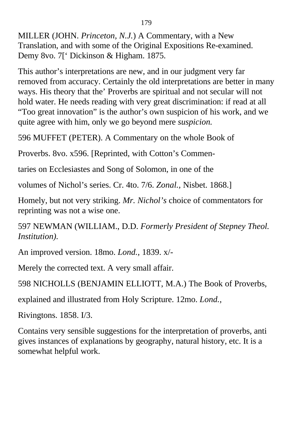MILLER (JOHN. *Princeton, N.J.*) A Commentary, with a New Translation, and with some of the Original Expositions Re-examined. Demy 8vo. 7[' Dickinson & Higham. 1875.

This author's interpretations are new, and in our judgment very far removed from accuracy. Certainly the old interpretations are better in many ways. His theory that the' Proverbs are spiritual and not secular will not hold water. He needs reading with very great discrimination: if read at all "Too great innovation" is the author's own suspicion of his work, and we quite agree with him, only we go beyond mere *suspicion.*

596 MUFFET (PETER). A Commentary on the whole Book of

Proverbs. 8vo. x596. [Reprinted, with Cotton's Commen-

taries on Ecclesiastes and Song of Solomon, in one of the

volumes of Nichol's series. Cr. 4to. 7/6. *Zonal.,* Nisbet. 1868.]

Homely, but not very striking. *Mr. Nichol's* choice of commentators for reprinting was not a wise one.

597 NEWMAN (WILLIAM., D.D. *Formerly President of Stepney Theol. Institution).*

An improved version. 18mo. *Lond.,* 1839. x/-

Merely the corrected text. A very small affair.

598 NICHOLLS (BENJAMIN ELLIOTT, M.A.) The Book of Proverbs,

explained and illustrated from Holy Scripture. 12mo. *Lond.,*

Rivingtons. 1858. I/3.

Contains very sensible suggestions for the interpretation of proverbs, anti gives instances of explanations by geography, natural history, etc. It is a somewhat helpful work.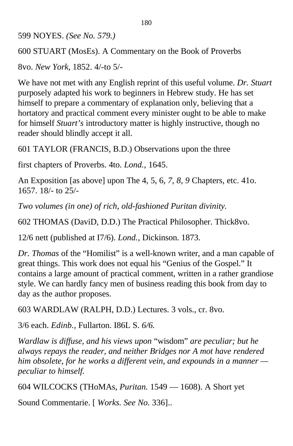599 NOYES. *(See No. 579.)*

600 STUART (MosEs). A Commentary on the Book of Proverbs

8vo. *New York,* 1852. 4/-to 5/-

We have not met with any English reprint of this useful volume. *Dr. Stuart* purposely adapted his work to beginners in Hebrew study. He has set himself to prepare a commentary of explanation only, believing that a hortatory and practical comment every minister ought to be able to make for himself *Stuart's* introductory matter is highly instructive, though no reader should blindly accept it all.

601 TAYLOR (FRANCIS, B.D.) Observations upon the three

first chapters of Proverbs. 4to. *Lond.,* 1645.

An Exposition [as above] upon The 4, 5, 6, *7, 8, 9* Chapters, etc. 41o. 1657. 18/- to 25/-

*Two volumes (in one) of rich, old-fashioned Puritan divinity.*

602 THOMAS (DaviD, D.D.) The Practical Philosopher. Thick8vo.

12/6 nett (published at I7/6). *Lond.,* Dickinson. 1873.

*Dr. Thomas* of the "Homilist" is a well-known writer, and a man capable of great things. This work does not equal his "Genius of the Gospel." It contains a large amount of practical comment, written in a rather grandiose style. We can hardly fancy men of business reading this book from day to day as the author proposes.

603 WARDLAW (RALPH, D.D.) Lectures. 3 vols., cr. 8vo.

3/6 each. *Edinb.,* Fullarton. I86L S. *6/6.*

*Wardlaw is diffuse, and his views upon* "wisdom" *are peculiar; but he always repays the reader, and neither Bridges nor A mot have rendered him obsolete, for he works a different vein, and expounds in a manner peculiar to himself.*

604 WILCOCKS (THoMAs, *Puritan.* 1549 — 1608). A Short yet

Sound Commentarie. [ *Works. See No.* 336]..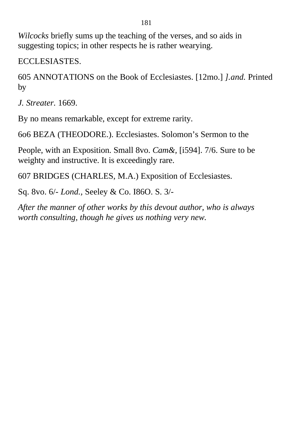*Wilcocks* briefly sums up the teaching of the verses, and so aids in suggesting topics; in other respects he is rather wearying.

ECCLESIASTES.

605 ANNOTATIONS on the Book of Ecclesiastes. [12mo.] *].and.* Printed by

*J. Streater.* 1669.

By no means remarkable, except for extreme rarity.

6o6 BEZA (THEODORE.). Ecclesiastes. Solomon's Sermon to the

People, with an Exposition. Small 8vo. *Cam&,* [i594]. 7/6. Sure to be weighty and instructive. It is exceedingly rare.

607 BRIDGES (CHARLES, M.A.) Exposition of Ecclesiastes.

Sq. 8vo. 6/- *Lond.,* Seeley & Co. I86O. S. 3/-

*After the manner of other works by this devout author, who is always worth consulting, though he gives us nothing very new.*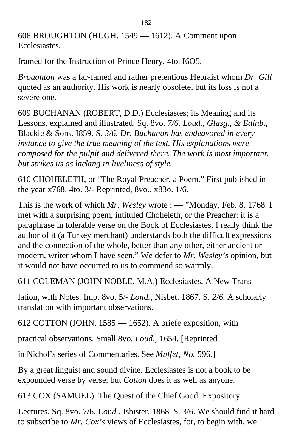608 BROUGHTON (HUGH. 1549 — 1612). A Comment upon Ecclesiastes,

framed for the Instruction of Prince Henry. 4to. I6O5.

*Broughton* was a far-famed and rather pretentious Hebraist whom *Dr. Gill* quoted as an authority. His work is nearly obsolete, but its loss is not a severe one.

609 BUCHANAN (ROBERT, D.D.) Ecclesiastes; its Meaning and its Lessons, explained and illustrated. Sq. 8vo. *7/6. Loud., Glasg., & Edinb.,* Blackie & Sons. I859. S. *3/6. Dr. Buchanan has endeavored in every instance to give the true meaning of the text. His explanations were composed for the pulpit and delivered there. The work is most important, but strikes us as lacking in liveliness of style.*

610 CHOHELETH, or "The Royal Preacher, a Poem." First published in the year x768. 4to. 3/- Reprinted, 8vo., x83o. 1/6.

This is the work of which *Mr. Wesley* wrote : — "Monday, Feb. 8, 1768. I met with a surprising poem, intituled Choheleth, or the Preacher: it is a paraphrase in tolerable verse on the Book of Ecclesiastes. I really think the author of it (a Turkey merchant) understands both the difficult expressions and the connection of the whole, better than any other, either ancient or modern, writer whom I have seen." We defer to *Mr. Wesley's* opinion, but it would not have occurred to us to commend so warmly.

611 COLEMAN (JOHN NOBLE, M.A.) Ecclesiastes. A New Trans-

lation, with Notes. Imp. 8vo. 5/- *Lond.,* Nisbet. 1867. S. *2/6.* A scholarly translation with important observations.

612 COTTON (JOHN. 1585 — 1652). A briefe exposition, with

practical observations. Small 8vo. *Loud.,* 1654. [Reprinted

in Nichol's series of Commentaries. See *Muffet, No.* 596.]

By a great linguist and sound divine. Ecclesiastes is not a book to be expounded verse by verse; but *Cotton* does it as well as anyone.

613 COX (SAMUEL). The Quest of the Chief Good: Expository

Lectures. Sq. 8vo. 7/6. L*ond.,* Isbister. 1868. S. 3/6. We should find it hard to subscribe to *Mr. Cox's* views of Ecclesiastes, for, to begin with, we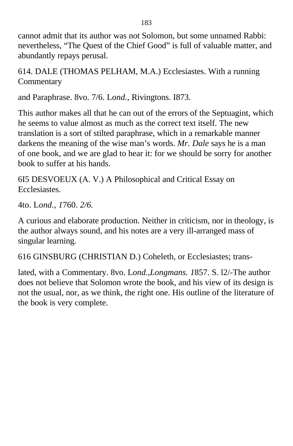cannot admit that its author was not Solomon, but some unnamed Rabbi: nevertheless, "The Quest of the Chief Good" is full of valuable matter, and abundantly repays perusal.

614. DALE (THOMAS PELHAM, M.A.) Ecclesiastes. With a running **Commentary** 

and Paraphrase. 8vo. 7/6. L*ond.,* Rivingtons. I873.

This author makes all that he can out of the errors of the Septuagint, which he seems to value almost as much as the correct text itself. The new translation is a sort of stilted paraphrase, which in a remarkable manner darkens the meaning of the wise man's words. *Mr. Dale* says he is a man of one book, and we are glad to hear it: for we should be sorry for another book to suffer at his hands.

6I5 DESVOEUX (A. V.) A Philosophical and Critical Essay on Ecclesiastes.

4to. L*ond., 1*760. *2/6.*

A curious and elaborate production. Neither in criticism, nor in theology, is the author always sound, and his notes are a very ill-arranged mass of singular learning.

616 GINSBURG (CHRISTIAN D.) Coheleth, or Ecclesiastes; trans-

lated, with a Commentary. 8vo. L*ond.,Longmans. 1*857. S. l2/-The author does not believe that Solomon wrote the book, and his view of its design is not the usual, nor, as we think, the right one. His outline of the literature of the book is very complete.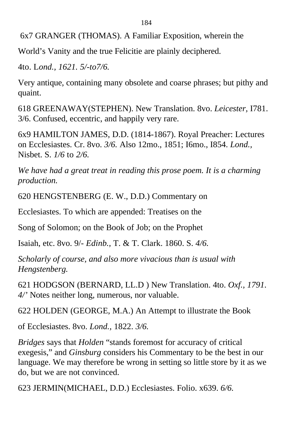6x7 GRANGER (THOMAS). A Familiar Exposition, wherein the

World's Vanity and the true Felicitie are plainly deciphered.

4to. L*ond., 1621. 5/-to7/6.*

Very antique, containing many obsolete and coarse phrases; but pithy and quaint.

618 GREENAWAY(STEPHEN). New Translation. 8vo. *Leicester,* I781. 3/6. Confused, eccentric, and happily very rare.

6x9 HAMILTON JAMES, D.D. (1814-1867). Royal Preacher: Lectures on Ecclesiastes. Cr. 8vo. *3/6.* Also 12mo., 1851; I6mo., I854. *Lond.,* Nisbet. S. *1/6* to *2/6.*

*We have had a great treat in reading this prose poem. It is a charming production.*

620 HENGSTENBERG (E. W., D.D.) Commentary on

Ecclesiastes. To which are appended: Treatises on the

Song of Solomon; on the Book of Job; on the Prophet

Isaiah, etc. 8vo. 9/- *Edinb.,* T. & T. Clark. 1860. S. *4/6.*

*Scholarly of course, and also more vivacious than is usual with Hengstenberg.*

621 HODGSON (BERNARD, LL.D ) New Translation. 4to. *Oxf., 1791. 4/'* Notes neither long, numerous, nor valuable.

622 HOLDEN (GEORGE, M.A.) An Attempt to illustrate the Book

of Ecclesiastes. 8vo. *Lond.,* 1822. *3/6.*

*Bridges* says that *Holden* "stands foremost for accuracy of critical exegesis," and *Ginsburg* considers his Commentary to be the best in our language. We may therefore be wrong in setting so little store by it as we do, but we are not convinced.

623 JERMIN(MICHAEL, D.D.) Ecclesiastes. Folio. x639. *6/6.*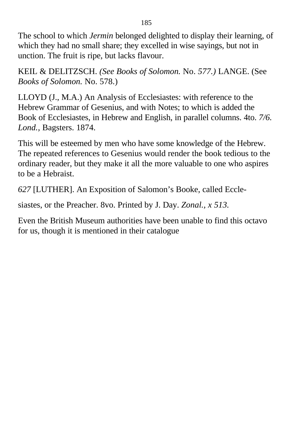The school to which *Jermin* belonged delighted to display their learning, of which they had no small share; they excelled in wise sayings, but not in unction. The fruit is ripe, but lacks flavour.

KEIL & DELITZSCH. *(See Books of Solomon.* No. *577.)* LANGE. (See *Books of Solomon.* No. 578.)

LLOYD (J., M.A.) An Analysis of Ecclesiastes: with reference to the Hebrew Grammar of Gesenius, and with Notes; to which is added the Book of Ecclesiastes, in Hebrew and English, in parallel columns. 4to. *7/6. Lond.,* Bagsters. 1874.

This will be esteemed by men who have some knowledge of the Hebrew. The repeated references to Gesenius would render the book tedious to the ordinary reader, but they make it all the more valuable to one who aspires to be a Hebraist.

*627* [LUTHER]. An Exposition of Salomon's Booke, called Eccle-

siastes, or the Preacher. 8vo. Printed by J. Day. *Zonal., x 513.*

Even the British Museum authorities have been unable to find this octavo for us, though it is mentioned in their catalogue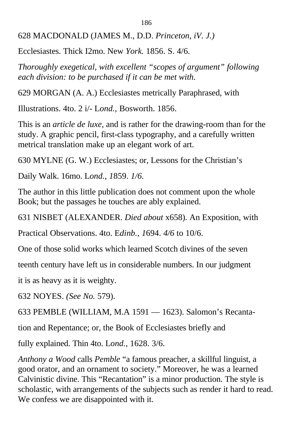628 MACDONALD (JAMES M., D.D. *Princeton, iV. J.)*

Ecclesiastes. Thick I2mo. New *York.* 1856. S. 4/6.

*Thoroughly exegetical, with excellent "scopes of argument" following each division: to be purchased if it can be met with.*

629 MORGAN (A. A.) Ecclesiastes metrically Paraphrased, with

Illustrations. 4to. 2 i/- L*ond.,* Bosworth. 1856.

This is an *article de luxe,* and is rather for the drawing-room than for the study. A graphic pencil, first-class typography, and a carefully written metrical translation make up an elegant work of art.

630 MYLNE (G. W.) Ecclesiastes; or, Lessons for the Christian's

Daily Walk. 16mo. L*ond., 1*859. *1/6.*

The author in this little publication does not comment upon the whole Book; but the passages he touches are ably explained.

631 NISBET (ALEXANDER. *Died about* x658). An Exposition, with

Practical Observations. 4to. E*dinb., 1*694. *4/6* to 10/6.

One of those solid works which learned Scotch divines of the seven

teenth century have left us in considerable numbers. In our judgment

it is as heavy as it is weighty.

632 NOYES. *(See No.* 579).

633 PEMBLE (WILLIAM, M.A 1591 — 1623). Salomon's Recanta-

tion and Repentance; or, the Book of Ecclesiastes briefly and

fully explained. Thin 4to. L*ond.,* 1628. 3/6.

*Anthony a Wood* calls *Pemble* "a famous preacher, a skillful linguist, a good orator, and an ornament to society." Moreover, he was a learned Calvinistic divine. This "Recantation" is a minor production. The style is scholastic, with arrangements of the subjects such as render it hard to read. We confess we are disappointed with it.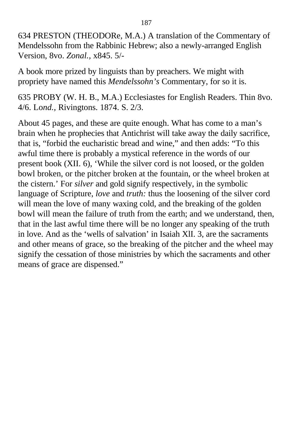634 PRESTON (THEODORe, M.A.) A translation of the Commentary of Mendelssohn from the Rabbinic Hebrew; also a newly-arranged English Version, 8vo. *Zonal.,* x845. 5/-

A book more prized by linguists than by preachers. We might with propriety have named this *Mendelssohn's* Commentary, for so it is.

635 PROBY (W. H. B., M.A.) Ecclesiastes for English Readers. Thin 8vo. 4/6. Lo*nd.,* Rivingtons. 1874. S. 2/3.

About 45 pages, and these are quite enough. What has come to a man's brain when he prophecies that Antichrist will take away the daily sacrifice, that is, "forbid the eucharistic bread and wine," and then adds: "To this awful time there is probably a mystical reference in the words of our present book (XII. 6), 'While the silver cord is not loosed, or the golden bowl broken, or the pitcher broken at the fountain, or the wheel broken at the cistern.' For *silver* and gold signify respectively, in the symbolic language of Scripture, *love* and *truth:* thus the loosening of the silver cord will mean the love of many waxing cold, and the breaking of the golden bowl will mean the failure of truth from the earth; and we understand, then, that in the last awful time there will be no longer any speaking of the truth in love. And as the 'wells of salvation' in Isaiah XlI. 3, are the sacraments and other means of grace, so the breaking of the pitcher and the wheel may signify the cessation of those ministries by which the sacraments and other means of grace are dispensed."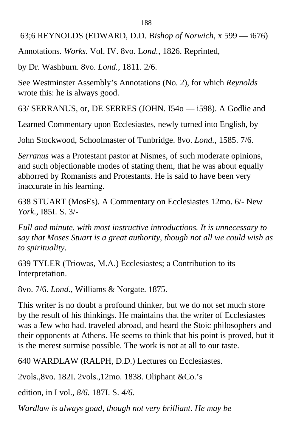63;6 REYNOLDS (EDWARD, D.D. B*ishop of Norwich,* x 599 — i676)

Annotations. *Works.* Vol. IV. 8vo. L*ond.,* 1826. Reprinted,

by Dr. Washburn. 8vo. *Lond.,* 1811. 2/6.

See Westminster Assembly's Annotations (No. 2), for which *Reynolds* wrote this: he is always good.

63/ SERRANUS, or, DE SERRES (JOHN. I54o — i598). A Godlie and

Learned Commentary upon Ecclesiastes, newly turned into English, by

John Stockwood, Schoolmaster of Tunbridge. 8vo. *Lond.,* 1585. 7/6.

*Serranus* was a Protestant pastor at Nismes, of such moderate opinions, and such objectionable modes of stating them, that he was about equally abhorred by Romanists and Protestants. He is said to have been very inaccurate in his learning.

638 STUART (MosEs). A Commentary on Ecclesiastes 12mo. 6/- New *York.,* I85I. S. 3/-

*Full and minute, with most instructive introductions. It is unnecessary to say that Moses Stuart is a great authority, though not all we could wish as to spirituality.*

639 TYLER (Triowas, M.A.) Ecclesiastes; a Contribution to its Interpretation.

8vo. 7/6. *Lond.,* Williams & Norgate. 1875.

This writer is no doubt a profound thinker, but we do not set much store by the result of his thinkings. He maintains that the writer of Ecclesiastes was a Jew who had. traveled abroad, and heard the Stoic philosophers and their opponents at Athens. He seems to think that his point is proved, but it is the merest surmise possible. The work is not at all to our taste.

640 WARDLAW (RALPH, D.D.) Lectures on Ecclesiastes.

2vols.,8vo. 182I. 2vols.,12mo. 1838. Oliphant &Co.'s

edition, in I vol., *8/6.* 187I. S. *4/6.*

*Wardlaw is always goad, though not very brilliant. He may be*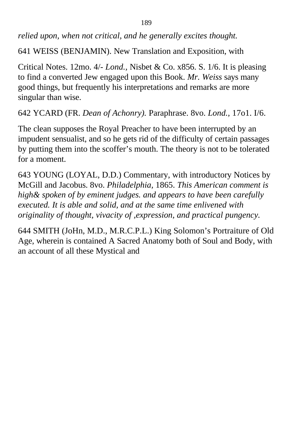*relied upon, when not critical, and he generally excites thought.*

641 WEISS (BENJAMIN). New Translation and Exposition, with

Critical Notes. 12mo. 4/- *Lond.,* Nisbet & Co. x856. S. 1/6. It is pleasing to find a converted Jew engaged upon this Book. *Mr. Weiss* says many good things, but frequently his interpretations and remarks are more singular than wise.

642 YCARD (FR. *Dean of Achonry).* Paraphrase. 8vo. *Lond.,* 17o1. I/6.

The clean supposes the Royal Preacher to have been interrupted by an impudent sensualist, and so he gets rid of the difficulty of certain passages by putting them into the scoffer's mouth. The theory is not to be tolerated for a moment.

643 YOUNG (LOYAL, D.D.) Commentary, with introductory Notices by McGill and Jacobus. 8vo. *Philadelphia,* 1865. *This American comment is high& spoken of by eminent judges. and appears to have been carefully executed. It is able and solid, and at the same time enlivened with originality of thought, vivacity of ,expression, and practical pungency.*

644 SMITH (JoHn, M.D., M.R.C.P.L.) King Solomon's Portraiture of Old Age, wherein is contained A Sacred Anatomy both of Soul and Body, with an account of all these Mystical and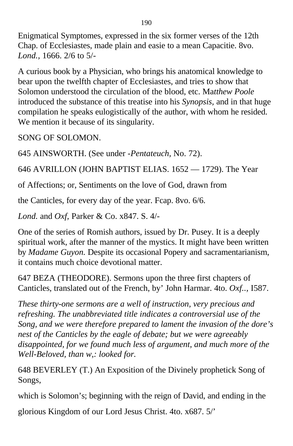Enigmatical Symptomes, expressed in the six former verses of the 12th Chap. of Ecclesiastes, made plain and easie to a mean Capacitie. 8vo. *Lond.,* 1666. 2/6 to 5/-

A curious book by a Physician, who brings his anatomical knowledge to bear upon the twelfth chapter of Ecclesiastes, and tries to show that Solomon understood the circulation of the blood, etc. Ma*tthew Poole* introduced the substance of this treatise into his *Synopsis,* and in that huge compilation he speaks eulogistically of the author, with whom he resided. We mention it because of its singularity.

SONG OF SOLOMON.

645 AINSWORTH. (See under *-Pentateuch,* No. 72).

646 AVRILLON (JOHN BAPTIST ELIAS. 1652 — 1729). The Year

of Affections; or, Sentiments on the love of God, drawn from

the Canticles, for every day of the year. Fcap. 8vo. 6/6.

*Lond.* and *Oxf,* Parker & Co. x847. S. 4/-

One of the series of Romish authors, issued by Dr. Pusey. It is a deeply spiritual work, after the manner of the mystics. It might have been written by *Madame Guyon.* Despite its occasional Popery and sacramentarianism, it contains much choice devotional matter.

647 BEZA (THEODORE). Sermons upon the three first chapters of Canticles, translated out of the French, by' John Harmar. 4to. *Oxf..,* I587.

*These thirty-one sermons are a well of instruction, very precious and refreshing. The unabbreviated title indicates a controversial use of the Song, and we were therefore prepared to lament the invasion of the dore's nest of the Canticles by the eagle of debate; but we were agreeably disappointed, for we found much less of argument, and much more of the Well-Beloved, than w,: looked for.*

648 BEVERLEY (T.) An Exposition of the Divinely prophetick Song of Songs,

which is Solomon's; beginning with the reign of David, and ending in the

glorious Kingdom of our Lord Jesus Christ. 4to. x687. 5/'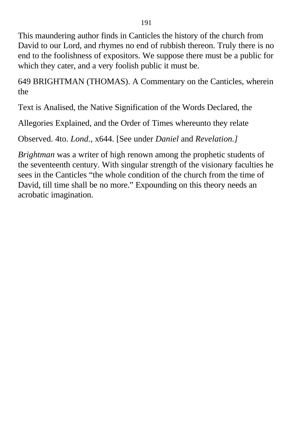This maundering author finds in Canticles the history of the church from David to our Lord, and rhymes no end of rubbish thereon. Truly there is no end to the foolishness of expositors. We suppose there must be a public for which they cater, and a very foolish public it must be.

649 BRIGHTMAN (THOMAS). A Commentary on the Canticles, wherein the

Text is Analised, the Native Signification of the Words Declared, the

Allegories Explained, and the Order of Times whereunto they relate

Observed. 4to. *Lond.,* x644. [See under *Daniel* and *Revelation.]*

*Brightman* was a writer of high renown among the prophetic students of the seventeenth century. With singular strength of the visionary faculties he sees in the Canticles "the whole condition of the church from the time of David, till time shall be no more." Expounding on this theory needs an acrobatic imagination.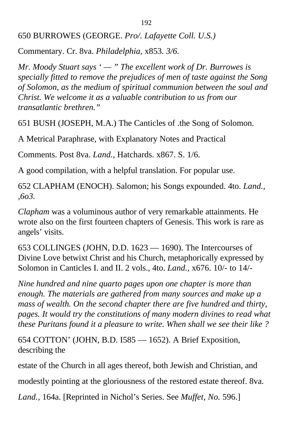650 BURROWES (GEORGE. *Pro/. Lafayette Coll. U.S.)*

Commentary. Cr. 8va. *Philadelphia,* x853. *3/6.*

*Mr. Moody Stuart says ' — " The excellent work of Dr. Burrowes is specially fitted to remove the prejudices of men of taste against the Song of Solomon, as the medium of spiritual communion between the soul and Christ. We welcome it as a valuable contribution to us from our transatlantic brethren."*

651 BUSH (JOSEPH, M.A.) The Canticles of .the Song of Solomon.

A Metrical Paraphrase, with Explanatory Notes and Practical

Comments. Post 8va. *Land.,* Hatchards. x867. S. 1/6.

A good compilation, with a helpful translation. For popular use.

652 CLAPHAM (ENOCH). Salomon; his Songs expounded. 4to. *Land., ,6o3.*

*Clapham* was a voluminous author of very remarkable attainments. He wrote also on the first fourteen chapters of Genesis. This work is rare as angels' visits.

653 COLLINGES (JOHN, D.D. 1623 — 1690). The Intercourses of Divine Love betwixt Christ and his Church, metaphorically expressed by Solomon in Canticles I. and II. 2 vols., 4to. *Land.,* x676. 10/- to 14/-

*Nine hundred and nine quarto pages upon one chapter is more than enough. The materials are gathered from many sources and make up a mass of wealth. On the second chapter there are five hundred and thirty, pages. It would try the constitutions of many modern divines to read what these Puritans found it a pleasure to write. When shall we see their like ?*

654 COTTON' (JOHN, B.D. I585 — 1652). A Brief Exposition, describing the

estate of the Church in all ages thereof, both Jewish and Christian, and

modestly pointing at the gloriousness of the restored estate thereof. 8va.

*Land.,* 164a. [Reprinted in Nichol's Series. See *Muffet, No.* 596.]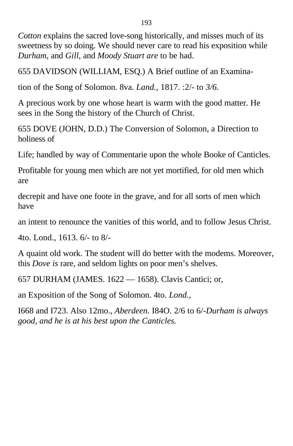*Cotton* explains the sacred love-song historically, and misses much of its sweetness by so doing. We should never care to read his exposition while *Durham,* and *Gill,* and *Moody Stuart are* to be had.

655 DAVIDSON (WILLIAM, ESQ.) A Brief outline of an Examina-

tion of the Song of Solomon. 8va. *Land.,* 1817. :2/- to *3/6.*

A precious work by one whose heart is warm with the good matter. He sees in the Song the history of the Church of Christ.

655 DOVE (JOHN, D.D.) The Conversion of Solomon, a Direction to holiness of

Life; handled by way of Commentarie upon the whole Booke of Canticles.

Profitable for young men which are not yet mortified, for old men which are

decrepit and have one foote in the grave, and for all sorts of men which have

an intent to renounce the vanities of this world, and to follow Jesus Christ.

4to. Lond., 1613. 6/- to 8/-

A quaint old work. The student will do better with the modems. Moreover, this *Dove is* rare, and seldom lights on poor men's shelves.

657 DURHAM (JAMES. 1622 — 1658). Clavis Cantici; or,

an Exposition of the Song of Solomon. 4to. *Lond.,*

I668 and I723. Also 12mo., *Aberdeen.* I84O. 2/6 to 6/-*Durham is always good, and he is at his best upon the Canticles.*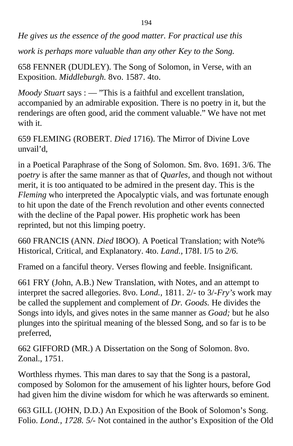*He gives us the essence of the good matter. For practical use this*

*work is perhaps more valuable than any other Key to the Song.*

658 FENNER (DUDLEY). The Song of Solomon, in Verse, with an Exposition. *Middleburgh.* 8vo. 1587. 4to.

*Moody Stuart says : —* "This is a faithful and excellent translation, accompanied by an admirable exposition. There is no poetry in it, but the renderings are often good, arid the comment valuable." We have not met with it.

659 FLEMING (ROBERT. *Died* 1716). The Mirror of Divine Love unvail'd,

in a Poetical Paraphrase of the Song of Solomon. Sm. 8vo. 1691. 3/6. The p*oetry* is after the same manner as that of *Quarles,* and though not without merit, it is too antiquated to be admired in the present day. This is the *Fleming* who interpreted the Apocalyptic vials, and was fortunate enough to hit upon the date of the French revolution and other events connected with the decline of the Papal power. His prophetic work has been reprinted, but not this limping poetry.

660 FRANCIS (ANN. *Died* I8OO). A Poetical Translation; with Note% Historical, Critical, and Explanatory. 4to. *Land.,* I78I. I/5 to *2/6.*

Framed on a fanciful theory. Verses flowing and feeble. Insignificant.

661 FRY (John, A.B.) New Translation, with Notes, and an attempt to interpret the sacred allegories. 8vo. L*ond.,* 1811. 2/- to 3/-*Fry's* work may be called the supplement and complement of *Dr. Goods.* He divides the Songs into idyls, and gives notes in the same manner as *Goad;* but he also plunges into the spiritual meaning of the blessed Song, and so far is to be preferred,

662 GIFFORD (MR.) A Dissertation on the Song of Solomon. 8vo. Zonal., 1751.

Worthless rhymes. This man dares to say that the Song is a pastoral, composed by Solomon for the amusement of his lighter hours, before God had given him the divine wisdom for which he was afterwards so eminent.

663 GILL (JOHN, D.D.) An Exposition of the Book of Solomon's Song. Folio. *Lond., 1728. 5/-* Not contained in the author's Exposition of the Old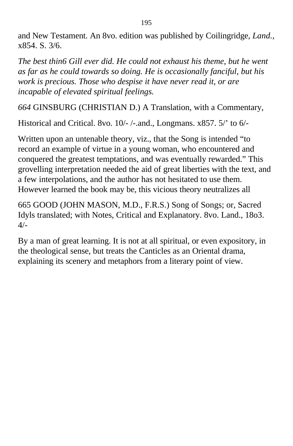and New Testament. An 8vo. edition was published by Coilingridge, *Land.,* x854. S. 3/6.

*The best thin6 Gill ever did. He could not exhaust his theme, but he went as far as he could towards so doing. He is occasionally fanciful, but his work is precious. Those who despise it have never read it, or are incapable of elevated spiritual feelings.*

*664* GINSBURG (CHRISTIAN D.) A Translation, with a Commentary,

Historical and Critical. 8vo. 10/- /-.and., Longmans. x857. 5/' to 6/-

Written upon an untenable theory, viz., that the Song is intended "to record an example of virtue in a young woman, who encountered and conquered the greatest temptations, and was eventually rewarded." This grovelling interpretation needed the aid of great liberties with the text, and a few interpolations, and the author has not hesitated to use them. However learned the book may be, this vicious theory neutralizes all

665 GOOD (JOHN MASON, M.D., F.R.S.) Song of Songs; or, Sacred Idyls translated; with Notes, Critical and Explanatory. 8vo. Land., 18o3.  $4/-$ 

By a man of great learning. It is not at all spiritual, or even expository, in the theological sense, but treats the Canticles as an Oriental drama, explaining its scenery and metaphors from a literary point of view.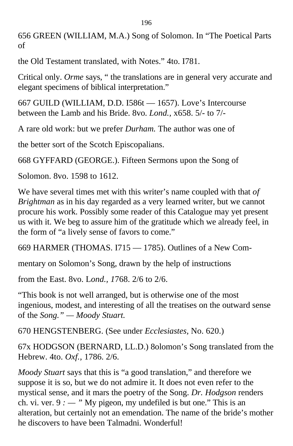656 GREEN (WILLIAM, M.A.) Song of Solomon. In "The Poetical Parts of

the Old Testament translated, with Notes." 4to. I781.

Critical only. *Orme* says, " the translations are in general very accurate and elegant specimens of biblical interpretation."

667 GUILD (WILLIAM, D.D. I586t — 1657). Love's Intercourse between the Lamb and his Bride. 8vo. *Lond.,* x658. 5/- to 7/-

A rare old work: but we prefer *Durham.* The author was one of

the better sort of the Scotch Episcopalians.

668 GYFFARD (GEORGE.). Fifteen Sermons upon the Song of

Solomon. 8vo. 1598 to 1612.

We have several times met with this writer's name coupled with that *of Brightman* as in his day regarded as a very learned writer, but we cannot procure his work. Possibly some reader of this Catalogue may yet present us with it. We beg to assure him of the gratitude which we already feel, in the form of "a lively sense of favors to come."

669 HARMER (THOMAS. I715 — 1785). Outlines of a New Com-

mentary on Solomon's Song, drawn by the help of instructions

from the East. 8vo. L*ond., 1*768. 2/6 to 2/6.

"This book is not well arranged, but is otherwise one of the most ingenious, modest, and interesting of all the treatises on the outward sense of the *Song." — Moody Stuart.*

670 HENGSTENBERG. (See under *Ecclesiastes,* No. 620.)

67x HODGSON (BERNARD, LL.D.) 8olomon's Song translated from the Hebrew. 4to. *Oxf.,* 1786. 2/6.

*Moody Stuart* says that this is "a good translation," and therefore we suppose it is so, but we do not admire it. It does not even refer to the mystical sense, and it mars the poetry of the Song. *Dr. Hodgson* renders ch. vi. ver. 9 *: — "* My pigeon, my undefiled is but one." This is an alteration, but certainly not an emendation. The name of the bride's mother he discovers to have been Talmadni. Wonderful!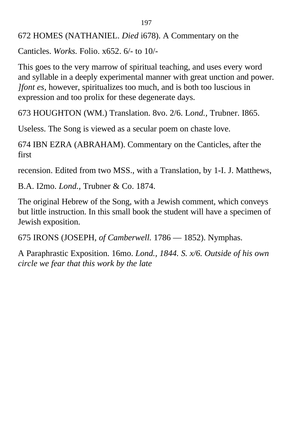672 HOMES (NATHANIEL. *Died* i678). A Commentary on the

Canticles. *Works.* Folio. x652. 6/- to 10/-

This goes to the very marrow of spiritual teaching, and uses every word and syllable in a deeply experimental manner with great unction and power. *font es, however, spiritualizes too much, and is both too luscious in* expression and too prolix for these degenerate days.

673 HOUGHTON (WM.) Translation. 8vo. 2/6. L*ond.,* Trubner. I865.

Useless. The Song is viewed as a secular poem on chaste love.

674 IBN EZRA (ABRAHAM). Commentary on the Canticles, after the first

recension. Edited from two MSS., with a Translation, by 1-I. J. Matthews,

B.A. I2mo. *Lond.,* Trubner & Co. 1874.

The original Hebrew of the Song, with a Jewish comment, which conveys but little instruction. In this small book the student will have a specimen of Jewish exposition.

675 IRONS (JOSEPH, *of Camberwell.* 1786 — 1852). Nymphas.

A Paraphrastic Exposition. 16mo. *Lond., 1844. S. x/6. Outside of his own circle we fear that this work by the late*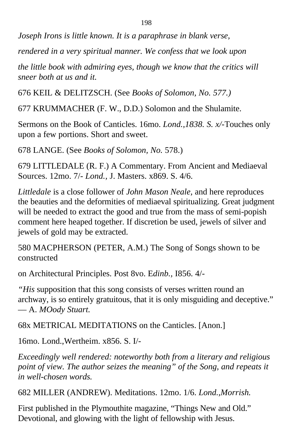*Joseph Irons is little known. It is a paraphrase in blank verse,*

*rendered in a very spiritual manner. We confess that we look upon*

*the little book with admiring eyes, though we know that the critics will sneer both at us and it.*

676 KEIL & DELITZSCH. (See *Books of Solomon, No. 577.)*

677 KRUMMACHER (F. W., D.D.) Solomon and the Shulamite.

Sermons on the Book of Canticles. 16mo. *Lond.,1838. S. x/-*Touches only upon a few portions. Short and sweet.

678 LANGE. (See *Books of Solomon, No.* 578.)

679 LITTLEDALE (R. F.) A Commentary. From Ancient and Mediaeval Sources. 12mo. 7/- *Lond.,* J. Masters. x869. S. 4/6.

*Littledale* is a close follower of *John Mason Neale,* and here reproduces the beauties and the deformities of mediaeval spiritualizing. Great judgment will be needed to extract the good and true from the mass of semi-popish comment here heaped together. If discretion be used, jewels of silver and jewels of gold may be extracted.

580 MACPHERSON (PETER, A.M.) The Song of Songs shown to be constructed

on Architectural Principles. Post 8vo. E*dinb.,* I856. 4/-

*"His* supposition that this song consists of verses written round an archway, is so entirely gratuitous, that it is only misguiding and deceptive." — A. *MOody Stuart.*

68x METRICAL MEDITATIONS on the Canticles. [Anon.]

16mo. Lond.,Wertheim. x856. S. I/-

*Exceedingly well rendered: noteworthy both from a literary and religious point of view. The author seizes the meaning" of the Song, and repeats it in well-chosen words.*

682 MILLER (ANDREW). Meditations. 12mo. 1/6. *Lond.,Morrish.*

First published in the Plymouthite magazine, "Things New and Old." Devotional, and glowing with the light of fellowship with Jesus.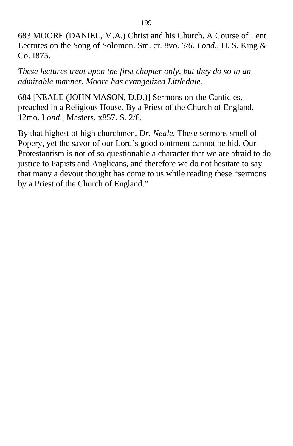683 MOORE (DANIEL, M.A.) Christ and his Church. A Course of Lent Lectures on the Song of Solomon. Sm. cr. 8vo. *3/6. Lond.,* H. S. King & Co. I875.

## *These lectures treat upon the first chapter only, but they do so in an admirable manner. Moore has evangelized Littledale.*

684 [NEALE (JOHN MASON, D.D.)] Sermons on-the Canticles, preached in a Religious House. By a Priest of the Church of England. 12mo. L*ond.,* Masters. x857. S. 2/6.

By that highest of high churchmen, *Dr. Neale.* These sermons smell of Popery, yet the savor of our Lord's good ointment cannot be hid. Our Protestantism is not of so questionable a character that we are afraid to do justice to Papists and Anglicans, and therefore we do not hesitate to say that many a devout thought has come to us while reading these "sermons by a Priest of the Church of England."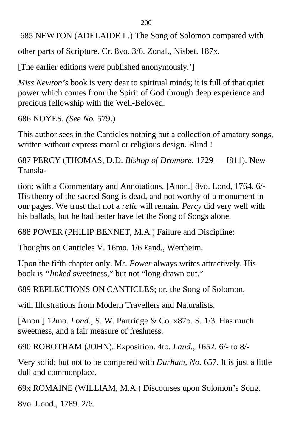685 NEWTON (ADELAIDE L.) The Song of Solomon compared with

other parts of Scripture. Cr. 8vo. 3/6. Zonal., Nisbet. 187x.

[The earlier editions were published anonymously.']

*Miss Newton's* book is very dear to spiritual minds; it is full of that quiet power which comes from the Spirit of God through deep experience and precious fellowship with the Well-Beloved.

686 NOYES. *(See No.* 579.)

This author sees in the Canticles nothing but a collection of amatory songs, written without express moral or religious design. Blind !

687 PERCY (THOMAS, D.D. *Bishop of Dromore.* 1729 — I811). New Transla-

tion: with a Commentary and Annotations. [Anon.] 8vo. Lond, 1764. 6/- His theory of the sacred Song is dead, and not worthy of a monument in our pages. We trust that not a *relic* will remain. *Percy* did very well with his ballads, but he had better have let the Song of Songs alone.

688 POWER (PHILIP BENNET, M.A.) Failure and Discipline:

Thoughts on Canticles V. 16mo. 1/6 £and., Wertheim.

Upon the fifth chapter only. M*r. Power* always writes attractively. His book is *"linked* sweetness," but not "long drawn out."

689 REFLECTIONS ON CANTICLES; or, the Song of Solomon,

with Illustrations from Modern Travellers and Naturalists.

[Anon.] 12mo. *Lond.,* S. W. Partridge & Co. x87o. S. 1/3. Has much sweetness, and a fair measure of freshness.

690 ROBOTHAM (JOHN). Exposition. 4to. *Land., 1*652. 6/- to 8/-

Very solid; but not to be compared with *Durham, No.* 657. It is just a little dull and commonplace.

69x ROMAINE (WILLIAM, M.A.) Discourses upon Solomon's Song.

8vo. Lond., 1789. 2/6.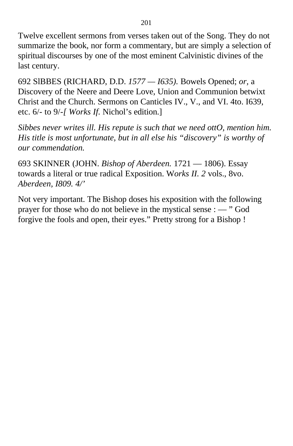Twelve excellent sermons from verses taken out of the Song. They do not summarize the book, nor form a commentary, but are simply a selection of spiritual discourses by one of the most eminent Calvinistic divines of the last century.

692 SlBBES (RICHARD, D.D. *1577 — I635).* Bowels Opened; *or,* a Discovery of the Neere and Deere Love, Union and Communion betwixt Christ and the Church. Sermons on Canticles IV., V., and VI. 4to. I639, etc. 6/- to 9/-*[ Works If.* Nichol's edition.]

*Sibbes never writes ill. His repute is such that we need ottO, mention him. His title is most unfortunate, but in all else his "discovery" is worthy of our commendation.*

693 SKINNER (JOHN. *Bishop of Aberdeen.* 1721 — 1806). Essay towards a literal or true radical Exposition. W*orks II. 2* vols., 8vo. *Aberdeen, I809. 4/'*

Not very important. The Bishop doses his exposition with the following prayer for those who do not believe in the mystical sense : — " God forgive the fools and open, their eyes." Pretty strong for a Bishop !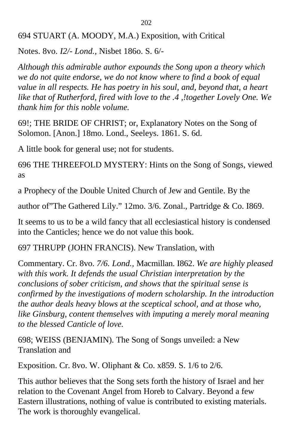694 STUART (A. MOODY, M.A.) Exposition, with Critical

Notes. 8vo. *I2/- Lond.,* Nisbet 186o. S. 6/-

*Although this admirable author expounds the Song upon a theory which we do not quite endorse, we do not know where to find a book of equal value in all respects. He has poetry in his soul, and, beyond that, a heart like that of Rutherford, fired with love to the .4 ,!together Lovely One. We thank him for this noble volume.*

69!; THE BRIDE OF CHRIST; or, Explanatory Notes on the Song of Solomon. [Anon.] 18mo. Lond., Seeleys. 1861. S. 6d.

A little book for general use; not for students.

696 THE THREEFOLD MYSTERY: Hints on the Song of Songs, viewed as

a Prophecy of the Double United Church of Jew and Gentile. By the

author of"The Gathered Lily." 12mo. 3/6. Zonal., Partridge & Co. I869.

It seems to us to be a wild fancy that all ecclesiastical history is condensed into the Canticles; hence we do not value this book.

697 THRUPP (JOHN FRANCIS). New Translation, with

Commentary. Cr. 8vo. *7/6. Lond.,* Macmillan. I862. *We are highly pleased with this work. It defends the usual Christian interpretation by the conclusions of sober criticism, and shows that the spiritual sense is confirmed by the investigations of modern scholarship. In the introduction the author deals heavy blows at the sceptical school, and at those who, like Ginsburg, content themselves with imputing a merely moral meaning to the blessed Canticle of love.*

698; WEISS (BENJAMIN). The Song of Songs unveiled: a New Translation and

Exposition. Cr. 8vo. W. Oliphant & Co. x859. S. 1/6 to 2/6.

This author believes that the Song sets forth the history of Israel and her relation to the Covenant Angel from Horeb to Calvary. Beyond a few Eastern illustrations, nothing of value is contributed to existing materials. The work is thoroughly evangelical.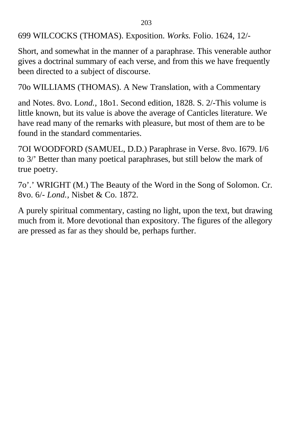699 WILCOCKS (THOMAS). Exposition. *Works.* Folio. 1624, 12/-

Short, and somewhat in the manner of a paraphrase. This venerable author gives a doctrinal summary of each verse, and from this we have frequently been directed to a subject of discourse.

70o WILLIAMS (THOMAS). A New Translation, with a Commentary

and Notes. 8vo. Lo*nd.,* 18o1. Second edition, 1828. S. 2/-This volume is little known, but its value is above the average of Canticles literature. We have read many of the remarks with pleasure, but most of them are to be found in the standard commentaries.

7OI WOODFORD (SAMUEL, D.D.) Paraphrase in Verse. 8vo. I679. I/6 to 3/' Better than many poetical paraphrases, but still below the mark of true poetry.

7o'.' WRIGHT (M.) The Beauty of the Word in the Song of Solomon. Cr. 8vo. 6/- *Lond.,* Nisbet & Co. 1872.

A purely spiritual commentary, casting no light, upon the text, but drawing much from it. More devotional than expository. The figures of the allegory are pressed as far as they should be, perhaps further.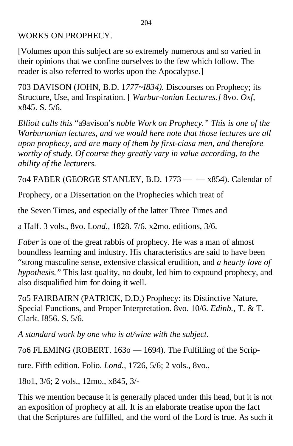WORKS ON PROPHECY.

[Volumes upon this subject are so extremely numerous and so varied in their opinions that we confine ourselves to the few which follow. The reader is also referred to works upon the Apocalypse.]

703 DAVISON (JOHN, B.D. 1*777~I834).* Discourses on Prophecy; its Structure, Use, and Inspiration. [ *Warbur-tonian Lectures.]* 8vo. *Oxf,* x845. S. 5/6.

*Elliott calls this* "a9avison's *noble Work on Prophecy." This is one of the Warburtonian lectures, and we would here note that those lectures are all upon prophecy, and are many of them by first-ciasa men, and therefore worthy of study. Of course they greatly vary in value according, to the ability of the lecturers.*

7o4 FABER (GEORGE STANLEY, B.D. 1773 — — x854). Calendar of

Prophecy, or a Dissertation on the Prophecies which treat of

the Seven Times, and especially of the latter Three Times and

a Half. 3 vols., 8vo. Lo*nd.,* 1828. 7/6. x2mo. editions, 3/6.

*Faber* is one of the great rabbis of prophecy. He was a man of almost boundless learning and industry. His characteristics are said to have been "strong masculine sense, extensive classical erudition, and *a hearty love of hypothesis."* This last quality, no doubt, led him to expound prophecy, and also disqualified him for doing it well.

7o5 FAIRBAIRN (PATRICK, D.D.) Prophecy: its Distinctive Nature, Special Functions, and Proper Interpretation. 8vo. 10/6. *Edinb.,* T. & T. Clark. I856. S. 5/6.

*A standard work by one who is at/wine with the subject.*

7o6 FLEMING (ROBERT. 163o — 1694). The Fulfilling of the Scrip-

ture. Fifth edition. Folio. *Lond.,* 1726, 5/6; 2 vols., 8vo.,

18o1, 3/6; 2 vols., 12mo., x845, 3/-

This we mention because it is generally placed under this head, but it is not an exposition of prophecy at all. It is an elaborate treatise upon the fact that the Scriptures are fulfilled, and the word of the Lord is true. As such it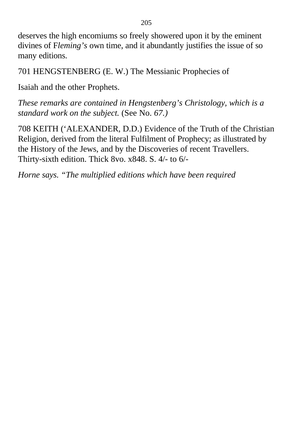deserves the high encomiums so freely showered upon it by the eminent divines of F*leming's* own time, and it abundantly justifies the issue of so many editions.

701 HENGSTENBERG (E. W.) The Messianic Prophecies of

Isaiah and the other Prophets.

*These remarks are contained in Hengstenberg's Christology, which is a standard work on the subject.* (See No. *67.)*

708 KEITH ('ALEXANDER, D.D.) Evidence of the Truth of the Christian Religion, derived from the literal Fulfilment of Prophecy; as illustrated by the History of the Jews, and by the Discoveries of recent Travellers. Thirty-sixth edition. Thick 8vo. x848. S. 4/- to 6/-

*Horne says. "The multiplied editions which have been required*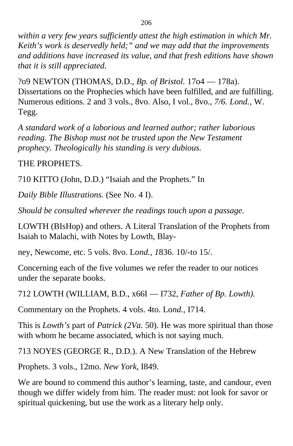*within a very few years sufficiently attest the high estimation in which Mr. Keith's work is deservedly held;" and we may add that the improvements and additions have increased its value, and that fresh editions have shown that it is still appreciated.*

?o9 NEWTON (THOMAS, D.D., *Bp. of Bristol.* 17o4 — 178a). Dissertations on the Prophecies which have been fulfilled, and are fulfilling. Numerous editions. 2 and 3 vols., 8vo. Also, I vol., 8vo., *7/6. Lond.,* W. Tegg.

*A standard work of a laborious and learned author; rather laborious reading. The Bishop must not be trusted upon the New Testament prophecy. Theologically his standing is very dubious.*

THE PROPHETS.

710 KITTO (John, D.D.) "Isaiah and the Prophets." In

*Daily Bible Illustrations.* (See No. 4 I).

*Should be consulted wherever the readings touch upon a passage.*

LOWTH (BIsHop) and others. A Literal Translation of the Prophets from Isaiah to Malachi, with Notes by Lowth, Blay-

ney, Newcome, etc. 5 vols. 8vo. L*ond., 1*836. 10/-to 15/.

Concerning each of the five volumes we refer the reader to our notices under the separate books.

712 LOWTH (WILLIAM, B.D., x66I — I732, *Father of Bp. Lowth).*

Commentary on the Prophets. 4 vols. 4to. Lo*nd.,* I714.

This is *Lowth's* part of *Patrick (2Va.* 50). He was more spiritual than those with whom he became associated, which is not saying much.

713 NOYES (GEORGE R., D.D.). A New Translation of the Hebrew

Prophets. 3 vols., 12mo. *New York,* I849.

We are bound to commend this author's learning, taste, and candour, even though we differ widely from him. The reader must: not look for savor or spiritual quickening, but use the work as a literary help only.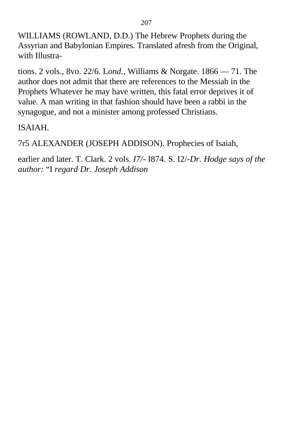WILLIAMS (ROWLAND, D.D.) The Hebrew Prophets during the Assyrian and Babylonian Empires. Translated afresh from the Original, with Illustra-

tions. 2 vols., 8vo. 22/6. L*ond.,* Williams & Norgate. 1866 — 71. The author does not admit that there are references to the Messiah in the Prophets Whatever he may have written, this fatal error deprives it of value. A man writing in that fashion should have been a rabbi in the synagogue, and not a minister among professed Christians.

## ISAIAH.

7r5 ALEXANDER (JOSEPH ADDISON). Prophecies of Isaiah,

earlier and later. T. Clark. 2 vols. *I7/-* I874. S. I2/-*Dr. Hodge says of the author:* "I *regard Dr. Joseph Addison*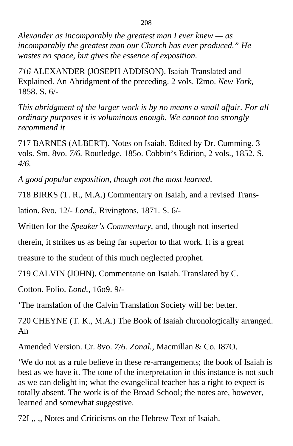*Alexander as incomparably the greatest man I ever knew — as incomparably the greatest man our Church has ever produced." He wastes no space, but gives the essence of exposition.*

*716* ALEXANDER (JOSEPH ADDISON). Isaiah Translated and Explained. An Abridgment of the preceding. 2 vols. I2mo. *New York,* 1858. S. 6/-

*This abridgment of the larger work is by no means a small affair. For all ordinary purposes it is voluminous enough. We cannot too strongly recommend it*

717 BARNES (ALBERT). Notes on Isaiah. Edited by Dr. Cumming. 3 vols. Sm. 8vo. *7/6.* Routledge, 185o. Cobbin's Edition, 2 vols., 1852. S. *4/6.*

*A good popular exposition, though not the most learned.*

718 BIRKS (T. R., M.A.) Commentary on Isaiah, and a revised Trans-

lation. 8vo. 12/- *Lond.,* Rivingtons. 1871. S. 6/-

Written for the *Speaker's Commentary,* and, though not inserted

therein, it strikes us as being far superior to that work. It is a great

treasure to the student of this much neglected prophet.

719 CALVIN (JOHN). Commentarie on Isaiah. Translated by C.

Cotton. Folio. *Lond.,* 16o9. 9/-

'The translation of the Calvin Translation Society will be: better.

720 CHEYNE (T. K., M.A.) The Book of Isaiah chronologically arranged. An

Amended Version. Cr. 8vo. *7/6. Zonal.,* Macmillan & Co. I87O.

'We do not as a rule believe in these re-arrangements; the book of Isaiah is best as we have it. The tone of the interpretation in this instance is not such as we can delight in; what the evangelical teacher has a right to expect is totally absent. The work is of the Broad School; the notes are, however, learned and somewhat suggestive.

72I ,, ,, Notes and Criticisms on the Hebrew Text of Isaiah.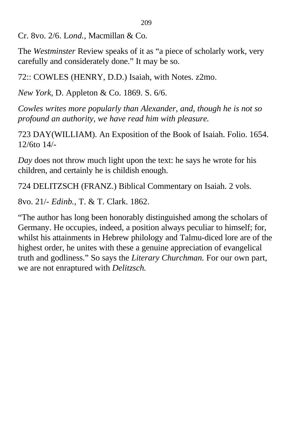Cr. 8vo. 2/6. L*ond.,* Macmillan & Co.

The *Westminster* Review speaks of it as "a piece of scholarly work, very carefully and considerately done." It may be so.

72:: COWLES (HENRY, D.D.) Isaiah, with Notes. z2mo.

*New York,* D. Appleton & Co. 1869. S. 6/6.

*Cowles writes more popularly than Alexander, and, though he is not so profound an authority, we have read him with pleasure.*

723 DAY(WILLIAM). An Exposition of the Book of Isaiah. Folio. 1654. 12/6to 14/-

*Day* does not throw much light upon the text: he says he wrote for his children, and certainly he is childish enough.

724 DELITZSCH (FRANZ.) Biblical Commentary on Isaiah. 2 vols.

8vo. 21/- *Edinb.,* T. & T. Clark. 1862.

"The author has long been honorably distinguished among the scholars of Germany. He occupies, indeed, a position always peculiar to himself; for, whilst his attainments in Hebrew philology and Talmu-diced lore are of the highest order, he unites with these a genuine appreciation of evangelical truth and godliness." So says the *Literary Churchman.* For our own part, we are not enraptured with *Delitzsch.*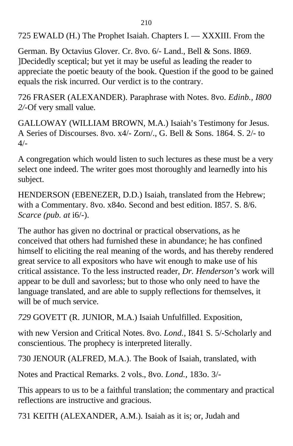725 EWALD (H.) The Prophet Isaiah. Chapters I. — XXXIII. From the

German. By Octavius Glover. Cr. 8vo. 6/- Land., Bell & Sons. I869. ]Decidedly sceptical; but yet it may be useful as leading the reader to appreciate the poetic beauty of the book. Question if the good to be gained equals the risk incurred. Our verdict is to the contrary.

726 FRASER (ALEXANDER). Paraphrase with Notes. 8vo. *Edinb., I800 2/-*Of very small value.

GALLOWAY (WILLIAM BROWN, M.A.) Isaiah's Testimony for Jesus. A Series of Discourses. 8vo. x4/- Zorn/., G. Bell & Sons. 1864. S. 2/- to  $4/-$ 

A congregation which would listen to such lectures as these must be a very select one indeed. The writer goes most thoroughly and learnedly into his subject.

HENDERSON (EBENEZER, D.D.) Isaiah, translated from the Hebrew; with a Commentary. 8vo. x84o. Second and best edition. I857. S. 8/6. *Scarce (pub. at*  $i6/-$ ).

The author has given no doctrinal or practical observations, as he conceived that others had furnished these in abundance; he has confined himself to eliciting the real meaning of the words, and has thereby rendered great service to all expositors who have wit enough to make use of his critical assistance. To the less instructed reader, *Dr. Henderson's* work will appear to be dull and savorless; but to those who only need to have the language translated, and are able to supply reflections for themselves, it will be of much service.

*729* GOVETT (R. JUNIOR, M.A.) Isaiah Unfulfilled. Exposition,

with new Version and Critical Notes. 8vo. *Lond.,* I841 S. 5/-Scholarly and conscientious. The prophecy is interpreted literally.

730 JENOUR (ALFRED, M.A.). The Book of Isaiah, translated, with

Notes and Practical Remarks. 2 vols., 8vo. *Lond.,* 183o. 3/-

This appears to us to be a faithful translation; the commentary and practical reflections are instructive and gracious.

731 KEITH (ALEXANDER, A.M.). Isaiah as it is; or, Judah and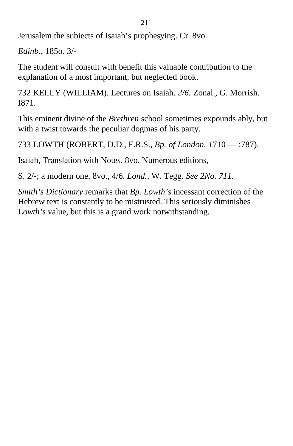Jerusalem the subiects of Isaiah's prophesying. Cr. 8vo.

*Edinb.,* 185o. 3/-

The student will consult with benefit this valuable contribution to the explanation of a most important, but neglected book.

732 KELLY (WILLIAM). Lectures on Isaiah. *2/6.* Zonal., G. Morrish. I871.

This eminent divine of the *Brethren* school sometimes expounds ably, but with a twist towards the peculiar dogmas of his party.

733 LOWTH (ROBERT, D.D., F.R.S., *Bp. of London. 1*710 — :787).

Isaiah, Translation with Notes. 8vo. Numerous editions,

S. 2/-; a modern one, 8vo., 4/6. *Lond.,* W. Tegg. *See 2No. 711.*

*Smith's Dictionary* remarks that *Bp. Lowth's* incessant correction of the Hebrew text is constantly to be mistrusted. This seriously diminishes Lowth's value, but this is a grand work notwithstanding.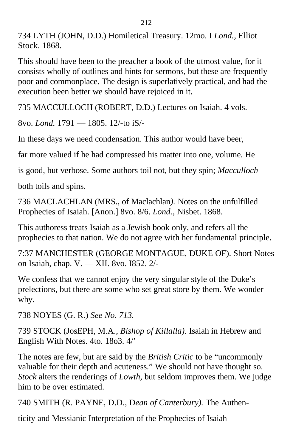734 LYTH (JOHN, D.D.) Homiletical Treasury. 12mo. I *Lond.,* Elliot Stock. 1868.

This should have been to the preacher a book of the utmost value, for it consists wholly of outlines and hints for sermons, but these are frequently poor and commonplace. The design is superlatively practical, and had the execution been better we should have rejoiced in it.

735 MACCULLOCH (ROBERT, D.D.) Lectures on Isaiah. 4 vols.

8vo. *Lond.* 1791 — 1805. 12/-to iS/-

In these days we need condensation. This author would have beer,

far more valued if he had compressed his matter into one, volume. He

is good, but verbose. Some authors toil not, but they spin; *Macculloch*

both toils and spins.

736 MACLACHLAN (MRS., of Maclachlan*).* Notes on the unfulfilled Prophecies of Isaiah. [Anon.] 8vo. 8/6. *Lond.,* Nisbet. 1868.

This authoress treats Isaiah as a Jewish book only, and refers all the prophecies to that nation. We do not agree with her fundamental principle.

7:37 MANCHESTER (GEORGE MONTAGUE, DUKE OF). Short Notes on Isaiah, chap. V. — XII. 8vo. I852. 2/-

We confess that we cannot enjoy the very singular style of the Duke's prelections, but there are some who set great store by them. We wonder why.

738 NOYES (G. R.) *See No. 713.*

739 STOCK (JosEPH, M.A., *Bishop of Killalla).* Isaiah in Hebrew and English With Notes. 4to. 18o3. 4/'

The notes are few, but are said by the *British Critic* to be "uncommonly valuable for their depth and acuteness." We should not have thought so. *Stock* alters the renderings of *Lowth,* but seldom improves them. We judge him to be over estimated.

740 SMITH (R. PAYNE, D.D., D*ean of Canterbury).* The Authen-

ticity and Messianic Interpretation of the Prophecies of Isaiah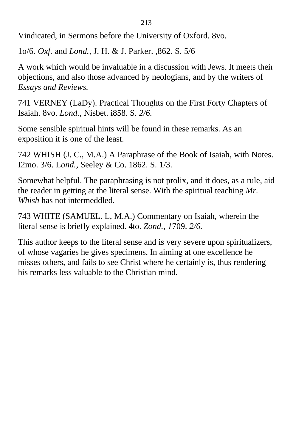Vindicated, in Sermons before the University of Oxford. 8vo.

1o/6. *Oxf.* and *Lond.,* J. H. & J. Parker. ,862. S. 5/6

A work which would be invaluable in a discussion with Jews. It meets their objections, and also those advanced by neologians, and by the writers of *Essays and Reviews.*

741 VERNEY (LaDy). Practical Thoughts on the First Forty Chapters of Isaiah. 8vo. *Lond.,* Nisbet. i858. S. *2/6.*

Some sensible spiritual hints will be found in these remarks. As an exposition it is one of the least.

742 WHISH (J. C., M.A.) A Paraphrase of the Book of Isaiah, with Notes. I2mo. 3/6. L*ond.,* Seeley & Co. 1862. S. 1/3.

Somewhat helpful. The paraphrasing is not prolix, and it does, as a rule, aid the reader in getting at the literal sense. With the spiritual teaching *Mr. Whish* has not intermeddled.

743 WHITE (SAMUEL. L, M.A.) Commentary on Isaiah, wherein the literal sense is briefly explained. 4to. *Zond., 1*709. *2/6.*

This author keeps to the literal sense and is very severe upon spiritualizers, of whose vagaries he gives specimens. In aiming at one excellence he misses others, and fails to see Christ where he certainly is, thus rendering his remarks less valuable to the Christian mind.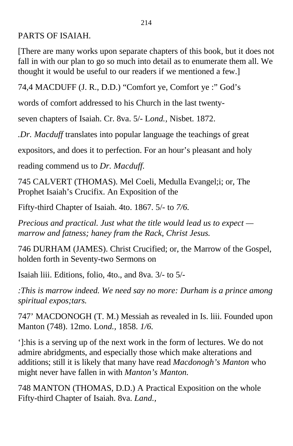PARTS OF ISAIAH.

[There are many works upon separate chapters of this book, but it does not fall in with our plan to go so much into detail as to enumerate them all. We thought it would be useful to our readers if we mentioned a few.]

74,4 MACDUFF (J. R., D.D.) "Comfort ye, Comfort ye :" God's

words of comfort addressed to his Church in the last twenty-

seven chapters of Isaiah. Cr. 8va. 5/- L*ond.,* Nisbet. 1872.

*.Dr. Macduff* translates into popular language the teachings of great

expositors, and does it to perfection. For an hour's pleasant and holy

reading commend us to *Dr. Macduff.*

745 CALVERT (THOMAS). Mel Coeli, Medulla Evangel;i; or, The Prophet Isaiah's Crucifix. An Exposition of the

Fifty-third Chapter of Isaiah. 4to. 1867. 5/- to *7/6.*

*Precious and practical. Just what the title would lead us to expect marrow and fatness; haney fram the Rack, Christ Jesus.*

746 DURHAM (JAMES). Christ Crucified; or, the Marrow of the Gospel, holden forth in Seventy-two Sermons on

Isaiah liii. Editions, folio, 4to., and 8va. 3/- to 5/-

*:This is marrow indeed. We need say no more: Durham is a prince among spiritual expos;tars.*

747' MACDONOGH (T. M.) Messiah as revealed in Is. liii. Founded upon Manton (748). 12mo. Lo*nd.,* 1858. *1/6.*

']:his is a serving up of the next work in the form of lectures. We do not admire abridgments, and especially those which make alterations and additions; still it is likely that many have read *Macdonogh's Manton* who might never have fallen in with *Manton's Manton.*

748 MANTON (THOMAS, D.D.) A Practical Exposition on the whole Fifty-third Chapter of Isaiah. 8va. *Land.,*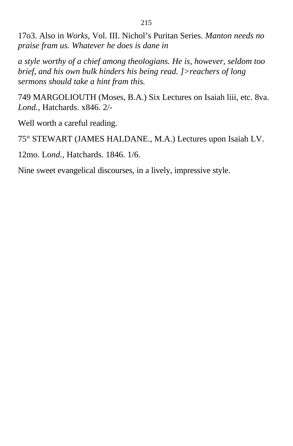17o3. Also in *Works,* Vol. III. Nichol's Puritan Series. *Manton needs no praise fram us. Whatever he does is dane in*

*a style worthy of a chief among theologians. He is, however, seldom too brief, and his own bulk hinders his being read. ]>reachers of long sermons should take a hint fram this.*

749 MARGOLIOUTH (Moses, B.A.) Six Lectures on Isaiah liii, etc. 8va. *Lond.,* Hatchards. x846. 2/-

Well worth a careful reading.

75° STEWART (JAMES HALDANE., M.A.) Lectures upon Isaiah LV.

12mo. Lo*nd.,* Hatchards. 1846. 1/6.

Nine sweet evangelical discourses, in a lively, impressive style.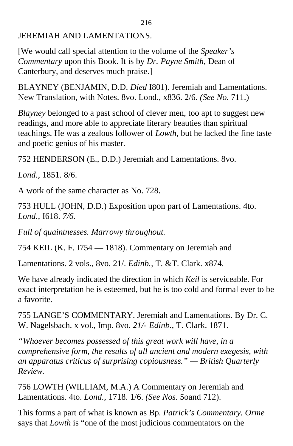## JEREMIAH AND LAMENTATIONS.

[We would call special attention to the volume of the *Speaker's Commentary* upon this Book. It is by *Dr. Payne Smith,* Dean of Canterbury, and deserves much praise.]

BLAYNEY (BENJAMIN, D.D. *Died* I801). Jeremiah and Lamentations. New Translation, with Notes. 8vo. Lond., x836. 2/6. *(See No.* 711.)

*Blayney* belonged to a past school of clever men, too apt to suggest new readings, and more able to appreciate literary beauties than spiritual teachings. He was a zealous follower of *Lowth,* but he lacked the fine taste and poetic genius of his master.

752 HENDERSON (E., D.D.) Jeremiah and Lamentations. 8vo.

*Lond.,* 1851. 8/6.

A work of the same character as No. 728.

753 HULL (JOHN, D.D.) Exposition upon part of Lamentations. 4to. *Lond.,* I618. *7/6.*

*Full of quaintnesses. Marrowy throughout.*

754 KEIL (K. F. I754 — 1818). Commentary on Jeremiah and

Lamentations. 2 vols., 8vo. 21/. *Edinb.,* T. &T. Clark. x874.

We have already indicated the direction in which *Keil* is serviceable. For exact interpretation he is esteemed, but he is too cold and formal ever to be a favorite.

755 LANGE'S COMMENTARY. Jeremiah and Lamentations. By Dr. C. W. Nagelsbach. x vol., Imp. 8vo. *21/- Edinb.,* T. Clark. 1871.

*"Whoever becomes possessed of this great work will have, in a comprehensive form, the results of all ancient and modern exegesis, with an apparatus criticus of surprising copiousness." — British Quarterly Review.*

756 LOWTH (WILLIAM, M.A.) A Commentary on Jeremiah and Lamentations. 4to. *Lond.,* 1718. 1/6. *(See Nos.* 5oand 712).

This forms a part of what is known as Bp. *Patrick's Commentary. Orme* says that *Lowth* is "one of the most judicious commentators on the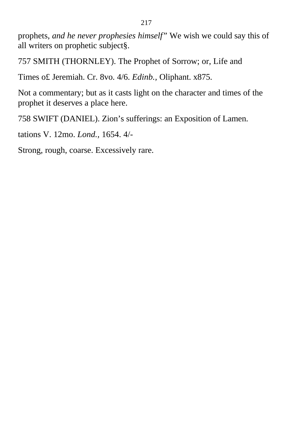prophets, *and he never prophesies himself"* We wish we could say this of all writers on prophetic subject§.

757 SMITH (THORNLEY). The Prophet of Sorrow; or, Life and

Times o£ Jeremiah. Cr. 8vo. 4/6. *Edinb.,* Oliphant. x875.

Not a commentary; but as it casts light on the character and times of the prophet it deserves a place here.

758 SWIFT (DANIEL). Zion's sufferings: an Exposition of Lamen.

tations V. 12mo. *Lond.,* 1654. 4/-

Strong, rough, coarse. Excessively rare.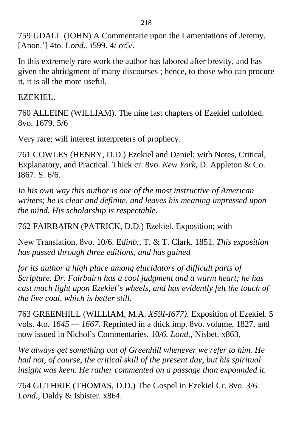759 UDALL (JOHN) A Commentarie upon the Lamentations of Jeremy. [Anon.'] 4to. L*ond.,* i599. 4/ or5/.

In this extremely rare work the author has labored after brevity, and has given the abridgment of many discourses ; hence, to those who can procure it, it is all the more useful.

EZEKIEL.

760 ALLEINE (WILLIAM). The nine last chapters of Ezekiel unfolded. 8vo. 1679. 5/6

Very rare; will interest interpreters of prophecy.

761 COWLES (HENRY, D.D.) Ezekiel and Daniel; with Notes, Critical, Explanatory, and Practical. Thick cr. 8vo. *New York,* D. Appleton & Co. I867. S. 6/6.

*In his own way this author is one of the most instructive of American writers; he is clear and definite, and leaves his meaning impressed upon the mind. His scholarship is respectable.*

762 FAIRBAIRN (PATRICK, D.D.) Ezekiel. Exposition; with

New Translation. 8vo. 10/6. E*dinb.,* T. & T. Clark. 1851. *This exposition has passed through three editions, and has gained*

*for its author a high place among elucidators of difficult parts of Scripture. Dr. Fairbairn has a cool judgment and a warm heart; he has cast much light upon Ezekiel's wheels, and has evidently felt the touch of the live coal, which is better still.*

763 GREENHILL (WILLIAM, M.A. *X59I-I677).* Exposition of Ezekiel. 5 vols. 4to. 1*645 — 1667.* Reprinted in a thick imp. 8vo. volume, 1827, and now issued in Nichol's Commentaries. 10*/6. Lond.,* Nisbet. x863.

*We always get something out of Greenhill whenever we refer to him. He had not, of course, the critical skill of the present day, but his spiritual insight was keen. He rather commented on a passage than expounded it.*

764 GUTHRIE (THOMAS, D.D.) The Gospel in Ezekiel Cr. 8vo. 3/6. *Lond.,* Daldy & Isbister. x864.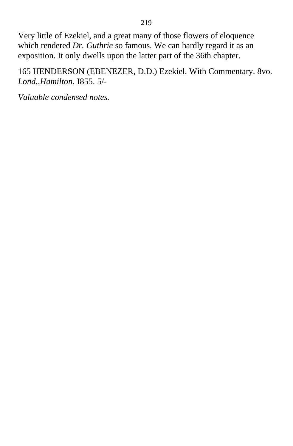Very little of Ezekiel, and a great many of those flowers of eloquence which rendered *Dr. Guthrie* so famous. We can hardly regard it as an exposition. It only dwells upon the latter part of the 36th chapter.

165 HENDERSON (EBENEZER, D.D.) Ezekiel. With Commentary. 8vo. *Lond.,Hamilton.* I855. 5/-

*Valuable condensed notes.*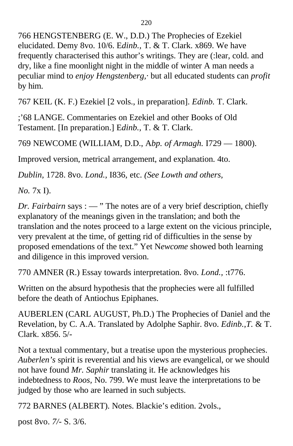766 HENGSTENBERG (E. W., D.D.) The Prophecies of Ezekiel elucidated. Demy 8vo. 10/6. E*dinb.,* T. & T. Clark. x869. We have frequently characterised this author's writings. They are (:lear, cold. and dry, like a fine moonlight night in the middle of winter A man needs a peculiar mind to *enjoy Hengstenberg,·* but all educated students can *profit* by him.

767 KEIL (K. F.) Ezekiel [2 vols., in preparation]. *Edinb.* T. Clark.

;'68 LANGE. Commentaries on Ezekiel and other Books of Old Testament. [In preparation.] E*dinb.,* T. & T. Clark.

769 NEWCOME (WILLIAM, D.D., A*bp. of Armagh.* I729 — 1800).

Improved version, metrical arrangement, and explanation. 4to.

*Dublin,* 1728. 8vo. *Lond.,* I836, etc. *(See Lowth and others,*

*No.* 7x I).

*Dr. Fairbairn* says : — " The notes are of a very brief description, chiefly explanatory of the meanings given in the translation; and both the translation and the notes proceed to a large extent on the vicious principle, very prevalent at the time, of getting rid of difficulties in the sense by proposed emendations of the text." Yet N*ewcome* showed both learning and diligence in this improved version.

770 AMNER (R.) Essay towards interpretation. 8vo. *Lond.,* :t776.

Written on the absurd hypothesis that the prophecies were all fulfilled before the death of Antiochus Epiphanes.

AUBERLEN (CARL AUGUST, Ph.D.) The Prophecies of Daniel and the Revelation, by C. A.A. Translated by Adolphe Saphir. 8vo. *Edinb.,T.* & T. Clark. x856. 5/-

Not a textual commentary, but a treatise upon the mysterious prophecies. *Auberlen's* spirit is reverential and his views are evangelical, or we should not have found *Mr. Saphir* translating it. He acknowledges his indebtedness to *Roos,* No. 799. We must leave the interpretations to be judged by those who are learned in such subjects.

772 BARNES (ALBERT). Notes. Blackie's edition. 2vols.,

post 8vo. *7/-* S. 3/6.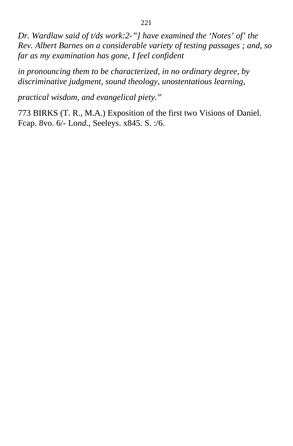*Dr. Wardlaw said of t/ds work:2-"] have examined the 'Notes' of' the Rev. Albert Barnes on a considerable variety of testing passages ; and, so far as my examination has gone, I feel confident*

*in pronouncing them to be characterized, in no ordinary degree, by discriminative judgment, sound theology, unostentatious learning,*

*practical wisdom, and evangelical piety."*

773 BIRKS (T. R., M.A.) Exposition of the first two Visions of Daniel. Fcap. 8vo. 6/- Lo*nd.,* Seeleys. x845. S. :/6.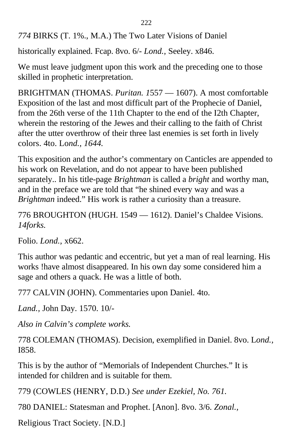*774* BIRKS (T. 1%., M.A.) The Two Later Visions of Daniel

historically explained. Fcap. 8vo. 6/- *Lond.,* Seeley. x846.

We must leave judgment upon this work and the preceding one to those skilled in prophetic interpretation.

BRIGHTMAN (THOMAS. *Puritan. 1*557 — 1607). A most comfortable Exposition of the last and most difficult part of the Prophecie of Daniel, from the 26th verse of the 11th Chapter to the end of the I2th Chapter, wherein the restoring of the Jewes and their calling to the faith of Christ after the utter overthrow of their three last enemies is set forth in lively colors. 4to. Lo*nd., 1644.*

This exposition and the author's commentary on Canticles are appended to his work on Revelation, and do not appear to have been published separately.. In his title-page *Brightman* is called a *bright* and worthy man, and in the preface we are told that "he shined every way and was a *Brightman* indeed." His work is rather a curiosity than a treasure.

776 BROUGHTON (HUGH. 1549 — 1612). Daniel's Chaldee Visions. *14forks.*

Folio. *Lond.,* x662.

This author was pedantic and eccentric, but yet a man of real learning. His works !have almost disappeared. In his own day some considered him a sage and others a quack. He was a little of both.

777 CALVIN (JOHN). Commentaries upon Daniel. 4to.

*Land.,* John Day. 1570. 10/-

*Also in Calvin's complete works.*

778 COLEMAN (THOMAS). Decision, exemplified in Daniel. 8vo. L*ond.,* I858.

This is by the author of "Memorials of Independent Churches." It is intended for children and is suitable for them.

779 (COWLES (HENRY, D.D.) *See under Ezekiel, No. 761.*

780 DANIEL: Statesman and Prophet. [Anon]. 8vo. 3/6. *Zonal.,*

Religious Tract Society. [N.D.]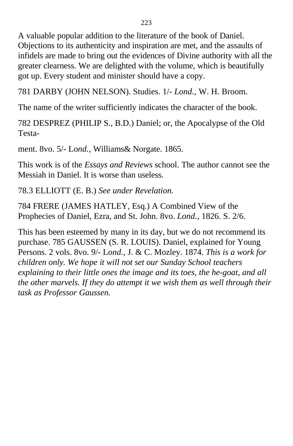A valuable popular addition to the literature of the book of Daniel. Objections to its authenticity and inspiration are met, and the assaults of infidels are made to bring out the evidences of Divine authority with all the greater clearness. We are delighted with the volume, which is beautifully got up. Every student and minister should have a copy.

781 DARBY (JOHN NELSON). Studies. 1/- *Lond.,* W. H. Broom.

The name of the writer sufficiently indicates the character of the book.

782 DESPREZ (PHILIP S., B.D.) Daniel; or, the Apocalypse of the Old Testa-

ment. 8vo. 5/- Lo*nd.,* Williams& Norgate. 1865.

This work is of the *Essays and Reviews* school. The author cannot see the Messiah in Daniel. It is worse than useless.

78.3 ELLIOTT (E. B.) *See under Revelation.*

784 FRERE (JAMES HATLEY, Esq.) A Combined View of the Prophecies of Daniel, Ezra, and St. John. 8vo. *Lond.,* 1826. S. 2/6.

This has been esteemed by many in its day, but we do not recommend its purchase. 785 GAUSSEN (S. R. LOUIS). Daniel, explained for Young Persons. 2 vols. 8vo. 9/- L*ond.,* J. & C. Mozley. 1874. *This is a work for children only. We hope it will not set our Sunday School teachers explaining to their little ones the image and its toes, the he-goat, and all the other marvels. If they do attempt it we wish them as well through their task as Professor Gaussen.*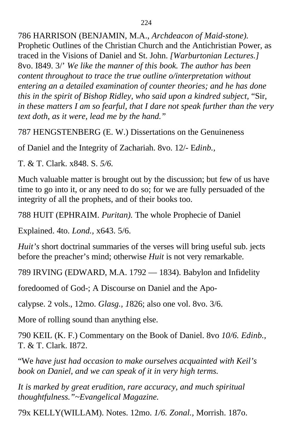786 HARRISON (BENJAMIN, M.A., *Archdeacon of Maid-stone).* Prophetic Outlines of the Christian Church and the Antichristian Power, as traced in the Visions of Daniel and St. John. *[Warburtonian Lectures.]* 8vo. I849. 3/' *We like the manner of this book. The author has been content throughout to trace the true outline o/interpretation without entering an a detailed examination of counter theories; and he has done this in the spirit of Bishop Ridley, who said upon a kindred subject,* "Sir, *in these matters I am so fearful, that I dare not speak further than the very text doth, as it were, lead me by the hand."*

787 HENGSTENBERG (E. W.) Dissertations on the Genuineness

of Daniel and the Integrity of Zachariah. 8vo. 12/- E*dinb.,*

T. & T. Clark. x848. S. *5/6.*

Much valuable matter is brought out by the discussion; but few of us have time to go into it, or any need to do so; for we are fully persuaded of the integrity of all the prophets, and of their books too.

788 HUIT (EPHRAIM. *Puritan).* The whole Prophecie of Daniel

Explained. 4to. *Lond.,* x643. 5/6.

*Huit's* short doctrinal summaries of the verses will bring useful sub. jects before the preacher's mind; otherwise *Huit* is not very remarkable.

789 IRVING (EDWARD, M.A. 1792 — 1834). Babylon and Infidelity

foredoomed of God-; A Discourse on Daniel and the Apo-

calypse. 2 vols., 12mo. *Glasg., 1*826; also one vol. 8vo. 3/6.

More of rolling sound than anything else.

790 KEIL (K. F.) Commentary on the Book of Daniel. 8vo *10/6. Edinb.,* T. & T. Clark. I872.

"We *have just had occasion to make ourselves acquainted with Keil's book on Daniel, and we can speak of it in very high terms.*

*It is marked by great erudition, rare accuracy, and much spiritual thoughtfulness."~Evangelical Magazine.*

79x KELLY(WILLAM). Notes. 12mo. *1/6. Zonal.,* Morrish. 187o.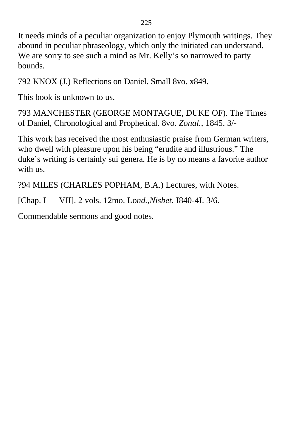It needs minds of a peculiar organization to enjoy Plymouth writings. They abound in peculiar phraseology, which only the initiated can understand. We are sorry to see such a mind as Mr. Kelly's so narrowed to party bounds.

792 KNOX (J.) Reflections on Daniel. Small 8vo. x849.

This book is unknown to us.

793 MANCHESTER (GEORGE MONTAGUE, DUKE OF). The Times of Daniel, Chronological and Prophetical. 8vo. *Zonal.,* 1845. 3/-

This work has received the most enthusiastic praise from German writers, who dwell with pleasure upon his being "erudite and illustrious." The duke's writing is certainly sui genera. He is by no means a favorite author with us.

?94 MILES (CHARLES POPHAM, B.A.) Lectures, with Notes.

[Chap. I — VII]. 2 vols. 12mo. Lo*nd.,Nisbet.* I840-4I. 3/6.

Commendable sermons and good notes.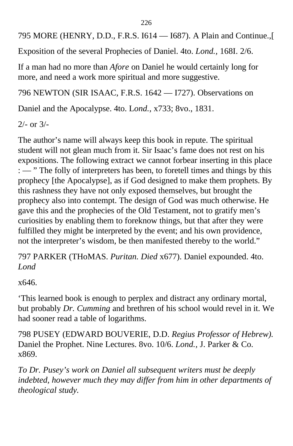795 MORE (HENRY, D.D., F.R.S. I614 — I687). A Plain and Continue.,[

Exposition of the several Prophecies of Daniel. 4to. *Lond.,* 168I. 2/6.

If a man had no more than *Afore* on Daniel he would certainly long for more, and need a work more spiritual and more suggestive.

796 NEWTON (SIR ISAAC, F.R.S. 1642 — I727). Observations on

Daniel and the Apocalypse. 4to. L*ond.,* x733; 8vo., 1831.

2/- or 3/-

The author's name will always keep this book in repute. The spiritual student will not glean much from it. Sir Isaac's fame does not rest on his expositions. The following extract we cannot forbear inserting in this place : — " The folly of interpreters has been, to foretell times and things by this prophecy [the Apocalypse], as if God designed to make them prophets. By this rashness they have not only exposed themselves, but brought the prophecy also into contempt. The design of God was much otherwise. He gave this and the prophecies of the Old Testament, not to gratify men's curiosities by enabling them to foreknow things, but that after they were fulfilled they might be interpreted by the event; and his own providence, not the interpreter's wisdom, be then manifested thereby to the world."

797 PARKER (THoMAS. *Puritan. Died* x677). Daniel expounded. 4to. *Lond*

x646.

'This learned book is enough to perplex and distract any ordinary mortal, but probably *Dr. Cumming* and brethren of his school would revel in it. We had sooner read a table of logarithms.

798 PUSEY (EDWARD BOUVERIE, D.D. *Regius Professor of Hebrew).* Daniel the Prophet. Nine Lectures. 8vo. 10/6. *Lond.,* J. Parker & Co. x869.

*To Dr. Pusey's work on Daniel all subsequent writers must be deeply indebted, however much they may differ from him in other departments of theological study.*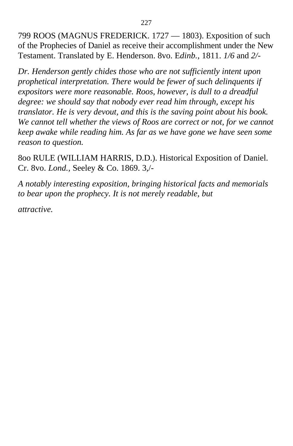799 ROOS (MAGNUS FREDERICK. 1727 — 1803). Exposition of such of the Prophecies of Daniel as receive their accomplishment under the New Testament. Translated by E. Henderson. 8vo. E*dinb.,* 1811. *1/6* and *2/-*

*Dr. Henderson gently chides those who are not sufficiently intent upon prophetical interpretation. There would be fewer of such delinquents if expositors were more reasonable. Roos, however, is dull to a dreadful degree: we should say that nobody ever read him through, except his translator. He is very devout, and this is the saving point about his book. We cannot tell whether the views of Roos are correct or not, for we cannot keep awake while reading him. As far as we have gone we have seen some reason to question.*

8oo RULE (WILLIAM HARRIS, D.D.). Historical Exposition of Daniel. Cr. 8vo. *Lond.,* Seeley & Co. 1869. 3,/-

*A notably interesting exposition, bringing historical facts and memorials to bear upon the prophecy. It is not merely readable, but*

*attractive.*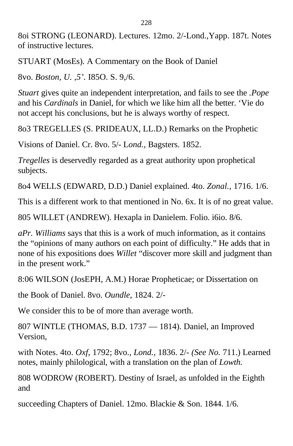8oi STRONG (LEONARD). Lectures. 12mo. 2/-Lond.,Yapp. 187t. Notes of instructive lectures.

STUART (MosEs). A Commentary on the Book of Daniel

8vo. *Boston, U. ,5'.* I85O. S. 9,/6.

*Stuart* gives quite an independent interpretation, and fails to see the *.Pope* and his *Cardinals* in Daniel, for which we like him all the better. 'Vie do not accept his conclusions, but he is always worthy of respect.

8o3 TREGELLES (S. PRIDEAUX, LL.D.) Remarks on the Prophetic

Visions of Daniel. Cr. 8vo. 5/- L*ond.,* Bagsters. 1852.

*Tregelles* is deservedly regarded as a great authority upon prophetical subjects.

8o4 WELLS (EDWARD, D.D.) Daniel explained. 4to. *Zonal.,* 1716. 1/6.

This is a different work to that mentioned in No. 6x. It is of no great value.

805 WILLET (ANDREW). Hexapla in Danielem. Folio. i6io. 8/6.

*aPr. Williams* says that this is a work of much information, as it contains the "opinions of many authors on each point of difficulty." He adds that in none of his expositions does *Willet* "discover more skill and judgment than in the present work."

8:06 WILSON (JosEPH, A.M.) Horae Propheticae; or Dissertation on

the Book of Daniel. 8vo. *Oundle,* 1824. 2/-

We consider this to be of more than average worth.

807 WINTLE (THOMAS, B.D. 1737 — 1814). Daniel, an Improved Version,

with Notes. 4to. *Oxf,* 1792; 8vo., *Lond.,* 1836. 2/- *(See No.* 711.) Learned notes, mainly philological, with a translation on the plan of *Lowth.*

808 WODROW (ROBERT). Destiny of Israel, as unfolded in the Eighth and

succeeding Chapters of Daniel. 12mo. Blackie & Son. 1844. 1/6.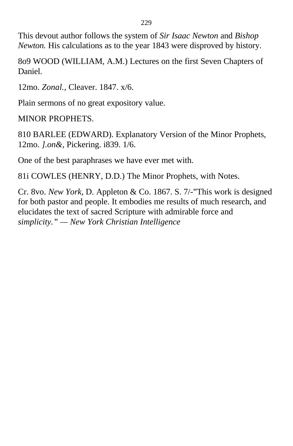This devout author follows the system of *Sir Isaac Newton* and *Bishop Newton.* His calculations as to the year 1843 were disproved by history.

8o9 WOOD (WILLIAM, A.M.) Lectures on the first Seven Chapters of Daniel.

12mo. *Zonal.,* Cleaver. 1847. x/6.

Plain sermons of no great expository value.

#### MINOR PROPHETS.

810 BARLEE (EDWARD). Explanatory Version of the Minor Prophets, 12mo. *].on&,* Pickering. i839. 1/6.

One of the best paraphrases we have ever met with.

81i COWLES (HENRY, D.D.) The Minor Prophets, with Notes.

Cr. 8vo. *New York,* D. Appleton & Co. 1867. S. 7/-"This work is designed for both pastor and people. It embodies me results of much research, and elucidates the text of sacred Scripture with admirable force and *simplicity." — New York Christian Intelligence*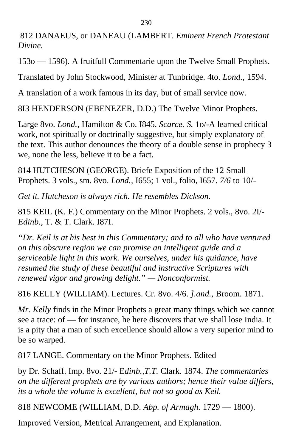812 DANAEUS, or DANEAU (LAMBERT. *Eminent French Protestant Divine.*

153o — 1596). A fruitfull Commentarie upon the Twelve Small Prophets.

Translated by John Stockwood, Minister at Tunbridge. 4to. *Lond.,* 1594.

A translation of a work famous in its day, but of small service now.

8I3 HENDERSON (EBENEZER, D.D.) The Twelve Minor Prophets.

Large 8vo. *Lond.,* Hamilton & Co. I845. *Scarce. S.* 1o/-A learned critical work, not spiritually or doctrinally suggestive, but simply explanatory of the text. This author denounces the theory of a double sense in prophecy 3 we, none the less, believe it to be a fact.

814 HUTCHESON (GEORGE). Briefe Exposition of the 12 Small Prophets. 3 vols., sm. 8vo. *Lond.,* I655; 1 vol., folio, I657. *7/6* to 10/-

*Get it. Hutcheson is always rich. He resembles Dickson.*

815 KEIL (K. F.) Commentary on the Minor Prophets. 2 vols., 8vo. 2I/- *Edinb.,* T. & T. Clark. I87I.

*"Dr. Keil is at his best in this Commentary; and to all who have ventured on this obscure region we can promise an intelligent guide and a serviceable light in this work. We ourselves, under his guidance, have resumed the study of these beautiful and instructive Scriptures with renewed vigor and growing delight." — Nonconformist.*

816 KELLY (WILLIAM). Lectures. Cr. 8vo. 4/6. *].and.,* Broom. 1871.

*Mr. Kelly* finds in the Minor Prophets a great many things which we cannot see a trace: of — for instance, he here discovers that we shall lose India. It is a pity that a man of such excellence should allow a very superior mind to be so warped.

817 LANGE. Commentary on the Minor Prophets. Edited

by Dr. Schaff. Imp. 8vo. 21/- E*dinb.,T.T.* Clark. 1874. *The commentaries on the different prophets are by various authors; hence their value differs, its a whole the volume is excellent, but not so good as Keil.*

818 NEWCOME (WILLIAM, D.D. *Abp. of Armagh.* 1729 — 1800).

Improved Version, Metrical Arrangement, and Explanation.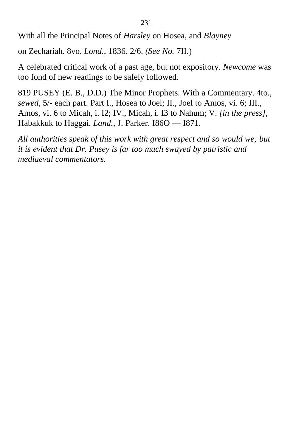With all the Principal Notes of *Harsley* on Hosea, and *Blayney*

on Zechariah. 8vo. *Lond.,* 1836. 2/6. *(See No.* 7II.)

A celebrated critical work of a past age, but not expository. *Newcome* was too fond of new readings to be safely followed.

819 PUSEY (E. B., D.D.) The Minor Prophets. With a Commentary. 4to., *sewed,* 5/- each part. Part I., Hosea to Joel; II., Joel to Amos, vi. 6; III., Amos, vi. 6 to Micah, i. I2; IV., Micah, i. I3 to Nahum; V. *[in the press],* Habakkuk to Haggai. *Land.,* J. Parker. I86O — I871.

*All authorities speak of this work with great respect and so would we; but it is evident that Dr. Pusey is far too much swayed by patristic and mediaeval commentators.*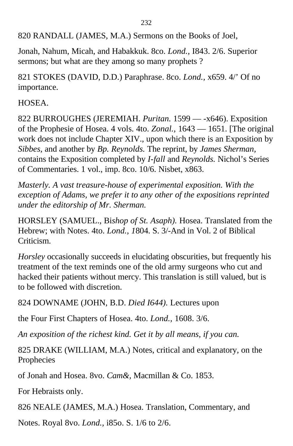820 RANDALL (JAMES, M.A.) Sermons on the Books of Joel,

Jonah, Nahum, Micah, and Habakkuk. 8co. *Lond.,* I843. 2/6. Superior sermons; but what are they among so many prophets ?

821 STOKES (DAVID, D.D.) Paraphrase. 8co. *Lond.,* x659. 4/' Of no importance.

HOSEA.

822 BURROUGHES (JEREMIAH. *Puritan.* 1599 — -x646). Exposition of the Prophesie of Hosea. 4 vols. 4to. *Zonal.,* 1643 — 1651. [The original work does not include Chapter XIV., upon which there is an Exposition by *Sibbes,* and another by *Bp. Reynolds.* The reprint, by *James Sherman,* contains the Exposition completed by *I-fall* and *Reynolds.* Nichol's Series of Commentaries. 1 vol., imp. 8co. 10/6. Nisbet, x863.

*Masterly. A vast treasure-house of experimental exposition. With the exception of Adams, we prefer it to any other of the expositions reprinted under the editorship of Mr. Sherman.*

HORSLEY (SAMUEL., Bi*shop of St. Asaph).* Hosea. Translated from the Hebrew; with Notes. 4to. *Lond., 1*804. S. 3/-And in Vol. 2 of Biblical Criticism.

*Horsley* occasionally succeeds in elucidating obscurities, but frequently his treatment of the text reminds one of the old army surgeons who cut and hacked their patients without mercy. This translation is still valued, but is to be followed with discretion.

824 DOWNAME (JOHN, B.D. *Died I644).* Lectures upon

the Four First Chapters of Hosea. 4to. *Lond.,* 1608. 3/6.

*An exposition of the richest kind. Get it by all means, if you can.*

825 DRAKE (WILLIAM, M.A.) Notes, critical and explanatory, on the Prophecies

of Jonah and Hosea. 8vo. *Cam&,* Macmillan & Co. 1853.

For Hebraists only.

826 NEALE (JAMES, M.A.) Hosea. Translation, Commentary, and

Notes. Royal 8vo. *Lond.,* i85o. S. 1/6 to 2/6.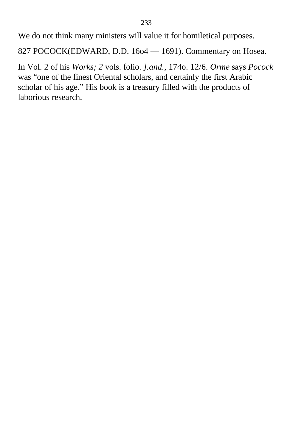We do not think many ministers will value it for homiletical purposes.

827 POCOCK(EDWARD, D.D. 16o4 — 1691). Commentary on Hosea.

In Vol. 2 of his *Works; 2* vols. folio. *].and.,* 174o. 12/6. *Orme* says *Pocock* was "one of the finest Oriental scholars, and certainly the first Arabic scholar of his age." His book is a treasury filled with the products of laborious research.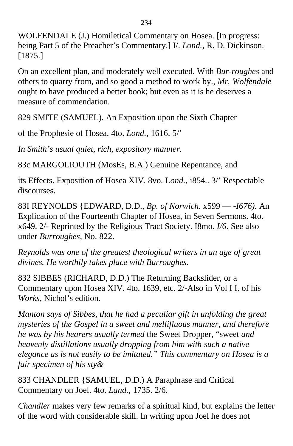WOLFENDALE (J.) Homiletical Commentary on Hosea. [In progress: being Part 5 of the Preacher's Commentary.] I/. *Lond.,* R. D. Dickinson. [1875.]

On an excellent plan, and moderately well executed. With *Bur-roughes* and others to quarry from, and so good a method to work by., *Mr. Wolfendale* ought to have produced a better book; but even as it is he deserves a measure of commendation.

829 SMITE (SAMUEL). An Exposition upon the Sixth Chapter

of the Prophesie of Hosea. 4to. *Lond.,* 1616. 5/'

*In Smith's usual quiet, rich, expository manner.*

83c MARGOLIOUTH (MosEs, B.A.) Genuine Repentance, and

its Effects. Exposition of Hosea XIV. 8vo. L*ond.,* i854.. 3/' Respectable discourses.

83I REYNOLDS {EDWARD, D.D., *Bp. of Norwich.* x599 — -*I676).* An Explication of the Fourteenth Chapter of Hosea, in Seven Sermons. 4to. x649. 2/- Reprinted by the Religious Tract Society. I8mo. *I/6.* See also under *Burroughes,* No. 822.

*Reynolds was one of the greatest theological writers in an age of great divines. He worthily takes place with Burroughes.*

832 SIBBES (RICHARD, D.D.) The Returning Backslider, or a Commentary upon Hosea XIV. 4to. 1639, etc. 2/-Also in Vol I I. of his *Works,* Nichol's edition.

*Manton says of Sibbes, that he had a peculiar gift in unfolding the great mysteries of the Gospel in a sweet and mellifluous manner, and therefore he was by his hearers usually termed* the Sweet Dropper, "sweet *and heavenly distillations usually dropping from him with such a native elegance as is not easily to be imitated." This commentary on Hosea is a fair specimen of his sty&*

833 CHANDLER {SAMUEL, D.D.) A Paraphrase and Critical Commentary on Joel. 4to. *Land.,* 1735. 2/6.

*Chandler* makes very few remarks of a spiritual kind, but explains the letter of the word with considerable skill. In writing upon Joel he does not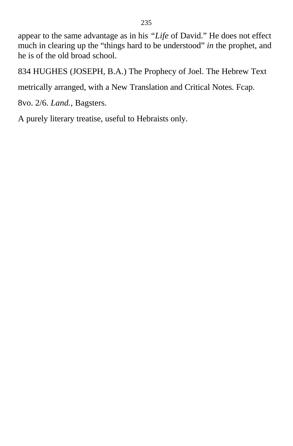appear to the same advantage as in his *"Life* of David." He does not effect much in clearing up the "things hard to be understood" *in* the prophet, and he is of the old broad school.

834 HUGHES (JOSEPH, B.A.) The Prophecy of Joel. The Hebrew Text

metrically arranged, with a New Translation and Critical Notes. Fcap.

8vo. 2/6. *Land.,* Bagsters.

A purely literary treatise, useful to Hebraists only.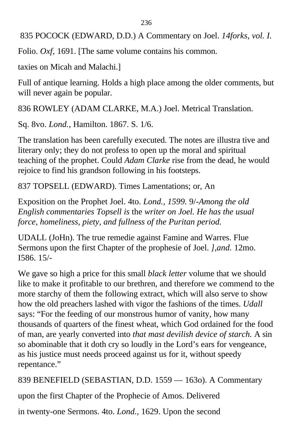835 POCOCK (EDWARD, D.D.) A Commentary on Joel. *14forks, vol. I.*

Folio. *Oxf*, 1691. [The same volume contains his common.]

taxies on Micah and Malachi.]

Full of antique learning. Holds a high place among the older comments, but will never again be popular.

836 ROWLEY (ADAM CLARKE, M.A.) Joel. Metrical Translation.

Sq. 8vo. *Lond.,* Hamilton. 1867. S. 1/6.

The translation has been carefully executed. The notes are illustra tive and literary only; they do not profess to open up the moral and spiritual teaching of the prophet. Could *Adam Clarke* rise from the dead, he would rejoice to find his grandson following in his footsteps.

837 TOPSELL (EDWARD). Times Lamentations; or, An

Exposition on the Prophet Joel. 4to. *Lond., 1599.* 9/-*Among the old English commentaries Topsell is* the *writer on Joel. He has the usual force, homeliness, piety, and fullness of the Puritan period.*

UDALL (JoHn). The true remedie against Famine and Warres. Flue Sermons upon the first Chapter of the prophesie of Joel. *],and.* 12mo. I586. 15/-

We gave so high a price for this small *black letter* volume that we should like to make it profitable to our brethren, and therefore we commend to the more starchy of them the following extract, which will also serve to show how the old preachers lashed with vigor the fashions of the times. *Udall* says: "For the feeding of our monstrous humor of vanity, how many thousands of quarters of the finest wheat, which God ordained for the food of man, are yearly converted into *that mast devilish device of starch.* A sin so abominable that it doth cry so loudly in the Lord's ears for vengeance, as his justice must needs proceed against us for it, without speedy repentance."

839 BENEFIELD (SEBASTIAN, D.D. 1559 — 163o). A Commentary

upon the first Chapter of the Prophecie of Amos. Delivered

in twenty-one Sermons. 4to. *Lond.,* 1629. Upon the second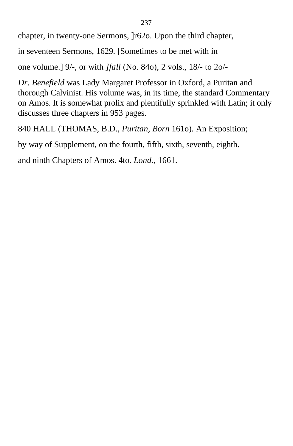chapter, in twenty-one Sermons, ]r62o. Upon the third chapter,

in seventeen Sermons, 1629. [Sometimes to be met with in

one volume.] 9/-, or with *]fall* (No. 84o), 2 vols., 18/- to 2o/-

*Dr. Benefield* was Lady Margaret Professor in Oxford, a Puritan and thorough Calvinist. His volume was, in its time, the standard Commentary on Amos. It is somewhat prolix and plentifully sprinkled with Latin; it only discusses three chapters in 953 pages.

840 HALL (THOMAS, B.D., *Puritan, Born* 161o). An Exposition;

by way of Supplement, on the fourth, fifth, sixth, seventh, eighth.

and ninth Chapters of Amos. 4to. *Lond.,* 1661.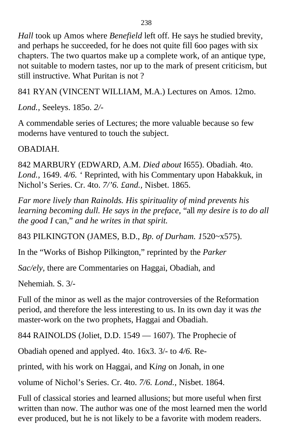*Hall* took up Amos where *Benefield* left off. He says he studied brevity, and perhaps he succeeded, for he does not quite fill 6oo pages with six chapters. The two quartos make up a complete work, of an antique type, not suitable to modern tastes, nor up to the mark of present criticism, but still instructive. What Puritan is not ?

841 RYAN (VINCENT WILLIAM, M.A.) Lectures on Amos. 12mo.

*Lond.,* Seeleys. 185o. *2/-*

A commendable series of Lectures; the more valuable because so few moderns have ventured to touch the subject.

OBADIAH.

842 MARBURY (EDWARD, A.M. *Died about* I655). Obadiah. 4to. Lond., 1649. 4/6. 'Reprinted, with his Commentary upon Habakkuk, in Nichol's Series. Cr. 4to. *7/'6. £and.,* Nisbet. 1865.

*Far more lively than Rainolds. His spirituality of mind prevents his learning becoming dull. He says in the preface,* "all *my desire is to do all the good I* can," *and he writes in that spirit.*

843 PILKINGTON (JAMES, B.D., *Bp. of Durham. 1*520~x575).

In the "Works of Bishop Pilkington," reprinted by the *Parker*

*Sac/ely,* there are Commentaries on Haggai, Obadiah, and

Nehemiah. S. 3/-

Full of the minor as well as the major controversies of the Reformation period, and therefore the less interesting to us. In its own day it was *the* master-work on the two prophets, Haggai and Obadiah.

844 RAINOLDS (Joliet, D.D. 1549 — 1607). The Prophecie of

Obadiah opened and applyed. 4to. 16x3. 3/- to *4/6.* Re-

printed, with his work on Haggai, and K*ing* on Jonah, in one

volume of Nichol's Series. Cr. 4to. *7/6. Lond.,* Nisbet. 1864.

Full of classical stories and learned allusions; but more useful when first written than now. The author was one of the most learned men the world ever produced, but he is not likely to be a favorite with modem readers.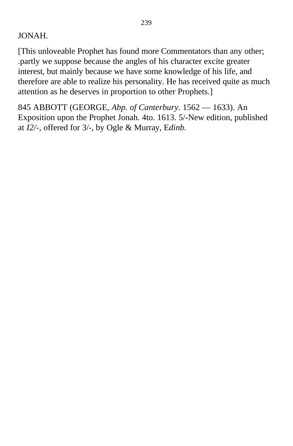#### JONAH.

[This unloveable Prophet has found more Commentators than any other; .partly we suppose because the angles of his character excite greater interest, but mainly because we have some knowledge of his life, and therefore are able to realize his personality. He has received quite as much attention as he deserves in proportion to other Prophets.]

845 ABBOTT (GEORGE, *Abp. of Canterbury.* 1562 — 1633). An Exposition upon the Prophet Jonah. 4to. 1613. 5/-New edition, published at *I2/-,* offered for 3/-, by Ogle & Murray, E*dinb.*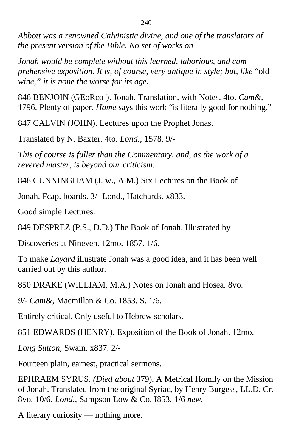*Abbott was a renowned Calvinistic divine, and one of the translators of the present version of the Bible. No set of works on*

*Jonah would be complete without this learned, laborious, and camprehensive exposition. It is, of course, very antique in style; but, like* "old *wine," it is none the worse for its age.*

846 BENJOIN (GEoRco-). Jonah. Translation, with Notes. 4to. *Cam&,* 1796. Plenty of paper. *Hame* says this work "is literally good for nothing."

847 CALVIN (JOHN). Lectures upon the Prophet Jonas.

Translated by N. Baxter. 4to. *Lond.,* 1578. 9/-

*This of course is fuller than the Commentary, and, as the work of a revered master, is beyond our criticism.*

848 CUNNINGHAM (J. w., A.M.) Six Lectures on the Book of

Jonah. Fcap. boards. 3/- Lond., Hatchards. x833.

Good simple Lectures.

849 DESPREZ (P.S., D.D.) The Book of Jonah. Illustrated by

Discoveries at Nineveh. 12mo. 1857. 1/6.

To make *Layard* illustrate Jonah was a good idea, and it has been well carried out by this author.

850 DRAKE (WILLIAM, M.A.) Notes on Jonah and Hosea. 8vo.

*9/- Cam&,* Macmillan & Co. 1853. S. 1/6.

Entirely critical. Only useful to Hebrew scholars.

851 EDWARDS (HENRY). Exposition of the Book of Jonah. 12mo.

*Long Sutton,* Swain. x837. 2/-

Fourteen plain, earnest, practical sermons.

EPHRAEM SYRUS. *(Died about* 379). A Metrical Homily on the Mission of Jonah. Translated from the original Syriac, by Henry Burgess, LL.D. Cr. 8vo. 10/6. *Lond.,* Sampson Low & Co. I853. 1/6 *new.*

A literary curiosity — nothing more.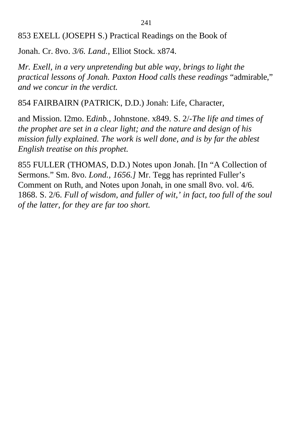853 EXELL (JOSEPH S.) Practical Readings on the Book of

Jonah. Cr. 8vo. *3/6. Land.,* Elliot Stock. x874.

*Mr. Exell, in a very unpretending but able way, brings to light the practical lessons of Jonah. Paxton Hood calls these readings* "admirable," *and we concur in the verdict.*

854 FAIRBAIRN (PATRICK, D.D.) Jonah: Life, Character,

and Mission. I2mo. E*dinb.,* Johnstone. x849. S. 2/-*The life and times of the prophet are set in a clear light; and the nature and design of his mission fully explained. The work is well done, and is by far the ablest English treatise on this prophet.*

855 FULLER (THOMAS, D.D.) Notes upon Jonah. [In "A Collection of Sermons." Sm. 8vo. *Lond., 1656.]* Mr. Tegg has reprinted Fuller's Comment on Ruth, and Notes upon Jonah, in one small 8vo. vol. 4/6. 1868. S. 2/6. *Full of wisdom, and fuller of wit,' in fact, too full of the soul of the latter, for they are far too short.*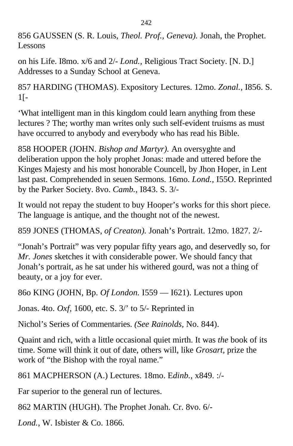856 GAUSSEN (S. R. Louis, *Theol. Prof., Geneva).* Jonah, the Prophet. Lessons

on his Life. I8mo. x/6 and 2/- *Lond.,* Religious Tract Society. [N. D.] Addresses to a Sunday School at Geneva.

857 HARDING (THOMAS). Expository Lectures. 12mo. *Zonal.,* I856. S.  $1$ [ $-$ ]

'What intelligent man in this kingdom could learn anything from these lectures ? The; worthy man writes only such self-evident truisms as must have occurred to anybody and everybody who has read his Bible.

858 HOOPER (JOHN. *Bishop and Martyr).* An oversyghte and deliberation uppon the holy prophet Jonas: made and uttered before the Kinges Majesty and his most honorable Councell, by Jhon Hoper, in Lent last past. Comprehended in seuen Sermons. 16mo. *Lond.,* I55O. Reprinted by the Parker Society. 8vo. *Camb.,* I843. S. 3/-

It would not repay the student to buy Hooper's works for this short piece. The language is antique, and the thought not of the newest.

859 JONES (THOMAS, *of Creaton).* Jonah's Portrait. 12mo. 1827. 2/-

"Jonah's Portrait" was very popular fifty years ago, and deservedly so, for *Mr. Jones* sketches it with considerable power. We should fancy that Jonah's portrait, as he sat under his withered gourd, was not a thing of beauty, or a joy for ever.

86o KING (JOHN, Bp. *Of London.* I559 — I621). Lectures upon

Jonas. 4to. *Oxf,* 1600, etc. S. 3/' to 5/- Reprinted in

Nichol's Series of Commentaries. *(See Rainolds,* No. 844).

Quaint and rich, with a little occasional quiet mirth. It was *the* book of its time. Some will think it out of date, others will, like *Grosart,* prize the work of "the Bishop with the royal name."

861 MACPHERSON (A.) Lectures. 18mo. E*dinb.,* x849. :/-

Far superior to the general run of lectures.

862 MARTIN (HUGH). The Prophet Jonah. Cr. 8vo. 6/-

*Lond.,* W. Isbister & Co. 1866.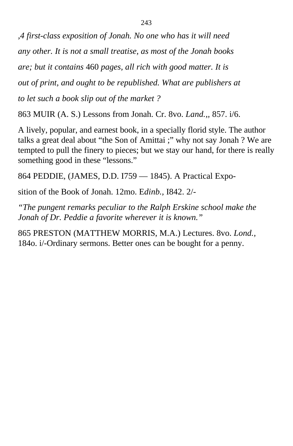*,4 first-class exposition of Jonah. No one who has it will need any other. It is not a small treatise, as most of the Jonah books are; but it contains* 460 *pages, all rich with good matter. It is out of print, and ought to be republished. What are publishers at to let such a book slip out of the market ?*

863 MUIR (A. S.) Lessons from Jonah. Cr. 8vo. *Land.,,* 857. i/6.

A lively, popular, and earnest book, in a specially florid style. The author talks a great deal about "the Son of Amittai ;" why not say Jonah ? We are tempted to pull the finery to pieces; but we stay our hand, for there is really something good in these "lessons."

864 PEDDIE, (JAMES, D.D. I759 — 1845). A Practical Expo-

sition of the Book of Jonah. 12mo. E*dinb.,* I842. 2/-

*"The pungent remarks peculiar to the Ralph Erskine school make the Jonah of Dr. Peddie a favorite wherever it is known."*

865 PRESTON (MATTHEW MORRIS, M.A.) Lectures. 8vo. *Lond.,* 184o. i/-Ordinary sermons. Better ones can be bought for a penny.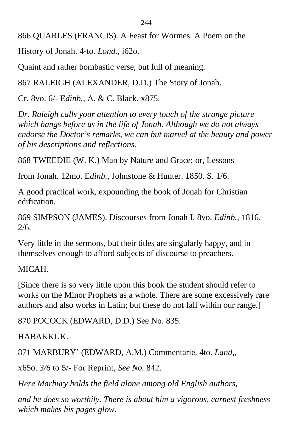866 QUARLES (FRANCIS). A Feast for Wormes. A Poem on the

History of Jonah. 4-to. *Lond.,* i62o.

Quaint and rather bombastic verse, but full of meaning.

867 RALEIGH (ALEXANDER, D.D.) The Story of Jonah.

Cr. 8vo. 6/- E*dinb.,* A. & C. Black. x875.

*Dr. Raleigh calls your attention to every touch of the strange picture which hangs before us in the life of Jonah. Although we do not always endorse the Doctor's remarks, we can but marvel at the beauty and power of his descriptions and reflections.*

868 TWEEDIE (W. K.) Man by Nature and Grace; or, Lessons

from Jonah. 12mo. E*dinb.,* Johnstone & Hunter. 1850. S. 1/6.

A good practical work, expounding the book of Jonah for Christian edification.

869 SIMPSON (JAMES). Discourses from Jonah I. 8vo. *Edinb.,* 1816.  $2/6$ .

Very little in the sermons, but their titles are singularly happy, and in themselves enough to afford subjects of discourse to preachers.

## MICAH.

[Since there is so very little upon this book the student should refer to works on the Minor Prophets as a whole. There are some excessively rare authors and also works in Latin; but these do not fall within our range.]

870 POCOCK (EDWARD, D.D.) See No. 835.

## **HABAKKUK**

871 MARBURY' (EDWARD, A.M.) Commentarie. 4to. *Land,,*

x65o. *3/6* to 5/- For Reprint, *See No.* 842.

*Here Marbury holds the field alone among old English authors,*

*and he does so worthily. There is about him a vigorous, earnest freshness which makes his pages glow.*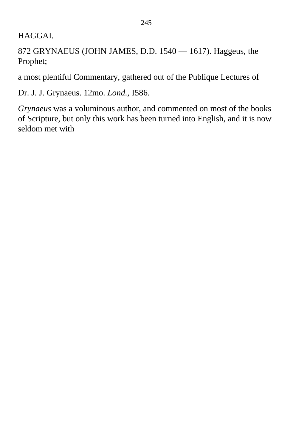HAGGAI.

872 GRYNAEUS (JOHN JAMES, D.D. 1540 — 1617). Haggeus, the Prophet;

a most plentiful Commentary, gathered out of the Publique Lectures of

Dr. J. J. Grynaeus. 12mo. *Lond.,* I586.

*Grynaeus* was a voluminous author, and commented on most of the books of Scripture, but only this work has been turned into English, and it is now seldom met with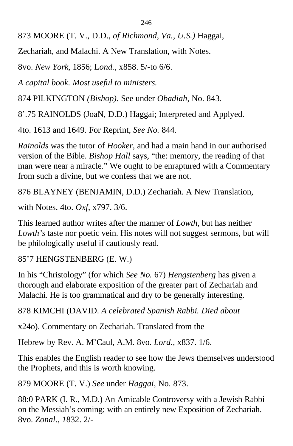873 MOORE (T. V., D.D., *of Richmond, Va., U.S.)* Haggai,

Zechariah, and Malachi. A New Translation, with Notes.

8vo. *New York,* 1856; L*ond.,* x858. 5/-to 6/6.

*A capital book. Most useful to ministers.*

874 PILKINGTON *(Bishop).* See under *Obadiah,* No. 843.

8'.75 RAINOLDS (JoaN, D.D.) Haggai; Interpreted and Applyed.

4to. 1613 and 1649. For Reprint, *See No.* 844.

*Rainolds* was the tutor of *Hooker,* and had a main hand in our authorised version of the Bible. *Bishop Hall* says, "the: memory, the reading of that man were near a miracle." We ought to be enraptured with a Commentary from such a divine, but we confess that we are not.

876 BLAYNEY (BENJAMIN, D.D.) Zechariah. A New Translation,

with Notes. 4to. *Oxf,* x797. 3/6.

This learned author writes after the manner of *Lowth,* but has neither *Lowth's* taste nor poetic vein. His notes will not suggest sermons, but will be philologically useful if cautiously read.

85'7 HENGSTENBERG (E. W.)

In his "Christology" (for which *See No.* 67) *Hengstenberg* has given a thorough and elaborate exposition of the greater part of Zechariah and Malachi. He is too grammatical and dry to be generally interesting.

878 KIMCHI (DAVID. *A celebrated Spanish Rabbi. Died about*

x24o). Commentary on Zechariah. Translated from the

Hebrew by Rev. A. M'Caul, A.M. 8vo. *Lord.,* x837. 1/6.

This enables the English reader to see how the Jews themselves understood the Prophets, and this is worth knowing.

879 MOORE (T. V.) *See* under *Haggai,* No. 873.

88:0 PARK (I. R., M.D.) An Amicable Controversy with a Jewish Rabbi on the Messiah's coming; with an entirely new Exposition of Zechariah. 8vo. *Zonal., 1*832. 2/-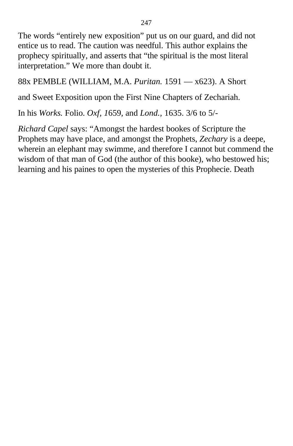The words "entirely new exposition" put us on our guard, and did not entice us to read. The caution was needful. This author explains the prophecy spiritually, and asserts that "the spiritual is the most literal interpretation." We more than doubt it.

88x PEMBLE (WILLIAM, M.A. *Puritan.* 1591 — x623). A Short

and Sweet Exposition upon the First Nine Chapters of Zechariah.

In his *Works.* Folio. *Oxf, 1*659, and *Lond.,* 1635. 3/6 to 5/-

*Richard Capel* says: "Amongst the hardest bookes of Scripture the Prophets may have place, and amongst the Prophets, *Zechary* is a deepe, wherein an elephant may swimme, and therefore I cannot but commend the wisdom of that man of God (the author of this booke), who bestowed his; learning and his paines to open the mysteries of this Prophecie. Death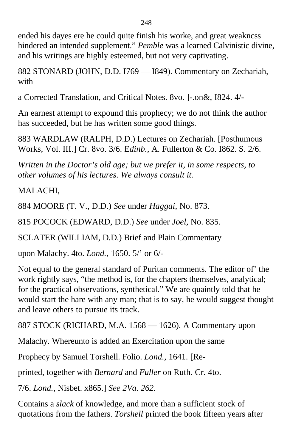ended his dayes ere he could quite finish his worke, and great weakncss hindered an intended supplement." *Pemble* was a learned Calvinistic divine, and his writings are highly esteemed, but not very captivating.

882 STONARD (JOHN, D.D. I769 — I849). Commentary on Zechariah, with

a Corrected Translation, and Critical Notes. 8vo. ]-.on&, I824. 4/-

An earnest attempt to expound this prophecy; we do not think the author has succeeded, but he has written some good things.

883 WARDLAW (RALPH, D.D.) Lectures on Zechariah. [Posthumous Works, Vol. III.] Cr. 8vo. 3/6. E*dinb.,* A. Fullerton & Co. I862. S. 2/6.

*Written in the Doctor's old age; but we prefer it, in some respects, to other volumes of his lectures. We always consult it.*

# MALACHI,

884 MOORE (T. V., D.D.) *See* under *Haggai,* No. 873.

815 POCOCK (EDWARD, D.D.) *See* under *Joel,* No. 835.

SCLATER (WILLIAM, D.D.) Brief and Plain Commentary

upon Malachy. 4to. *Lond.,* 1650. 5/' or 6/-

Not equal to the general standard of Puritan comments. The editor of' the work rightly says, "the method is, for the chapters themselves, analytical; for the practical observations, synthetical." We are quaintly told that he would start the hare with any man; that is to say, he would suggest thought and leave others to pursue its track.

887 STOCK (RICHARD, M.A. 1568 — 1626). A Commentary upon

Malachy. Whereunto is added an Exercitation upon the same

Prophecy by Samuel Torshell. Folio. *Lond.,* 1641. [Re-

printed, together with *Bernard* and *Fuller* on Ruth. Cr. 4to.

7/6. *Lond.,* Nisbet. x865.] *See 2Va. 262.*

Contains a *slack* of knowledge, and more than a sufficient stock of quotations from the fathers. *Torshell* printed the book fifteen years after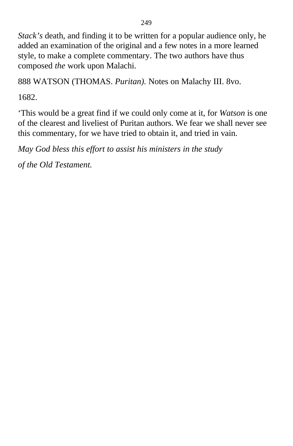*Stack's* death, and finding it to be written for a popular audience only, he added an examination of the original and a few notes in a more learned style, to make a complete commentary. The two authors have thus composed *the* work upon Malachi.

888 WATSON (THOMAS. *Puritan).* Notes on Malachy III. 8vo.

1682.

'This would be a great find if we could only come at it, for *Watson* is one of the clearest and liveliest of Puritan authors. We fear we shall never see this commentary, for we have tried to obtain it, and tried in vain.

*May God bless this effort to assist his ministers in the study*

*of the Old Testament.*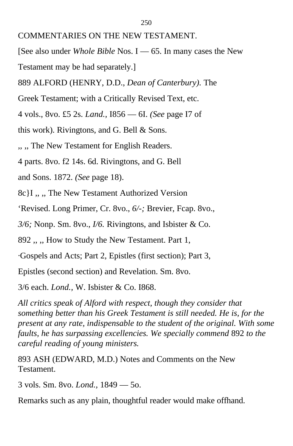- COMMENTARIES ON THE NEW TESTAMENT.
- [See also under *Whole Bible* Nos. I 65. In many cases the New
- Testament may be had separately.]
- 889 ALFORD (HENRY, D.D., *Dean of Canterbury).* The
- Greek Testament; with a Critically Revised Text, etc.
- 4 vols., 8vo. £5 2s. *Land.,* I856 6I. *(See* page I7 of
- this work). Rivingtons, and G. Bell & Sons.
- ,, ,, The New Testament for English Readers.
- 4 parts. 8vo. f2 14s. 6d. Rivingtons, and G. Bell
- and Sons. 1872. *(See* page 18).
- 8c}I ,, ,, The New Testament Authorized Version
- 'Revised. Long Primer, Cr. 8vo., *6/-;* Brevier, Fcap. 8vo.,
- *3/6;* Nonp. Sm. 8vo., *I/6.* Rivingtons, and Isbister & Co.
- 892, w. How to Study the New Testament. Part 1,
- ·Gospels and Acts; Part 2, Epistles (first section); Part 3,

Epistles (second section) and Revelation. Sm. 8vo.

3/6 each. *Lond.,* W. Isbister & Co. I868.

*All critics speak of Alford with respect, though they consider that something better than his Greek Testament is still needed. He is, for the present at any rate, indispensable to the student of the original. With some faults, he has surpassing excellencies. We specially commend* 892 *to the careful reading of young ministers.*

893 ASH (EDWARD, M.D.) Notes and Comments on the New Testament.

3 vols. Sm. 8vo. *Lond.,* 1849 — 5o.

Remarks such as any plain, thoughtful reader would make offhand.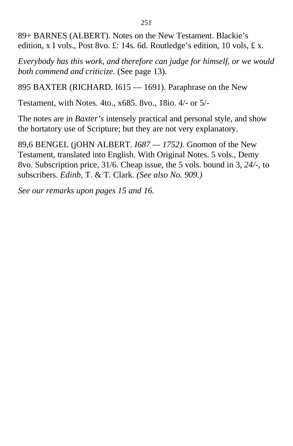89+ BARNES (ALBERT). Notes on the New Testament. Blackie's edition, x I vols., Post 8vo. £: 14s. 6d. Routledge's edition, 10 vols, £ x.

*Everybody has this work, and therefore can judge for himself, or we would both commend and criticize.* (See page 13).

895 BAXTER (RICHARD. I615 — 1691). Paraphrase on the New

Testament, with Notes. 4to., x685. 8vo., 18io. 4/- or 5/-

The notes are in *Baxter's* intensely practical and personal style, and show the hortatory use of Scripture; but they are not very explanatory.

89,6 BENGEL (jOHN ALBERT. *I687 — 1752).* Gnomon of the New Testament, translated into English. With Original Notes. 5 vols., Demy 8vo. Subscription price, 31/6. Cheap issue, the 5 vols. bound in 3, *24/-,* to subscribers. *Edinb,* T. & T. Clark. *(See also No. 909.)*

*See our remarks upon pages 15 and 16.*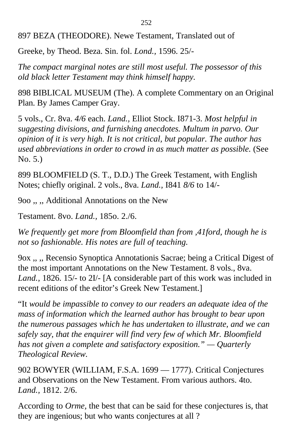897 BEZA (THEODORE). Newe Testament, Translated out of

Greeke, by Theod. Beza. Sin. fol. *Lond.,* 1596. 25/-

*The compact marginal notes are still most useful. The possessor of this old black letter Testament may think himself happy.*

898 BIBLICAL MUSEUM (The). A complete Commentary on an Original Plan. By James Camper Gray.

5 vols., Cr. 8va. *4/6* each. *Land.,* Elliot Stock. I871-3. *Most helpful in suggesting divisions, and furnishing anecdotes. Multum in parvo. Our opinion of it is very high. It is not critical, but popular. The author has used abbreviations in order to crowd in as much matter as possible.* (See No. 5.)

899 BLOOMFIELD (S. T., D.D.) The Greek Testament, with English Notes; chiefly original. 2 vols., 8va. *Land.,* I841 *8/6* to 14/-

9oo ,, ,, Additional Annotations on the New

Testament. 8vo. *Land.,* 185o. 2./6.

*We frequently get more from Bloomfield than from ,41ford, though he is not so fashionable. His notes are full of teaching.*

9ox ,, ,, Recensio Synoptica Annotationis Sacrae; being a Critical Digest of the most important Annotations on the New Testament. 8 vols., 8va. *Land.,* 1826. 15/- to 2I/- [A considerable part of this work was included in recent editions of the editor's Greek New Testament.]

"It *would be impassible to convey to our readers an adequate idea of the mass of information which the learned author has brought to bear upon the numerous passages which he has undertaken to illustrate, and we can safely say, that the enquirer will find very few of which Mr. Bloomfield has not given a complete and satisfactory exposition." — Quarterly Theological Review.*

902 BOWYER (WILLIAM, F.S.A. 1699 — 1777). Critical Conjectures and Observations on the New Testament. From various authors. 4to. *Land.,* 1812. 2/6.

According to *Orme,* the best that can be said for these conjectures is, that they are ingenious; but who wants conjectures at all ?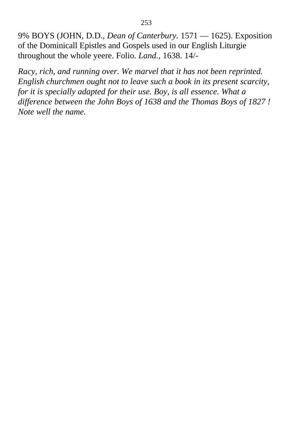9% BOYS (JOHN, D.D., *Dean of Canterbury.* 1571 — 1625). Exposition of the Dominicall Epistles and Gospels used in our English Liturgie throughout the whole yeere. Folio. *Land.,* 1638. 14/-

*Racy, rich, and running over. We marvel that it has not been reprinted. English churchmen ought not to leave such a book in its present scarcity, for it is specially adapted for their use. Boy, is all essence. What a difference between the John Boys of 1638 and the Thomas Boys of 1827 ! Note well the name.*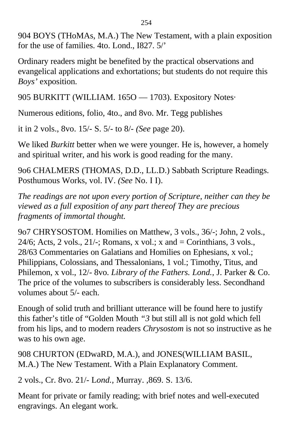904 BOYS (THoMAs, M.A.) The New Testament, with a plain exposition for the use of families. 4to. Lond., I827. 5/'

Ordinary readers might be benefited by the practical observations and evangelical applications and exhortations; but students do not require this *Boys'* exposition.

905 BURKITT (WILLIAM. 1650 — 1703). Expository Notes-

Numerous editions, folio, 4to., and 8vo. Mr. Tegg publishes

it in 2 vols., 8vo. 15/- S. 5/- to 8/- *(See* page 20).

We liked *Burkitt* better when we were younger. He is, however, a homely and spiritual writer, and his work is good reading for the many.

9o6 CHALMERS (THOMAS, D.D., LL.D.) Sabbath Scripture Readings. Posthumous Works, vol. IV. *(See* No. I I).

*The readings are not upon every portion of Scripture, neither can they be viewed as a full exposition of any part thereof They are precious fragments of immortal thought.*

9o7 CHRYSOSTOM. Homilies on Matthew, 3 vols., 36/-; John, 2 vols.,  $24/6$ ; Acts, 2 vols.,  $21/-$ ; Romans, x vol.; x and = Corinthians, 3 vols., 28/63 Commentaries on Galatians and Homilies on Ephesians, x vol.; Philippians, Colossians, and Thessalonians, 1 vol.; Timothy, Titus, and Philemon, x vol., 12/- 8vo. *Library of the Fathers. Lond.,* J. Parker & Co. The price of the volumes to subscribers is considerably less. Secondhand volumes about 5/- each.

Enough of solid truth and brilliant utterance will be found here to justify this father's title of "Golden Mouth *"3* but still all is not gold which fell from his lips, and to modern readers *Chrysostom* is not so instructive as he was to his own age.

908 CHURTON (EDwaRD, M.A.), and JONES(WILLIAM BASIL, M.A.) The New Testament. With a Plain Explanatory Comment.

2 vols., Cr. 8vo. 21/- L*ond.,* Murray. ,869. S. 13/6.

Meant for private or family reading; with brief notes and well-executed engravings. An elegant work.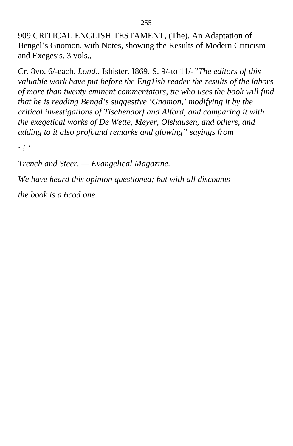909 CRITICAL ENGLISH TESTAMENT, (The). An Adaptation of Bengel's Gnomon, with Notes, showing the Results of Modern Criticism and Exegesis. 3 vols.,

Cr. 8vo. 6/-each. *Lond.,* Isbister. I869. S. 9/-to 11/-*"The editors of this valuable work have put before the Eng1ish reader the results of the labors of more than twenty eminent commentators, tie who uses the book will find that he is reading Bengd's suggestive 'Gnomon,' modifying it by the critical investigations of Tischendorf and Alford, and comparing it with the exegetical works of De Wette, Meyer, Olshausen, and others, and adding to it also profound remarks and glowing" sayings from*

*· ! '*

*Trench and Steer. — Evangelical Magazine.*

*We have heard this opinion questioned; but with all discounts the book is a 6cod one.*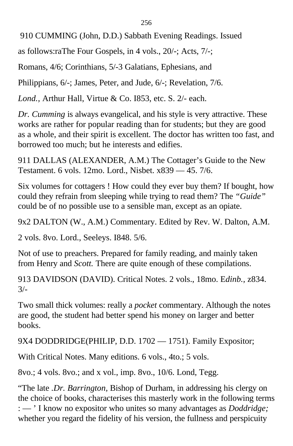910 CUMMING (John, D.D.) Sabbath Evening Readings. Issued

as follows:raThe Four Gospels, in 4 vols., 20/-; Acts, 7/-;

Romans, 4/6; Corinthians, 5/-3 Galatians, Ephesians, and

Philippians, 6/-; James, Peter, and Jude, 6/-; Revelation, 7/6.

*Lond.,* Arthur Hall, Virtue & Co. I853, etc. S. 2/- each.

*Dr. Cumming* is always evangelical, and his style is very attractive. These works are rather for popular reading than for students; but they are good as a whole, and their spirit is excellent. The doctor has written too fast, and borrowed too much; but he interests and edifies.

911 DALLAS (ALEXANDER, A.M.) The Cottager's Guide to the New Testament. 6 vols. 12mo. Lord., Nisbet. x839 — 45. 7/6.

Six volumes for cottagers ! How could they ever buy them? If bought, how could they refrain from sleeping while trying to read them? The *"Guide"* could be of no possible use to a sensible man, except as an opiate.

9x2 DALTON (W., A.M.) Commentary. Edited by Rev. W. Dalton, A.M.

2 vols. 8vo. Lord., Seeleys. I848. 5/6.

Not of use to preachers. Prepared for family reading, and mainly taken from Henry and *Scott.* There are quite enough of these compilations.

913 DAVIDSON (DAVID). Critical Notes. 2 vols., 18mo. E*dinb.,* z834. 3/-

Two small thick volumes: really a *pocket* commentary. Although the notes are good, the student had better spend his money on larger and better books.

9X4 DODDRIDGE(PHILIP, D.D. 1702 — 1751). Family Expositor;

With Critical Notes. Many editions. 6 vols., 4to.; 5 vols.

8vo.; 4 vols. 8vo.; and x vol., imp. 8vo., 10/6. Lond, Tegg.

"The late *.Dr. Barrington,* Bishop of Durham, in addressing his clergy on the choice of books, characterises this masterly work in the following terms : — ' I know no expositor who unites so many advantages as *Doddridge;* whether you regard the fidelity of his version, the fullness and perspicuity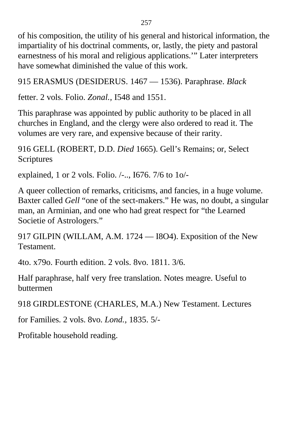of his composition, the utility of his general and historical information, the impartiality of his doctrinal comments, or, lastly, the piety and pastoral earnestness of his moral and religious applications.'" Later interpreters have somewhat diminished the value of this work.

915 ERASMUS (DESIDERUS. 1467 — 1536). Paraphrase. *Black*

fetter. 2 vols. Folio. *Zonal.,* I548 and 1551.

This paraphrase was appointed by public authority to be placed in all churches in England, and the clergy were also ordered to read it. The volumes are very rare, and expensive because of their rarity.

916 GELL (ROBERT, D.D. *Died* 1665). Gell's Remains; or, Select Scriptures

explained, 1 or 2 vols. Folio. /-.., I676. 7/6 to 1o/-

A queer collection of remarks, criticisms, and fancies, in a huge volume. Baxter called *Gell* "one of the sect-makers." He was, no doubt, a singular man, an Arminian, and one who had great respect for "the Learned Societie of Astrologers."

917 GILPIN (WILLAM, A.M. 1724 — I8O4). Exposition of the New Testament.

4to. x79o. Fourth edition. 2 vols. 8vo. 1811. 3/6.

Half paraphrase, half very free translation. Notes meagre. Useful to buttermen

918 GIRDLESTONE (CHARLES, M.A.) New Testament. Lectures

for Families. 2 vols. 8vo. *Lond.,* 1835. 5/-

Profitable household reading.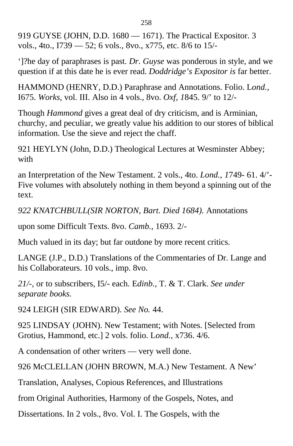919 GUYSE (JOHN, D.D. 1680 — 1671). The Practical Expositor. 3 vols., 4to., I739 — 52; 6 vols., 8vo., x775, etc. 8/6 to 15/-

']?he day of paraphrases is past. *Dr. Guyse* was ponderous in style, and we question if at this date he is ever read. *Doddridge's Expositor is* far better.

HAMMOND (HENRY, D.D.) Paraphrase and Annotations. Folio. L*ond.,* I675. *Works,* vol. III. Also in 4 vols., 8vo. *Oxf, 1*845. 9/' to 12/-

Though *Hammond* gives a great deal of dry criticism, and is Arminian, churchy, and peculiar, we greatly value his addition to our stores of biblical information. Use the sieve and reject the chaff.

921 HEYLYN (John, D.D.) Theological Lectures at Wesminster Abbey; with

an Interpretation of the New Testament. 2 vols., 4to. *Lond., 1*749- 61. 4/'- Five volumes with absolutely nothing in them beyond a spinning out of the text.

*922 KNATCHBULL(SIR NORTON, Bart. Died 1684).* Annotations

upon some Difficult Texts. 8vo. *Camb.,* 1693. 2/-

Much valued in its day; but far outdone by more recent critics.

LANGE (J.P., D.D.) Translations of the Commentaries of Dr. Lange and his Collaborateurs. 10 vols., imp. 8vo.

*21/-,* or to subscribers, I5/- each. E*dinb.,* T. & T. Clark. *See under separate books.*

924 LEIGH (SIR EDWARD). *See No.* 44.

925 LINDSAY (JOHN). New Testament; with Notes. [Selected from Grotius, Hammond, etc.] 2 vols. folio. L*ond.,* x736. 4/6.

A condensation of other writers — very well done.

926 McCLELLAN (JOHN BROWN, M.A.) New Testament. A New'

Translation, Analyses, Copious References, and Illustrations

from Original Authorities, Harmony of the Gospels, Notes, and

Dissertations. In 2 vols., 8vo. Vol. I. The Gospels, with the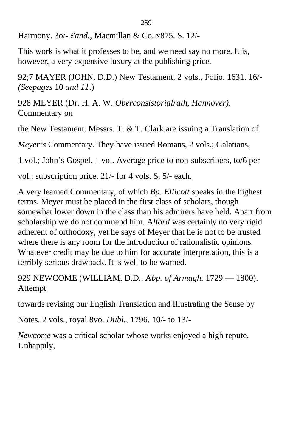Harmony. 3o/- *£and.,* Macmillan & Co. x875. S. 12/-

This work is what it professes to be, and we need say no more. It is, however, a very expensive luxury at the publishing price.

92;7 MAYER (JOHN, D.D.) New Testament. 2 vols., Folio. 1631. 16/- *(Seepages* 10 *and 11*.)

928 MEYER (Dr. H. A. W. *Oberconsistorialrath, Hannover).* Commentary on

the New Testament. Messrs. T. & T. Clark are issuing a Translation of

*Meyer's* Commentary. They have issued Romans, 2 vols.; Galatians,

1 vol.; John's Gospel, 1 vol. Average price to non-subscribers, to/6 per

vol.; subscription price, 21/- for 4 vols. S. 5/- each.

A very learned Commentary, of which *Bp. Ellicott* speaks in the highest terms. Meyer must be placed in the first class of scholars, though somewhat lower down in the class than his admirers have held. Apart from scholarship we do not commend him. A*lford* was certainly no very rigid adherent of orthodoxy, yet he says of Meyer that he is not to be trusted where there is any room for the introduction of rationalistic opinions. Whatever credit may be due to him for accurate interpretation, this is a terribly serious drawback. It is well to be warned.

929 NEWCOME (WILLIAM, D.D., A*bp. of Armagh.* 1729 — 1800). Attempt

towards revising our English Translation and Illustrating the Sense by

Notes. 2 vols., royal 8vo. *Dubl.,* 1796. 10/- to 13/-

*Newcome* was a critical scholar whose works enjoyed a high repute. Unhappily,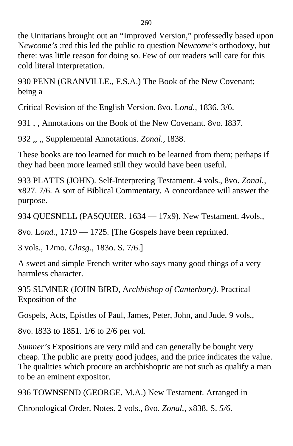the Unitarians brought out an "Improved Version," professedly based upon N*ewcome's* :red this led the public to question N*ewcome's* orthodoxy, but there: was little reason for doing so. Few of our readers will care for this cold literal interpretation.

930 PENN (GRANVILLE., F.S.A.) The Book of the New Covenant; being a

Critical Revision of the English Version. 8vo. L*ond.,* 1836. 3/6.

931 , , Annotations on the Book of the New Covenant. 8vo. I837.

932 ,, ,, Supplemental Annotations. *Zonal.,* I838.

These books are too learned for much to be learned from them; perhaps if they had been more learned still they would have been useful.

933 PLATTS (JOHN). Self-Interpreting Testament. 4 vols., 8vo. *Zonal.,* x827. 7/6. A sort of Biblical Commentary. A concordance will answer the purpose.

934 QUESNELL (PASQUIER. 1634 — 17x9). New Testament. 4vols.,

8vo. L*ond.,* 1719 — 1725. [The Gospels have been reprinted.

3 vols., 12mo. *Glasg.,* 183o. S. 7/6.]

A sweet and simple French writer who says many good things of a very harmless character.

935 SUMNER (JOHN BIRD, A*rchbishop of Canterbury).* Practical Exposition of the

Gospels, Acts, Epistles of Paul, James, Peter, John, and Jude. 9 vols.,

8vo. I833 to 1851. 1/6 to 2/6 per vol.

*Sumner's* Expositions are very mild and can generally be bought very cheap. The public are pretty good judges, and the price indicates the value. The qualities which procure an archbishopric are not such as qualify a man to be an eminent expositor.

936 TOWNSEND (GEORGE, M.A.) New Testament. Arranged in

Chronological Order. Notes. 2 vols., 8vo. *Zonal.,* x838. S. *5/6.*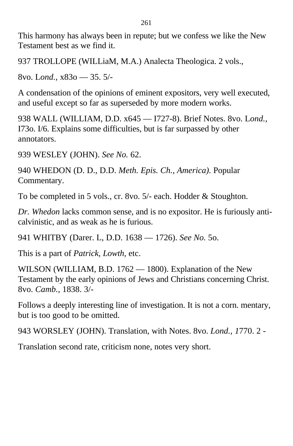This harmony has always been in repute; but we confess we like the New Testament best as we find it.

937 TROLLOPE (WILLiaM, M.A.) Analecta Theologica. 2 vols.,

8vo. L*ond.,* x83o — 35. 5/-

A condensation of the opinions of eminent expositors, very well executed, and useful except so far as superseded by more modern works.

938 WALL (WILLIAM, D.D. x645 — I727-8). Brief Notes. 8vo. L*ond.,* I73o. I/6. Explains some difficulties, but is far surpassed by other annotators.

939 WESLEY (JOHN). *See No.* 62.

940 WHEDON (D. D., D.D. *Meth. Epis. Ch., America).* Popular Commentary.

To be completed in 5 vols., cr. 8vo. 5/- each. Hodder & Stoughton.

*Dr. Whedon* lacks common sense, and is no expositor. He is furiously anticalvinistic, and as weak as he is furious.

941 WHITBY (Darer. L, D.D. 1638 — 1726). *See No.* 5o.

This is a part of *Patrick, Lowth,* etc.

WILSON (WILLIAM, B.D. 1762 — 1800). Explanation of the New Testament by the early opinions of Jews and Christians concerning Christ. 8vo. *Camb.,* 1838. 3/-

Follows a deeply interesting line of investigation. It is not a corn. mentary, but is too good to be omitted.

943 WORSLEY (JOHN). Translation, with Notes. 8vo. *Lond., 1*770. 2 -

Translation second rate, criticism none, notes very short.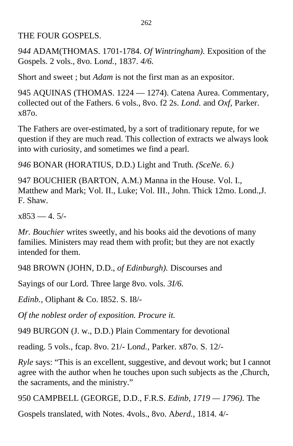THE FOUR GOSPELS.

*944* ADAM(THOMAS. 1701-1784. *Of Wintringham).* Exposition of the Gospels. 2 vols., 8vo. Lo*nd.,* 1837. *4/6.*

Short and sweet ; but *Adam* is not the first man as an expositor.

945 AQUINAS (THOMAS. 1224 — 1274). Catena Aurea. Commentary, collected out of the Fathers. 6 vols., 8vo. f2 2s. *Lond.* and *Oxf,* Parker. x87o.

The Fathers are over-estimated, by a sort of traditionary repute, for we question if they are much read. This collection of extracts we always look into with curiosity, and sometimes we find a pearl.

*946* BONAR (HORATIUS, D.D.) Light and Truth. *(SceNe. 6.)*

947 BOUCHIER (BARTON, A.M.) Manna in the House. Vol. I., Matthew and Mark; Vol. II., Luke; Vol. III., John. Thick 12mo. Lond.,J. F. Shaw.

 $x853 - 4.5/$ 

*Mr. Bouchier* writes sweetly, and his books aid the devotions of many families. Ministers may read them with profit; but they are not exactly intended for them.

948 BROWN (JOHN, D.D., *of Edinburgh).* Discourses and

Sayings of our Lord. Three large 8vo. vols. *3I/6.*

*Edinb.,* Oliphant & Co. I852. S. I8/-

*Of the noblest order of exposition. Procure it.*

949 BURGON (J. w., D.D.) Plain Commentary for devotional

reading. 5 vols., fcap. 8vo. 21/- Lo*nd.,* Parker. x87o. S. 12/-

*Ryle* says: "This is an excellent, suggestive, and devout work; but I cannot agree with the author when he touches upon such subjects as the ,Church, the sacraments, and the ministry."

950 CAMPBELL (GEORGE, D.D., F.R.S. *Edinb, 1719 — 1796).* The

Gospels translated, with Notes. 4vols., 8vo. A*berd.,* 1814. 4/-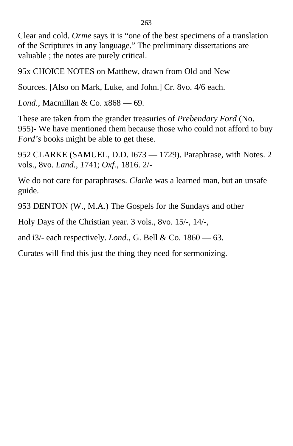Clear and cold. *Orme* says it is "one of the best specimens of a translation of the Scriptures in any language." The preliminary dissertations are valuable ; the notes are purely critical.

95x CHOICE NOTES on Matthew, drawn from Old and New

Sources. [Also on Mark, Luke, and John.] Cr. 8vo. 4/6 each.

*Lond.,* Macmillan & Co. x868 — 69.

These are taken from the grander treasuries of *Prebendary Ford* (No. 955)- We have mentioned them because those who could not afford to buy *Ford's* books might be able to get these.

952 CLARKE (SAMUEL, D.D. I673 — 1729). Paraphrase, with Notes. 2 vols., 8vo. *Land., 1*741; *Oxf.,* 1816. 2/-

We do not care for paraphrases. *Clarke* was a learned man, but an unsafe guide.

953 DENTON (W., M.A.) The Gospels for the Sundays and other

Holy Days of the Christian year. 3 vols., 8vo. 15/-, 14/-,

and i3/- each respectively. *Lond.,* G. Bell & Co. 1860 — 63.

Curates will find this just the thing they need for sermonizing.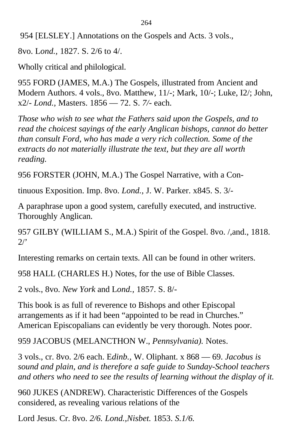954 [ELSLEY.] Annotations on the Gospels and Acts. 3 vols.,

8vo. L*ond.,* 1827. S. 2/6 to 4/.

Wholly critical and philological.

955 FORD (JAMES, M.A.) The Gospels, illustrated from Ancient and Modern Authors. 4 vols., 8vo. Matthew, 11/-; Mark, 10/-; Luke, I2/; John, x2/- *Lond.,* Masters. 1856 — 72. S. *7/-* each.

*Those who wish to see what the Fathers said upon the Gospels, and to read the choicest sayings of the early Anglican bishops, cannot do better than consult Ford, who has made a very rich collection. Some of the extracts do not materially illustrate the text, but they are all worth reading.*

956 FORSTER (JOHN, M.A.) The Gospel Narrative, with a Con-

tinuous Exposition. Imp. 8vo. *Lond.,* J. W. Parker. x845. S. 3/-

A paraphrase upon a good system, carefully executed, and instructive. Thoroughly Anglican.

957 GILBY (WILLIAM S., M.A.) Spirit of the Gospel. 8vo. /,and., 1818.  $2'$ 

Interesting remarks on certain texts. All can be found in other writers.

958 HALL (CHARLES H.) Notes, for the use of Bible Classes.

2 vols., 8vo. *New York* and L*ond.,* 1857. S. 8/-

This book is as full of reverence to Bishops and other Episcopal arrangements as if it had been "appointed to be read in Churches." American Episcopalians can evidently be very thorough. Notes poor.

959 JACOBUS (MELANCTHON W., *Pennsylvania).* Notes.

3 vols., cr. 8vo. 2/6 each. E*dinb.,* W. Oliphant. x 868 — 69. *Jacobus is sound and plain, and is therefore a safe guide to Sunday-School teachers and others who need to see the results of learning without the display of it.*

960 JUKES (ANDREW). Characteristic Differences of the Gospels considered, as revealing various relations of the

Lord Jesus. Cr. 8vo. *2/6. Lond.,Nisbet.* 1853. *S.1/6.*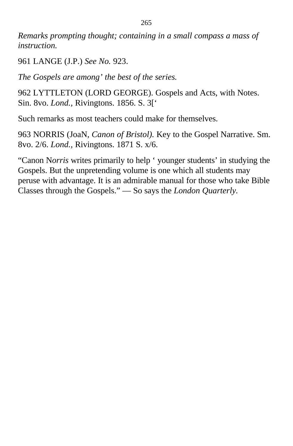*Remarks prompting thought; containing in a small compass a mass of instruction.*

961 LANGE (J.P.) *See No.* 923.

*The Gospels are among' the best of the series.*

962 LYTTLETON (LORD GEORGE). Gospels and Acts, with Notes. Sin. 8vo. *Lond.,* Rivingtons. 1856. S. 3['

Such remarks as most teachers could make for themselves.

963 NORRIS (JoaN, *Canon of Bristol).* Key to the Gospel Narrative. Sm. 8vo. 2/6. *Lond.,* Rivingtons. 1871 S. x/6.

"Canon N*orris* writes primarily to help ' younger students' in studying the Gospels. But the unpretending volume is one which all students may peruse with advantage. It is an admirable manual for those who take Bible Classes through the Gospels." — So says the *London Quarterly.*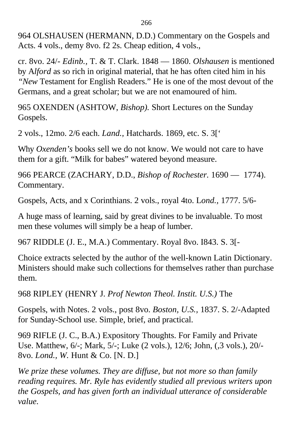964 OLSHAUSEN (HERMANN, D.D.) Commentary on the Gospels and Acts. 4 vols., demy 8vo. f2 2s. Cheap edition, 4 vols.,

cr. 8vo. 24/- *Edinb.,* T. & T. Clark. 1848 — 1860. *Olshausen* is mentioned by A*lford* as so rich in original material, that he has often cited him in his *"New* Testament for English Readers." He is one of the most devout of the Germans, and a great scholar; but we are not enamoured of him.

965 OXENDEN (ASHTOW, *Bishop).* Short Lectures on the Sunday Gospels.

2 vols., 12mo. 2/6 each. *Land.,* Hatchards. 1869, etc. S. 3['

Why *Oxenden's* books sell we do not know. We would not care to have them for a gift. "Milk for babes" watered beyond measure.

966 PEARCE (ZACHARY, D.D., *Bishop of Rochester.* 1690 — 1774). Commentary.

Gospels, Acts, and x Corinthians. 2 vols., royal 4to. L*ond.,* 1777. 5/6-

A huge mass of learning, said by great divines to be invaluable. To most men these volumes will simply be a heap of lumber.

967 RIDDLE (J. E., M.A.) Commentary. Royal 8vo. I843. S. 3[-

Choice extracts selected by the author of the well-known Latin Dictionary. Ministers should make such collections for themselves rather than purchase them.

968 RIPLEY (HENRY J. *Prof Newton Theol. Instit. U.S.)* The

Gospels, with Notes. 2 vols., post 8vo. *Boston, U.S.,* 1837. S. 2/-Adapted for Sunday-School use. Simple, brief, and practical.

969 RIFLE (J. C., B.A.) Expository Thoughts. For Family and Private Use. Matthew, 6/-; Mark, 5/-; Luke (2 vols.), 12/6; John, (,3 vols.), 20/- 8vo. *Lond., W.* Hunt & Co. [N. D.]

*We prize these volumes. They are diffuse, but not more so than family reading requires. Mr. Ryle has evidently studied all previous writers upon the Gospels, and has given forth an individual utterance of considerable value.*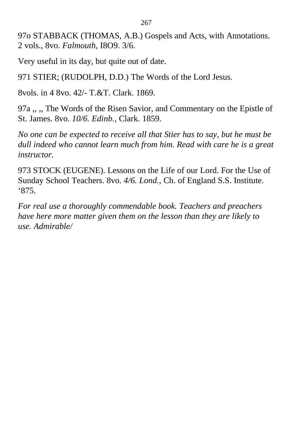97o STABBACK (THOMAS, A.B.) Gospels and Acts, with Annotations. 2 vols., 8vo. *Falmouth,* I8O9. 3/6.

Very useful in its day, but quite out of date.

971 STIER; (RUDOLPH, D.D.) The Words of the Lord Jesus.

8vols. in 4 8vo. 42/- T.&T. Clark. 1869.

97a ,, ,, The Words of the Risen Savior, and Commentary on the Epistle of St. James. 8vo. *10/6. Edinb.,* Clark. 1859.

*No one can be expected to receive all that Stier has to say, but he must be dull indeed who cannot learn much from him. Read with care he is a great instructor.*

973 STOCK (EUGENE). Lessons on the Life of our Lord. For the Use of Sunday School Teachers. 8vo. *4/6. Lond.,* Ch. of England S.S. Institute. '875.

*For real use a thoroughly commendable book. Teachers and preachers have here more matter given them on the lesson than they are likely to use. Admirable/*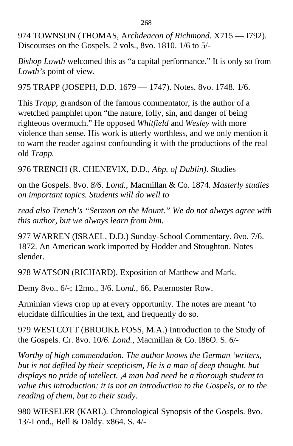974 TOWNSON (THOMAS, A*rchdeacon of Richmond.* X715 — I792). Discourses on the Gospels. 2 vols., 8vo. 1810. 1/6 to 5/-

*Bishop Lowth* welcomed this as "a capital performance." It is only so from *Lowth's* point of view.

975 TRAPP (JOSEPH, D.D. 1679 — 1747). Notes. 8vo. 1748. 1/6.

This *Trapp,* grandson of the famous commentator, is the author of a wretched pamphlet upon "the nature, folly, sin, and danger of being righteous overmuch." He opposed *Whitfield* and *Wesley* with more violence than sense. His work is utterly worthless, and we only mention it to warn the reader against confounding it with the productions of the real old *Trapp.*

976 TRENCH (R. CHENEVIX, D.D., *Abp. of Dublin).* Studies

on the Gospels. 8vo. *8/6. Lond.,* Macmillan & Co. 1874. *Masterly studies on important topics. Students will do well to*

*read also Trench's "Sermon on the Mount." We do not always agree with this author, but we always learn from him.*

977 WARREN (ISRAEL, D.D.) Sunday-School Commentary. 8vo. 7/6. 1872. An American work imported by Hodder and Stoughton. Notes slender.

978 WATSON (RICHARD). Exposition of Matthew and Mark.

Demy 8vo., 6/-; 12mo., 3/6. Lo*nd.,* 66, Paternoster Row.

Arminian views crop up at every opportunity. The notes are meant 'to elucidate difficulties in the text, and frequently do so.

979 WESTCOTT (BROOKE FOSS, M.A.) Introduction to the Study of the Gospels. Cr. 8vo. 10*/6. Lond.,* Macmillan & Co. I86O. S. *6/-*

*Worthy of high commendation. The author knows the German 'writers, but is not defiled by their scepticism, He is a man of deep thought, but displays no pride of intellect. ,4 man had need be a thorough student to value this introduction: it is not an introduction to the Gospels, or to the reading of them, but to their study.*

980 WIESELER (KARL). Chronological Synopsis of the Gospels. 8vo. 13/-Lond., Bell & Daldy. x864. S. 4/-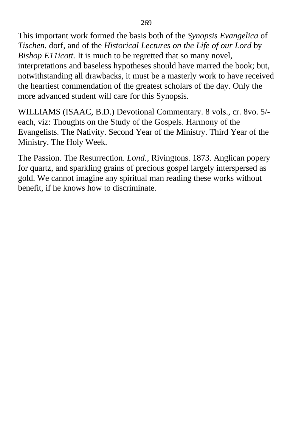This important work formed the basis both of the *Synopsis Evangelica* of *Tischen.* dorf, and of the *Historical Lectures on the Life of our Lord* by *Bishop E11icott.* It is much to be regretted that so many novel, interpretations and baseless hypotheses should have marred the book; but, notwithstanding all drawbacks, it must be a masterly work to have received the heartiest commendation of the greatest scholars of the day. Only the more advanced student will care for this Synopsis.

WILLIAMS (ISAAC, B.D.) Devotional Commentary. 8 vols., cr. 8vo. 5/ each, viz: Thoughts on the Study of the Gospels. Harmony of the Evangelists. The Nativity. Second Year of the Ministry. Third Year of the Ministry. The Holy Week.

The Passion. The Resurrection. *Lond.,* Rivingtons. 1873. Anglican popery for quartz, and sparkling grains of precious gospel largely interspersed as gold. We cannot imagine any spiritual man reading these works without benefit, if he knows how to discriminate.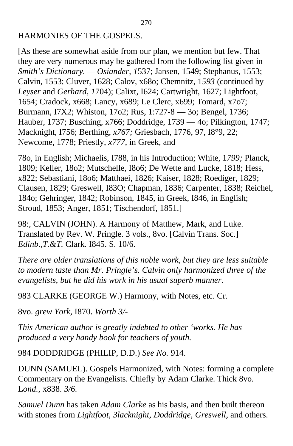## HARMONIES OF THE GOSPELS.

[As these are somewhat aside from our plan, we mention but few. That they are very numerous may be gathered from the following list given in *Smith's Dictionary. — Osiander, 1*537; Jansen, 1549; Stephanus, 1553; Calvin, 1553; Cluver, 1628; Calov, x68o; Chemnitz, 1*593* (continued by *Leyser* and *Gerhard, 1*704); Calixt, I624; Cartwright, 1627; Lightfoot, 1654; Cradock, x668; Lancy, x689; Le Clerc, x699; Tomard, x7o7; Burmann, I7X2; Whiston, 17o2; Rus, 1:727-8 — 3o; Bengel, 1736; Hauber, 1737; Busching, x766; Doddridge, 1739 — 4o; Pilkington, 1747; Macknight, I756; Berthing, *x767;* Griesbach, 1776, 97, I8°9, 22; Newcome, 1778; Priestly, *x777,* in Greek, and

78o, in English; Michaelis, I788, in his Introduction; White, 1*799;* Planck, 1809; Keller, 18o2; Mutschelle, I8o6; De Wette and Lucke, 1818; Hess, x822; Sebastiani, 18o6; Matthaei, 1826; Kaiser, 1828; Roediger, 1829; Clausen, 1829; Greswell, I83O; Chapman, 1836; Carpenter, 1838; Reichel, 184o; Gehringer, 1842; Robinson, 1845, in Greek, I846, in English; Stroud, 1853; Anger, 1851; Tischendorf, 1851.]

98:, CALVIN (JOHN). A Harmony of Matthew, Mark, and Luke. Translated by Rev. W. Pringle. 3 vols., 8vo. [Calvin Trans. Soc.] *Edinb.,T.&T.* Clark. I845. S. 10/6.

*There are older translations of this noble work, but they are less suitable to modern taste than Mr. Pringle's. Calvin only harmonized three of the evangelists, but he did his work in his usual superb manner.*

983 CLARKE (GEORGE W.) Harmony, with Notes, etc. Cr.

8vo. *grew York,* I870. *Worth 3/-*

*This American author is greatly indebted to other 'works. He has produced a very handy book for teachers of youth.*

984 DODDRIDGE (PHILIP, D.D.) *See No.* 914.

DUNN (SAMUEL). Gospels Harmonized, with Notes: forming a complete Commentary on the Evangelists. Chiefly by Adam Clarke. Thick 8vo. L*ond.,* x838. *3/6.*

*Samuel Dunn* has taken *Adam Clarke* as his basis, and then built thereon with stones from *Lightfoot, 3lacknight, Doddridge, Greswell,* and others.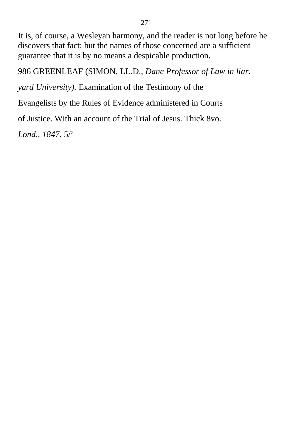It is, of course, a Wesleyan harmony, and the reader is not long before he discovers that fact; but the names of those concerned are a sufficient guarantee that it is by no means a despicable production.

986 GREENLEAF (SIMON, LL.D., *Dane Professor of Law in liar.*

*yard University).* Examination of the Testimony of the

Evangelists by the Rules of Evidence administered in Courts

of Justice. With an account of the Trial of Jesus. Thick 8vo.

*Lond., 1847.* 5/'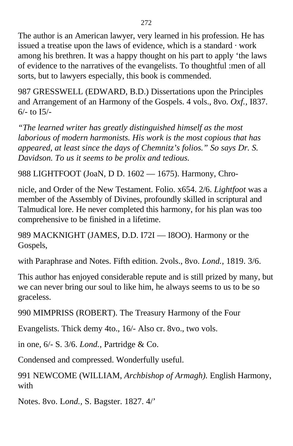The author is an American lawyer, very learned in his profession. He has issued a treatise upon the laws of evidence, which is a standard · work among his brethren. It was a happy thought on his part to apply 'the laws of evidence to the narratives of the evangelists. To thoughtful :men of all sorts, but to lawyers especially, this book is commended.

987 GRESSWELL (EDWARD, B.D.) Dissertations upon the Principles and Arrangement of an Harmony of the Gospels. 4 vols., 8vo. *Oxf.,* I837. 6/- to I5/-

*"The learned writer has greatly distinguished himself as the most laborious of modern harmonists. His work is the most copious that has appeared, at least since the days of Chemnitz's folios." So says Dr. S. Davidson. To us it seems to be prolix and tedious.*

988 LIGHTFOOT (JoaN, D D. 1602 — 1675). Harmony, Chro-

nicle, and Order of the New Testament. Folio. x654. 2/6. *Lightfoot* was a member of the Assembly of Divines, profoundly skilled in scriptural and Talmudical lore. He never completed this harmony, for his plan was too comprehensive to be finished in a lifetime.

989 MACKNIGHT (JAMES, D.D. I72I — I8OO). Harmony or the Gospels,

with Paraphrase and Notes. Fifth edition. 2vols., 8vo. *Lond.,* 1819. 3/6.

This author has enjoyed considerable repute and is still prized by many, but we can never bring our soul to like him, he always seems to us to be so graceless.

990 MIMPRISS (ROBERT). The Treasury Harmony of the Four

Evangelists. Thick demy 4to., 16/- Also cr. 8vo., two vols.

in one, 6/- S. 3/6. *Lond.,* Partridge & Co.

Condensed and compressed. Wonderfully useful.

991 NEWCOME (WILLIAM, *Archbishop of Armagh).* English Harmony, with

Notes. 8vo. L*ond.,* S. Bagster. 1827. 4/'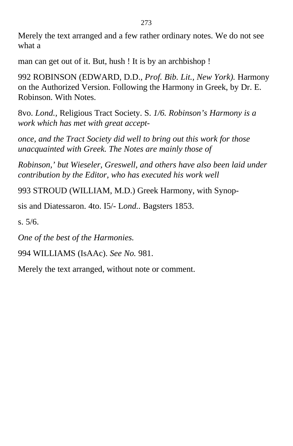Merely the text arranged and a few rather ordinary notes. We do not see what a

man can get out of it. But, hush ! It is by an archbishop !

992 ROBINSON (EDWARD, D.D., *Prof. Bib. Lit., New York).* Harmony on the Authorized Version. Following the Harmony in Greek, by Dr. E. Robinson. With Notes.

8vo. *Lond.,* Religious Tract Society. S. *1/6. Robinson's Harmony is a work which has met with great accept-*

*once, and the Tract Society did well to bring out this work for those unacquainted with Greek. The Notes are mainly those of*

*Robinson,' but Wieseler, Greswell, and others have also been laid under contribution by the Editor, who has executed his work well*

993 STROUD (WILLIAM, M.D.) Greek Harmony, with Synop-

sis and Diatessaron. 4to. I5/- L*ond..* Bagsters 1853.

s. 5/6.

*One of the best of the Harmonies.*

994 WILLIAMS (IsAAc). *See No.* 981.

Merely the text arranged, without note or comment.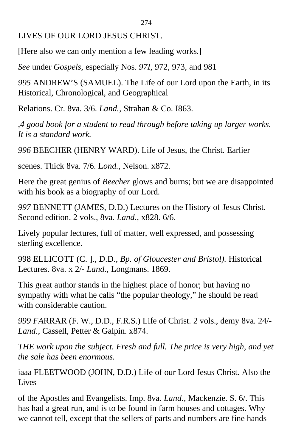## LIVES OF OUR LORD JESUS CHRIST.

[Here also we can only mention a few leading works.]

*See* under *Gospels,* especially Nos. *97I,* 972, 973, and 981

*995* ANDREW'S (SAMUEL). The Life of our Lord upon the Earth, in its Historical, Chronological, and Geographical

Relations. Cr. 8va. 3/6. *Land.,* Strahan & Co. I863.

*,4 good book for a student to read through before taking up larger works. It is a standard work.*

*996* BEECHER (HENRY WARD). Life of Jesus, the Christ. Earlier

scenes. Thick 8va. 7/6. L*ond.,* Nelson. x872.

Here the great genius of *Beecher* glows and burns; but we are disappointed with his book as a biography of our Lord.

*997* BENNETT (JAMES, D.D.) Lectures on the History of Jesus Christ. Second edition. 2 vols., 8va. *Land.,* x828. 6/6.

Lively popular lectures, full of matter, well expressed, and possessing sterling excellence.

998 ELLICOTT (C. ]., D.D., *Bp. of Gloucester and Bristol).* Historical Lectures. 8va. x 2/- *Land.,* Longmans. 1869.

This great author stands in the highest place of honor; but having no sympathy with what he calls "the popular theology," he should be read with considerable caution.

*999 FA*RRAR (F. W., D.D., F.R.S.) Life of Christ. 2 vols., demy 8va. 24/- *Land.,* Cassell, Petter & Galpin. x874.

*THE work upon the subject. Fresh and full. The price is very high, and yet the sale has been enormous.*

iaaa FLEETWOOD (JOHN, D.D.) Life of our Lord Jesus Christ. Also the **Lives** 

of the Apostles and Evangelists. Imp. 8va. *Land.,* Mackenzie. S. 6/. This has had a great run, and is to be found in farm houses and cottages. Why we cannot tell, except that the sellers of parts and numbers are fine hands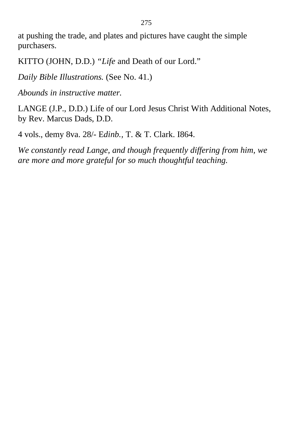at pushing the trade, and plates and pictures have caught the simple purchasers.

KITTO (JOHN, D.D.) *"Life* and Death of our Lord."

*Daily Bible Illustrations.* (See No. 41.)

*Abounds in instructive matter.*

LANGE (J.P., D.D.) Life of our Lord Jesus Christ With Additional Notes, by Rev. Marcus Dads, D.D.

4 vols., demy 8va. 28/- E*dinb.,* T. & T. Clark. I864.

*We constantly read Lange, and though frequently differing from him, we are more and more grateful for so much thoughtful teaching.*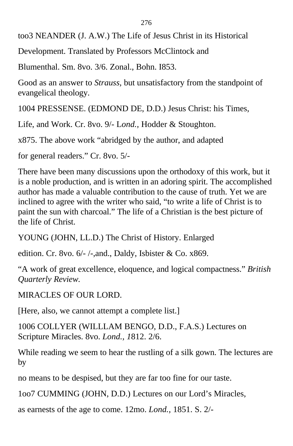276

too3 NEANDER (J. A.W.) The Life of Jesus Christ in its Historical

Development. Translated by Professors McClintock and

Blumenthal. Sm. 8vo. 3/6. Zonal., Bohn. I853.

Good as an answer to *Strauss,* but unsatisfactory from the standpoint of evangelical theology.

1004 PRESSENSE. (EDMOND DE, D.D.) Jesus Christ: his Times,

Life, and Work. Cr. 8vo. 9/- L*ond.,* Hodder & Stoughton.

x875. The above work "abridged by the author, and adapted

for general readers." Cr. 8vo. 5/-

There have been many discussions upon the orthodoxy of this work, but it is a noble production, and is written in an adoring spirit. The accomplished author has made a valuable contribution to the cause of truth. Yet we are inclined to agree with the writer who said, "to write a life of Christ is to paint the sun with charcoal." The life of a Christian is the best picture of the life of Christ.

YOUNG (JOHN, LL.D.) The Christ of History. Enlarged

edition. Cr. 8vo.  $6/-/-$ , and., Daldy, Isbister & Co. x869.

"A work of great excellence, eloquence, and logical compactness." *British Quarterly Review.*

MIRACLES OF OUR LORD.

[Here, also, we cannot attempt a complete list.]

1006 COLLYER (WILLLAM BENGO, D.D., F.A.S.) Lectures on Scripture Miracles. 8vo. *Lond., 1*812. 2/6.

While reading we seem to hear the rustling of a silk gown. The lectures are by

no means to be despised, but they are far too fine for our taste.

1oo7 CUMMING (JOHN, D.D.) Lectures on our Lord's Miracles,

as earnests of the age to come. 12mo. *Lond.,* 1851. S. 2/-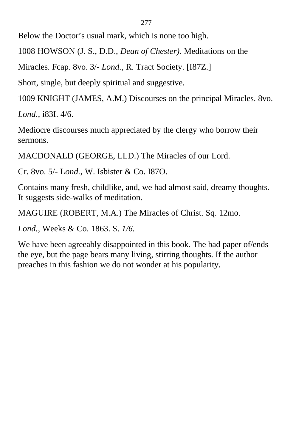277

Below the Doctor's usual mark, which is none too high.

1008 HOWSON (J. S., D.D., *Dean of Chester).* Meditations on the

Miracles. Fcap. 8vo. 3/- *Lond.,* R. Tract Society. [I87Z.]

Short, single, but deeply spiritual and suggestive.

1009 KNIGHT (JAMES, A.M.) Discourses on the principal Miracles. 8vo.

*Lond.,* i83I. 4/6.

Mediocre discourses much appreciated by the clergy who borrow their sermons.

MACDONALD (GEORGE, LLD.) The Miracles of our Lord.

Cr. 8vo. 5/- L*ond.,* W. Isbister & Co. I87O.

Contains many fresh, childlike, and, we had almost said, dreamy thoughts. It suggests side-walks of meditation.

MAGUIRE (ROBERT, M.A.) The Miracles of Christ. Sq. 12mo.

*Lond.,* Weeks & Co. 1863. S. *1/6.*

We have been agreeably disappointed in this book. The bad paper of/ends the eye, but the page bears many living, stirring thoughts. If the author preaches in this fashion we do not wonder at his popularity.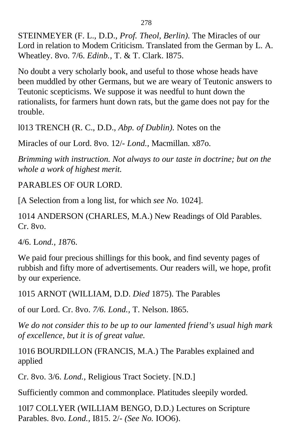STEINMEYER (F. L., D.D., *Prof. Theol, Berlin).* The Miracles of our Lord in relation to Modem Criticism. Translated from the German by L. A. Wheatley. 8vo. 7/6. *Edinb.,* T. & T. Clark. I875.

No doubt a very scholarly book, and useful to those whose heads have been muddled by other Germans, but we are weary of Teutonic answers to Teutonic scepticisms. We suppose it was needful to hunt down the rationalists, for farmers hunt down rats, but the game does not pay for the trouble.

l013 TRENCH (R. C., D.D., *Abp. of Dublin).* Notes on the

Miracles of our Lord. 8vo. 12/- *Lond.,* Macmillan. x87o.

*Brimming with instruction. Not always to our taste in doctrine; but on the whole a work of highest merit.*

PARABLES OF OUR LORD.

[A Selection from a long list, for which *see No.* 1024].

1014 ANDERSON (CHARLES, M.A.) New Readings of Old Parables. Cr. 8vo.

4/6. L*ond., 1*876.

We paid four precious shillings for this book, and find seventy pages of rubbish and fifty more of advertisements. Our readers will, we hope, profit by our experience.

1015 ARNOT (WILLIAM, D.D. *Died* 1875). The Parables

of our Lord. Cr. 8vo. *7/6. Lond.,* T. Nelson. I865.

*We do not consider this to be up to our lamented friend's usual high mark of excellence, but it is of great value.*

1016 BOURDILLON (FRANCIS, M.A.) The Parables explained and applied

Cr. 8vo. 3/6. *Lond.,* Religious Tract Society. [N.D.]

Sufficiently common and commonplace. Platitudes sleepily worded.

10I7 COLLYER (WILLIAM BENGO, D.D.) Lectures on Scripture Parables. 8vo. *Lond.,* I815. 2/- *(See No.* IOO6).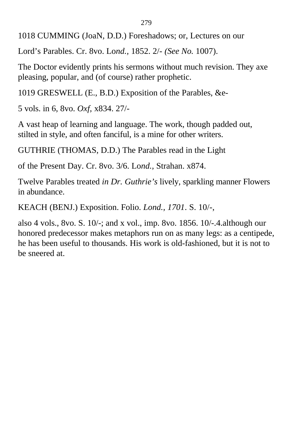1018 CUMMING (JoaN, D.D.) Foreshadows; or, Lectures on our

Lord's Parables. Cr. 8vo. Lo*nd.,* 1852. 2/- *(See No.* 1007).

The Doctor evidently prints his sermons without much revision. They axe pleasing, popular, and (of course) rather prophetic.

1019 GRESWELL (E., B.D.) Exposition of the Parables, &e-

5 vols. in 6, 8vo. *Oxf,* x834. 27/-

A vast heap of learning and language. The work, though padded out, stilted in style, and often fanciful, is a mine for other writers.

GUTHRIE (THOMAS, D.D.) The Parables read in the Light

of the Present Day. Cr. 8vo. 3/6. Lo*nd.,* Strahan. x874.

Twelve Parables treated *in Dr. Guthrie's* lively, sparkling manner Flowers in abundance.

KEACH (BENJ.) Exposition. Folio. *Lond., 1701*. S. 10/-,

also 4 vols., 8vo. S. 10/-; and x vol., imp. 8vo. 1856. 10/-.4.although our honored predecessor makes metaphors run on as many legs: as a centipede, he has been useful to thousands. His work is old-fashioned, but it is not to be sneered at.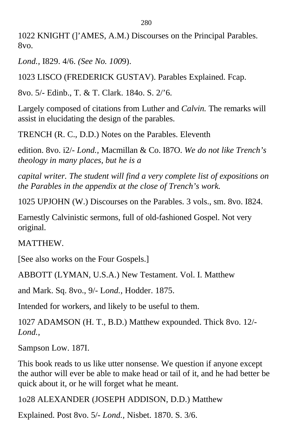1022 KNIGHT (]'AMES, A.M.) Discourses on the Principal Parables. 8vo.

*Lond.,* I829. 4/6. *(See No. 100*9).

1023 LISCO (FREDERICK GUSTAV). Parables Explained. Fcap.

8vo. 5/- Edinb., T. & T. Clark. 184o. S. 2/'6.

Largely composed of citations from Luth*er* and *Calvin.* The remarks will assist in elucidating the design of the parables.

TRENCH (R. C., D.D.) Notes on the Parables. Eleventh

edition. 8vo. i2/- *Lond.,* Macmillan & Co. I87O. *We do not like Trench's theology in many places, but he is a*

*capital writer. The student will find a very complete list of expositions on the Parables in the appendix at the close of Trench's work.*

1025 UPJOHN (W.) Discourses on the Parables. 3 vols., sm. 8vo. I824.

Earnestly Calvinistic sermons, full of old-fashioned Gospel. Not very original.

**MATTHEW** 

[See also works on the Four Gospels.]

ABBOTT (LYMAN, U.S.A.) New Testament. Vol. I. Matthew

and Mark. Sq. 8vo., 9/- L*ond.,* Hodder. 1875.

Intended for workers, and likely to be useful to them.

1027 ADAMSON (H. T., B.D.) Matthew expounded. Thick 8vo. 12/- *Lond.,*

Sampson Low. 187I.

This book reads to us like utter nonsense. We question if anyone except the author will ever be able to make head or tail of it, and he had better be quick about it, or he will forget what he meant.

1o28 ALEXANDER (JOSEPH ADDISON, D.D.) Matthew

Explained. Post 8vo. 5/- *Lond.,* Nisbet. 1870. S. 3/6.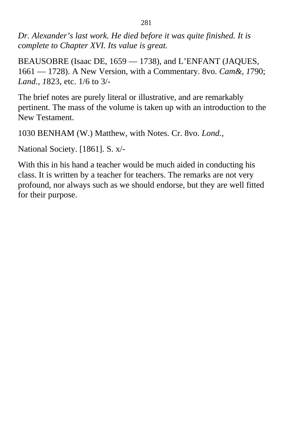*Dr. Alexander's last work. He died before it was quite finished. It is complete to Chapter XVI. Its value is great.*

BEAUSOBRE (Isaac DE, 1659 — 1738), and L'ENFANT (JAQUES, 1661 — 1728). A New Version, with a Commentary. 8vo. *Cam&, 1*790; *Land., 1*823, etc. 1/6 to 3/-

The brief notes are purely literal or illustrative, and are remarkably pertinent. The mass of the volume is taken up with an introduction to the New Testament.

1030 BENHAM (W.) Matthew, with Notes. Cr. 8vo. *Lond.,*

National Society. [1861]. S. x/-

With this in his hand a teacher would be much aided in conducting his class. It is written by a teacher for teachers. The remarks are not very profound, nor always such as we should endorse, but they are well fitted for their purpose.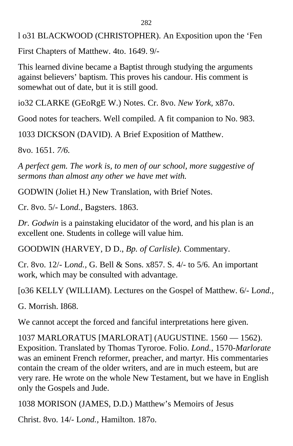l o31 BLACKWOOD (CHRISTOPHER). An Exposition upon the 'Fen

First Chapters of Matthew. 4to. 1649. 9/-

This learned divine became a Baptist through studying the arguments against believers' baptism. This proves his candour. His comment is somewhat out of date, but it is still good.

io32 CLARKE (GEoRgE W.) Notes. Cr. 8vo. *New York,* x87o.

Good notes for teachers. Well compiled. A fit companion to No. 983.

1033 DICKSON (DAVID). A Brief Exposition of Matthew.

8vo. 1651. *7/6.*

*A perfect gem. The work is, to men of our school, more suggestive of sermons than almost any other we have met with.*

GODWIN (Joliet H.) New Translation, with Brief Notes.

Cr. 8vo. 5/- Lo*nd.,* Bagsters. 1863.

*Dr. Godwin* is a painstaking elucidator of the word, and his plan is an excellent one. Students in college will value him.

GOODWIN (HARVEY, D D., *Bp. of Carlisle).* Commentary.

Cr. 8vo. 12/- L*ond.,* G. Bell & Sons. x857. S. 4/- to 5/6. An important work, which may be consulted with advantage.

[o36 KELLY (WILLIAM). Lectures on the Gospel of Matthew. 6/- L*ond.,*

G. Morrish. I868.

We cannot accept the forced and fanciful interpretations here given.

1037 MARLORATUS [MARLORAT] (AUGUSTINE. 1560 — 1562). Exposition. Translated by Thomas Tyroroe. Folio. *Lond.,* 1570-*Marlorate* was an eminent French reformer, preacher, and martyr. His commentaries contain the cream of the older writers, and are in much esteem, but are very rare. He wrote on the whole New Testament, but we have in English only the Gospels and Jude.

1038 MORISON (JAMES, D.D.) Matthew's Memoirs of Jesus

Christ. 8vo. 14/- L*ond.,* Hamilton. 187o.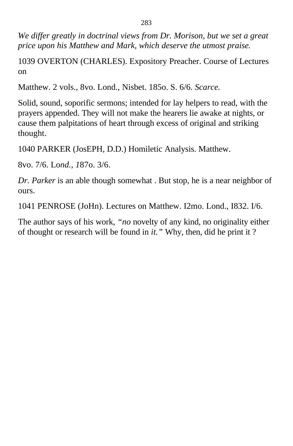*We differ greatly in doctrinal views from Dr. Morison, but we set a great price upon his Matthew and Mark, which deserve the utmost praise.*

1039 OVERTON (CHARLES). Expository Preacher. Course of Lectures on

Matthew. 2 vols., 8vo. Lond., Nisbet. 185o. S. 6/6. *Scarce.*

Solid, sound, soporific sermons; intended for lay helpers to read, with the prayers appended. They will not make the hearers lie awake at nights, or cause them palpitations of heart through excess of original and striking thought.

1040 PARKER (JosEPH, D.D.) Homiletic Analysis. Matthew.

8vo. 7/6. Lo*nd., 1*87o. 3/6.

*Dr. Parker* is an able though somewhat . But stop, he is a near neighbor of ours.

1041 PENROSE (JoHn). Lectures on Matthew. I2mo. Lond., I832. I/6.

The author says of his work, *"no* novelty of any kind, no originality either of thought or research will be found in *it."* Why, then, did he print it ?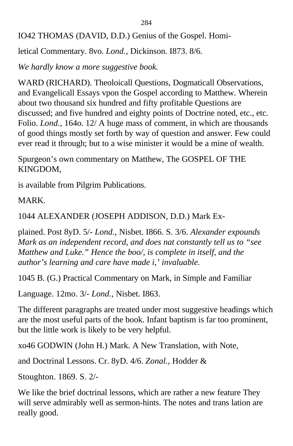IO42 THOMAS (DAVID, D.D.) Genius of the Gospel. Homi-

letical Commentary. 8vo. *Lond.,* Dickinson. I873. 8/6.

*We hardly know a more suggestive book.*

WARD (RICHARD). Theoloicall Questions, Dogmaticall Observations, and Evangelicall Essays vpon the Gospel according to Matthew. Wherein about two thousand six hundred and fifty profitable Questions are discussed; and five hundred and eighty points of Doctrine noted, etc., etc. Folio. *Lond.,* 164o. 12/ A huge mass of comment, in which are thousands of good things mostly set forth by way of question and answer. Few could ever read it through; but to a wise minister it would be a mine of wealth.

Spurgeon's own commentary on Matthew, The GOSPEL OF THE KINGDOM,

is available from Pilgrim Publications.

MARK.

1044 ALEXANDER (JOSEPH ADDISON, D.D.) Mark Ex-

plained. Post 8yD. 5/- *Lond.,* Nisbet. I866. S. 3/6. *Alexander expounds Mark as an independent record, and does nat constantly tell us to "see Matthew and Luke." Hence the boo/, is complete in itself, and the author's learning and care have made i,' invaluable.*

1045 B. (G.) Practical Commentary on Mark, in Simple and Familiar

Language. 12mo. 3/- *Lond.,* Nisbet. I863.

The different paragraphs are treated under most suggestive headings which are the most useful parts of the book. Infant baptism is far too prominent, but the little work is likely to be very helpful.

xo46 GODWIN (John H.) Mark. A New Translation, with Note,

and Doctrinal Lessons. Cr. 8yD. 4/6. *Zonal.,* Hodder &

Stoughton. 1869. S. 2/-

We like the brief doctrinal lessons, which are rather a new feature They will serve admirably well as sermon-hints. The notes and trans lation are really good.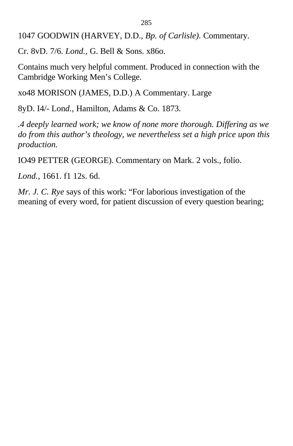1047 GOODWIN (HARVEY, D.D., *Bp. of Carlisle).* Commentary.

Cr. 8vD. 7/6. *Lond.,* G. Bell & Sons. x86o.

Contains much very helpful comment. Produced in connection with the Cambridge Working Men's College.

xo48 MORISON (JAMES, D.D.) A Commentary. Large

8yD. I4/- Lon*d.,* Hamilton, Adams & Co. 1873.

*.4 deeply learned work; we know of none more thorough. Differing as we do from this author's theology, we nevertheless set a high price upon this production.*

IO49 PETTER (GEORGE). Commentary on Mark. 2 vols., folio.

*Lond.,* 1661. f1 12s. 6d.

*Mr. J. C. Rye* says of this work: "For laborious investigation of the meaning of every word, for patient discussion of every question bearing;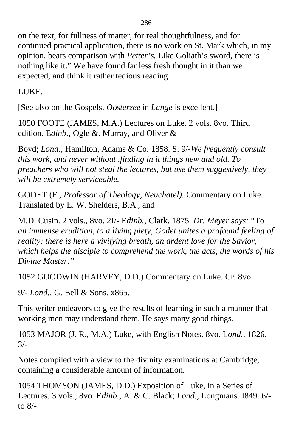on the text, for fullness of matter, for real thoughtfulness, and for continued practical application, there is no work on St. Mark which, in my opinion, bears comparison with *Petter's.* Like Goliath's sword, there is nothing like it." We have found far less fresh thought in it than we expected, and think it rather tedious reading.

LUKE.

[See also on the Gospels. *Oosterzee* in *Lange* is excellent.]

1050 FOOTE (JAMES, M.A.) Lectures on Luke. 2 vols. 8vo. Third edition. E*dinb.,* Ogle &. Murray, and Oliver &

Boyd; *Lond.,* Hamilton, Adams & Co. 1858. S. 9/-*We frequently consult this work, and never without .finding in it things new and old. To preachers who will not steal the lectures, but use them suggestively, they will be extremely serviceable.*

GODET (F., *Professor of Theology, Neuchatel).* Commentary on Luke. Translated by E. W. Shelders, B.A., and

M.D. Cusin. 2 vols., 8vo. 2I/- E*dinb.,* Clark. 1875. *Dr. Meyer says:* "To *an immense erudition, to a living piety, Godet unites a profound feeling of reality; there is here a vivifying breath, an ardent love for the Savior, which helps the disciple to comprehend the work, the acts, the words of his Divine Master."*

1052 GOODWIN (HARVEY, D.D.) Commentary on Luke. Cr. 8vo.

*9/- Lond.,* G. Bell & Sons. x865.

This writer endeavors to give the results of learning in such a manner that working men may understand them. He says many good things.

1053 MAJOR (J. R., M.A.) Luke, with English Notes. 8vo. L*ond.,* 1826. 3/-

Notes compiled with a view to the divinity examinations at Cambridge, containing a considerable amount of information.

1054 THOMSON (JAMES, D.D.) Exposition of Luke, in a Series of Lectures. 3 vols., 8vo. E*dinb.,* A. & C. Black; *Lond.,* Longmans. I849. 6/ to 8/-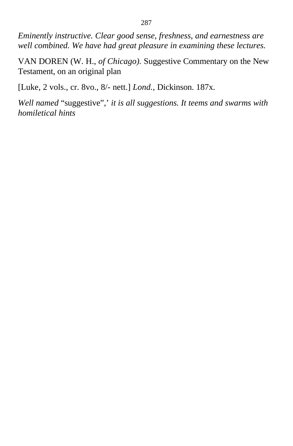*Eminently instructive. Clear good sense, freshness, and earnestness are well combined. We have had great pleasure in examining these lectures.*

VAN DOREN (W. H., *of Chicago).* Suggestive Commentary on the New Testament, on an original plan

[Luke, 2 vols., cr. 8vo., 8/- nett.] *Lond.,* Dickinson. 187x.

*Well named* "suggestive",' *it is all suggestions. It teems and swarms with homiletical hints*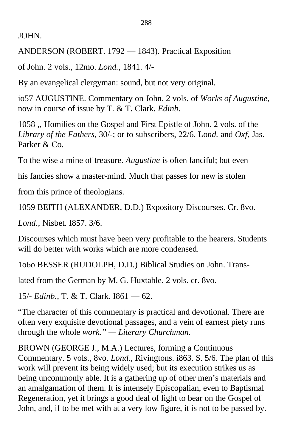## JOHN.

ANDERSON (ROBERT. 1792 — 1843). Practical Exposition

of John. 2 vols., 12mo. *Lond.,* 1841. 4/-

By an evangelical clergyman: sound, but not very original.

io57 AUGUSTINE. Commentary on John. 2 vols. of *Works of Augustine,* now in course of issue by T. & T. Clark. *Edinb.*

1058 *,,* Homilies on the Gospel and First Epistle of John. 2 vols. of the *Library of the Fathers,* 30/-; or to subscribers, 22/6. Lo*nd.* and *Oxf,* Jas. Parker & Co.

To the wise a mine of treasure. *Augustine* is often fanciful; but even

his fancies show a master-mind. Much that passes for new is stolen

from this prince of theologians.

1059 BEITH (ALEXANDER, D.D.) Expository Discourses. Cr. 8vo.

*Lond.,* Nisbet. I857. 3/6.

Discourses which must have been very profitable to the hearers. Students will do better with works which are more condensed.

1o6o BESSER (RUDOLPH, D.D.) Biblical Studies on John. Trans-

lated from the German by M. G. Huxtable. 2 vols. cr. 8vo.

15/- *Edinb.,* T. & T. Clark. I861 — 62.

"The character of this commentary is practical and devotional. There are often very exquisite devotional passages, and a vein of earnest piety runs through the whole *work." — Literary Churchman.*

BROWN (GEORGE J., M.A.) Lectures, forming a Continuous Commentary. 5 vols., 8vo. *Lond.,* Rivingtons. i863. S. 5/6. The plan of this work will prevent its being widely used; but its execution strikes us as being uncommonly able. It is a gathering up of other men's materials and an amalgamation of them. It is intensely Episcopalian, even to Baptismal Regeneration, yet it brings a good deal of light to bear on the Gospel of John, and, if to be met with at a very low figure, it is not to be passed by.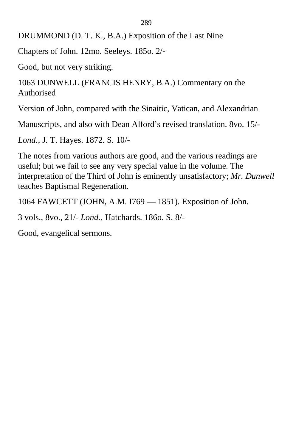DRUMMOND (D. T. K., B.A.) Exposition of the Last Nine

Chapters of John. 12mo. Seeleys. 185o. 2/-

Good, but not very striking.

1063 DUNWELL (FRANCIS HENRY, B.A.) Commentary on the Authorised

Version of John, compared with the Sinaitic, Vatican, and Alexandrian

Manuscripts, and also with Dean Alford's revised translation. 8vo. 15/-

*Lond.,* J. T. Hayes. 1872. S. 10/-

The notes from various authors are good, and the various readings are useful; but we fail to see any very special value in the volume. The interpretation of the Third of John is eminently unsatisfactory; *Mr. Dunwell* teaches Baptismal Regeneration.

1064 FAWCETT (JOHN, A.M. I769 — 1851). Exposition of John.

3 vols., 8vo., 21/- *Lond.,* Hatchards. 186o. S. 8/-

Good, evangelical sermons.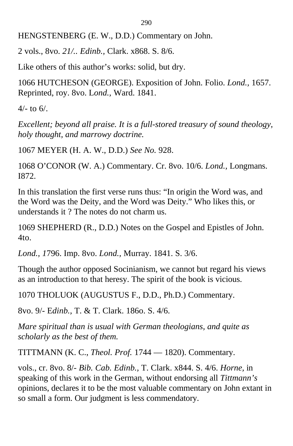HENGSTENBERG (E. W., D.D.) Commentary on John.

2 vols., 8vo. *21/.. Edinb.,* Clark. x868. S. 8/6.

Like others of this author's works: solid, but dry.

1066 HUTCHESON (GEORGE). Exposition of John. Folio. *Lond.,* 1657. Reprinted, roy. 8vo. L*ond.,* Ward. 1841.

 $4/-$  to 6/.

*Excellent; beyond all praise. It is a full-stored treasury of sound theology, holy thought, and marrowy doctrine.*

1067 MEYER (H. A. W., D.D.) *See No.* 928.

1068 O'CONOR (W. A.) Commentary. Cr. 8vo. 10/6. *Lond.,* Longmans. I872.

In this translation the first verse runs thus: "In origin the Word was, and the Word was the Deity, and the Word was Deity." Who likes this, or understands it ? The notes do not charm us.

1069 SHEPHERD (R., D.D.) Notes on the Gospel and Epistles of John. 4to.

*Lond., 1*796. Imp. 8vo. *Lond.,* Murray. 1841. S. 3/6.

Though the author opposed Socinianism, we cannot but regard his views as an introduction to that heresy. The spirit of the book is vicious.

1070 THOLUOK (AUGUSTUS F., D.D., Ph.D.) Commentary.

8vo. 9/- E*dinb.,* T. & T. Clark. 186o. S. 4/6.

*Mare spiritual than is usual with German theologians, and quite as scholarly as the best of them.*

TITTMANN (K. C., *Theol. Prof.* 1744 — 1820). Commentary.

vols., cr. 8vo. 8/- *Bib. Cab. Edinb.,* T. Clark. x844. S. 4/6. *Horne,* in speaking of this work in the German, without endorsing all *Tittmann's* opinions, declares it to be the most valuable commentary on John extant in so small a form. Our judgment is less commendatory.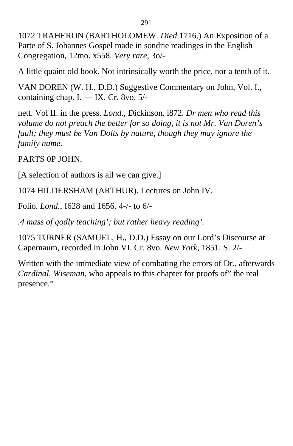1072 TRAHERON (BARTHOLOMEW. *Died* 1716.) An Exposition of a Parte of S. Johannes Gospel made in sondrie readinges in the English Congregation, 12mo. x558. *Very rare,* 3o/-

A little quaint old book. Not intrinsically worth the price, nor a tenth of it.

VAN DOREN (W. H., D.D.) Suggestive Commentary on John, Vol. I., containing chap. I. — IX. Cr. 8vo. 5/-

nett. Vol II. in the press. *Lond.,* Dickinson. i872. *Dr men who read this volume do not preach the better for so doing, it is not Mr. Van Doren's fault; they must be Van Dolts by nature, though they may ignore the family name.*

PARTS 0P JOHN.

[A selection of authors is all we can give.]

1074 HILDERSHAM (ARTHUR). Lectures on John IV.

Folio. *Lond.,* I628 and 1656. 4-/- to 6/-

*.4 mass of godly teaching'; but rather heavy reading'.*

1075 TURNER (SAMUEL, H., D.D.) Essay on our Lord's Discourse at Capernaum, recorded in John VI. Cr. 8vo. *New York,* 1851. S. 2/-

Written with the immediate view of combating the errors of Dr., afterwards *Cardinal, Wiseman,* who appeals to this chapter for proofs of" the real presence."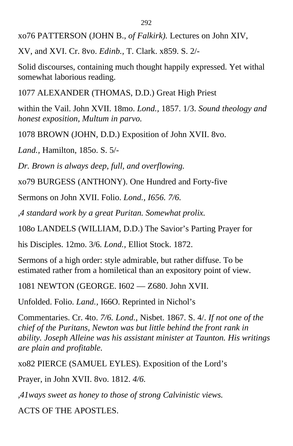xo76 PATTERSON (JOHN B., *of Falkirk).* Lectures on John XIV,

XV, and XVI. Cr. 8vo. *Edinb.,* T. Clark. x859. S. 2/-

Solid discourses, containing much thought happily expressed. Yet withal somewhat laborious reading.

1077 ALEXANDER (THOMAS, D.D.) Great High Priest

within the Vail. John XVII. 18mo. *Lond.,* 1857. 1/3. *Sound theology and honest exposition, Multum in parvo.*

1078 BROWN (JOHN, D.D.) Exposition of John XVII. 8vo.

*Land.,* Hamilton, 185o. S. 5/-

*Dr. Brown is always deep, full, and overflowing.*

xo79 BURGESS (ANTHONY). One Hundred and Forty-five

Sermons on John XVII. Folio. *Lond., I656. 7/6.*

*,4 standard work by a great Puritan. Somewhat prolix.*

108o LANDELS (WILLIAM, D.D.) The Savior's Parting Prayer for

his Disciples. 12mo. 3/6. *Lond.,* Elliot Stock. 1872.

Sermons of a high order: style admirable, but rather diffuse. To be estimated rather from a homiletical than an expository point of view.

1081 NEWTON (GEORGE. I602 — Z680. John XVII.

Unfolded. Folio. *Land.,* I66O. Reprinted in Nichol's

Commentaries. Cr. 4to. *7/6. Lond.,* Nisbet. 1867. S. 4/. *If not one of the chief of the Puritans, Newton was but little behind the front rank in ability. Joseph Alleine was his assistant minister at Taunton. His writings are plain and profitable.*

xo82 PIERCE (SAMUEL EYLES). Exposition of the Lord's

Prayer, in John XVII. 8vo. 1812. *4/6.*

*,41ways sweet as honey to those of strong Calvinistic views.*

ACTS OF THE APOSTLES.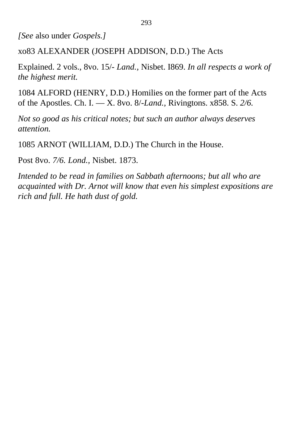*[See* also under *Gospels.]*

xo83 ALEXANDER (JOSEPH ADDISON, D.D.) The Acts

Explained. 2 vols., 8vo. 15/- *Land.,* Nisbet. I869. *In all respects a work of the highest merit.*

1084 ALFORD (HENRY, D.D.) Homilies on the former part of the Acts of the Apostles. Ch. I. — X. 8vo. 8/-*Land.,* Rivingtons. x858. S. *2/6.*

*Not so good as his critical notes; but such an author always deserves attention.*

1085 ARNOT (WILLIAM, D.D.) The Church in the House.

Post 8vo. *7/6. Lond.,* Nisbet. 1873.

*Intended to be read in families on Sabbath afternoons; but all who are acquainted with Dr. Arnot will know that even his simplest expositions are rich and full. He hath dust of gold.*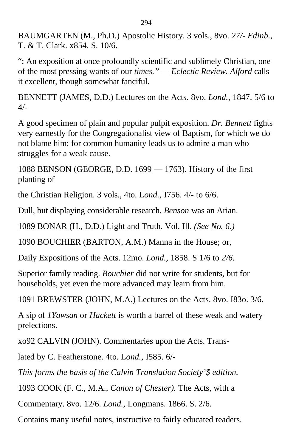BAUMGARTEN (M., Ph.D.) Apostolic History. 3 vols., 8vo. *27/- Edinb.,* T. & T. Clark. x854. S. 10/6.

": An exposition at once profoundly scientific and sublimely Christian, one of the most pressing wants of our *times." — Eclectic Review. Alford* calls it excellent, though somewhat fanciful.

BENNETT (JAMES, D.D.) Lectures on the Acts. 8vo. *Lond.,* 1847. 5/6 to  $4/-$ 

A good specimen of plain and popular pulpit exposition. *Dr. Bennett* fights very earnestly for the Congregationalist view of Baptism, for which we do not blame him; for common humanity leads us to admire a man who struggles for a weak cause.

1088 BENSON (GEORGE, D.D. 1699 — 1763). History of the first planting of

the Christian Religion. 3 vols., 4to. L*ond.,* I756. 4/- to 6/6.

Dull, but displaying considerable research. *Benson* was an Arian.

1089 BONAR (H., D.D.) Light and Truth. Vol. Ill. *(See No. 6.)*

1090 BOUCHIER (BARTON, A.M.) Manna in the House; or,

Daily Expositions of the Acts. 12mo. *Lond.,* 1858. S 1/6 to *2/6.*

Superior family reading. *Bouchier* did not write for students, but for households, yet even the more advanced may learn from him.

1091 BREWSTER (JOHN, M.A.) Lectures on the Acts. 8vo. I83o. 3/6.

A sip of *1Yawsan* or *Hackett* is worth a barrel of these weak and watery prelections.

xo92 CALVIN (JOHN). Commentaries upon the Acts. Trans-

lated by C. Featherstone. 4to. L*ond.,* I585. 6/-

*This forms the basis of the Calvin Translation Society'\$ edition.*

1093 COOK (F. C., M.A., *Canon of Chester).* The Acts, with a

Commentary. 8vo. 12/6. *Lond.,* Longmans. 1866. S. 2/6.

Contains many useful notes, instructive to fairly educated readers.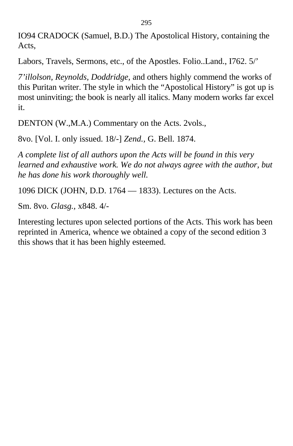IO94 CRADOCK (Samuel, B.D.) The Apostolical History, containing the Acts,

Labors, Travels, Sermons, etc., of the Apostles. Folio..Land., I762. 5/'

*7'illolson, Reynolds, Doddridge,* and others highly commend the works of this Puritan writer. The style in which the "Apostolical History" is got up is most uninviting; the book is nearly all italics. Many modern works far excel it.

DENTON (W.,M.A.) Commentary on the Acts. 2vols.,

8vo. [Vol. I. only issued. 18/-] *Zend.,* G. Bell. 1874.

*A complete list of all authors upon the Acts will be found in this very learned and exhaustive work. We do not always agree with the author, but he has done his work thoroughly well.*

1096 DICK (JOHN, D.D. 1764 — 1833). Lectures on the Acts.

Sm. 8vo. *Glasg.,* x848. 4/-

Interesting lectures upon selected portions of the Acts. This work has been reprinted in America, whence we obtained a copy of the second edition 3 this shows that it has been highly esteemed.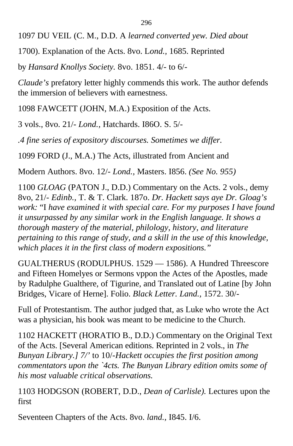1097 DU VEIL (C. M., D.D. A *learned converted yew. Died about*

1700). Explanation of the Acts. 8vo. L*ond.,* 1685. Reprinted

by *Hansard Knollys Society.* 8vo. 1851. 4/- to 6/-

*Claude's* prefatory letter highly commends this work. The author defends the immersion of believers with earnestness.

1098 FAWCETT (JOHN, M.A.) Exposition of the Acts.

3 vols., 8vo. 21/- *Lond.,* Hatchards. I86O. S. 5/-

*.4 fine series of expository discourses. Sometimes we differ.*

1099 FORD (J., M.A.) The Acts, illustrated from Ancient and

Modern Authors. 8vo. 12/- *Lond.,* Masters. I856. *(See No. 955)*

1100 *GLOAG* (PATON J., D.D.) Commentary on the Acts. 2 vols., demy 8vo, 21/- *Edinb.,* T. & T. Clark. 187o. *Dr. Hackett says aye Dr. Gloag's work:* "I *have examined it with special care. For my purposes I have found it unsurpassed by any similar work in the English language. It shows a thorough mastery of the material, philology, history, and literature pertaining to this range of study, and a skill in the use of this knowledge, which places it in the first class of modern expositions."*

GUALTHERUS (RODULPHUS. 1529 — 1586). A Hundred Threescore and Fifteen Homelyes or Sermons vppon the Actes of the Apostles, made by Radulphe Gualthere, of Tigurine, and Translated out of Latine [by John Bridges, Vicare of Herne]. Folio. *Black Letter. Land.,* 1572. 30/-

Full of Protestantism. The author judged that, as Luke who wrote the Act was a physician, his book was meant to be medicine to the Church.

1102 HACKETT (HORATIO B., D.D.) Commentary on the Original Text of the Acts. [Several American editions. Reprinted in 2 vols., in *The Bunyan Library.] 7/'* to 10/-*Hackett occupies the first position among commentators upon the `4cts. The Bunyan Library edition omits some of his most valuable critical observations.*

1103 HODGSON (ROBERT, D.D., *Dean of Carlisle).* Lectures upon the first

Seventeen Chapters of the Acts. 8vo. *land.,* I845. I/6.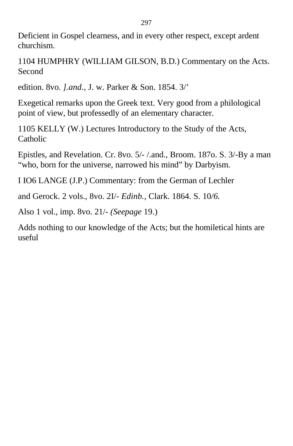Deficient in Gospel clearness, and in every other respect, except ardent churchism.

1104 HUMPHRY (WILLIAM GILSON, B.D.) Commentary on the Acts. Second

edition. 8vo. *].and.,* J. w. Parker & Son. 1854. 3/'

Exegetical remarks upon the Greek text. Very good from a philological point of view, but professedly of an elementary character.

1105 KELLY (W.) Lectures Introductory to the Study of the Acts, Catholic

Epistles, and Revelation. Cr. 8vo. 5/- /.and., Broom. 187o. S. 3/-By a man "who, born for the universe, narrowed his mind" by Darbyism.

I IO6 LANGE (J.P.) Commentary: from the German of Lechler

and Gerock. 2 vols., 8vo. 2I/- *Edinb.,* Clark. 1864. S. 10*/6.*

Also 1 vol., imp. 8vo. 21/- *(Seepage* 19.)

Adds nothing to our knowledge of the Acts; but the homiletical hints are useful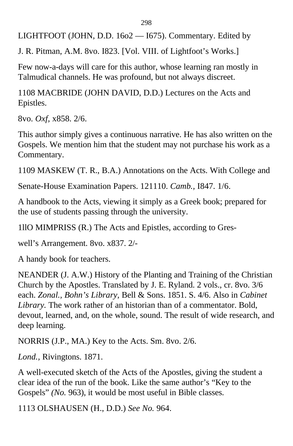LIGHTFOOT (JOHN, D.D. 16o2 — I675). Commentary. Edited by

J. R. Pitman, A.M. 8vo. I823. [Vol. VIII. of Lightfoot's Works.]

Few now-a-days will care for this author, whose learning ran mostly in Talmudical channels. He was profound, but not always discreet.

1108 MACBRIDE (JOHN DAVID, D.D.) Lectures on the Acts and Epistles.

8vo. *Oxf,* x858. 2/6.

This author simply gives a continuous narrative. He has also written on the Gospels. We mention him that the student may not purchase his work as a Commentary.

1109 MASKEW (T. R., B.A.) Annotations on the Acts. With College and

Senate-House Examination Papers. 121110. *Camb.,* I847. 1/6.

A handbook to the Acts, viewing it simply as a Greek book; prepared for the use of students passing through the university.

1llO MIMPRISS (R.) The Acts and Epistles, according to Gres-

well's Arrangement. 8vo. x837. 2/-

A handy book for teachers.

NEANDER (J. A.W.) History of the Planting and Training of the Christian Church by the Apostles. Translated by J. E. Ryland. 2 vols., cr. 8vo. 3/6 each. *Zonal., Bohn's Library,* Bell & Sons. 1851. S. 4/6. Also in *Cabinet Library.* The work rather of an historian than of a commentator. Bold, devout, learned, and, on the whole, sound. The result of wide research, and deep learning.

NORRIS (J.P., MA.) Key to the Acts. Sm. 8vo. 2/6.

*Lond.,* Rivingtons. 1871.

A well-executed sketch of the Acts of the Apostles, giving the student a clear idea of the run of the book. Like the same author's "Key to the Gospels" *(No.* 963), it would be most useful in Bible classes.

1113 OLSHAUSEN (H., D.D.) *See No.* 964.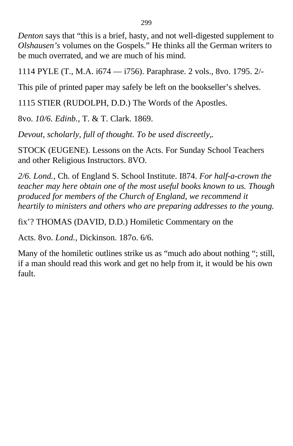*Denton* says that "this is a brief, hasty, and not well-digested supplement to *Olshausen's* volumes on the Gospels." He thinks all the German writers to be much overrated, and we are much of his mind.

1114 PYLE (T., M.A. i674 — i756). Paraphrase. 2 vols., 8vo. 1795. 2/-

This pile of printed paper may safely be left on the bookseller's shelves.

1115 STIER (RUDOLPH, D.D.) The Words of the Apostles.

8vo. *10/6. Edinb.,* T. & T. Clark. 1869.

*Devout, scholarly, full of thought. To be used discreetly,.*

STOCK (EUGENE). Lessons on the Acts. For Sunday School Teachers and other Religious Instructors. 8VO.

*2/6. Lond.,* Ch. of England S. School Institute. I874. *For half-a-crown the teacher may here obtain one of the most useful books known to us. Though produced for members of the Church of England, we recommend it heartily to ministers and others who are preparing addresses to the young.*

fix'? THOMAS (DAVID, D.D.) Homiletic Commentary on the

Acts. 8vo. *Lond.,* Dickinson. 187o. 6/6.

Many of the homiletic outlines strike us as "much ado about nothing "; still, if a man should read this work and get no help from it, it would be his own fault.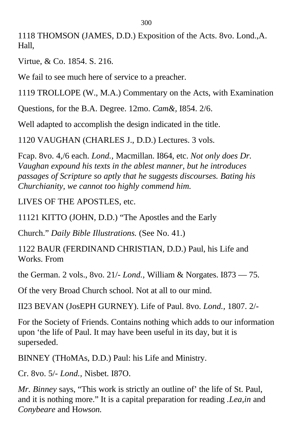1118 THOMSON (JAMES, D.D.) Exposition of the Acts. 8vo. Lond.,A. Hall,

Virtue, & Co. 1854. S. 216.

We fail to see much here of service to a preacher.

1119 TROLLOPE (W., M.A.) Commentary on the Acts, with Examination

Questions, for the B.A. Degree. 12mo. *Cam&,* I854. 2/6.

Well adapted to accomplish the design indicated in the title.

1120 VAUGHAN (CHARLES J., D.D.) Lectures. 3 vols.

Fcap. 8vo. 4,/6 each. *Lond.,* Macmillan. I864, etc. *Not only does Dr. Vaughan expound his texts in the ablest manner, but he introduces passages of Scripture so aptly that he suggests discourses. Bating his Churchianity, we cannot too highly commend him.*

LIVES OF THE APOSTLES, etc.

11121 KITTO (JOHN, D.D.) "The Apostles and the Early

Church." *Daily Bible Illustrations.* (See No. 41.)

1122 BAUR (FERDINAND CHRISTIAN, D.D.) Paul, his Life and Works. From

the German. 2 vols., 8vo. 21/- *Lond.,* William & Norgates. I873 — 75.

Of the very Broad Church school. Not at all to our mind.

II23 BEVAN (JosEPH GURNEY). Life of Paul. 8vo. *Lond.,* 1807. 2/-

For the Society of Friends. Contains nothing which adds to our information upon 'the life of Paul. It may have been useful in its day, but it is superseded.

BINNEY (THoMAs, D.D.) Paul: his Life and Ministry.

Cr. 8vo. 5/- *Lond.,* Nisbet. I87O.

*Mr. Binney* says, "This work is strictly an outline of' the life of St. Paul, and it is nothing more." It is a capital preparation for reading *.Lea,in* and *Conybeare* and H*owson.*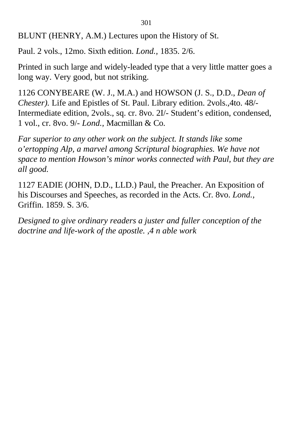BLUNT (HENRY, A.M.) Lectures upon the History of St.

Paul. 2 vols., 12mo. Sixth edition. *Lond.,* 1835. 2/6.

Printed in such large and widely-leaded type that a very little matter goes a long way. Very good, but not striking.

1126 CONYBEARE (W. J., M.A.) and HOWSON (J. S., D.D., *Dean of Chester).* Life and Epistles of St. Paul. Library edition. 2vols.,4to. 48/- Intermediate edition, 2vols., sq. cr. 8vo. 2I/- Student's edition, condensed, 1 vol., cr. 8vo. 9/- *Lond.,* Macmillan & Co.

*Far superior to any other work on the subject. It stands like some o'ertopping Alp, a marvel among Scriptural biographies. We have not space to mention Howson's minor works connected with Paul, but they are all good.*

1127 EADIE (JOHN, D.D., LLD.) Paul, the Preacher. An Exposition of his Discourses and Speeches, as recorded in the Acts. Cr. 8vo. *Lond.,* Griffin. 1859. S. 3/6.

*Designed to give ordinary readers a juster and fuller conception of the doctrine and life-work of the apostle. ,4 n able work*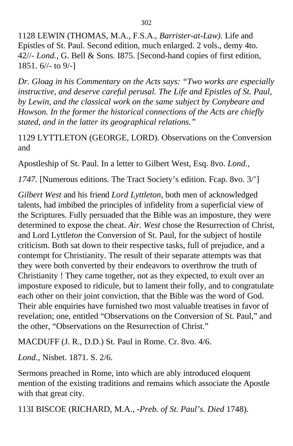1128 LEWIN (THOMAS, M.A., F.S.A., *Barrister-at-Law).* Life and Epistles of St. Paul. Second edition, much enlarged. 2 vols., demy 4to. 42//- *Lond.,* G. Bell & Sons. I875. [Second-hand copies of first edition, 1851. 6//- to 9/-]

*Dr. Gloag in his Commentary on the Acts says: "Two works are especially instructive, and deserve careful perusal. The Life and Epistles of St. Paul, by Lewin, and the classical work on the same subject by Conybeare and Howson. In the former the historical connections of the Acts are chiefly stated, and in the latter its geographical relations."*

1129 LYTTLETON (GEORGE, LORD). Observations on the Conversion and

Apostleship of St. Paul. In a letter to Gilbert West, Esq. 8vo. *Lond.,*

1747. [Numerous editions. The Tract Society's edition. Fcap. 8vo. 3/']

*Gilbert West* and his friend *Lord Lyttleton,* both men of acknowledged talents, had imbibed the principles of infidelity from a superficial view of the Scriptures. Fully persuaded that the Bible was an imposture, they were determined to expose the cheat. *Air. West* chose the Resurrection of Christ, and Lord Lyttle*ton* the Conversion of St. Paul, for the subject of hostile criticism. Both sat down to their respective tasks, full of prejudice, and a contempt for Christianity. The result of their separate attempts was that they were both converted by their endeavors to overthrow the truth of Christianity ! They came together, not as they expected, to exult over an imposture exposed to ridicule, but to lament their folly, and to congratulate each other on their joint conviction, that the Bible was the word of God. Their able enquiries have furnished two most valuable treatises in favor of revelation; one, entitled "Observations on the Conversion of St. Paul," and the other, "Observations on the Resurrection of Christ."

MACDUFF (J. R., D.D.) St. Paul in Rome. Cr. 8vo. 4/6.

*Lond.,* Nisbet. 1871. S. 2/6.

Sermons preached in Rome, into which are ably introduced eloquent mention of the existing traditions and remains which associate the Apostle with that great city.

113I BISCOE (RICHARD, M.A., *-Preb. of St. Paul's. Died* 1748).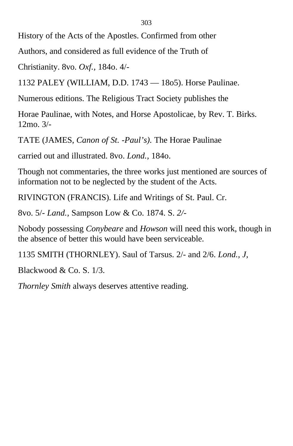History of the Acts of the Apostles. Confirmed from other

Authors, and considered as full evidence of the Truth of

Christianity. 8vo. *Oxf.,* 184o. 4/-

1132 PALEY (WILLIAM, D.D. 1743 — 18o5). Horse Paulinae.

Numerous editions. The Religious Tract Society publishes the

Horae Paulinae, with Notes, and Horse Apostolicae, by Rev. T. Birks. 12mo. 3/-

TATE (JAMES, *Canon of St. -Paul's).* The Horae Paulinae

carried out and illustrated. 8vo. *Lond.,* 184o.

Though not commentaries, the three works just mentioned are sources of information not to be neglected by the student of the Acts.

RIVINGTON (FRANCIS). Life and Writings of St. Paul. Cr.

8vo. 5/- *Land.,* Sampson Low & Co. 1874. S. *2/-*

Nobody possessing *Conybeare* and *Howson* will need this work, though in the absence of better this would have been serviceable.

1135 SMITH (THORNLEY). Saul of Tarsus. 2/- and 2/6. *Lond., J,*

Blackwood & Co. S. 1/3.

*Thornley Smith* always deserves attentive reading.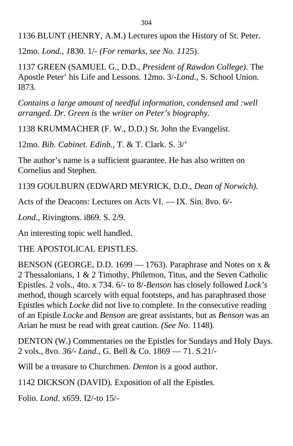1136 BLUNT (HENRY, A.M.) Lectures upon the History of St. Peter.

12mo. *Lond., 1*830. 1/- *(For remarks, see No. 11*25).

1137 GREEN (SAMUEL G., D.D., *President of Rawdon College).* The Apostle Peter' his Life and Lessons. 12mo. 3/-*Lond.,* S. School Union. I873.

*Contains a large amount of needful information, condensed and :well arranged. Dr. Green is* the *writer on Peter's biography.*

1138 KRUMMACHER (F. W., D.D.) St. John the Evangelist.

12mo. *Bib. Cabinet. Edinb.,* T. & T. Clark. S. 3/'

The author's name is a sufficient guarantee. He has also written on Cornelius and Stephen.

1139 GOULBURN (EDWARD MEYRICK, D.D., *Dean of Norwich).*

Acts of the Deacons: Lectures on Acts VI. — IX. Sin. 8vo. 6/-

*Lond.,* Rivingtons. i869. S. 2/9.

An interesting topic well handled.

THE APOSTOLICAL EPISTLES.

BENSON (GEORGE, D.D. 1699 — 1763). Paraphrase and Notes on x & 2 Thessalonians, 1 & 2 Timothy, Philemon, Titus, and the Seven Catholic Epistles. 2 vols., 4to. x 734. 6/- to 8/-*Benson* has closely followed *Lock's* method, though scarcely with equal footsteps, and has paraphrased those Epistles which *Locke* did not live to complete. In the consecutive reading of an Epistle *Locke* and *Benson* are great assistants, but as *Benson* was an Arian he must be read with great caution. *(See No*. 1148).

DENTON (W.) Commentaries on the Epistles for Sundays and Holy Days. 2 vols., 8vo. *36/- Land.,* G. Bell & Co. 1869 — 71. S.21/-

Will be a treasure to Churchmen. *Denton* is a good author.

1142 DICKSON (DAVID). Exposition of all the Epistles.

Folio. *Lond.* x659. I2/-to 15/-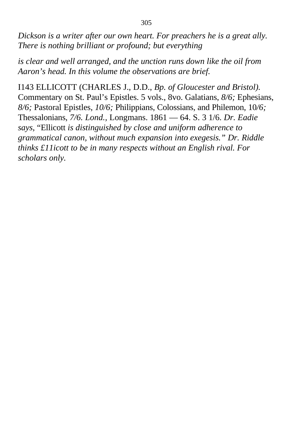*Dickson is a writer after our own heart. For preachers he is a great ally. There is nothing brilliant or profound; but everything*

*is clear and well arranged, and the unction runs down like the oil from Aaron's head. In this volume the observations are brief.*

I143 ELLICOTT (CHARLES J., D.D., *Bp. of Gloucester and Bristol).* Commentary on St. Paul's Epistles. 5 vols., 8vo. Galatians, *8/6;* Ephesians, *8/6;* Pastoral Epistles, *10/6;* Philippians, Colossians, and Philemon, 10*/6;* Thessalonians, *7/6. Lond.,* Longmans. 1861 — 64. S. 3 1/6. *Dr. Eadie says,* "Ellicott *is distinguished by close and uniform adherence to grammatical canon, without much expansion into exegesis." Dr. Riddle thinks £11icott to be in many respects without an English rival. For scholars only.*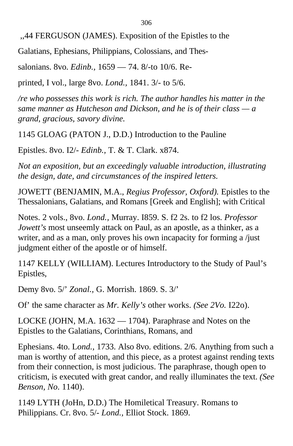306

,,44 FERGUSON (JAMES). Exposition of the Epistles to the

Galatians, Ephesians, Philippians, Colossians, and Thes-

salonians. 8vo. *Edinb.,* 1659 — 74. 8/-to 10/6. Re-

printed, I vol., large 8vo. *Lond.,* 1841. 3/- to 5/6.

*/re who possesses this work is rich. The author handles his matter in the same manner as Hutcheson and Dickson, and he is of their class — a grand, gracious, savory divine.*

1145 GLOAG (PATON J., D.D.) Introduction to the Pauline

Epistles. 8vo. I2/- *Edinb.,* T. & T. Clark. x874.

*Not an exposition, but an exceedingly valuable introduction, illustrating the design, date, and circumstances of the inspired letters.*

JOWETT (BENJAMIN, M.A., *Regius Professor, Oxford).* Epistles to the Thessalonians, Galatians, and Romans [Greek and English]; with Critical

Notes. 2 vols., 8vo. *Lond.,* Murray. I859. S. f2 2s. to f2 los. *Professor Jowett's* most unseemly attack on Paul, as an apostle, as a thinker, as a writer, and as a man, only proves his own incapacity for forming a /just judgment either of the apostle or of himself.

1147 KELLY (WILLIAM). Lectures Introductory to the Study of Paul's Epistles,

Demy 8vo. 5/' *Zonal.,* G. Morrish. 1869. S. 3/'

Of' the same character as *Mr. Kelly's* other works. *(See 2Vo.* I22o).

LOCKE (JOHN, M.A. 1632 — 1704). Paraphrase and Notes on the Epistles to the Galatians, Corinthians, Romans, and

Ephesians. 4to. L*ond.,* 1733. Also 8vo. editions. 2/6. Anything from such a man is worthy of attention, and this piece, as a protest against rending texts from their connection, is most judicious. The paraphrase, though open to criticism, is executed with great candor, and really illuminates the text. *(See Benson, No*. 1140).

1149 LYTH (JoHn, D.D.) The Homiletical Treasury. Romans to Philippians. Cr. 8vo. 5/- *Lond.,* Elliot Stock. 1869.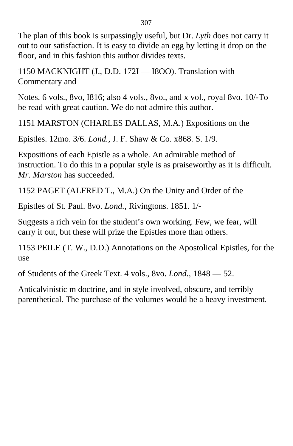The plan of this book is surpassingly useful, but Dr. *Lyth* does not carry it out to our satisfaction. It is easy to divide an egg by letting it drop on the floor, and in this fashion this author divides texts.

1150 MACKNIGHT (J., D.D. 172I — I8OO). Translation with Commentary and

Notes. 6 vols., 8vo, I816; also 4 vols., 8vo., and x vol., royal 8vo. 10/-To be read with great caution. We do not admire this author.

1151 MARSTON (CHARLES DALLAS, M.A.) Expositions on the

Epistles. 12mo. 3/6. *Lond.,* J. F. Shaw & Co. x868. S. 1/9.

Expositions of each Epistle as a whole. An admirable method of instruction. To do this in a popular style is as praiseworthy as it is difficult. *Mr. Marston* has succeeded.

1152 PAGET (ALFRED T., M.A.) On the Unity and Order of the

Epistles of St. Paul. 8vo. *Lond.,* Rivingtons. 1851. 1/-

Suggests a rich vein for the student's own working. Few, we fear, will carry it out, but these will prize the Epistles more than others.

1153 PEILE (T. W., D.D.) Annotations on the Apostolical Epistles, for the use

of Students of the Greek Text. 4 vols., 8vo. *Lond.,* 1848 — 52.

Anticalvinistic m doctrine, and in style involved, obscure, and terribly parenthetical. The purchase of the volumes would be a heavy investment.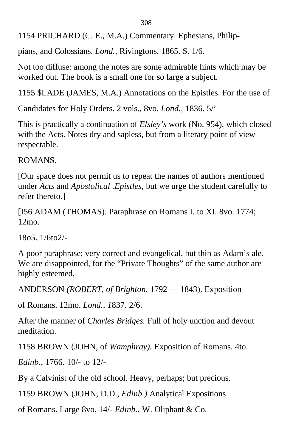1154 PRICHARD (C. E., M.A.) Commentary. Ephesians, Philip-

pians, and Colossians. *Lond.,* Rivingtons. 1865. S. 1/6.

Not too diffuse: among the notes are some admirable hints which may be worked out. The book is a small one for so large a subject.

1155 \$LADE (JAMES, M.A.) Annotations on the Epistles. For the use of

Candidates for Holy Orders. 2 vols., 8vo. *Lond.,* 1836. 5/'

This is practically a continuation of *Elsley's* work (No. 954), which closed with the Acts. Notes dry and sapless, but from a literary point of view respectable.

ROMANS.

[Our space does not permit us to repeat the names of authors mentioned under *Acts* and *Apostolical .Epistles,* but we urge the student carefully to refer thereto.]

[I56 ADAM (THOMAS). Paraphrase on Romans I. to XI. 8vo. 1774; 12mo.

18o5. 1/6to2/-

A poor paraphrase; very correct and evangelical, but thin as Adam's ale. We are disappointed, for the "Private Thoughts" of the same author are highly esteemed.

ANDERSON *(ROBERT, of Brighton,* 1792 — 1843). Exposition

of Romans. 12mo. *Lond., 1*837. 2/6.

After the manner of *Charles Bridges.* Full of holy unction and devout meditation.

1158 BROWN (JOHN, of *Wamphray).* Exposition of Romans. 4to.

*Edinb.,* 1766. 10/- to 12/-

By a Calvinist of the old school. Heavy, perhaps; but precious.

1159 BROWN (JOHN, D.D., *Edinb.)* Analytical Expositions

of Romans. Large 8vo. 14/- *Edinb.,* W. Oliphant & Co.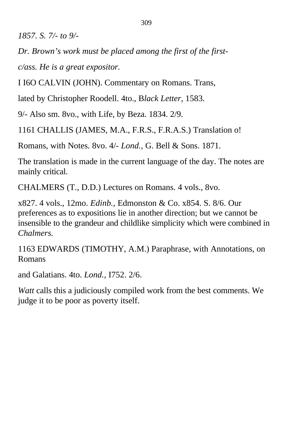*1857. S. 7/- to 9/-*

*Dr. Brown's work must be placed among the first of the first-*

*c/ass. He is a great expositor.*

I I6O CALVIN (JOHN). Commentary on Romans. Trans,

lated by Christopher Roodell. 4to., B*lack Letter,* 1583.

9/- Also sm. 8vo., with Life, by Beza. 1834. 2/9.

1161 CHALLIS (JAMES, M.A., F.R.S., F.R.A.S.) Translation o!

Romans, with Notes. 8vo. 4/- *Lond.,* G. Bell & Sons. 1871.

The translation is made in the current language of the day. The notes are mainly critical.

CHALMERS (T., D.D.) Lectures on Romans. 4 vols., 8vo.

x827. 4 vols., 12mo. *Edinb.,* Edmonston & Co. x854. S. 8/6. Our preferences as to expositions lie in another direction; but we cannot be insensible to the grandeur and childlike simplicity which were combined in *Chalmers.*

1163 EDWARDS (TIMOTHY, A.M.) Paraphrase, with Annotations, on Romans

and Galatians. 4to. *Lond.,* I752. 2/6.

*Watt* calls this a judiciously compiled work from the best comments. We judge it to be poor as poverty itself.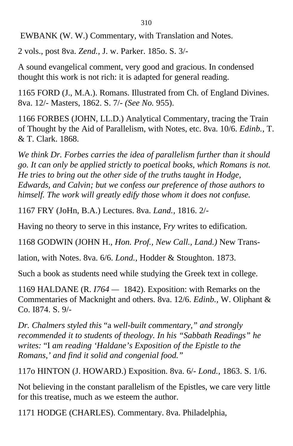EWBANK (W. W.) Commentary, with Translation and Notes.

2 vols., post 8va. *Zend.,* J. w. Parker. 185o. S. 3/-

A sound evangelical comment, very good and gracious. In condensed thought this work is not rich: it is adapted for general reading.

1165 FORD (J., M.A.). Romans. Illustrated from Ch. of England Divines. 8va. 12/- Masters, 1862. S. 7/- *(See No.* 955).

1166 FORBES (JOHN, LL.D.) Analytical Commentary, tracing the Train of Thought by the Aid of Parallelism, with Notes, etc. 8va. 10/6. *Edinb.,* T. & T. Clark. 1868.

*We think Dr. Forbes carries the idea of parallelism further than it should go. It can only be applied strictly to poetical books, which Romans is not. He tries to bring out the other side of the truths taught in Hodge, Edwards, and Calvin; but we confess our preference of those authors to himself. The work will greatly edify those whom it does not confuse.*

1167 FRY (JoHn, B.A.) Lectures. 8va. *Land.,* 1816. 2/-

Having no theory to serve in this instance, F*ry* writes to edification.

1168 GODWIN (JOHN H., *Hon. Prof., New Call., Land.)* New Trans-

lation, with Notes. 8va. 6/6. *Lond.,* Hodder & Stoughton. 1873.

Such a book as students need while studying the Greek text in college.

1169 HALDANE (R. *I764 —* 1842). Exposition: with Remarks on the Commentaries of Macknight and others. 8va. 12/6. *Edinb.,* W. Oliphant & Co. I874. S. 9/-

*Dr. Chalmers styled this* "a *well-built commentary," and strongly recommended it to students of theology. In his "Sabbath Readings" he writes:* "I *am reading 'Haldane's Exposition of the Epistle to the Romans,' and find it solid and congenial food."*

117o HINTON (J. HOWARD.) Exposition. 8va. 6/- *Lond.,* 1863. S. 1/6.

Not believing in the constant parallelism of the Epistles, we care very little for this treatise, much as we esteem the author.

1171 HODGE (CHARLES). Commentary. 8va. Philadelphia,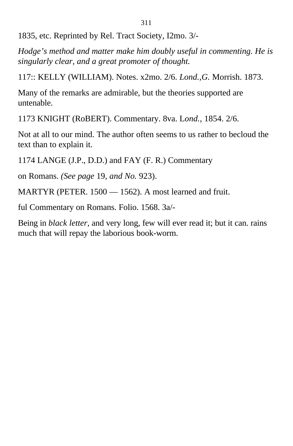1835, etc. Reprinted by Rel. Tract Society, I2mo. 3/-

*Hodge's method and matter make him doubly useful in commenting. He is singularly clear, and a great promoter of thought.*

117:: KELLY (WILLIAM). Notes. x2mo. 2/6. *Lond.,G.* Morrish. 1873.

Many of the remarks are admirable, but the theories supported are untenable.

1173 KNIGHT (RoBERT). Commentary. 8va. L*ond.,* 1854. 2/6.

Not at all to our mind. The author often seems to us rather to becloud the text than to explain it.

1174 LANGE (J.P., D.D.) and FAY (F. R.) Commentary

on Romans. *(See page* 19, *and No.* 923).

MARTYR (PETER. 1500 - 1562). A most learned and fruit.

ful Commentary on Romans. Folio. 1568. 3a/-

Being in *black letter,* and very long, few will ever read it; but it can. rains much that will repay the laborious book-worm.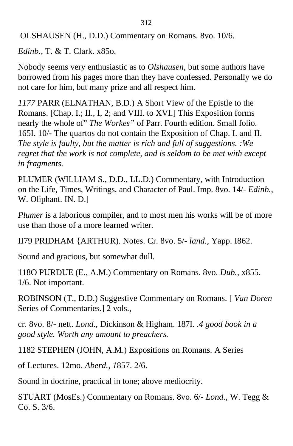OLSHAUSEN (H., D.D.) Commentary on Romans. 8vo. 10/6.

*Edinb.,* T. & T. Clark. x85o.

Nobody seems very enthusiastic as to *Olshausen,* but some authors have borrowed from his pages more than they have confessed. Personally we do not care for him, but many prize and all respect him.

*1177* PARR (ELNATHAN, B.D.) A Short View of the Epistle to the Romans. [Chap. I.; II., I, 2; and VIII. to XVI.] This Exposition forms nearly the whole of" *The Workes"* of Parr. Fourth edition. Small folio. 165I. 10/- The quartos do not contain the Exposition of Chap. I. and II. *The style is faulty, but the matter is rich and full of suggestions. :We regret that the work is not complete, and is seldom to be met with except in fragments.*

PLUMER (WILLIAM S., D.D., LL.D.) Commentary, with Introduction on the Life, Times, Writings, and Character of Paul. Imp. 8vo. 14/- *Edinb.,* W. Oliphant. IN. D.]

*Plumer* is a laborious compiler, and to most men his works will be of more use than those of a more learned writer.

II79 PRIDHAM {ARTHUR). Notes. Cr. 8vo. 5/- *land.,* Yapp. I862.

Sound and gracious, but somewhat dull.

118O PURDUE (E., A.M.) Commentary on Romans. 8vo. *Dub.,* x855. 1/6. Not important.

ROBINSON (T., D.D.) Suggestive Commentary on Romans. [ *Van Doren* Series of Commentaries.] 2 vols.,

cr. 8vo. 8/- nett. *Lond.,* Dickinson & Higham. 187I. *.4 good book in a good style. Worth any amount to preachers.*

1182 STEPHEN (JOHN, A.M.) Expositions on Romans. A Series

of Lectures. 12mo. *Aberd., 1*857. 2/6.

Sound in doctrine, practical in tone; above mediocrity.

STUART (MosEs.) Commentary on Romans. 8vo. 6/- *Lond.,* W. Tegg & Co. S. 3/6.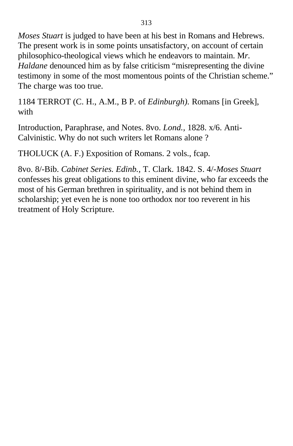*Moses Stuart* is judged to have been at his best in Romans and Hebrews. The present work is in some points unsatisfactory, on account of certain philosophico-theological views which he endeavors to maintain. M*r. Haldane* denounced him as by false criticism "misrepresenting the divine testimony in some of the most momentous points of the Christian scheme." The charge was too true.

1184 TERROT (C. H., A.M., B P. of *Edinburgh).* Romans [in Greek], with

Introduction, Paraphrase, and Notes. 8vo. *Lond.,* 1828. x/6. Anti-Calvinistic. Why do not such writers let Romans alone ?

THOLUCK (A. F.) Exposition of Romans. 2 vols., fcap.

8vo. 8/-Bib. *Cabinet Series. Edinb.,* T. Clark. 1842. S. 4/-*Moses Stuart* confesses his great obligations to this eminent divine, who far exceeds the most of his German brethren in spirituality, and is not behind them in scholarship; yet even he is none too orthodox nor too reverent in his treatment of Holy Scripture.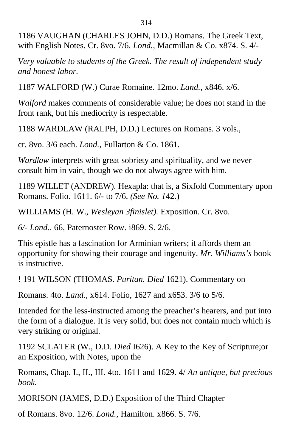1186 VAUGHAN (CHARLES JOHN, D.D.) Romans. The Greek Text, with English Notes. Cr. 8vo. 7/6. *Lond.,* Macmillan & Co. x874. S. 4/-

*Very valuable to students of the Greek. The result of independent study and honest labor.*

1187 WALFORD (W.) Curae Romaine. 12mo. *Land.,* x846. x/6.

*Walford* makes comments of considerable value; he does not stand in the front rank, but his mediocrity is respectable.

1188 WARDLAW (RALPH, D.D.) Lectures on Romans. 3 vols.,

cr. 8vo. 3/6 each. *Lond.,* Fullarton & Co. 1861.

*Wardlaw* interprets with great sobriety and spirituality, and we never consult him in vain, though we do not always agree with him.

1189 WILLET (ANDREW). Hexapla: that is, a Sixfold Commentary upon Romans. Folio. 1611. 6/- to 7/6. *(See No. 1*42.)

WILLIAMS (H. W., *Wesleyan 3finislet).* Exposition. Cr. 8vo.

*6/- Lond.,* 66, Paternoster Row. i869. S. 2/6.

This epistle has a fascination for Arminian writers; it affords them an opportunity for showing their courage and ingenuity. *Mr. Williams's* book is instructive.

! 191 WILSON (THOMAS. *Puritan. Died* 1621). Commentary on

Romans. 4to. *Land.,* x614. Folio, 1627 and x653. 3/6 to 5/6.

Intended for the less-instructed among the preacher's hearers, and put into the form of a dialogue. It is very solid, but does not contain much which is very striking or original.

1192 SCLATER (W., D.D. *Died* I626). A Key to the Key of Scripture;or an Exposition, with Notes, upon the

Romans, Chap. I., II., III. 4to. 1611 and 1629. 4/ *An antique, but precious book.*

MORISON (JAMES, D.D.) Exposition of the Third Chapter

of Romans. 8vo. 12/6. *Lond.,* Hamilton. x866. S. 7/6.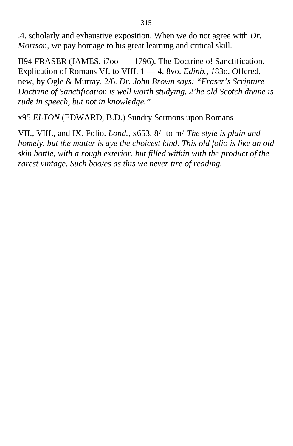.4. scholarly and exhaustive exposition. When we do not agree with *Dr. Morison,* we pay homage to his great learning and critical skill.

II94 FRASER (JAMES. i7oo — -1796). The Doctrine o! Sanctification. Explication of Romans VI. to VIII. 1 — 4. 8vo. *Edinb., 1*83o. Offered, new, by Ogle & Murray, 2/6. *Dr. John Brown says: "Fraser's Scripture Doctrine of Sanctification is well worth studying. 2'he old Scotch divine is rude in speech, but not in knowledge."*

x95 *ELTON* (EDWARD, B.D.) Sundry Sermons upon Romans

VII., VIII., and IX. Folio. *Lond.,* x653. 8/- to m/-*The style is plain and homely, but the matter is aye the choicest kind. This old folio is like an old skin bottle, with a rough exterior, but filled within with the product of the rarest vintage. Such boo/es as this we never tire of reading.*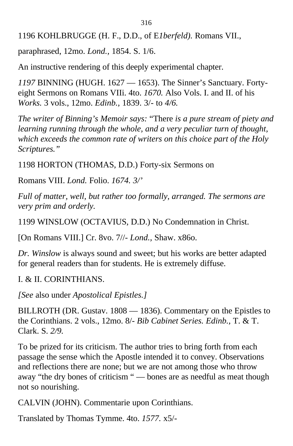1196 KOHLBRUGGE (H. F., D.D., of E*1berfeld).* Romans VII.,

paraphrased, 12mo. *Lond.,* 1854. S. 1/6.

An instructive rendering of this deeply experimental chapter.

*1197* BINNING (HUGH. 1627 — 1653). The Sinner's Sanctuary. Fortyeight Sermons on Romans VIIi. 4to. *1670.* Also Vols. I. and II. of his *Works.* 3 vols., 12mo. *Edinb.,* 1839. 3/- to *4/6.*

*The writer of Binning's Memoir says:* "There *is a pure stream of piety and learning running through the whole, and a very peculiar turn of thought, which exceeds the common rate of writers on this choice part of the Holy Scriptures."*

1198 HORTON (THOMAS, D.D.) Forty-six Sermons on

Romans VIII. *Lond.* Folio. *1674. 3/'*

*Full of matter, well, but rather too formally, arranged. The sermons are very prim and orderly.*

1199 WINSLOW (OCTAVIUS, D.D.) No Condemnation in Christ.

[On Romans VIII.] Cr. 8vo. 7//- *Lond.,* Shaw. x86o.

*Dr. Winslow* is always sound and sweet; but his works are better adapted for general readers than for students. He is extremely diffuse.

I. & II. CORINTHIANS.

*[See* also under *Apostolical Epistles.]*

BILLROTH (DR. Gustav. 1808 — 1836). Commentary on the Epistles to the Corinthians. 2 vols., 12mo. 8/- *Bib Cabinet Series. Edinb.,* T. & T. Clark. S. *2/9.*

To be prized for its criticism. The author tries to bring forth from each passage the sense which the Apostle intended it to convey. Observations and reflections there are none; but we are not among those who throw away "the dry bones of criticism " — bones are as needful as meat though not so nourishing.

CALVIN (JOHN). Commentarie upon Corinthians.

Translated by Thomas Tymme. 4to. *1577.* x5/-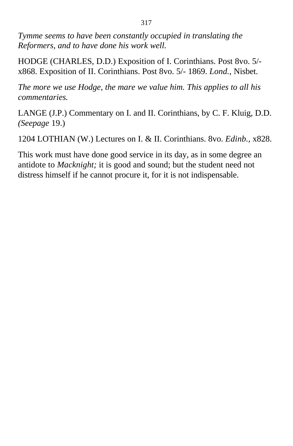*Tymme seems to have been constantly occupied in translating the Reformers, and to have done his work well.*

HODGE (CHARLES, D.D.) Exposition of I. Corinthians. Post 8vo. 5/ x868. Exposition of II. Corinthians. Post 8vo. 5/- 1869. *Lond.,* Nisbet.

*The more we use Hodge, the mare we value him. This applies to all his commentaries.*

LANGE (J.P.) Commentary on I. and II. Corinthians, by C. F. Kluig, D.D. *(Seepage* 19.)

1204 LOTHIAN (W.) Lectures on I. & II. Corinthians. 8vo. *Edinb.,* x828.

This work must have done good service in its day, as in some degree an antidote to *Macknight;* it is good and sound; but the student need not distress himself if he cannot procure it, for it is not indispensable.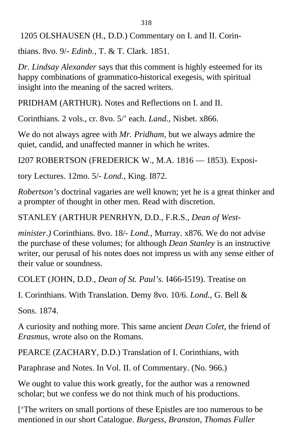1205 OLSHAUSEN (H., D.D.) Commentary on I. and II. Corin-

thians. 8vo. 9/- *Edinb.,* T. & T. Clark. 1851.

*Dr. Lindsay Alexander* says that this comment is highly esteemed for its happy combinations of grammatico-historical exegesis, with spiritual insight into the meaning of the sacred writers.

PRIDHAM (ARTHUR). Notes and Reflections on I. and II.

Corinthians. 2 vols., cr. 8vo. 5/' each. *Land.,* Nisbet. x866.

We do not always agree with *Mr. Pridham,* but we always admire the quiet, candid, and unaffected manner in which he writes.

I207 ROBERTSON (FREDERICK W., M.A. 1816 — 1853). Exposi-

tory Lectures. 12mo. 5/- *Lond.,* King. I872.

*Robertson's* doctrinal vagaries are well known; yet he is a great thinker and a prompter of thought in other men. Read with discretion.

STANLEY (ARTHUR PENRHYN, D.D., F.R.S., *Dean of West-*

*minister.)* Corinthians. 8vo. 18/- *Lond.,* Murray. x876. We do not advise the purchase of these volumes; for although *Dean Stanley* is an instructive writer, our perusal of his notes does not impress us with any sense either of their value or soundness.

COLET (JOHN, D.D., *Dean of St. Paul's.* I466-I519). Treatise on

I. Corinthians. With Translation. Demy 8vo. 10/6. *Lond.,* G. Bell &

Sons. 1874.

A curiosity and nothing more. This same ancient *Dean Colet,* the friend of *Erasmus,* wrote also on the Romans.

PEARCE (ZACHARY, D.D.) Translation of I. Corinthians, with

Paraphrase and Notes. In Vol. II. of Commentary. (No. 966.)

We ought to value this work greatly, for the author was a renowned scholar; but we confess we do not think much of his productions.

['The writers on small portions of these Epistles are too numerous to be mentioned in our short Catalogue. *Burgess, Branston, Thomas Fuller*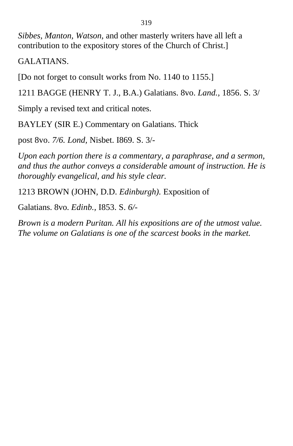*Sibbes, Manton, Watson,* and other masterly writers have all left a contribution to the expository stores of the Church of Christ.]

GALATIANS.

[Do not forget to consult works from No. 1140 to 1155.]

1211 BAGGE (HENRY T. J., B.A.) Galatians. 8vo. *Land.,* 1856. S. 3/

Simply a revised text and critical notes.

BAYLEY (SIR E.) Commentary on Galatians. Thick

post 8vo. *7/6. Lond,* Nisbet. I869. S. 3/-

*Upon each portion there is a commentary, a paraphrase, and a sermon, and thus the author conveys a considerable amount of instruction. He is thoroughly evangelical, and his style clear.*

1213 BROWN (JOHN, D.D. *Edinburgh).* Exposition of

Galatians. 8vo. *Edinb.,* I853. S. *6/-*

*Brown is a modern Puritan. All his expositions are of the utmost value. The volume on Galatians is one of the scarcest books in the market.*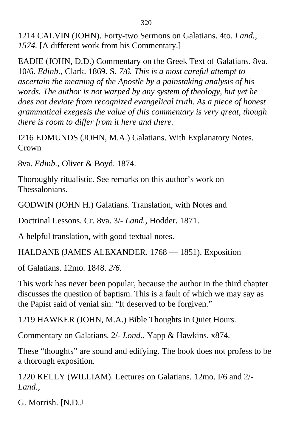1214 CALVIN (JOHN). Forty-two Sermons on Galatians. 4to. *Land., 1574.* [A different work from his Commentary.]

EADIE (JOHN, D.D.) Commentary on the Greek Text of Galatians. 8va. 10/6. *Edinb.,* Clark. 1869. S. *7/6. This is a most careful attempt to ascertain the meaning of the Apostle by a painstaking analysis of his words. The author is not warped by any system of theology, but yet he does not deviate from recognized evangelical truth. As a piece of honest grammatical exegesis the value of this commentary is very great, though there is room to differ from it here and there.*

I216 EDMUNDS (JOHN, M.A.) Galatians. With Explanatory Notes. Crown

8va. *Edinb.,* Oliver & Boyd. 1874.

Thoroughly ritualistic. See remarks on this author's work on Thessalonians.

GODWIN (JOHN H.) Galatians. Translation, with Notes and

Doctrinal Lessons. Cr. 8va. 3/- *Land.,* Hodder. 1871.

A helpful translation, with good textual notes.

HALDANE (JAMES ALEXANDER. 1768 — 1851). Exposition

of Galatians. 12mo. 1848. *2/6.*

This work has never been popular, because the author in the third chapter discusses the question of baptism. This is a fault of which we may say as the Papist said of venial sin: "It deserved to be forgiven."

1219 HAWKER (JOHN, M.A.) Bible Thoughts in Quiet Hours.

Commentary on Galatians. 2/- *Lond.,* Yapp & Hawkins. x874.

These "thoughts" are sound and edifying. The book does not profess to be a thorough exposition.

1220 KELLY (WILLIAM). Lectures on Galatians. 12mo. I/6 and 2/- *Land.,*

G. Morrish. [N.D.J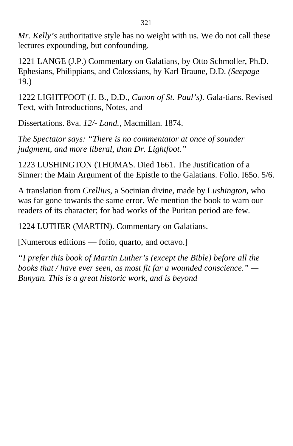*Mr. Kelly's* authoritative style has no weight with us. We do not call these lectures expounding, but confounding.

1221 LANGE (J.P.) Commentary on Galatians, by Otto Schmoller, Ph.D. Ephesians, Philippians, and Colossians, by Karl Braune, D.D. *(Seepage* 19.)

1222 LIGHTFOOT (J. B., D.D., *Canon of St. Paul's).* Gala-tians. Revised Text, with Introductions, Notes, and

Dissertations. 8va. *12/- Land.,* Macmillan. 1874.

*The Spectator says: "There is no commentator at once of sounder judgment, and more liberal, than Dr. Lightfoot."*

1223 LUSHINGTON (THOMAS. Died 1661. The Justification of a Sinner: the Main Argument of the Epistle to the Galatians. Folio. I65o. 5/6.

A translation from *Crellius,* a Socinian divine, made by L*ushington,* who was far gone towards the same error. We mention the book to warn our readers of its character; for bad works of the Puritan period are few.

1224 LUTHER (MARTIN). Commentary on Galatians.

[Numerous editions — folio, quarto, and octavo.]

*"I prefer this book of Martin Luther's (except the Bible) before all the books that / have ever seen, as most fit far a wounded conscience." — Bunyan. This is a great historic work, and is beyond*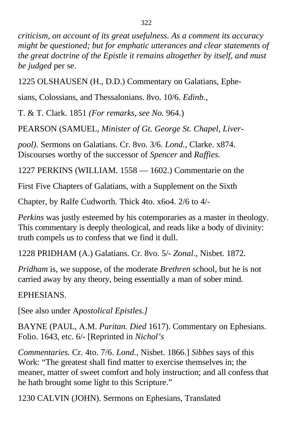*criticism, on account of its great usefulness. As a comment its accuracy might be questioned; but for emphatic utterances and clear statements of the great doctrine of the Epistle it remains altogether by itself, and must be judged* per se.

1225 OLSHAUSEN (H., D.D.) Commentary on Galatians, Ephe-

sians, Colossians, and Thessalonians. 8vo. 10/6. *Edinb.,*

T. & T. Clark. 1851 *(For remarks, see No.* 964.)

PEARSON (SAMUEL, *Minister of Gt. George St. Chapel, Liver-*

*pool).* Sermons on Galatians. Cr. 8vo. 3/6. *Lond.,* Clarke. x874. Discourses worthy of the successor of *Spencer* and *Raffies.*

1227 PERKINS (WILLIAM. 1558 — 1602.) Commentarie on the

First Five Chapters of Galatians, with a Supplement on the Sixth

Chapter, by Ralfe Cudworth. Thick 4to. x6o4. 2/6 to 4/-

*Perkins* was justly esteemed by his cotemporaries as a master in theology. This commentary is deeply theological, and reads like a body of divinity: truth compels us to confess that we find it dull.

1228 PRIDHAM (A.) Galatians. Cr. 8vo. 5/- *Zonal.,* Nisbet. 1872.

*Pridham* is, we suppose, of the moderate *Brethren* school, but he is not carried away by any theory, being essentially a man of sober mind.

EPHESIANS.

[See also under A*postolical Epistles.]*

BAYNE (PAUL, A.M. *Puritan. Died* 1617). Commentary on Ephesians. Folio. 1643, etc. 6/- [Reprinted in *Nichol's*

*Commentaries.* Cr. 4to. 7/6. *Lond.,* Nisbet. 1866.] *Sibbes* says of this Work: "The greatest shall find matter to exercise themselves in; the meaner, matter of sweet comfort and holy instruction; and all confess that he hath brought some light to this Scripture."

1230 CALVIN (JOHN). Sermons on Ephesians, Translated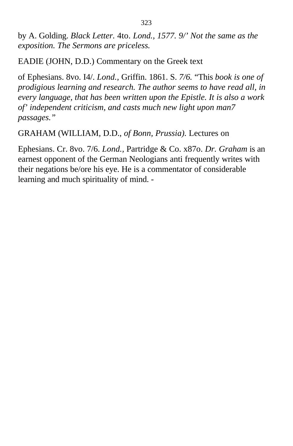by A. Golding. *Black Letter.* 4to. *Lond., 1577. 9/' Not the same as the exposition. The Sermons are priceless.*

EADIE (JOHN, D.D.) Commentary on the Greek text

of Ephesians. 8vo. I4/. *Lond.,* Griffin. 1861. S. *7/6.* "This *book is one of prodigious learning and research. The author seems to have read all, in every language, that has been written upon the Epistle. It is also a work of' independent criticism, and casts much new light upon man7 passages."*

GRAHAM (WILLIAM, D.D., *of Bonn, Prussia).* Lectures on

Ephesians. Cr. 8vo. 7/6. *Lond.,* Partridge & Co. x87o. *Dr. Graham* is an earnest opponent of the German Neologians anti frequently writes with their negations be/ore his eye. He is a commentator of considerable learning and much spirituality of mind. -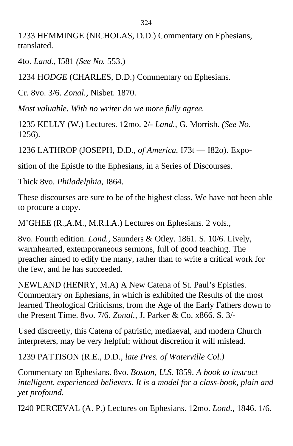1233 HEMMINGE (NICHOLAS, D.D.) Commentary on Ephesians, translated.

4to. *Land.,* I581 *(See No.* 553.)

1234 H*ODGE* (CHARLES, D.D.) Commentary on Ephesians.

Cr. 8vo. 3/6. *Zonal.,* Nisbet. 1870.

*Most valuable. With no writer do we more fully agree.*

1235 KELLY (W.) Lectures. 12mo. 2/- *Land.,* G. Morrish. *(See No.* 1256).

1236 LATHROP (JOSEPH, D.D., *of America.* I73t — I82o). Expo-

sition of the Epistle to the Ephesians, in a Series of Discourses.

Thick 8vo. *Philadelphia,* I864.

These discourses are sure to be of the highest class. We have not been able to procure a copy.

M'GHEE (R.,A.M., M.R.I.A.) Lectures on Ephesians. 2 vols.,

8vo. Fourth edition. *Lond.,* Saunders & Otley. 1861. S. 10/6. Lively, warmhearted, extemporaneous sermons, full of good teaching. The preacher aimed to edify the many, rather than to write a critical work for the few, and he has succeeded.

NEWLAND (HENRY, M.A) A New Catena of St. Paul's Epistles. Commentary on Ephesians, in which is exhibited the Results of the most learned Theological Criticisms, from the Age of the Early Fathers down to the Present Time. 8vo. 7/6. *Zonal.,* J. Parker & Co. x866. S. 3/-

Used discreetly, this Catena of patristic, mediaeval, and modern Church interpreters, may be very helpful; without discretion it will mislead.

1239 PATTISON (R.E., D.D., *late Pres. of Waterville Col.)*

Commentary on Ephesians. 8vo. *Boston, U.S.* I859. *A book to instruct intelligent, experienced believers. It is a model for a class-book, plain and yet profound.*

I240 PERCEVAL (A. P.) Lectures on Ephesians. 12mo. *Lond.,* 1846. 1/6.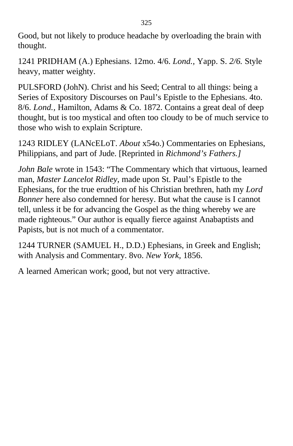Good, but not likely to produce headache by overloading the brain with thought.

1241 PRIDHAM (A.) Ephesians. 12mo. 4/6. *Lond.,* Yapp. S. *2/6.* Style heavy, matter weighty.

PULSFORD (JohN). Christ and his Seed; Central to all things: being a Series of Expository Discourses on Paul's Epistle to the Ephesians. 4to. 8/6. *Lond.,* Hamilton, Adams & Co. 1872. Contains a great deal of deep thought, but is too mystical and often too cloudy to be of much service to those who wish to explain Scripture.

1243 RIDLEY (LANcELoT. *About* x54o.) Commentaries on Ephesians, Philippians, and part of Jude. [Reprinted in *Richmond's Fathers.]*

*John Bale* wrote in 1543: "The Commentary which that virtuous, learned man, *Master Lancelot Ridley,* made upon St. Paul's Epistle to the Ephesians, for the true erudttion of his Christian brethren, hath my *Lord Bonner* here also condemned for heresy. But what the cause is I cannot tell, unless it be for advancing the Gospel as the thing whereby we are made righteous." Our author is equally fierce against Anabaptists and Papists, but is not much of a commentator.

1244 TURNER (SAMUEL H., D.D.) Ephesians, in Greek and English; with Analysis and Commentary. 8vo. *New York,* 1856.

A learned American work; good, but not very attractive.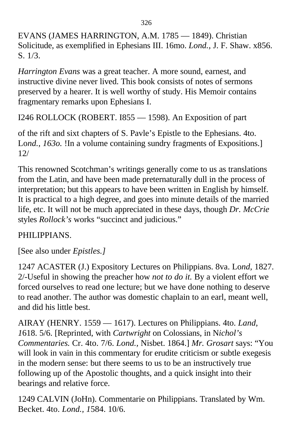EVANS (JAMES HARRINGTON, A.M. 1785 — 1849). Christian Solicitude, as exemplified in Ephesians III. 16mo. *Lond.,* J. F. Shaw. x856. S. 1/3.

*Harrington Evans* was a great teacher. A more sound, earnest, and instructive divine never lived. This book consists of notes of sermons preserved by a hearer. It is well worthy of study. His Memoir contains fragmentary remarks upon Ephesians I.

I246 ROLLOCK (ROBERT. I855 — 1598). An Exposition of part

of the rift and sixt chapters of S. Pavle's Epistle to the Ephesians. 4to. Lond., 1630. In a volume containing sundry fragments of Expositions.  $12/$ 

This renowned Scotchman's writings generally come to us as translations from the Latin, and have been made preternaturally dull in the process of interpretation; but this appears to have been written in English by himself. It is practical to a high degree, and goes into minute details of the married life, etc. It will not be much appreciated in these days, though *Dr. McCrie* styles *Rollock's* works "succinct and judicious."

## PHILIPPIANS.

[See also under *Epistles.]*

1247 ACASTER (J.) Expository Lectures on Philippians. 8va. Lo*nd,* 1827. 2/-Useful in showing the preacher how *not to do it.* By a violent effort we forced ourselves to read one lecture; but we have done nothing to deserve to read another. The author was domestic chaplain to an earl, meant well, and did his little best.

AIRAY (HENRY. 1559 — 1617). Lectures on Philippians. 4to. *Land, 1*618. 5/6. [Reprinted, with *Cartwright* on Colossians, in N*ichol's Commentaries.* Cr. 4to. 7/6. *Lond.,* Nisbet. 1864.] *Mr. Grosart* says: "You will look in vain in this commentary for erudite criticism or subtle exegesis in the modern sense: but there seems to us to be an instructively true following up of the Apostolic thoughts, and a quick insight into their bearings and relative force.

1249 CALVIN (JoHn). Commentarie on Philippians. Translated by Wm. Becket. 4to. *Lond., 1*584. 10/6.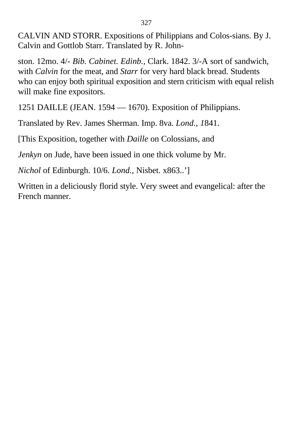CALVIN AND STORR. Expositions of Philippians and Colos-sians. By J. Calvin and Gottlob Starr. Translated by R. John-

ston. 12mo. 4/- *Bib. Cabinet. Edinb.,* Clark. 1842. 3/-A sort of sandwich, with *Calvin* for the meat, and *Starr* for very hard black bread. Students who can enjoy both spiritual exposition and stern criticism with equal relish will make fine expositors.

1251 DAILLE (JEAN. 1594 — 1670). Exposition of Philippians.

Translated by Rev. James Sherman. Imp. 8va. *Lond., 1*841.

[This Exposition, together with *Daille* on Colossians, and

*Jenkyn* on Jude, have been issued in one thick volume by Mr.

*Nichol* of Edinburgh. 10/6. *Lond.,* Nisbet. x863..']

Written in a deliciously florid style. Very sweet and evangelical: after the French manner.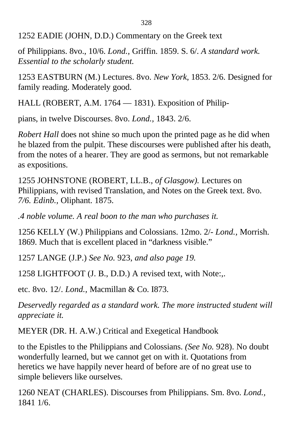1252 EADIE (JOHN, D.D.) Commentary on the Greek text

of Philippians. 8vo., 10/6. *Lond.,* Griffin. 1859. S. 6/. *A standard work. Essential to the scholarly student.*

1253 EASTBURN (M.) Lectures. 8vo. *New York,* 1853. 2/6. Designed for family reading. Moderately good.

HALL (ROBERT, A.M. 1764 – 1831). Exposition of Philip-

pians, in twelve Discourses. 8vo. *Lond.,* 1843. 2/6.

*Robert Hall* does not shine so much upon the printed page as he did when he blazed from the pulpit. These discourses were published after his death, from the notes of a hearer. They are good as sermons, but not remarkable as expositions.

1255 JOHNSTONE (ROBERT, LL.B., *of Glasgow).* Lectures on Philippians, with revised Translation, and Notes on the Greek text. 8vo. *7/6. Edinb.,* Oliphant. 1875.

*.4 noble volume. A real boon to the man who purchases it.*

1256 KELLY (W.) Philippians and Colossians. 12mo. 2/- *Lond.,* Morrish. 1869. Much that is excellent placed in "darkness visible."

1257 LANGE (J.P.) *See No.* 923, *and also page 19.*

1258 LIGHTFOOT (J. B., D.D.) A revised text, with Note:,.

etc. 8vo. 12/. *Lond.,* Macmillan & Co. I873.

*Deservedly regarded as a standard work. The more instructed student will appreciate it.*

MEYER (DR. H. A.W.) Critical and Exegetical Handbook

to the Epistles to the Philippians and Colossians. *(See No.* 928). No doubt wonderfully learned, but we cannot get on with it. Quotations from heretics we have happily never heard of before are of no great use to simple believers like ourselves.

1260 NEAT (CHARLES). Discourses from Philippians. Sm. 8vo. *Lond.,* 1841 1/6.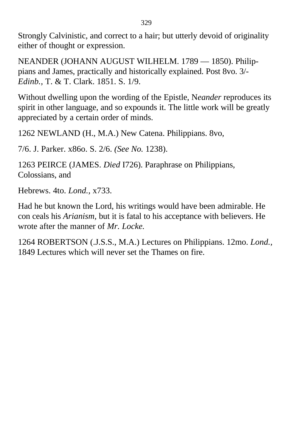Strongly Calvinistic, and correct to a hair; but utterly devoid of originality either of thought or expression.

NEANDER (JOHANN AUGUST WILHELM. 1789 — 1850). Philippians and James, practically and historically explained. Post 8vo. 3/- *Edinb.,* T. & T. Clark. 1851. S. 1/9.

Without dwelling upon the wording of the Epistle, N*eander* reproduces its spirit in other language, and so expounds it. The little work will be greatly appreciated by a certain order of minds.

1262 NEWLAND (H., M.A.) New Catena. Philippians. 8vo,

7/6. J. Parker. x86o. S. 2/6. *(See No.* 1238).

1263 PEIRCE (JAMES. *Died* I726). Paraphrase on Philippians, Colossians, and

Hebrews. 4to. *Lond.,* x733.

Had he but known the Lord, his writings would have been admirable. He con ceals his *Arianism,* but it is fatal to his acceptance with believers. He wrote after the manner of *Mr. Locke.*

1264 ROBERTSON (.J.S.S., M.A.) Lectures on Philippians. 12mo. *Lond.,* 1849 Lectures which will never set the Thames on fire.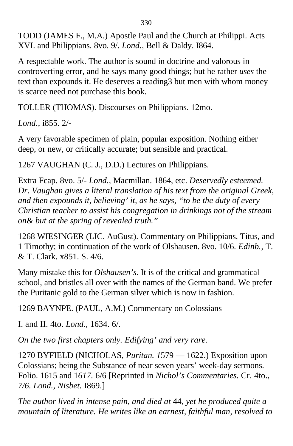TODD (JAMES F., M.A.) Apostle Paul and the Church at Philippi. Acts XVI. and Philippians. 8vo. 9/. *Lond.,* Bell & Daldy. I864.

A respectable work. The author is sound in doctrine and valorous in controverting error, and he says many good things; but he rather *uses* the text than expounds it. He deserves a reading3 but men with whom money is scarce need not purchase this book.

TOLLER (THOMAS). Discourses on Philippians. 12mo.

*Lond.,* i855. 2/-

A very favorable specimen of plain, popular exposition. Nothing either deep, or new, or critically accurate; but sensible and practical.

1267 VAUGHAN (C. J., D.D.) Lectures on Philippians.

Extra Fcap. 8vo. 5/- *Lond.,* Macmillan. 1864, etc. *Deservedly esteemed. Dr. Vaughan gives a literal translation of his text from the original Greek, and then expounds it, believing' it, as he says, "to be the duty of every Christian teacher to assist his congregation in drinkings not of the stream on& but at the spring of revealed truth."*

1268 WIESINGER (LIC. AuGust). Commentary on Philippians, Titus, and 1 Timothy; in continuation of the work of Olshausen. 8vo. 10/6. *Edinb.,* T. & T. Clark. x851. S. 4/6.

Many mistake this for *Olshausen's.* It is of the critical and grammatical school, and bristles all over with the names of the German band. We prefer the Puritanic gold to the German silver which is now in fashion.

1269 BAYNPE. (PAUL, A.M.) Commentary on Colossians

I. and II. 4to. *Lond.,* 1634. 6/.

*On the two first chapters only. Edifying' and very rare.*

1270 BYFIELD (NICHOLAS, *Puritan. 1*579 — 1622.) Exposition upon Colossians; being the Substance of near seven years' week-day sermons. Folio. 1615 and 1*617.* 6/6 [Reprinted in *Nichol's Commentaries.* Cr. 4to., *7/6. Lond., Nisbet.* I869.]

*The author lived in intense pain, and died at* 44, *yet he produced quite a mountain of literature. He writes like an earnest, faithful man, resolved to*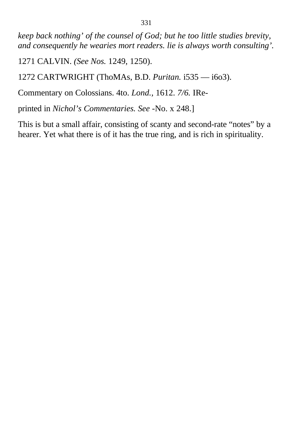*keep back nothing' of the counsel of God; but he too little studies brevity, and consequently he wearies mort readers. lie is always worth consulting'.*

1271 CALVIN. *(See Nos.* 1249, 1250).

1272 CARTWRIGHT (ThoMAs, B.D. *Puritan.* i535 — i6o3).

Commentary on Colossians. 4to. *Lond.,* 1612. *7/6.* IRe-

printed in *Nichol's Commentaries. See* -No. x 248.]

This is but a small affair, consisting of scanty and second-rate "notes" by a hearer. Yet what there is of it has the true ring, and is rich in spirituality.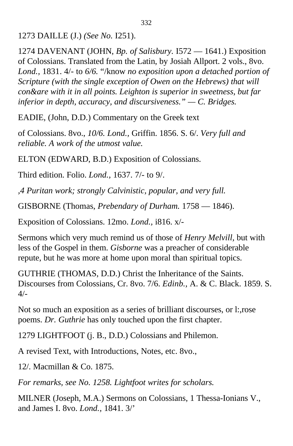1273 DAILLE (J.) *(See No.* I251).

1274 DAVENANT (JOHN, *Bp. of Salisbury.* I572 — 1641.) Exposition of Colossians. Translated from the Latin, by Josiah Allport. 2 vols., 8vo. *Lond.,* 1831. 4/- to *6/6.* "/know *no exposition upon a detached portion of Scripture (with the single exception of Owen on the Hebrews) that will con&are with it in all points. Leighton is superior in sweetness, but far inferior in depth, accuracy, and discursiveness." — C. Bridges.*

EADIE, (John, D.D.) Commentary on the Greek text

of Colossians. 8vo., *10/6. Lond.,* Griffin. 1856. S. 6/. *Very full and reliable. A work of the utmost value.*

ELTON (EDWARD, B.D.) Exposition of Colossians.

Third edition. Folio. *Lond.,* 1637. 7/- to 9/.

*,4 Puritan work; strongly Calvinistic, popular, and very full.*

GISBORNE (Thomas, *Prebendary of Durham.* 1758 — 1846).

Exposition of Colossians. 12mo. *Lond.,* i816. x/-

Sermons which very much remind us of those of *Henry Melvill,* but with less of the Gospel in them. *Gisborne* was a preacher of considerable repute, but he was more at home upon moral than spiritual topics.

GUTHRIE (THOMAS, D.D.) Christ the Inheritance of the Saints. Discourses from Colossians, Cr. 8vo. 7/6. *Edinb.,* A. & C. Black. 1859. S.  $4/-$ 

Not so much an exposition as a series of brilliant discourses, or l:,rose poems. *Dr. Guthrie* has only touched upon the first chapter.

1279 LIGHTFOOT (j. B., D.D.) Colossians and Philemon.

A revised Text, with Introductions, Notes, etc. 8vo.,

12/. Macmillan & Co. 1875.

*For remarks, see No. 1258. Lightfoot writes for scholars.*

MILNER (Joseph, M.A.) Sermons on Colossians, 1 Thessa-Ionians V., and James I. 8vo. *Lond.,* 1841. 3/'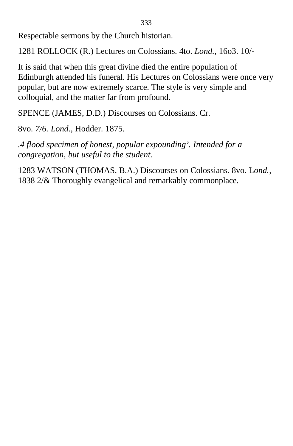Respectable sermons by the Church historian.

1281 ROLLOCK (R.) Lectures on Colossians. 4to. *Lond.,* 16o3. 10/-

It is said that when this great divine died the entire population of Edinburgh attended his funeral. His Lectures on Colossians were once very popular, but are now extremely scarce. The style is very simple and colloquial, and the matter far from profound.

SPENCE (JAMES, D.D.) Discourses on Colossians. Cr.

8vo. *7/6. Lond.,* Hodder. 1875.

*.4 flood specimen of honest, popular expounding'. Intended for a congregation, but useful to the student.*

1283 WATSON (THOMAS, B.A.) Discourses on Colossians. 8vo. L*ond.,* 1838 2/& Thoroughly evangelical and remarkably commonplace.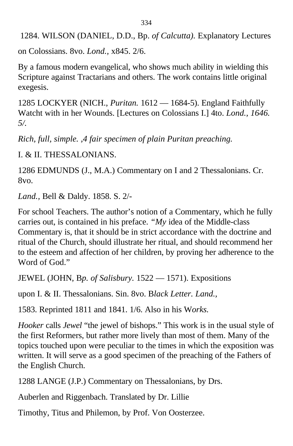1284. WILSON (DANIEL, D.D., Bp. *of Calcutta).* Explanatory Lectures

on Colossians. 8vo. *Lond.,* x845. 2/6.

By a famous modern evangelical, who shows much ability in wielding this Scripture against Tractarians and others. The work contains little original exegesis.

1285 LOCKYER (NICH., *Puritan.* 1612 — 1684-5). England Faithfully Watcht with in her Wounds. [Lectures on Colossians I.] 4to. *Lond., 1646. 5/.*

*Rich, full, simple. ,4 fair specimen of plain Puritan preaching.*

I. & II. THESSALONIANS.

1286 EDMUNDS (J., M.A.) Commentary on I and 2 Thessalonians. Cr. 8vo.

*Land.,* Bell & Daldy. 1858. S. 2/-

For school Teachers. The author's notion of a Commentary, which he fully carries out, is contained in his preface. *"My* idea of the Middle-class Commentary is, that it should be in strict accordance with the doctrine and ritual of the Church, should illustrate her ritual, and should recommend her to the esteem and affection of her children, by proving her adherence to the Word of God."

JEWEL (JOHN, B*p. of Salisbury.* 1522 — 1571). Expositions

upon I. & II. Thessalonians. Sin. 8vo. B*lack Letter. Land.,*

1583. Reprinted 1811 and 1841. 1/6. Also in his W*orks.*

*Hooker* calls *Jewel* "the jewel of bishops." This work is in the usual style of the first Reformers, but rather more lively than most of them. Many of the topics touched upon were peculiar to the times in which the exposition was written. It will serve as a good specimen of the preaching of the Fathers of the English Church.

1288 LANGE (J.P.) Commentary on Thessalonians, by Drs.

Auberlen and Riggenbach. Translated by Dr. Lillie

Timothy, Titus and Philemon, by Prof. Von Oosterzee.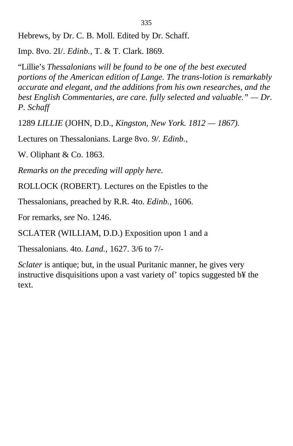335

Hebrews, by Dr. C. B. Moll. Edited by Dr. Schaff.

Imp. 8vo. 2I/. *Edinb.,* T. & T. Clark. I869.

"Lillie's *Thessalonians will be found to be one of the best executed portions of the American edition of Lange. The trans-lotion is remarkably accurate and elegant, and the additions from his own researches, and the best English Commentaries, are care. fully selected and valuable." — Dr. P. Schaff*

1289 *LILLIE* (JOHN, D.D., *Kingston, New York. 1812 — 1867).*

Lectures on Thessalonians. Large 8vo. *9/. Edinb.,*

W. Oliphant & Co. 1863.

*Remarks on the preceding will apply here.*

ROLLOCK (ROBERT). Lectures on the Epistles to the

Thessalonians, preached by R.R. 4to. *Edinb.,* 1606.

For remarks, *see* No. 1246.

SCLATER (WILLIAM, D.D.) Exposition upon 1 and a

Thessalonians. 4to. *Land.,* 1627. 3/6 to 7/-

*Sclater* is antique; but, in the usual Puritanic manner, he gives very instructive disquisitions upon a vast variety of' topics suggested b¥ the text.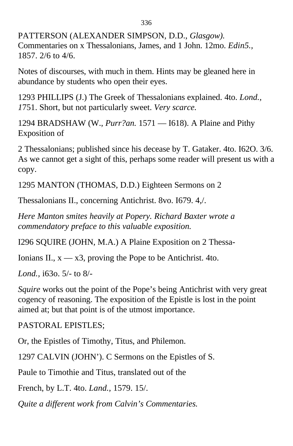PATTERSON (ALEXANDER SIMPSON, D.D., *Glasgow).* Commentaries on x Thessalonians, James, and 1 John. 12mo. *Edin5.,*

1857. 2/6 to 4/6.

Notes of discourses, with much in them. Hints may be gleaned here in abundance by students who open their eyes.

1293 PHILLIPS (J.) The Greek of Thessalonians explained. 4to. *Lond., 1*751. Short, but not particularly sweet. *Very scarce.*

1294 BRADSHAW (W., *Purr?an.* 1571 — I618). A Plaine and Pithy Exposition of

2 Thessalonians; published since his decease by T. Gataker. 4to. I62O. 3/6. As we cannot get a sight of this, perhaps some reader will present us with a copy.

1295 MANTON (THOMAS, D.D.) Eighteen Sermons on 2

Thessalonians II., concerning Antichrist. 8vo. I679. 4,/.

*Here Manton smites heavily at Popery. Richard Baxter wrote a commendatory preface to this valuable exposition.*

I296 SQUIRE (JOHN, M.A.) A Plaine Exposition on 2 Thessa-

Ionians II.,  $x = x3$ , proving the Pope to be Antichrist. 4to.

*Lond.,* i63o. 5/- to 8/-

*Squire* works out the point of the Pope's being Antichrist with very great cogency of reasoning. The exposition of the Epistle is lost in the point aimed at; but that point is of the utmost importance.

## PASTORAL EPISTLES;

Or, the Epistles of Timothy, Titus, and Philemon.

1297 CALVIN (JOHN'). C Sermons on the Epistles of S.

Paule to Timothie and Titus, translated out of the

French, by L.T. 4to. *Land.,* 1579. 15/.

*Quite a different work from Calvin's Commentaries.*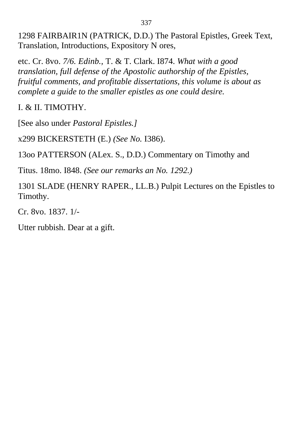1298 FAIRBAIR1N (PATRICK, D.D.) The Pastoral Epistles, Greek Text, Translation, Introductions, Expository N ores,

etc. Cr. 8vo. *7/6. Edinb.,* T. & T. Clark. I874. *What with a good translation, full defense of the Apostolic authorship of the Epistles, fruitful comments, and profitable dissertations, this volume is about as complete a guide to the smaller epistles as one could desire.*

I. & II. TIMOTHY.

[See also under *Pastoral Epistles.]*

x299 BICKERSTETH (E.) *(See No.* I386).

13oo PATTERSON (ALex. S., D.D.) Commentary on Timothy and

Titus. 18mo. I848. *(See our remarks an No. 1292.)*

1301 SLADE (HENRY RAPER., LL.B.) Pulpit Lectures on the Epistles to Timothy.

Cr. 8vo. 1837. 1/-

Utter rubbish. Dear at a gift.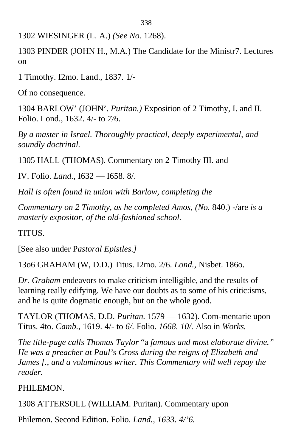1302 WIESINGER (L. A.) *(See No.* 1268).

1303 PINDER (JOHN H., M.A.) The Candidate for the Ministr7. Lectures on

1 Timothy. I2mo. Land., 1837. 1/-

Of no consequence.

1304 BARLOW' (JOHN'. *Puritan.)* Exposition of 2 Timothy, I. and II. Folio. Lond., 1632. 4/- to *7/6.*

*By a master in Israel. Thoroughly practical, deeply experimental, and soundly doctrinal.*

1305 HALL (THOMAS). Commentary on 2 Timothy III. and

IV. Folio. *Land.,* I632 — I658. 8/.

*Hall is often found in union with Barlow, completing the*

*Commentary on 2 Timothy, as he completed Amos, (No.* 840.) -/are *is a masterly expositor, of the old-fashioned school.*

TITUS.

[See also under P*astoral Epistles.]*

13o6 GRAHAM (W, D.D.) Titus. I2mo. 2/6. *Lond.,* Nisbet. 186o.

*Dr. Graham* endeavors to make criticism intelligible, and the results of learning really edifying. We have our doubts as to some of his critic:isms, and he is quite dogmatic enough, but on the whole good.

TAYLOR (THOMAS, D.D. *Puritan.* 1579 — 1632). Com-mentarie upon Titus. 4to. *Camb.,* 1619. 4/- to *6/.* Folio. *1668. 10/.* Also in *Works.*

*The title-page calls Thomas Taylor* "a *famous and most elaborate divine." He was a preacher at Paul's Cross during the reigns of Elizabeth and James [., and a voluminous writer. This Commentary will well repay the reader.*

PHILEMON.

1308 ATTERSOLL (WILLIAM. Puritan). Commentary upon

Philemon. Second Edition. Folio. *Land., 1633. 4/'6.*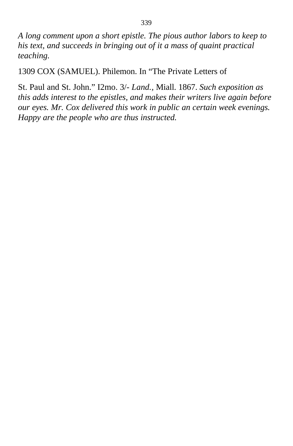*A long comment upon a short epistle. The pious author labors to keep to his text, and succeeds in bringing out of it a mass of quaint practical teaching.*

1309 COX (SAMUEL). Philemon. In "The Private Letters of

St. Paul and St. John." I2mo. 3/- *Land.,* Miall. 1867. *Such exposition as this adds interest to the epistles, and makes their writers live again before our eyes. Mr. Cox delivered this work in public an certain week evenings. Happy are the people who are thus instructed.*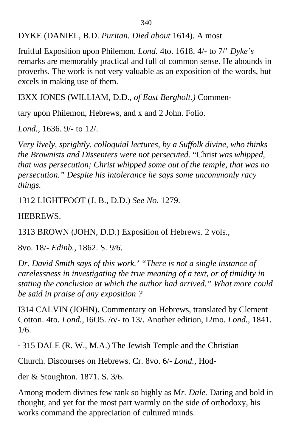340

DYKE (DANIEL, B.D. *Puritan. Died about* 1614). A most

fruitful Exposition upon Philemon. *Lond.* 4to. 1618. 4/- to 7/' *Dyke's* remarks are memorably practical and full of common sense. He abounds in proverbs. The work is not very valuable as an exposition of the words, but excels in making use of them.

I3XX JONES (WILLIAM, D.D., *of East Bergholt.)* Commen-

tary upon Philemon, Hebrews, and x and 2 John. Folio.

*Lond.,* 1636. 9/- to 12/.

*Very lively, sprightly, colloquial lectures, by a Suffolk divine, who thinks the Brownists and Dissenters were not persecuted.* "Christ *was whipped, that was persecution; Christ whipped some out of the temple, that was no persecution." Despite his intolerance he says some uncommonly racy things.*

1312 LIGHTFOOT (J. B., D.D.) *See No.* 1279.

HEBREWS.

1313 BROWN (JOHN, D.D.) Exposition of Hebrews. 2 vols.,

8vo. 18/- *Edinb.,* 1862. S. *9/6.*

*Dr. David Smith says of this work.' "There is not a single instance of carelessness in investigating the true meaning of a text, or of timidity in stating the conclusion at which the author had arrived." What more could be said in praise of any exposition ?*

I314 CALVIN (JOHN). Commentary on Hebrews, translated by Clement Cotton. 4to. *Lond.,* I6O5. /o/- to 13/. Another edition, I2mo. *Lond.,* 1841. 1/6.

· 315 DALE (R. W., M.A.) The Jewish Temple and the Christian

Church. Discourses on Hebrews. Cr. 8vo. 6/- *Lond.,* Hod-

der & Stoughton. 1871. S. 3/6.

Among modern divines few rank so highly as M*r. Dale.* Daring and bold in thought, and yet for the most part warmly on the side of orthodoxy, his works command the appreciation of cultured minds.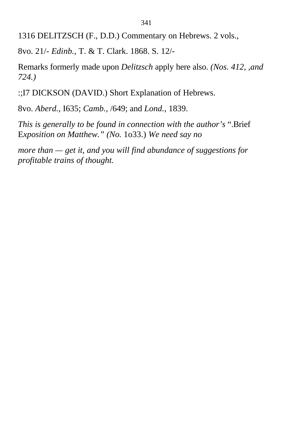1316 DELITZSCH (F., D.D.) Commentary on Hebrews. 2 vols.,

8vo. 21/- *Edinb.,* T. & T. Clark. 1868. S. 12/-

Remarks formerly made upon *Delitzsch* apply here also. *(Nos. 412, ,and 724.)*

:;I7 DICKSON (DAVID.) Short Explanation of Hebrews.

8vo. *Aberd.,* I635; *Camb.,* /649; and *Lond.,* 1839.

*This is generally to be found in connection with the author's* ".Brief E*xposition on Matthew." (No.* 1o33.) *We need say no*

*more than — get it, and you will find abundance of suggestions for profitable trains of thought.*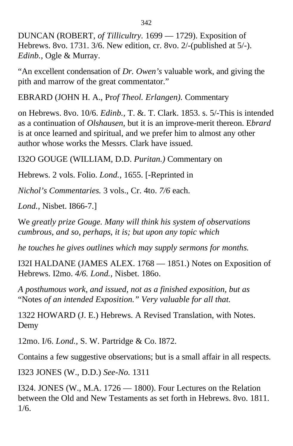DUNCAN (ROBERT, *of Tillicultry.* 1699 — 1729). Exposition of Hebrews. 8vo. 1731. 3/6. New edition, cr. 8vo. 2/-(published at 5/-). *Edinb.,* Ogle & Murray.

"An excellent condensation of *Dr. Owen's* valuable work, and giving the pith and marrow of the great commentator."

EBRARD (JOHN H. A., Pr*of Theol. Erlangen).* Commentary

on Hebrews. 8vo. 10/6. *Edinb.,* T. &. T. Clark. 1853. s. 5/-This is intended as a continuation of *Olshausen,* but it is an improve-merit thereon. E*brard* is at once learned and spiritual, and we prefer him to almost any other author whose works the Messrs. Clark have issued.

I32O GOUGE (WILLIAM, D.D. *Puritan.)* Commentary on

Hebrews. 2 vols. Folio. *Lond.,* 1655. [-Reprinted in

*Nichol's Commentaries.* 3 vols., Cr. 4to. *7/6* each.

*Lond.,* Nisbet. I866-7.]

We *greatly prize Gouge. Many will think his system of observations cumbrous, and so, perhaps, it is; but upon any topic which*

*he touches he gives outlines which may supply sermons for months.*

I32I HALDANE (JAMES ALEX. 1768 — 1851.) Notes on Exposition of Hebrews. I2mo. *4/6. Lond.,* Nisbet. 186o.

*A posthumous work, and issued, not as a finished exposition, but as* "Notes *of an intended Exposition." Very valuable for all that.*

1322 HOWARD (J. E.) Hebrews. A Revised Translation, with Notes. Demy

12mo. I/6. *Lond.,* S. W. Partridge & Co. I872.

Contains a few suggestive observations; but is a small affair in all respects.

I323 JONES (W., D.D.) *See-No.* 1311

I324. JONES (W., M.A. 1726 — 1800). Four Lectures on the Relation between the Old and New Testaments as set forth in Hebrews. 8vo. 1811.  $1/6$ .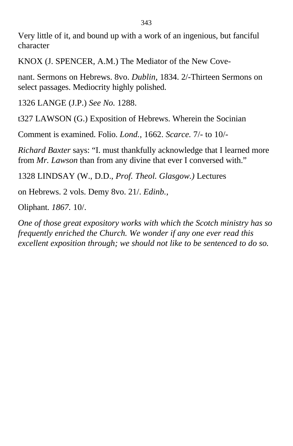Very little of it, and bound up with a work of an ingenious, but fanciful character

KNOX (J. SPENCER, A.M.) The Mediator of the New Cove-

nant. Sermons on Hebrews. 8vo. *Dublin,* 1834. 2/-Thirteen Sermons on select passages. Mediocrity highly polished.

1326 LANGE (J.P.) *See No.* 1288.

t327 LAWSON (G.) Exposition of Hebrews. Wherein the Socinian

Comment is examined. Folio. *Lond.,* 1662. *Scarce.* 7/- to 10/-

*Richard Baxter* says: "I. must thankfully acknowledge that I learned more from *Mr. Lawson* than from any divine that ever I conversed with."

1328 LINDSAY (W., D.D., *Prof. Theol. Glasgow.)* Lectures

on Hebrews. 2 vols. Demy 8vo. 21/. *Edinb.,*

Oliphant. *1867.* 10/.

*One of those great expository works with which the Scotch ministry has so frequently enriched the Church. We wonder if any one ever read this excellent exposition through; we should not like to be sentenced to do so.*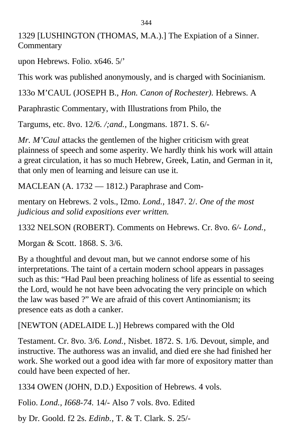1329 [LUSHINGTON (THOMAS, M.A.).] The Expiation of a Sinner. **Commentary** 

upon Hebrews. Folio. x646. 5/'

This work was published anonymously, and is charged with Socinianism.

133o M'CAUL (JOSEPH B., *Hon. Canon of Rochester).* Hebrews. A

Paraphrastic Commentary, with Illustrations from Philo, the

Targums, etc. 8vo. 12/6. */;and.,* Longmans. 1871. S. 6/-

*Mr. M'Caul* attacks the gentlemen of the higher criticism with great plainness of speech and some asperity. We hardly think his work will attain a great circulation, it has so much Hebrew, Greek, Latin, and German in it, that only men of learning and leisure can use it.

MACLEAN (A. 1732 — 1812.) Paraphrase and Com-

mentary on Hebrews. 2 vols., I2mo. *Lond.,* 1847. 2/. *One of the most judicious and solid expositions ever written.*

1332 NELSON (ROBERT). Comments on Hebrews. Cr. 8vo. *6/- Lond.,*

Morgan & Scott. 1868. S. 3/6.

By a thoughtful and devout man, but we cannot endorse some of his interpretations. The taint of a certain modern school appears in passages such as this: "Had Paul been preaching holiness of life as essential to seeing the Lord, would he not have been advocating the very principle on which the law was based ?" We are afraid of this covert Antinomianism; its presence eats as doth a canker.

[NEWTON (ADELAIDE L.)] Hebrews compared with the Old

Testament. Cr. 8vo. 3/6. *Lond.,* Nisbet. 1872. S. 1/6. Devout, simple, and instructive. The authoress was an invalid, and died ere she had finished her work. She worked out a good idea with far more of expository matter than could have been expected of her.

1334 OWEN (JOHN, D.D.) Exposition of Hebrews. 4 vols.

Folio. *Lond., I668-74.* 14/- Also 7 vols. 8vo. Edited

by Dr. Goold. f2 2s. *Edinb.,* T. & T. Clark. S. 25/-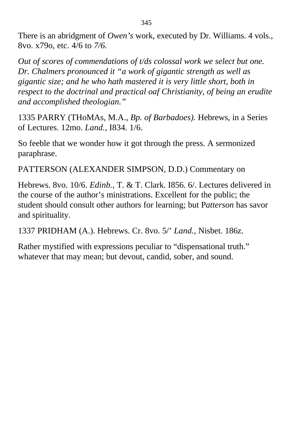There is an abridgment of *Owen's* work, executed by Dr. Williams. 4 vols., 8vo. x79o, etc. 4/6 to *7/6.*

*Out of scores of commendations of t/ds colossal work we select but one. Dr. Chalmers pronounced it "a work of gigantic strength as well as gigantic size; and he who hath mastered it is very little short, both in respect to the doctrinal and practical oaf Christianity, of being an erudite and accomplished theologian."*

1335 PARRY (THoMAs, M.A., *Bp. of Barbadoes).* Hebrews, in a Series of Lectures. 12mo. *Land.,* I834. 1/6.

So feeble that we wonder how it got through the press. A sermonized paraphrase.

PATTERSON (ALEXANDER SIMPSON, D.D.) Commentary on

Hebrews. 8vo. 10/6. *Edinb.,* T. & T. Clark. I856. 6/. Lectures delivered in the course of the author's ministrations. Excellent for the public; the student should consult other authors for learning; but P*atterson* has savor and spirituality.

1337 PRIDHAM (A.). Hebrews. Cr. 8vo. 5/' *Land.,* Nisbet. 186z.

Rather mystified with expressions peculiar to "dispensational truth." whatever that may mean; but devout, candid, sober, and sound.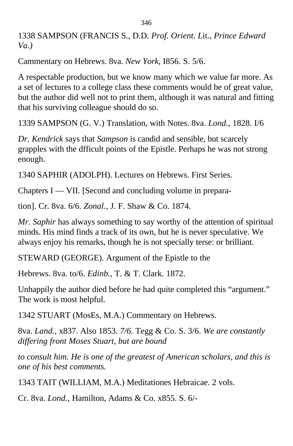1338 SAMPSON (FRANCIS S., D.D. *Prof. Orient. L*it., *Prince Edward Va.)*

Cammentary on Hebrews. 8va. *New York,* I856. S. 5/6.

A respectable production, but we know many which we value far more. As a set of lectures to a college class these comments would be of great value, but the author did well not to print them, although it was natural and fitting that his surviving colleague should do so.

1339 SAMPSON (G. V.) Translation, with Notes. 8va. *Lond.,* 1828. I/6

*Dr. Kendrick* says that *Sampson* is candid and sensible, but scarcely grapples with the dfficult points of the Epistle. Perhaps he was not strong enough.

1340 SAPHIR (ADOLPH). Lectures on Hebrews. First Series.

Chapters I — VII. [Second and concluding volume in prepara-

tion]. Cr. 8va. 6/6. *Zonal.,* J. F. Shaw & Co. 1874.

*Mr. Saphir* has always something to say worthy of the attention of spiritual minds. His mind finds a track of its own, but he is never speculative. We always enjoy his remarks, though he is not specially terse: or brilliant.

STEWARD (GEORGE). Argument of the Epistle to the

Hebrews. 8va. to/6. *Edinb.,* T. & T. Clark. 1872.

Unhappily the author died before he had quite completed this "argument." The work is most helpful.

1342 STUART (MosEs, M.A.) Commentary on Hebrews.

8va. *Land.,* x837. Also 1853. *7/6.* Tegg & Co. S. 3/6. *We are constantly differing front Moses Stuart, but are bound*

*to consult him. He is one of the greatest of American scholars, and this is one of his best comments.*

1343 TAIT (WILLIAM, M.A.) Meditationes Hebraicae. 2 vols.

Cr. 8va. *Lond.,* Hamilton, Adams & Co. x855. S. 6/-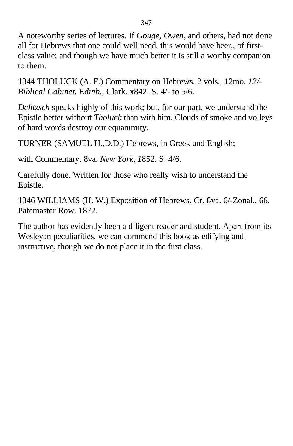A noteworthy series of lectures. If *Gouge, Owen,* and others, had not done all for Hebrews that one could well need, this would have beer,, of firstclass value; and though we have much better it is still a worthy companion to them.

1344 THOLUCK (A. F.) Commentary on Hebrews. 2 vols., 12mo. *12/- Biblical Cabinet. Edinb.,* Clark. x842. S. 4/- to 5/6.

*Delitzsch* speaks highly of this work; but, for our part, we understand the Epistle better without *Tholuck* than with him. Clouds of smoke and volleys of hard words destroy our equanimity.

TURNER (SAMUEL H.,D.D.) Hebrews, in Greek and English;

with Commentary. 8va. *New York, 1*852. S. 4/6.

Carefully done. Written for those who really wish to understand the Epistle.

1346 WILLIAMS (H. W.) Exposition of Hebrews. Cr. 8va. 6/-Zonal., 66, Patemaster Row. 1872.

The author has evidently been a diligent reader and student. Apart from its Wesleyan peculiarities, we can commend this book as edifying and instructive, though we do not place it in the first class.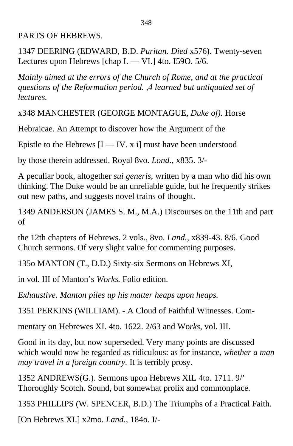PARTS OF HEBREWS.

1347 DEERING (EDWARD, B.D. *Puritan. Died* x576). Twenty-seven Lectures upon Hebrews [chap I. — VI.] 4to. I59O. 5/6.

*Mainly aimed at the errors of the Church of Rome, and at the practical questions of the Reformation period. ,4 learned but antiquated set of lectures.*

x348 MANCHESTER (GEORGE MONTAGUE, *Duke of).* Horse

Hebraicae. An Attempt to discover how the Argument of the

Epistle to the Hebrews  $[I - IV, x]$  must have been understood

by those therein addressed. Royal 8vo. *Lond.,* x835. 3/-

A peculiar book, altogether *sui generis,* written by a man who did his own thinking. The Duke would be an unreliable guide, but he frequently strikes out new paths, and suggests novel trains of thought.

1349 ANDERSON (JAMES S. M., M.A.) Discourses on the 11th and part of

the 12th chapters of Hebrews. 2 vols., 8vo. *Land.,* x839-43. 8/6. Good Church sermons. Of very slight value for commenting purposes.

135o MANTON (T., D.D.) Sixty-six Sermons on Hebrews XI,

in vol. III of Manton's *Works.* Folio edition.

*Exhaustive. Manton piles up his matter heaps upon heaps.*

1351 PERKINS (WILLIAM). - A Cloud of Faithful Witnesses. Com-

mentary on Hebrewes XI. 4to. 1622. 2/63 and Wo*rks,* vol. III.

Good in its day, but now superseded. Very many points are discussed which would now be regarded as ridiculous: as for instance, *whether a man may travel in a foreign country.* It is terribly prosy.

1352 ANDREWS(G.). Sermons upon Hebrews XIL 4to. 1711. 9/' Thoroughly Scotch. Sound, but somewhat prolix and commonplace.

1353 PHILLIPS (W. SPENCER, B.D.) The Triumphs of a Practical Faith.

[On Hebrews XI.] x2mo. *Land.,* 184o. I/-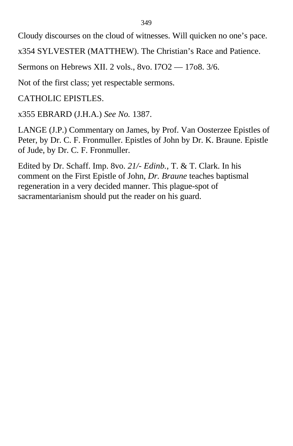Cloudy discourses on the cloud of witnesses. Will quicken no one's pace.

x354 SYLVESTER (MATTHEW). The Christian's Race and Patience.

Sermons on Hebrews XII. 2 vols., 8vo. I7O2 — 17o8. 3/6.

Not of the first class; yet respectable sermons.

CATHOLIC EPISTLES.

x355 EBRARD (J.H.A.) *See No.* 1387.

LANGE (J.P.) Commentary on James, by Prof. Van Oosterzee Epistles of Peter, by Dr. C. F. Fronmuller. Epistles of John by Dr. K. Braune. Epistle of Jude, by Dr. C. F. Fronmuller.

Edited by Dr. Schaff. Imp. 8vo. *21/- Edinb.,* T. & T. Clark. In his comment on the First Epistle of John, *Dr. Braune* teaches baptismal regeneration in a very decided manner. This plague-spot of sacramentarianism should put the reader on his guard.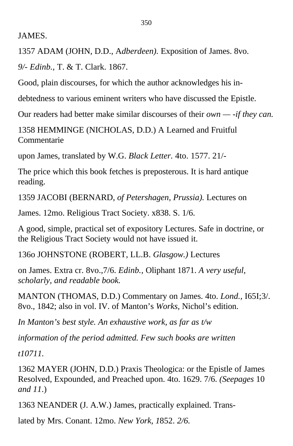JAMES.

1357 ADAM (JOHN, D.D., A*dberdeen).* Exposition of James. 8vo.

*9/- Edinb.,* T. & T. Clark. 1867.

Good, plain discourses, for which the author acknowledges his in-

debtedness to various eminent writers who have discussed the Epistle.

Our readers had better make similar discourses of their *own — -if they can.*

1358 HEMMINGE (NICHOLAS, D.D.) A Learned and Fruitful Commentarie

upon James, translated by W.G. *Black Letter.* 4to. 1577. 21/-

The price which this book fetches is preposterous. It is hard antique reading.

1359 JACOBI (BERNARD, *of Petershagen, Prussia).* Lectures on

James. 12mo. Religious Tract Society. x838. S. 1/6.

A good, simple, practical set of expository Lectures. Safe in doctrine, or the Religious Tract Society would not have issued it.

136o JOHNSTONE (ROBERT, LL.B. *Glasgow.)* Lectures

on James. Extra cr. 8vo.,7/6. *Edinb.,* Oliphant 1871. *A very useful, scholarly, and readable book.*

MANTON (THOMAS, D.D.) Commentary on James. 4to. *Lond.,* I65I;3/. 8vo., 1842; also in vol. IV. of Manton's *Works,* Nichol's edition.

*In Manton's best style. An exhaustive work, as far as t/w*

*information of the period admitted. Few such books are written*

*t10711.*

1362 MAYER (JOHN, D.D.) Praxis Theologica: or the Epistle of James Resolved, Expounded, and Preached upon. 4to. 1629. 7/6. *(Seepages* 10 *and 11*.)

1363 NEANDER (J. A.W.) James, practically explained. Trans-

lated by Mrs. Conant. 12mo. *New York, 1*852. *2/6.*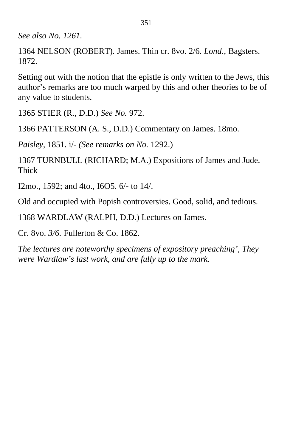*See also No. 1261.*

1364 NELSON (ROBERT). James. Thin cr. 8vo. 2/6. *Lond.,* Bagsters. 1872.

Setting out with the notion that the epistle is only written to the Jews, this author's remarks are too much warped by this and other theories to be of any value to students.

1365 STIER (R., D.D.) *See No.* 972.

1366 PATTERSON (A. S., D.D.) Commentary on James. 18mo.

*Paisley,* 1851. i/- *(See remarks on No.* 1292.)

1367 TURNBULL (RICHARD; M.A.) Expositions of James and Jude. Thick

I2mo., 1592; and 4to., I6O5. 6/- to 14/.

Old and occupied with Popish controversies. Good, solid, and tedious.

1368 WARDLAW (RALPH, D.D.) Lectures on James.

Cr. 8vo. *3/6.* Fullerton & Co. 1862.

*The lectures are noteworthy specimens of expository preaching', They were Wardlaw's last work, and are fully up to the mark.*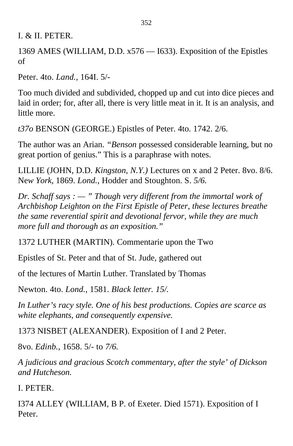I. & II. PETER.

1369 AMES (WILLIAM, D.D. x576 — I633). Exposition of the Epistles of

Peter. 4to. *Land.,* 164I. 5/-

Too much divided and subdivided, chopped up and cut into dice pieces and laid in order; for, after all, there is very little meat in it. It is an analysis, and little more.

*t37o* BENSON (GEORGE.) Epistles of Peter. 4to. 1742. 2/6.

The author was an Arian. *"Benson* possessed considerable learning, but no great portion of genius." This is a paraphrase with notes.

LILLIE (JOHN, D.D. *Kingston, N.Y.)* Lectures on x and 2 Peter. 8vo. 8/6. Ne*w York,* 1869. *Lond.,* Hodder and Stoughton. S. *5/6.*

*Dr. Schaff says : — " Though very different from the immortal work of Archbishop Leighton on the First Epistle of Peter, these lectures breathe the same reverential spirit and devotional fervor, while they are much more full and thorough as an exposition."*

1372 LUTHER (MARTIN). Commentarie upon the Two

Epistles of St. Peter and that of St. Jude, gathered out

of the lectures of Martin Luther. Translated by Thomas

Newton. 4to. *Lond.,* 1581. *Black letter. 15/.*

*In Luther's racy style. One of his best productions. Copies are scarce as white elephants, and consequently expensive.*

1373 NISBET (ALEXANDER). Exposition of I and 2 Peter.

8vo. *Edinb.,* 1658. 5/- to *7/6.*

*A judicious and gracious Scotch commentary, after the style' of Dickson and Hutcheson.*

I. PETER.

I374 ALLEY (WILLIAM, B P. of Exeter. Died 1571). Exposition of I Peter.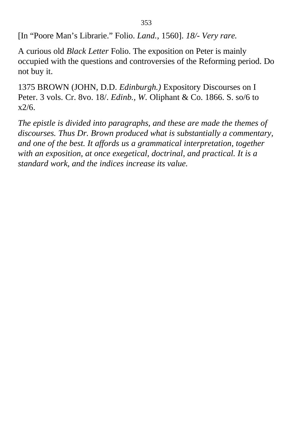[In "Poore Man's Librarie." Folio. *Land.,* 1560]. *18/- Very rare.*

A curious old *Black Letter* Folio. The exposition on Peter is mainly occupied with the questions and controversies of the Reforming period. Do not buy it.

1375 BROWN (JOHN, D.D. *Edinburgh.)* Expository Discourses on I Peter. 3 vols. Cr. 8vo. 18/. *Edinb., W.* Oliphant & Co. 1866. S. so/6 to  $x^2/6$ .

*The epistle is divided into paragraphs, and these are made the themes of discourses. Thus Dr. Brown produced what is substantially a commentary, and one of the best. It affords us a grammatical interpretation, together with an exposition, at once exegetical, doctrinal, and practical. It is a standard work, and the indices increase its value.*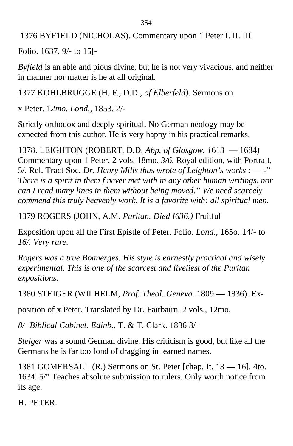1376 BYF1ELD (NICHOLAS). Commentary upon 1 Peter I. II. III.

Folio. 1637. 9/- to 15[-

*Byfield* is an able and pious divine, but he is not very vivacious, and neither in manner nor matter is he at all original.

1377 KOHLBRUGGE (H. F., D.D., *of Elberfeld).* Sermons on

x Peter. 1*2mo. Lond.,* 1853. 2/-

Strictly orthodox and deeply spiritual. No German neology may be expected from this author. He is very happy in his practical remarks.

1378. LEIGHTON (ROBERT, D.D. *Abp. of Glasgow. 1*613 — 1684) Commentary upon 1 Peter. 2 vols. 18mo. *3/6.* Royal edition, with Portrait, 5/. Rel. Tract Soc. *Dr. Henry Mills thus wrote of Leighton's works* : — -" *There is a spirit in them f never met with in any other human writings, nor can I read many lines in them without being moved." We need scarcely commend this truly heavenly work. It is a favorite with: all spiritual men.*

1379 ROGERS (JOHN, A.M. *Puritan. Died I636.)* Fruitful

Exposition upon all the First Epistle of Peter. Folio. *Lond.,* 165o. 14/- to *16/. Very rare.*

*Rogers was a true Boanerges. His style is earnestly practical and wisely experimental. This is one of the scarcest and liveliest of the Puritan expositions.*

1380 STEIGER (WILHELM, *Prof. Theol. Geneva.* 1809 — 1836). Ex-

position of x Peter. Translated by Dr. Fairbairn. 2 vols., 12mo.

*8/- Biblical Cabinet. Edinb.,* T. & T. Clark. 1836 3/-

*Steiger* was a sound German divine. His criticism is good, but like all the Germans he is far too fond of dragging in learned names.

1381 GOMERSALL (R.) Sermons on St. Peter [chap. It. 13 — 16]. 4to. 1634. 5/" Teaches absolute submission to rulers. Only worth notice from its age.

H. PETER.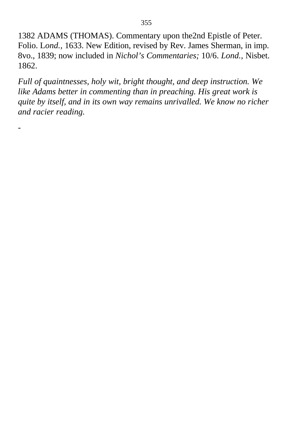1382 ADAMS (THOMAS). Commentary upon the2nd Epistle of Peter. Folio. L*ond.,* 1633. New Edition, revised by Rev. James Sherman, in imp. 8vo., 1839; now included in *Nichol's Commentaries;* 10/6. *Lond.,* Nisbet. 1862.

*Full of quaintnesses, holy wit, bright thought, and deep instruction. We like Adams better in commenting than in preaching. His great work is quite by itself, and in its own way remains unrivalled. We know no richer and racier reading.*

*-*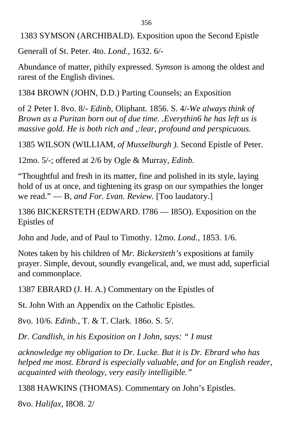1383 SYMSON (ARCHIBALD). Exposition upon the Second Epistle

Generall of St. Peter. 4to. *Lond.,* 1632. 6/-

Abundance of matter, pithily expressed. S*ymson* is among the oldest and rarest of the English divines.

1384 BROWN (JOHN, D.D.) Parting Counsels; an Exposition

of 2 Peter I. 8vo. 8/- *Edinb,* Oliphant. 1856. S. 4/-*We always think of Brown as a Puritan born out of due time. .Everythin6 he has left us is massive gold. He is both rich and ,:lear, profound and perspicuous.*

1385 WILSON (WILLIAM, *of Musselburgh ).* Second Epistle of Peter.

12mo. 5/-; offered at 2/6 by Ogle & Murray, *Edinb.*

"Thoughtful and fresh in its matter, fine and polished in its style, laying hold of us at once, and tightening its grasp on our sympathies the longer we read." — B, *and For. £van. Review.* [Too laudatory.]

1386 BICKERSTETH (EDWARD. I786 — I85O). Exposition on the Epistles of

John and Jude, and of Paul to Timothy. 12mo. *Lond.,* 1853. 1/6.

Notes taken by his children of M*r. Bickersteth's* expositions at family prayer. Simple, devout, soundly evangelical, and, we must add, superficial and commonplace.

1387 EBRARD (J. H. A.) Commentary on the Epistles of

St. John With an Appendix on the Catholic Epistles.

8vo. 10/6. *Edinb.,* T. & T. Clark. 186o. S. 5/.

*Dr. Candlish, in his Exposition on I John, says: " I must*

*acknowledge my obligation to Dr. Lucke. But it is Dr. Ebrard who has helped me most. Ebrard is especially valuable, and for an English reader, acquainted with theology, very easily intelligible."*

1388 HAWKINS (THOMAS). Commentary on John's Epistles.

8vo. *Halifax,* I8O8. 2/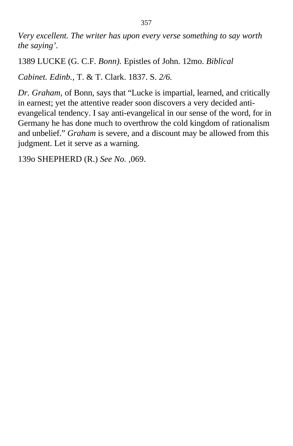*Very excellent. The writer has upon every verse something to say worth the saying'.*

1389 LUCKE (G. C.F. *Bonn).* Epistles of John. 12mo. *Biblical*

*Cabinet. Edinb.,* T. & T. Clark. 1837. S. *2/6.*

*Dr. Graham,* of Bonn, says that "Lucke is impartial, learned, and critically in earnest; yet the attentive reader soon discovers a very decided antievangelical tendency. I say anti-evangelical in our sense of the word, for in Germany he has done much to overthrow the cold kingdom of rationalism and unbelief." *Graham* is severe, and a discount may be allowed from this judgment. Let it serve as a warning.

139o SHEPHERD (R.) *See No.* ,069.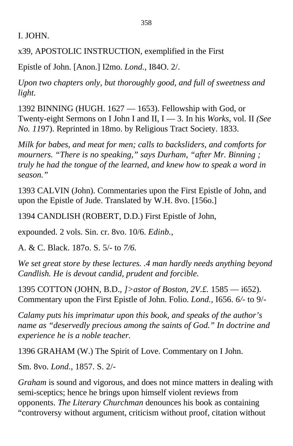## I. JOHN.

x39, APOSTOLIC INSTRUCTION, exemplified in the First

Epistle of John. [Anon.] I2mo. *Lond.,* I84O. 2/.

*Upon two chapters only, but thoroughly good, and full of sweetness and light.*

1392 BINNING (HUGH. 1627 — 1653). Fellowship with God, or Twenty-eight Sermons on I John I and II, I — 3. In his *Works,* vol. II *(See No. 11*97). Reprinted in 18mo. by Religious Tract Society. 1833.

*Milk for babes, and meat for men; calls to backsliders, and comforts for mourners. "There is no speaking," says Durham, "after Mr. Binning ; truly he had the tongue of the learned, and knew how to speak a word in season."*

1393 CALVIN (John). Commentaries upon the First Epistle of John, and upon the Epistle of Jude. Translated by W.H. 8vo. [156o.]

1394 CANDLISH (ROBERT, D.D.) First Epistle of John,

expounded. 2 vols. Sin. cr. 8vo. 10/6. *Edinb.,*

A. & C. Black. 187o. S. 5/- to *7/6.*

*We set great store by these lectures. .4 man hardly needs anything beyond Candlish. He is devout candid, prudent and forcible.*

1395 COTTON (JOHN, B.D., *]>astor of Boston, 2V.£.* 1585 — i652). Commentary upon the First Epistle of John. Folio. *Lond.,* I656. *6/-* to 9/-

*Calamy puts his imprimatur upon this book, and speaks of the author's name as "deservedly precious among the saints of God." In doctrine and experience he is a noble teacher.*

1396 GRAHAM (W.) The Spirit of Love. Commentary on I John.

Sm. 8vo. *Lond.,* 1857. S. 2/-

*Graham* is sound and vigorous, and does not mince matters in dealing with semi-sceptics; hence he brings upon himself violent reviews from opponents. *The Literary Churchman* denounces his book as containing "controversy without argument, criticism without proof, citation without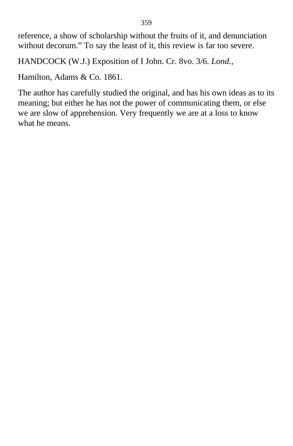reference, a show of scholarship without the fruits of it, and denunciation without decorum." To say the least of it, this review is far too severe.

HANDCOCK (W.J.) Exposition of I John. Cr. 8vo. 3/6. *Lond.,*

Hamilton, Adams & Co. 1861.

The author has carefully studied the original, and has his own ideas as to its meaning; but either he has not the power of communicating them, or else we are slow of apprehension. Very frequently we are at a loss to know what he means.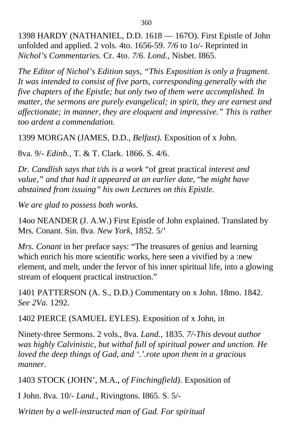1398 HARDY (NATHANIEL, D.D. 1618 — 167O). First Epistle of John unfolded and applied. 2 vols. 4to. 1656-59. *7/6* to 1o/- Reprinted in *Nichol's Commentaries.* Cr. 4to. *7/6. Lond.,* Nisbet. I865.

*The Editor of Nichol's Edition says, "This Exposition is only a fragment. It was intended to consist of five parts, corresponding generally with the five chapters of the Epistle; but only two of them were accomplished. In matter, the sermons are purely evangelical; in spirit, they are earnest and affectionate; in manner, they are eloquent and impressive." This is rather too ardent a commendation.*

1399 MORGAN (JAMES, D.D., *Belfast).* Exposition of x John.

8va. 9/- *Edinb.,* T. & T. Clark. 1866. S. 4/6.

*Dr. Candlish says that t/ds is a work* "of great practical *interest and value," and that had it appeared at an earlier date,* "he *might have abstained from issuing" his own Lectures on this Epistle.*

*We are glad to possess both works.*

14oo NEANDER (J. A.W.) First Epistle of John explained. Translated by Mrs. Conant. Sin. 8va. *New York,* 1852. 5/'

*Mrs. Conant* in her preface says: "The treasures of genius and learning which enrich his more scientific works, here seen a vivified by a :new element, and melt, under the fervor of his inner spiritual life, into a glowing stream of eloquent practical instruction."

1401 PATTERSON (A. S., D.D.) Commentary on x John. 18mo. 1842. *See 2Va.* 1292.

1402 PIERCE (SAMUEL EYLES). Exposition of x John, in

Ninety-three Sermons. 2 vols., 8va. *Land.,* 1835. *7/-This devout author was highly Calvinistic, but withal full of spiritual power and unction. He loved the deep things of Gad, and '.'.rote upon them in a gracious manner.*

1403 STOCK (JOHN', M.A., *of Finchingfield).* Exposition of

I John. 8va. 10/- *Land.,* Rivingtons. I865. S. 5/-

*Written by a well-instructed man of Gad. For spiritual*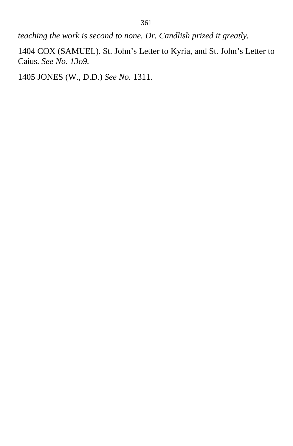*teaching the work is second to none. Dr. Candlish prized it greatly.*

1404 COX (SAMUEL). St. John's Letter to Kyria, and St. John's Letter to Caius. *See No. 13o9.*

1405 JONES (W., D.D.) *See No.* 1311.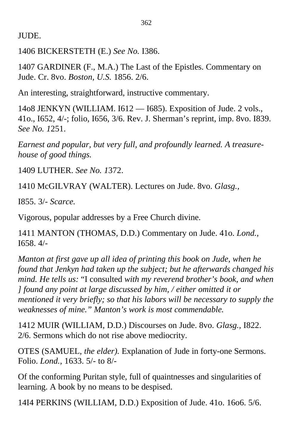JUDE.

1406 BICKERSTETH (E.) *See No.* I386.

1407 GARDINER (F., M.A.) The Last of the Epistles. Commentary on Jude. Cr. 8vo. *Boston, U.S.* 1856. 2/6.

An interesting, straightforward, instructive commentary.

14o8 JENKYN (WILLIAM. I612 — I685). Exposition of Jude. 2 vols., 41o., I652, 4/-; folio, I656, 3/6. Rev. J. Sherman's reprint, imp. 8vo. I839. *See No. 1*251.

*Earnest and popular, but very full, and profoundly learned. A treasurehouse of good things.*

1409 LUTHER. *See No. 1*372.

1410 McGILVRAY (WALTER). Lectures on Jude. 8vo. *Glasg.,*

I855. 3/- *Scarce.*

Vigorous, popular addresses by a Free Church divine.

1411 MANTON (THOMAS, D.D.) Commentary on Jude. 41o. *Lond.,* I658. 4/-

*Manton at first gave up all idea of printing this book on Jude, when he found that Jenkyn had taken up the subject; but he afterwards changed his mind. He tells us:* "I consulted *with my reverend brother's book, and when ] found any point at large discussed by him, / either omitted it or mentioned it very briefly; so that his labors will be necessary to supply the weaknesses of mine." Manton's work is most commendable.*

1412 MUIR (WILLIAM, D.D.) Discourses on Jude. 8vo. *Glasg.,* I822. 2/6. Sermons which do not rise above mediocrity.

OTES (SAMUEL, *the elder).* Explanation of Jude in forty-one Sermons. Folio. *Lond.,* 1633. 5/- to 8/-

Of the conforming Puritan style, full of quaintnesses and singularities of learning. A book by no means to be despised.

14I4 PERKINS (WILLIAM, D.D.) Exposition of Jude. 41o. 16o6. 5/6.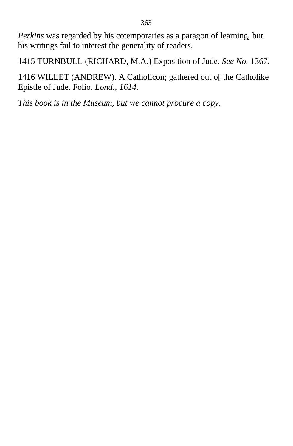*Perkins* was regarded by his cotemporaries as a paragon of learning, but his writings fail to interest the generality of readers.

1415 TURNBULL (RICHARD, M.A.) Exposition of Jude. *See No.* 1367.

1416 WILLET (ANDREW). A Catholicon; gathered out o[ the Catholike Epistle of Jude. Folio. *Lond., 1614.*

*This book is in the Museum, but we cannot procure a copy.*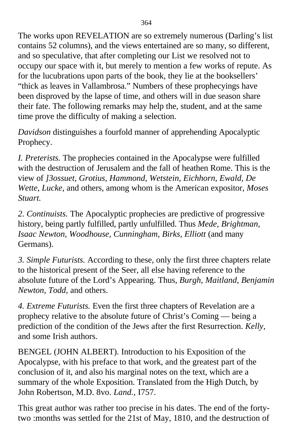The works upon REVELATION are so extremely numerous (Darling's list contains 52 columns), and the views entertained are so many, so different, and so speculative, that after completing our List we resolved not to occupy our space with it, but merely to mention a few works of repute. As for the lucubrations upon parts of the book, they lie at the booksellers' "thick as leaves in Vallambrosa." Numbers of these prophecyings have been disproved by the lapse of time, and others will in due season share their fate. The following remarks may help the, student, and at the same time prove the difficulty of making a selection.

*Davidson* distinguishes a fourfold manner of apprehending Apocalyptic Prophecy.

*I. Preterists.* The prophecies contained in the Apocalypse were fulfilled with the destruction of Jerusalem and the fall of heathen Rome. This is the view of *]3ossuet, Grotius, Hammond, Wetstein, Eichhorn, Ewald, De Wette, Lucke,* and others, among whom is the American expositor, *Moses Stuart.*

*2. Continuists.* The Apocalyptic prophecies are predictive of progressive history, being partly fulfilled, partly unfulfilled. Thus *Mede, Brightman, Isaac Newton, Woodhouse, Cunningham, Birks, Elliott* (and many Germans).

*3. Simple Futurists.* According to these, only the first three chapters relate to the historical present of the Seer, all else having reference to the absolute future of the Lord's Appearing. Thus, *Burgh, Maitland, Benjamin Newton, Todd,* and others.

*4. Extreme Futurists.* Even the first three chapters of Revelation are a prophecy relative to the absolute future of Christ's Coming — being a prediction of the condition of the Jews after the first Resurrection. *Kelly,* and some Irish authors.

BENGEL (JOHN ALBERT). Introduction to his Exposition of the Apocalypse, with his preface to that work, and the greatest part of the conclusion of it, and also his marginal notes on the text, which are a summary of the whole Exposition. Translated from the High Dutch, by John Robertson, M.D. 8vo. *Land.,* I757.

This great author was rather too precise in his dates. The end of the fortytwo :months was settled for the 21st of May, 1810, and the destruction of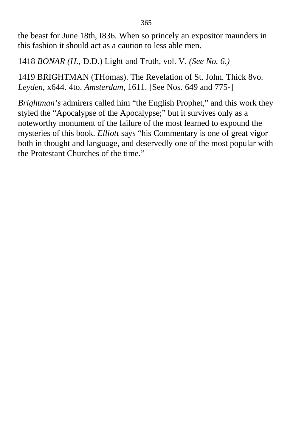the beast for June 18th, I836. When so princely an expositor maunders in this fashion it should act as a caution to less able men.

1418 *BONAR (H.,* D.D.) Light and Truth, vol. V. *(See No. 6.)*

1419 BRIGHTMAN (THomas). The Revelation of St. John. Thick 8vo. *Leyden,* x644. 4to. *Amsterdam,* 1611. [See Nos. 649 and 775-]

*Brightman's* admirers called him "the English Prophet," and this work they styled the "Apocalypse of the Apocalypse;" but it survives only as a noteworthy monument of the failure of the most learned to expound the mysteries of this book. *Elliott* says "his Commentary is one of great vigor both in thought and language, and deservedly one of the most popular with the Protestant Churches of the time."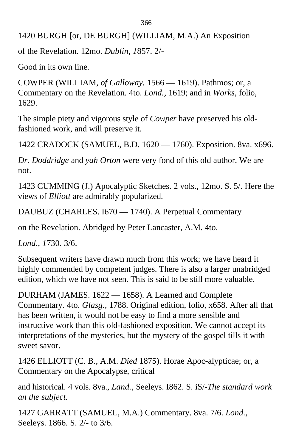1420 BURGH [or, DE BURGH] (WILLIAM, M.A.) An Exposition

of the Revelation. 12mo. *Dublin, 1*857. 2/-

Good in its own line.

COWPER (WILLIAM, *of Galloway.* 1566 — 1619). Pathmos; or, a Commentary on the Revelation. 4to. *Lond.,* 1619; and in *Works,* folio, 1629.

The simple piety and vigorous style of *Cowper* have preserved his oldfashioned work, and will preserve it.

1422 CRADOCK (SAMUEL, B.D. 1620 — 1760). Exposition. 8va. x696.

*Dr. Doddridge* and *yah Orton* were very fond of this old author. We are not.

1423 CUMMING (J.) Apocalyptic Sketches. 2 vols., 12mo. S. 5/. Here the views of *Elliott* are admirably popularized.

DAUBUZ (CHARLES. I670 — 1740). A Perpetual Commentary

on the Revelation. Abridged by Peter Lancaster, A.M. 4to.

*Lond., 1*730. 3/6.

Subsequent writers have drawn much from this work; we have heard it highly commended by competent judges. There is also a larger unabridged edition, which we have not seen. This is said to be still more valuable.

DURHAM (JAMES. 1622 — 1658). A Learned and Complete Commentary. 4to. *Glasg.,* 1788. Original edition, folio, x658. After all that has been written, it would not be easy to find a more sensible and instructive work than this old-fashioned exposition. We cannot accept its interpretations of the mysteries, but the mystery of the gospel tills it with sweet savor.

1426 ELLIOTT (C. B., A.M. *Died* 1875). Horae Apoc-alypticae; or, a Commentary on the Apocalypse, critical

and historical. 4 vols. 8va., *Land.,* Seeleys. I862. S. iS/-*The standard work an the subject.*

1427 GARRATT (SAMUEL, M.A.) Commentary. 8va. 7/6. *Lond.,* Seeleys. 1866. S. 2/- to 3/6.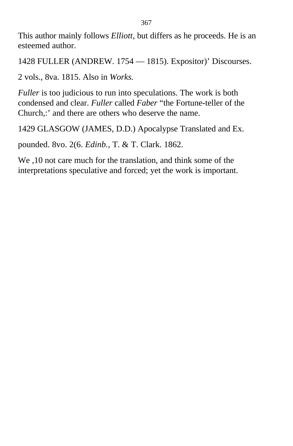This author mainly follows *Elliott,* but differs as he proceeds. He is an esteemed author.

1428 FULLER (ANDREW. 1754 — 1815). Expositor)' Discourses.

2 vols., 8va. 1815. Also in *Works.*

*Fuller* is too judicious to run into speculations. The work is both condensed and clear. *Fuller* called *Faber* "the Fortune-teller of the Church,:' and there are others who deserve the name.

1429 GLASGOW (JAMES, D.D.) Apocalypse Translated and Ex.

pounded. 8vo. 2(6. *Edinb.,* T. & T. Clark. 1862.

We ,10 not care much for the translation, and think some of the interpretations speculative and forced; yet the work is important.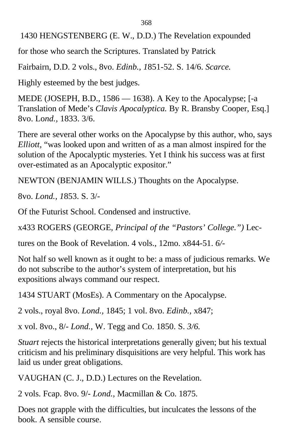1430 HENGSTENBERG (E. W., D.D.) The Revelation expounded

for those who search the Scriptures. Translated by Patrick

Fairbairn, D.D. 2 vols., 8vo. *Edinb., 1*851-52. S. 14/6. *Scarce.*

Highly esteemed by the best judges.

MEDE (JOSEPH, B.D.,  $1586 - 1638$ ). A Key to the Apocalypse; [-a Translation of Mede's *Clavis Apocalyptica.* By R. Bransby Cooper, Esq.] 8vo. Lo*nd.,* 1833. 3/6.

There are several other works on the Apocalypse by this author, who, says *Elliott,* "was looked upon and written of as a man almost inspired for the solution of the Apocalyptic mysteries. Yet I think his success was at first over-estimated as an Apocalyptic expositor."

NEWTON (BENJAMIN WILLS.) Thoughts on the Apocalypse.

8vo. *Lond., 1*853. S. 3/-

Of the Futurist School. Condensed and instructive.

x433 ROGERS (GEORGE, *Principal of the "Pastors' College.")* Lec-

tures on the Book of Revelation. 4 vols., 12mo. x844-51. *6/-*

Not half so well known as it ought to be: a mass of judicious remarks. We do not subscribe to the author's system of interpretation, but his expositions always command our respect.

1434 STUART (MosEs). A Commentary on the Apocalypse.

2 vols., royal 8vo. *Lond.,* 1845; 1 vol. 8vo. *Edinb.,* x847;

x vol. 8vo., 8/- *Lond.,* W. Tegg and Co. 1850. S. *3/6.*

*Stuart* rejects the historical interpretations generally given; but his textual criticism and his preliminary disquisitions are very helpful. This work has laid us under great obligations.

VAUGHAN (C. J., D.D.) Lectures on the Revelation.

2 vols. Fcap. 8vo. 9/- *Lond.,* Macmillan & Co. 1875.

Does not grapple with the difficulties, but inculcates the lessons of the book. A sensible course.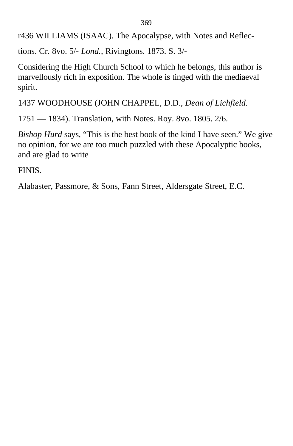r436 WILLIAMS (ISAAC). The Apocalypse, with Notes and Reflec-

tions. Cr. 8vo. 5/- *Lond.,* Rivingtons. 1873. S. 3/-

Considering the High Church School to which he belongs, this author is marvellously rich in exposition. The whole is tinged with the mediaeval spirit.

1437 WOODHOUSE (JOHN CHAPPEL, D.D., *Dean of Lichfield.*

1751 — 1834). Translation, with Notes. Roy. 8vo. 1805. 2/6.

*Bishop Hurd* says, "This is the best book of the kind I have seen." We give no opinion, for we are too much puzzled with these Apocalyptic books, and are glad to write

FINIS.

Alabaster, Passmore, & Sons, Fann Street, Aldersgate Street, E.C.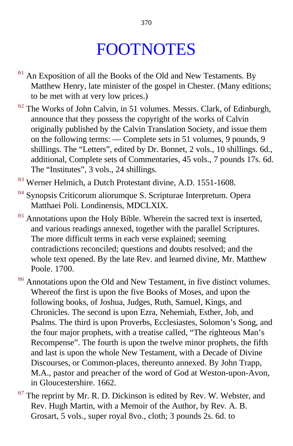# FOOTNOTES

- f<sup>t1</sup> An Exposition of all the Books of the Old and New Testaments. By Matthew Henry, late minister of the gospel in Chester. (Many editions; to be met with at very low prices.)
- [ft2](#page-11-0) The Works of John Calvin, in 51 volumes. Messrs. Clark, of Edinburgh, announce that they possess the copyright of the works of Calvin originally published by the Calvin Translation Society, and issue them on the following terms: — Complete sets in 51 volumes, 9 pounds, 9 shillings. The "Letters", edited by Dr. Bonnet, 2 vols., 10 shillings. 6d., additional, Complete sets of Commentaries, 45 vols., 7 pounds 17s. 6d. The "Institutes", 3 vols., 24 shillings.
- [ft3](#page-13-0) Werner Helmich, a Dutch Protestant divine, A.D. 1551-1608.
- [ft4](#page-13-0) Synopsis Criticorum aliorumque S. Scripturae Interpretum. Opera Matthaei Poli. Londinensis, MDCLXIX.
- ft<sup>5</sup> Annotations upon the Holy Bible. Wherein the sacred text is inserted, and various readings annexed, together with the parallel Scriptures. The more difficult terms in each verse explained; seeming contradictions reconciled; questions and doubts resolved; and the whole text opened. By the late Rev. and learned divine, Mr. Matthew Poole. 1700.
- ft<sup>6</sup> Annotations upon the Old and New Testament, in five distinct volumes. Whereof the first is upon the five Books of Moses, and upon the following books, of Joshua, Judges, Ruth, Samuel, Kings, and Chronicles. The second is upon Ezra, Nehemiah, Esther, Job, and Psalms. The third is upon Proverbs, Ecclesiastes, Solomon's Song, and the four major prophets, with a treatise called, "The righteous Man's Recompense". The fourth is upon the twelve minor prophets, the fifth and last is upon the whole New Testament, with a Decade of Divine Discourses, or Common-places, thereunto annexed. By John Trapp, M.A., pastor and preacher of the word of God at Weston-upon-Avon, in Gloucestershire. 1662.
- [ft7](#page-14-0) The reprint by Mr. R. D. Dickinson is edited by Rev. W. Webster, and Rev. Hugh Martin, with a Memoir of the Author, by Rev. A. B. Grosart, 5 vols., super royal 8vo., cloth; 3 pounds 2s. 6d. to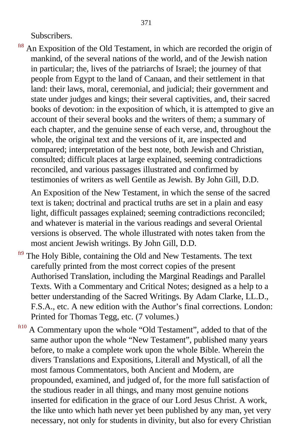Subscribers.

[ft8](#page-15-0) An Exposition of the Old Testament, in which are recorded the origin of mankind, of the several nations of the world, and of the Jewish nation in particular; the, lives of the patriarchs of Israel; the journey of that people from Egypt to the land of Canaan, and their settlement in that land: their laws, moral, ceremonial, and judicial; their government and state under judges and kings; their several captivities, and, their sacred books of devotion: in the exposition of which, it is attempted to give an account of their several books and the writers of them; a summary of each chapter, and the genuine sense of each verse, and, throughout the whole, the original text and the versions of it, are inspected and compared; interpretation of the best note, both Jewish and Christian, consulted; difficult places at large explained, seeming contradictions reconciled, and various passages illustrated and confirmed by testimonies of writers as well Gentile as Jewish. By John Gill, D.D.

An Exposition of the New Testament, in which the sense of the sacred text is taken; doctrinal and practical truths are set in a plain and easy light, difficult passages explained; seeming contradictions reconciled; and whatever is material in the various readings and several Oriental versions is observed. The whole illustrated with notes taken from the most ancient Jewish writings. By John Gill, D.D.

- ft<sup>9</sup> The Holy Bible, containing the Old and New Testaments. The text carefully printed from the most correct copies of the present Authorised Translation, including the Marginal Readings and Parallel Texts. With a Commentary and Critical Notes; designed as a help to a better understanding of the Sacred Writings. By Adam Clarke, LL.D., F.S.A., etc. A new edition with the Author's final corrections. London: Printed for Thomas Tegg, etc. (7 volumes.)
- [ft10](#page-17-0) A Commentary upon the whole "Old Testament", added to that of the same author upon the whole "New Testament", published many years before, to make a complete work upon the whole Bible. Wherein the divers Translations and Expositions, Literall and Mysticall, of all the most famous Commentators, both Ancient and Modern, are propounded, examined, and judged of, for the more full satisfaction of the studious reader in all things, and many most genuine notions inserted for edification in the grace of our Lord Jesus Christ. A work, the like unto which hath never yet been published by any man, yet very necessary, not only for students in divinity, but also for every Christian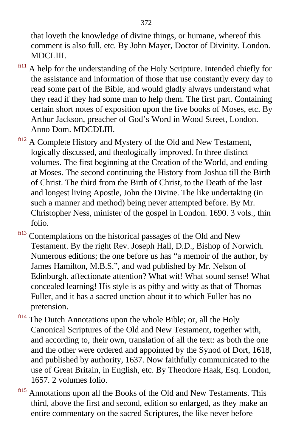that loveth the knowledge of divine things, or humane, whereof this comment is also full, etc. By John Mayer, Doctor of Divinity. London. MDCLIII.

- ft<sup>11</sup> A help for the understanding of the Holy Scripture. Intended chiefly for the assistance and information of those that use constantly every day to read some part of the Bible, and would gladly always understand what they read if they had some man to help them. The first part. Containing certain short notes of exposition upon the five books of Moses, etc. By Arthur Jackson, preacher of God's Word in Wood Street, London. Anno Dom. MDCDLIII.
- ft<sup>12</sup> A Complete History and Mystery of the Old and New Testament, logically discussed, and theologically improved. In three distinct volumes. The first beginning at the Creation of the World, and ending at Moses. The second continuing the History from Joshua till the Birth of Christ. The third from the Birth of Christ, to the Death of the last and longest living Apostle, John the Divine. The like undertaking (in such a manner and method) being never attempted before. By Mr. Christopher Ness, minister of the gospel in London. 1690. 3 vols., thin folio.
- ft<sup>13</sup> Contemplations on the historical passages of the Old and New Testament. By the right Rev. Joseph Hall, D.D., Bishop of Norwich. Numerous editions; the one before us has "a memoir of the author, by James Hamilton, M.B.S.", and wad published by Mr. Nelson of Edinburgh. affectionate attention? What wit! What sound sense! What concealed learning! His style is as pithy and witty as that of Thomas Fuller, and it has a sacred unction about it to which Fuller has no pretension.
- [ft14](#page-18-0) The Dutch Annotations upon the whole Bible; or, all the Holy Canonical Scriptures of the Old and New Testament, together with, and according to, their own, translation of all the text: as both the one and the other were ordered and appointed by the Synod of Dort, 1618, and published by authority, 1637. Now faithfully communicated to the use of Great Britain, in English, etc. By Theodore Haak, Esq. London, 1657. 2 volumes folio.
- ft<sup>15</sup> Annotations upon all the Books of the Old and New Testaments. This third, above the first and second, edition so enlarged, as they make an entire commentary on the sacred Scriptures, the like never before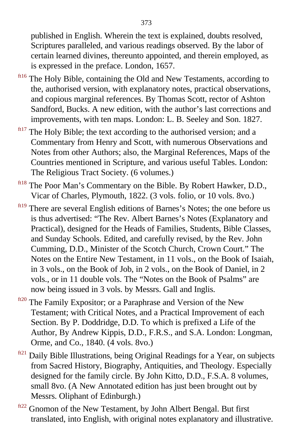published in English. Wherein the text is explained, doubts resolved, Scriptures paralleled, and various readings observed. By the labor of certain learned divines, thereunto appointed, and therein employed, as is expressed in the preface. London, 1657.

- [ft16](#page-18-0) The Holy Bible, containing the Old and New Testaments, according to the, authorised version, with explanatory notes, practical observations, and copious marginal references. By Thomas Scott, rector of Ashton Sandford, Bucks. A new edition, with the author's last corrections and improvements, with ten maps. London: L. B. Seeley and Son. 1827.
- ft<sup>17</sup> The Holy Bible; the text according to the authorised version; and a Commentary from Henry and Scott, with numerous Observations and Notes from other Authors; also, the Marginal References, Maps of the Countries mentioned in Scripture, and various useful Tables. London: The Religious Tract Society. (6 volumes.)
- ft<sup>18</sup> The Poor Man's Commentary on the Bible. By Robert Hawker, D.D., Vicar of Charles, Plymouth, 1822. (3 vols. folio, or 10 vols. 8vo.)
- [ft19](#page-19-0) There are several English editions of Barnes's Notes; the one before us is thus advertised: "The Rev. Albert Barnes's Notes (Explanatory and Practical), designed for the Heads of Families, Students, Bible Classes, and Sunday Schools. Edited, and carefully revised, by the Rev. John Cumming, D.D., Minister of the Scotch Church, Crown Court." The Notes on the Entire New Testament, in 11 vols., on the Book of Isaiah, in 3 vols., on the Book of Job, in 2 vols., on the Book of Daniel, in 2 vols., or in 11 double vols. The "Notes on the Book of Psalms" are now being issued in 3 vols. by Messrs. Gall and Inglis.
- [ft20](#page-19-0) The Family Expositor; or a Paraphrase and Version of the New Testament; with Critical Notes, and a Practical Improvement of each Section. By P. Doddridge, D.D. To which is prefixed a Life of the Author, By Andrew Kippis, D.D., F.R.S., and S.A. London: Longman, Orme, and Co., 1840. (4 vols. 8vo.)
- [ft21](#page-20-0) Daily Bible Illustrations, being Original Readings for a Year, on subjects from Sacred History, Biography, Antiquities, and Theology. Especially designed for the family circle. By John Kitto, D.D., F.S.A. 8 volumes, small 8vo. (A New Annotated edition has just been brought out by Messrs. Oliphant of Edinburgh.)
- [ft22](#page-20-0) Gnomon of the New Testament, by John Albert Bengal. But first translated, into English, with original notes explanatory and illustrative.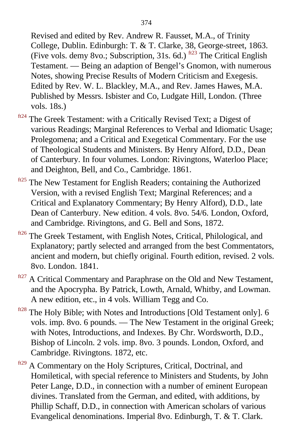Revised and edited by Rev. Andrew R. Fausset, M.A., of Trinity College, Dublin. Edinburgh: T. & T. Clarke, 38, George-street, 1863. (Five vols. demy 8vo.; Subscription, 31s. 6d.)  $f^{123}$  The Critical English Testament. — Being an adaption of Bengel's Gnomon, with numerous Notes, showing Precise Results of Modern Criticism and Exegesis. Edited by Rev. W. L. Blackley, M.A., and Rev. James Hawes, M.A. Published by Messrs. Isbister and Co, Ludgate Hill, London. (Three vols. 18s.)

- [ft24](#page-22-0) The Greek Testament: with a Critically Revised Text; a Digest of various Readings; Marginal References to Verbal and Idiomatic Usage; Prolegomena; and a Critical and Exegetical Commentary. For the use of Theological Students and Ministers. By Henry Alford, D.D., Dean of Canterbury. In four volumes. London: Rivingtons, Waterloo Place; and Deighton, Bell, and Co., Cambridge. 1861.
- ft<sup>25</sup> The New Testament for English Readers; containing the Authorized Version, with a revised English Text; Marginal References; and a Critical and Explanatory Commentary; By Henry Alford), D.D., late Dean of Canterbury. New edition. 4 vols. 8vo. 54/6. London, Oxford, and Cambridge. Rivingtons, and G. Bell and Sons, 1872.
- [ft26](#page-22-0) The Greek Testament, with English Notes, Critical, Philological, and Explanatory; partly selected and arranged from the best Commentators, ancient and modern, but chiefly original. Fourth edition, revised. 2 vols. 8vo. London. 1841.
- ft<sup>27</sup> A Critical Commentary and Paraphrase on the Old and New Testament, and the Apocrypha. By Patrick, Lowth, Arnald, Whitby, and Lowman. A new edition, etc., in 4 vols. William Tegg and Co.
- ft<sup>28</sup> The Holy Bible; with Notes and Introductions [Old Testament only]. 6 vols. imp. 8vo. 6 pounds. — The New Testament in the original Greek; with Notes, Introductions, and Indexes. By Chr. Wordsworth, D.D., Bishop of Lincoln. 2 vols. imp. 8vo. 3 pounds. London, Oxford, and Cambridge. Rivingtons. 1872, etc.
- [ft29](#page-23-0) A Commentary on the Holy Scriptures, Critical, Doctrinal, and Homiletical, with special reference to Ministers and Students, by John Peter Lange, D.D., in connection with a number of eminent European divines. Translated from the German, and edited, with additions, by Phillip Schaff, D.D., in connection with American scholars of various Evangelical denominations. Imperial 8vo. Edinburgh, T. & T. Clark.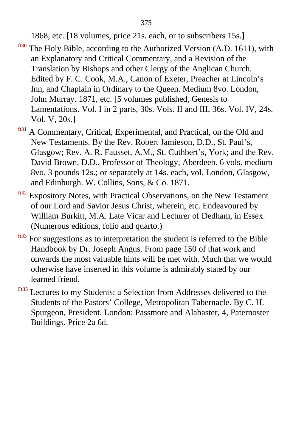1868, etc. [18 volumes, price 21s. each, or to subscribers 15s.]

- ft<sup>30</sup> The Holy Bible, according to the Authorized Version (A.D. 1611), with an Explanatory and Critical Commentary, and a Revision of the Translation by Bishops and other Clergy of the Anglican Church. Edited by F. C. Cook, M.A., Canon of Exeter, Preacher at Lincoln's Inn, and Chaplain in Ordinary to the Queen. Medium 8vo. London, John Murray. 1871, etc. [5 volumes published, Genesis to Lamentations. Vol. I in 2 parts, 30s. Vols. II and III, 36s. Vol. IV, 24s. Vol. V, 20s.]
- [ft31](#page-24-0) A Commentary, Critical, Experimental, and Practical, on the Old and New Testaments. By the Rev. Robert Jamieson, D.D., St. Paul's, Glasgow; Rev. A. R. Fausset, A.M., St. Cuthbert's, York; and the Rev. David Brown, D.D., Professor of Theology, Aberdeen. 6 vols. medium 8vo. 3 pounds 12s.; or separately at 14s. each, vol. London, Glasgow, and Edinburgh. W. Collins, Sons, & Co. 1871.
- [ft32](#page-24-0) Expository Notes, with Practical Observations, on the New Testament of our Lord and Savior Jesus Christ, wherein, etc. Endeavoured by William Burkitt, M.A. Late Vicar and Lecturer of Dedham, in Essex. (Numerous editions, folio and quarto.)
- ft<sup>33</sup> For suggestions as to interpretation the student is referred to the Bible Handbook by Dr. Joseph Angus. From page 150 of that work and onwards the most valuable hints will be met with. Much that we would otherwise have inserted in this volume is admirably stated by our learned friend.
- [Ft35](#page-42-0) Lectures to my Students: a Selection from Addresses delivered to the Students of the Pastors' College, Metropolitan Tabernacle. By C. H. Spurgeon, President. London: Passmore and Alabaster, 4, Paternoster Buildings. Price 2a 6d.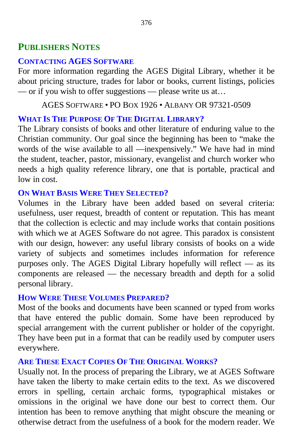# **PUBLISHERS NOTES**

#### **CONTACTING AGES SOFTWARE**

For more information regarding the AGES Digital Library, whether it be about pricing structure, trades for labor or books, current listings, policies — or if you wish to offer suggestions — please write us at…

#### AGES SOFTWARE • PO BOX 1926 • ALBANY OR 97321-0509

#### **WHAT IS THE PURPOSE OF THE DIGITAL LIBRARY?**

The Library consists of books and other literature of enduring value to the Christian community. Our goal since the beginning has been to "make the words of the wise available to all —inexpensively." We have had in mind the student, teacher, pastor, missionary, evangelist and church worker who needs a high quality reference library, one that is portable, practical and low in cost.

#### **ON WHAT BASIS WERE THEY SELECTED?**

Volumes in the Library have been added based on several criteria: usefulness, user request, breadth of content or reputation. This has meant that the collection is eclectic and may include works that contain positions with which we at AGES Software do not agree. This paradox is consistent with our design, however: any useful library consists of books on a wide variety of subjects and sometimes includes information for reference purposes only. The AGES Digital Library hopefully will reflect — as its components are released — the necessary breadth and depth for a solid personal library.

# **HOW WERE THESE VOLUMES PREPARED?**

Most of the books and documents have been scanned or typed from works that have entered the public domain. Some have been reproduced by special arrangement with the current publisher or holder of the copyright. They have been put in a format that can be readily used by computer users everywhere.

# **ARE THESE EXACT COPIES OF THE ORIGINAL WORKS?**

Usually not. In the process of preparing the Library, we at AGES Software have taken the liberty to make certain edits to the text. As we discovered errors in spelling, certain archaic forms, typographical mistakes or omissions in the original we have done our best to correct them. Our intention has been to remove anything that might obscure the meaning or otherwise detract from the usefulness of a book for the modern reader. We